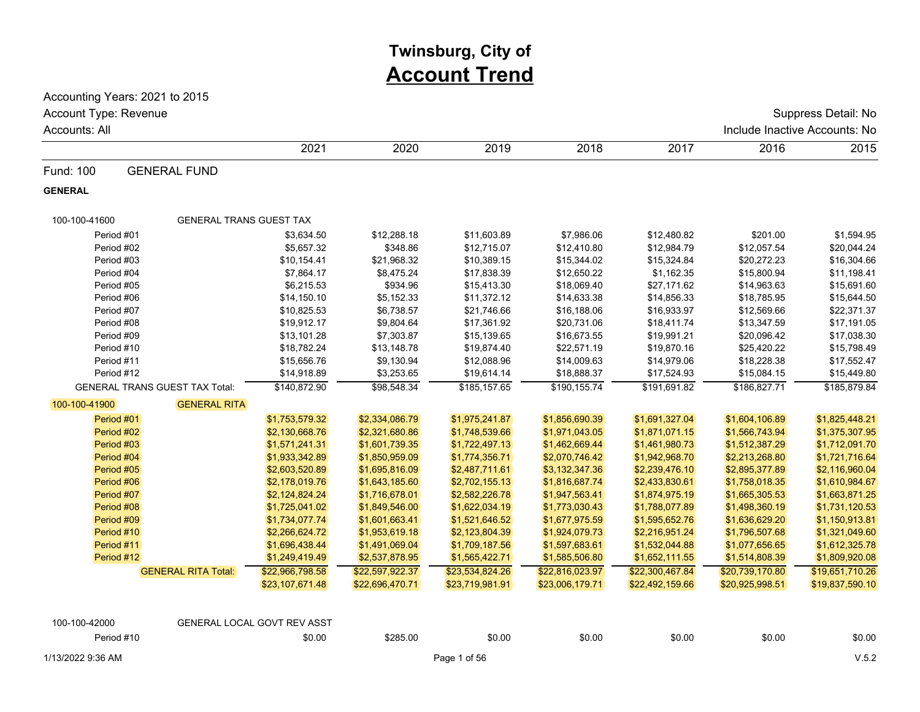# **Twinsburg, City of Account Trend**

Accounting Years: 2021 to 2015

Account Type: Revenue Suppress Detail: No

| Accounts: All  |                                       |                                    |                 |                 |                 |                 |                 | Include Inactive Accounts: No |
|----------------|---------------------------------------|------------------------------------|-----------------|-----------------|-----------------|-----------------|-----------------|-------------------------------|
|                |                                       | 2021                               | 2020            | 2019            | 2018            | 2017            | 2016            | 2015                          |
| Fund: 100      | <b>GENERAL FUND</b>                   |                                    |                 |                 |                 |                 |                 |                               |
| <b>GENERAL</b> |                                       |                                    |                 |                 |                 |                 |                 |                               |
| 100-100-41600  | <b>GENERAL TRANS GUEST TAX</b>        |                                    |                 |                 |                 |                 |                 |                               |
| Period #01     |                                       | \$3,634.50                         | \$12,288.18     | \$11,603.89     | \$7,986.06      | \$12,480.82     | \$201.00        | \$1,594.95                    |
| Period #02     |                                       | \$5,657.32                         | \$348.86        | \$12,715.07     | \$12,410.80     | \$12,984.79     | \$12,057.54     | \$20,044.24                   |
| Period #03     |                                       | \$10,154.41                        | \$21,968.32     | \$10,389.15     | \$15,344.02     | \$15,324.84     | \$20,272.23     | \$16,304.66                   |
| Period #04     |                                       | \$7,864.17                         | \$8,475.24      | \$17,838.39     | \$12,650.22     | \$1,162.35      | \$15,800.94     | \$11,198.41                   |
| Period #05     |                                       | \$6,215.53                         | \$934.96        | \$15,413.30     | \$18,069.40     | \$27,171.62     | \$14,963.63     | \$15,691.60                   |
| Period #06     |                                       | \$14,150.10                        | \$5,152.33      | \$11,372.12     | \$14,633.38     | \$14,856.33     | \$18,785.95     | \$15,644.50                   |
| Period #07     |                                       | \$10,825.53                        | \$6,738.57      | \$21,746.66     | \$16,188.06     | \$16,933.97     | \$12,569.66     | \$22,371.37                   |
| Period #08     |                                       | \$19,912.17                        | \$9,804.64      | \$17,361.92     | \$20,731.06     | \$18,411.74     | \$13,347.59     | \$17,191.05                   |
| Period #09     |                                       | \$13,101.28                        | \$7,303.87      | \$15,139.65     | \$16,673.55     | \$19,991.21     | \$20,096.42     | \$17,038.30                   |
| Period #10     |                                       | \$18,782.24                        | \$13,148.78     | \$19,874.40     | \$22,571.19     | \$19,870.16     | \$25,420.22     | \$15,798.49                   |
| Period #11     |                                       | \$15,656.76                        | \$9,130.94      | \$12,088.96     | \$14,009.63     | \$14,979.06     | \$18,228.38     | \$17,552.47                   |
| Period #12     |                                       | \$14,918.89                        | \$3,253.65      | \$19,614.14     | \$18,888.37     | \$17,524.93     | \$15,084.15     | \$15,449.80                   |
|                | <b>GENERAL TRANS GUEST TAX Total:</b> | \$140,872.90                       | \$98,548.34     | \$185,157.65    | \$190,155.74    | \$191,691.82    | \$186,827.71    | \$185,879.84                  |
| 100-100-41900  | <b>GENERAL RITA</b>                   |                                    |                 |                 |                 |                 |                 |                               |
| Period #01     |                                       | \$1,753,579.32                     | \$2,334,086.79  | \$1,975,241.87  | \$1,856,690.39  | \$1,691,327.04  | \$1,604,106.89  | \$1,825,448.21                |
| Period #02     |                                       | \$2,130,668.76                     | \$2,321,680.86  | \$1,748,539.66  | \$1,971,043.05  | \$1,871,071.15  | \$1,566,743.94  | \$1,375,307.95                |
| Period #03     |                                       | \$1,571,241.31                     | \$1,601,739.35  | \$1,722,497.13  | \$1,462,669.44  | \$1,461,980.73  | \$1,512,387.29  | \$1,712,091.70                |
| Period #04     |                                       | \$1,933,342.89                     | \$1,850,959.09  | \$1,774,356.71  | \$2,070,746.42  | \$1,942,968.70  | \$2,213,268.80  | \$1,721,716.64                |
| Period #05     |                                       | \$2,603,520.89                     | \$1,695,816.09  | \$2,487,711.61  | \$3,132,347.36  | \$2,239,476.10  | \$2,895,377.89  | \$2,116,960.04                |
| Period #06     |                                       | \$2,178,019.76                     | \$1,643,185.60  | \$2,702,155.13  | \$1,816,687.74  | \$2,433,830.61  | \$1,758,018.35  | \$1,610,984.67                |
| Period #07     |                                       | \$2,124,824.24                     | \$1,716,678.01  | \$2,582,226.78  | \$1,947,563.41  | \$1,874,975.19  | \$1,665,305.53  | \$1,663,871.25                |
| Period #08     |                                       | \$1,725,041.02                     | \$1,849,546.00  | \$1,622,034.19  | \$1,773,030.43  | \$1,788,077.89  | \$1,498,360.19  | \$1,731,120.53                |
| Period #09     |                                       | \$1,734,077.74                     | \$1,601,663.41  | \$1,521,646.52  | \$1,677,975.59  | \$1,595,652.76  | \$1,636,629.20  | \$1,150,913.81                |
| Period #10     |                                       | \$2,266,624.72                     | \$1,953,619.18  | \$2,123,804.39  | \$1,924,079.73  | \$2,216,951.24  | \$1,796,507.68  | \$1,321,049.60                |
| Period #11     |                                       | \$1,696,438.44                     | \$1,491,069.04  | \$1,709,187.56  | \$1,597,683.61  | \$1,532,044.88  | \$1,077,656.65  | \$1,612,325.78                |
| Period #12     |                                       | \$1,249,419.49                     | \$2,537,878.95  | \$1,565,422.71  | \$1,585,506.80  | \$1,652,111.55  | \$1,514,808.39  | \$1,809,920.08                |
|                | <b>GENERAL RITA Total:</b>            | \$22,966,798.58                    | \$22,597,922.37 | \$23,534,824.26 | \$22,816,023.97 | \$22,300,467.84 | \$20,739,170.80 | \$19,651,710.26               |
|                |                                       | \$23,107,671.48                    | \$22,696,470.71 | \$23,719,981.91 | \$23,006,179.71 | \$22,492,159.66 | \$20,925,998.51 | \$19,837,590.10               |
| 100-100-42000  |                                       | <b>GENERAL LOCAL GOVT REV ASST</b> |                 |                 |                 |                 |                 |                               |
|                |                                       |                                    |                 |                 |                 |                 |                 |                               |
| Period #10     |                                       | \$0.00                             | \$285.00        | \$0.00          | \$0.00          | \$0.00          | \$0.00          | \$0.00                        |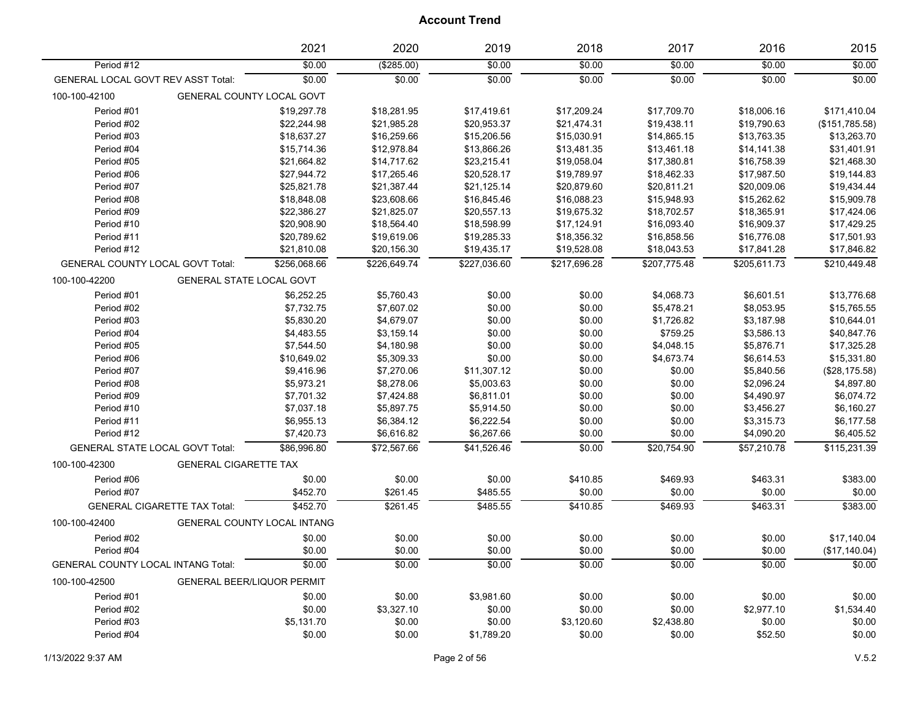|                                           |                                     | 2021                        | 2020         | 2019         | 2018           | 2017         | 2016         | 2015           |
|-------------------------------------------|-------------------------------------|-----------------------------|--------------|--------------|----------------|--------------|--------------|----------------|
| Period #12                                |                                     | \$0.00                      | (\$285.00)   | \$0.00       | \$0.00         | \$0.00       | \$0.00       | \$0.00         |
| <b>GENERAL LOCAL GOVT REV ASST Total:</b> |                                     | \$0.00                      | \$0.00       | \$0.00       | \$0.00         | \$0.00       | \$0.00       | \$0.00         |
| 100-100-42100                             | GENERAL COUNTY LOCAL GOVT           |                             |              |              |                |              |              |                |
| Period #01                                |                                     | \$19,297.78                 | \$18,281.95  | \$17,419.61  | \$17,209.24    | \$17,709.70  | \$18,006.16  | \$171,410.04   |
| Period #02                                |                                     | \$22,244.98                 | \$21,985.28  | \$20,953.37  | \$21,474.31    | \$19,438.11  | \$19,790.63  | (\$151,785.58) |
| Period #03                                |                                     | \$18,637.27                 | \$16,259.66  | \$15,206.56  | \$15,030.91    | \$14,865.15  | \$13,763.35  | \$13,263.70    |
| Period #04                                |                                     | \$15,714.36                 | \$12,978.84  | \$13,866.26  | \$13,481.35    | \$13,461.18  | \$14,141.38  | \$31,401.91    |
| Period #05                                |                                     | \$21,664.82                 | \$14,717.62  | \$23,215.41  | \$19,058.04    | \$17,380.81  | \$16,758.39  | \$21,468.30    |
| Period #06                                |                                     | \$27,944.72                 | \$17,265.46  | \$20,528.17  | \$19,789.97    | \$18,462.33  | \$17,987.50  | \$19,144.83    |
| Period #07                                |                                     | \$25,821.78                 | \$21,387.44  | \$21,125.14  | \$20,879.60    | \$20,811.21  | \$20,009.06  | \$19,434.44    |
| Period #08                                |                                     | \$18,848.08                 | \$23,608.66  | \$16,845.46  | \$16,088.23    | \$15,948.93  | \$15,262.62  | \$15,909.78    |
| Period #09                                |                                     | \$22,386.27                 | \$21,825.07  | \$20,557.13  | \$19,675.32    | \$18,702.57  | \$18,365.91  | \$17,424.06    |
| Period #10                                |                                     | \$20,908.90                 | \$18,564.40  | \$18,598.99  | \$17,124.91    | \$16,093.40  | \$16,909.37  | \$17,429.25    |
| Period #11                                |                                     | \$20,789.62                 | \$19,619.06  | \$19,285.33  | \$18,356.32    | \$16,858.56  | \$16,776.08  | \$17,501.93    |
| Period #12                                |                                     | \$21,810.08                 | \$20,156.30  | \$19,435.17  | \$19,528.08    | \$18,043.53  | \$17,841.28  | \$17,846.82    |
| GENERAL COUNTY LOCAL GOVT Total:          |                                     | \$256,068.66                | \$226,649.74 | \$227,036.60 | \$217,696.28   | \$207,775.48 | \$205,611.73 | \$210,449.48   |
| 100-100-42200                             | GENERAL STATE LOCAL GOVT            |                             |              |              |                |              |              |                |
| Period #01                                |                                     | \$6.252.25                  | \$5,760.43   | \$0.00       | \$0.00         | \$4,068.73   | \$6,601.51   | \$13.776.68    |
| Period #02                                |                                     | \$7,732.75                  | \$7,607.02   | \$0.00       | \$0.00         | \$5,478.21   | \$8,053.95   | \$15,765.55    |
| Period #03                                |                                     | \$5,830.20                  | \$4,679.07   | \$0.00       | \$0.00         | \$1,726.82   | \$3,187.98   | \$10,644.01    |
| Period #04                                |                                     | \$4,483.55                  | \$3,159.14   | \$0.00       | \$0.00         | \$759.25     | \$3,586.13   | \$40,847.76    |
| Period #05                                |                                     | \$7,544.50                  | \$4,180.98   | \$0.00       | \$0.00         | \$4,048.15   | \$5,876.71   | \$17,325.28    |
| Period #06                                |                                     | \$10,649.02                 | \$5,309.33   | \$0.00       | \$0.00         | \$4,673.74   | \$6,614.53   | \$15,331.80    |
| Period #07                                |                                     | \$9,416.96                  | \$7,270.06   | \$11,307.12  | \$0.00         | \$0.00       | \$5,840.56   | (\$28,175.58)  |
| Period #08                                |                                     | \$5,973.21                  | \$8,278.06   | \$5,003.63   | \$0.00         | \$0.00       | \$2,096.24   | \$4,897.80     |
| Period #09                                |                                     | \$7,701.32                  | \$7,424.88   | \$6,811.01   | \$0.00         | \$0.00       | \$4,490.97   | \$6,074.72     |
| Period #10                                |                                     | \$7,037.18                  | \$5,897.75   | \$5,914.50   | \$0.00         | \$0.00       | \$3,456.27   | \$6,160.27     |
| Period #11                                |                                     | \$6,955.13                  | \$6,384.12   | \$6,222.54   | \$0.00         | \$0.00       | \$3,315.73   | \$6,177.58     |
| Period #12                                |                                     | \$7,420.73                  | \$6,616.82   | \$6,267.66   | \$0.00         | \$0.00       | \$4,090.20   | \$6,405.52     |
| <b>GENERAL STATE LOCAL GOVT Total:</b>    |                                     | \$86,996.80                 | \$72,567.66  | \$41,526.46  | \$0.00         | \$20,754.90  | \$57,210.78  | \$115,231.39   |
| 100-100-42300                             | <b>GENERAL CIGARETTE TAX</b>        |                             |              |              |                |              |              |                |
| Period #06                                |                                     | \$0.00                      | \$0.00       | \$0.00       | \$410.85       | \$469.93     | \$463.31     | \$383.00       |
| Period #07                                |                                     | \$452.70                    | \$261.45     | \$485.55     | \$0.00         | \$0.00       | \$0.00       | \$0.00         |
|                                           | <b>GENERAL CIGARETTE TAX Total:</b> | \$452.70                    | \$261.45     | \$485.55     | \$410.85       | \$469.93     | \$463.31     | \$383.00       |
| 100-100-42400                             |                                     | GENERAL COUNTY LOCAL INTANG |              |              |                |              |              |                |
|                                           |                                     |                             |              |              |                |              |              |                |
| Period #02                                |                                     | \$0.00                      | \$0.00       | \$0.00       | \$0.00         | \$0.00       | \$0.00       | \$17,140.04    |
| Period #04                                |                                     | \$0.00                      | \$0.00       | \$0.00       | \$0.00         | \$0.00       | \$0.00       | (\$17,140.04)  |
| <b>GENERAL COUNTY LOCAL INTANG Total:</b> |                                     | \$0.00                      | \$0.00       | \$0.00       | $\frac{1}{00}$ | \$0.00       | \$0.00       | \$0.00         |
| 100-100-42500                             | GENERAL BEER/LIQUOR PERMIT          |                             |              |              |                |              |              |                |
| Period #01                                |                                     | \$0.00                      | \$0.00       | \$3,981.60   | \$0.00         | \$0.00       | \$0.00       | \$0.00         |
| Period #02                                |                                     | \$0.00                      | \$3,327.10   | \$0.00       | \$0.00         | \$0.00       | \$2,977.10   | \$1,534.40     |
| Period #03                                |                                     | \$5,131.70                  | \$0.00       | \$0.00       | \$3,120.60     | \$2,438.80   | \$0.00       | \$0.00         |
| Period #04                                |                                     | \$0.00                      | \$0.00       | \$1,789.20   | \$0.00         | \$0.00       | \$52.50      | \$0.00         |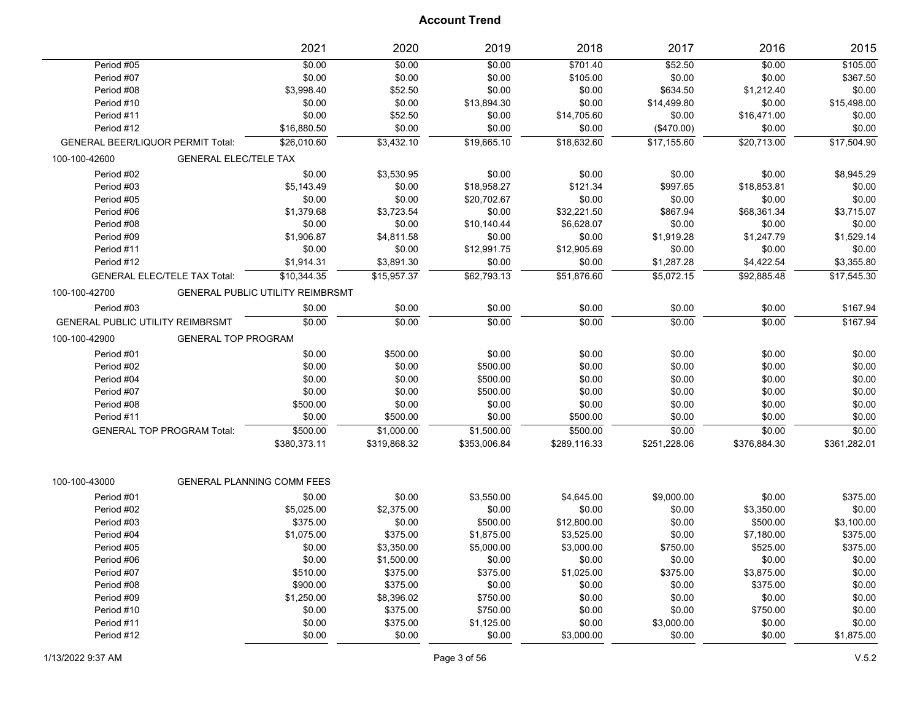|                                          |                                     | 2021                                    | 2020         | 2019         | 2018         | 2017         | 2016         | 2015         |
|------------------------------------------|-------------------------------------|-----------------------------------------|--------------|--------------|--------------|--------------|--------------|--------------|
| Period #05                               |                                     | \$0.00                                  | \$0.00       | \$0.00       | \$701.40     | \$52.50      | \$0.00       | \$105.00     |
| Period #07                               |                                     | \$0.00                                  | \$0.00       | \$0.00       | \$105.00     | \$0.00       | \$0.00       | \$367.50     |
| Period #08                               |                                     | \$3,998.40                              | \$52.50      | \$0.00       | \$0.00       | \$634.50     | \$1,212.40   | \$0.00       |
| Period #10                               |                                     | \$0.00                                  | \$0.00       | \$13,894.30  | \$0.00       | \$14,499.80  | \$0.00       | \$15,498.00  |
| Period #11                               |                                     | \$0.00                                  | \$52.50      | \$0.00       | \$14,705.60  | \$0.00       | \$16,471.00  | \$0.00       |
| Period #12                               |                                     | \$16,880.50                             | \$0.00       | \$0.00       | \$0.00       | (\$470.00)   | \$0.00       | \$0.00       |
| <b>GENERAL BEER/LIQUOR PERMIT Total:</b> |                                     | \$26,010.60                             | \$3,432.10   | \$19,665.10  | \$18,632.60  | \$17,155.60  | \$20,713.00  | \$17,504.90  |
| 100-100-42600                            | <b>GENERAL ELEC/TELE TAX</b>        |                                         |              |              |              |              |              |              |
| Period #02                               |                                     | \$0.00                                  | \$3,530.95   | \$0.00       | \$0.00       | \$0.00       | \$0.00       | \$8,945.29   |
| Period #03                               |                                     | \$5,143.49                              | \$0.00       | \$18,958.27  | \$121.34     | \$997.65     | \$18,853.81  | \$0.00       |
| Period #05                               |                                     | \$0.00                                  | \$0.00       | \$20,702.67  | \$0.00       | \$0.00       | \$0.00       | \$0.00       |
| Period #06                               |                                     | \$1,379.68                              | \$3,723.54   | \$0.00       | \$32,221.50  | \$867.94     | \$68,361.34  | \$3,715.07   |
| Period #08                               |                                     | \$0.00                                  | \$0.00       | \$10,140.44  | \$6,628.07   | \$0.00       | \$0.00       | \$0.00       |
| Period #09                               |                                     | \$1,906.87                              | \$4,811.58   | \$0.00       | \$0.00       | \$1,919.28   | \$1,247.79   | \$1,529.14   |
| Period #11                               |                                     | \$0.00                                  | \$0.00       | \$12,991.75  | \$12,905.69  | \$0.00       | \$0.00       | \$0.00       |
| Period #12                               |                                     | \$1,914.31                              | \$3,891.30   | \$0.00       | \$0.00       | \$1,287.28   | \$4,422.54   | \$3,355.80   |
|                                          | <b>GENERAL ELEC/TELE TAX Total:</b> | \$10.344.35                             | \$15.957.37  | \$62.793.13  | \$51.876.60  | \$5.072.15   | \$92.885.48  | \$17.545.30  |
| 100-100-42700                            |                                     | <b>GENERAL PUBLIC UTILITY REIMBRSMT</b> |              |              |              |              |              |              |
| Period #03                               |                                     | \$0.00                                  | \$0.00       | \$0.00       | \$0.00       | \$0.00       | \$0.00       | \$167.94     |
| <b>GENERAL PUBLIC UTILITY REIMBRSMT</b>  |                                     | \$0.00                                  | \$0.00       | \$0.00       | \$0.00       | \$0.00       | \$0.00       | \$167.94     |
| 100-100-42900                            | <b>GENERAL TOP PROGRAM</b>          |                                         |              |              |              |              |              |              |
| Period #01                               |                                     | \$0.00                                  | \$500.00     | \$0.00       | \$0.00       | \$0.00       | \$0.00       | \$0.00       |
| Period #02                               |                                     | \$0.00                                  | \$0.00       | \$500.00     | \$0.00       | \$0.00       | \$0.00       | \$0.00       |
| Period #04                               |                                     | \$0.00                                  | \$0.00       | \$500.00     | \$0.00       | \$0.00       | \$0.00       | \$0.00       |
| Period #07                               |                                     | \$0.00                                  | \$0.00       | \$500.00     | \$0.00       | \$0.00       | \$0.00       | \$0.00       |
| Period #08                               |                                     | \$500.00                                | \$0.00       | \$0.00       | \$0.00       | \$0.00       | \$0.00       | \$0.00       |
| Period #11                               |                                     | \$0.00                                  | \$500.00     | \$0.00       | \$500.00     | \$0.00       | \$0.00       | \$0.00       |
|                                          | <b>GENERAL TOP PROGRAM Total:</b>   | \$500.00                                | \$1,000.00   | \$1,500.00   | \$500.00     | \$0.00       | \$0.00       | \$0.00       |
|                                          |                                     | \$380,373.11                            | \$319,868.32 | \$353,006.84 | \$289,116.33 | \$251,228.06 | \$376,884.30 | \$361,282.01 |
|                                          |                                     |                                         |              |              |              |              |              |              |
| 100-100-43000                            |                                     | <b>GENERAL PLANNING COMM FEES</b>       |              |              |              |              |              |              |
| Period #01                               |                                     | \$0.00                                  | \$0.00       | \$3,550.00   | \$4,645.00   | \$9,000.00   | \$0.00       | \$375.00     |
| Period #02                               |                                     | \$5,025.00                              | \$2,375.00   | \$0.00       | \$0.00       | \$0.00       | \$3,350.00   | \$0.00       |
| Period #03                               |                                     | \$375.00                                | \$0.00       | \$500.00     | \$12,800.00  | \$0.00       | \$500.00     | \$3,100.00   |
| Period #04                               |                                     | \$1,075.00                              | \$375.00     | \$1,875.00   | \$3,525.00   | \$0.00       | \$7,180.00   | \$375.00     |
| Period #05                               |                                     | \$0.00                                  | \$3,350.00   | \$5,000.00   | \$3,000.00   | \$750.00     | \$525.00     | \$375.00     |
| Period #06                               |                                     | \$0.00                                  | \$1,500.00   | \$0.00       | \$0.00       | \$0.00       | \$0.00       | \$0.00       |
| Period #07                               |                                     | \$510.00                                | \$375.00     | \$375.00     | \$1,025.00   | \$375.00     | \$3,875.00   | \$0.00       |
| Period #08                               |                                     | \$900.00                                | \$375.00     | \$0.00       | \$0.00       | \$0.00       | \$375.00     | \$0.00       |
| Period #09                               |                                     | \$1,250.00                              | \$8,396.02   | \$750.00     | \$0.00       | \$0.00       | \$0.00       | \$0.00       |
| Period #10                               |                                     | \$0.00                                  | \$375.00     | \$750.00     | \$0.00       | \$0.00       | \$750.00     | \$0.00       |
| Period #11                               |                                     | \$0.00                                  | \$375.00     | \$1,125.00   | \$0.00       | \$3,000.00   | \$0.00       | \$0.00       |
| Period #12                               |                                     | \$0.00                                  | \$0.00       | \$0.00       | \$3,000.00   | \$0.00       | \$0.00       | \$1,875.00   |
|                                          |                                     |                                         |              |              |              |              |              |              |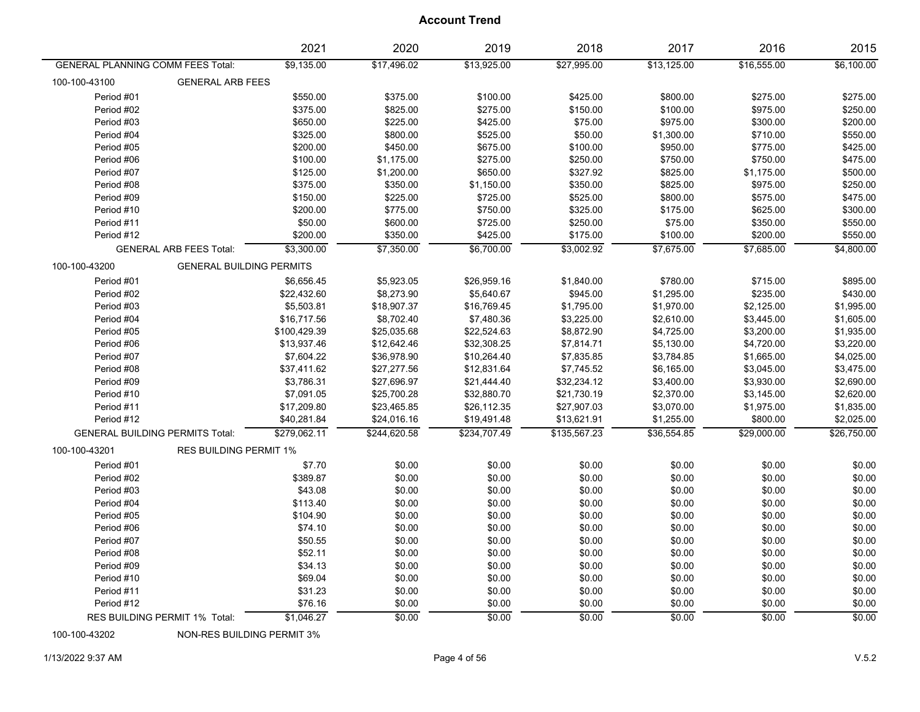|                                          |                                        | 2021         | 2020         | 2019         | 2018         | 2017        | 2016        | 2015        |
|------------------------------------------|----------------------------------------|--------------|--------------|--------------|--------------|-------------|-------------|-------------|
| <b>GENERAL PLANNING COMM FEES Total:</b> |                                        | \$9,135.00   | \$17,496.02  | \$13,925.00  | \$27,995.00  | \$13,125.00 | \$16,555.00 | \$6,100.00  |
| 100-100-43100                            | <b>GENERAL ARB FEES</b>                |              |              |              |              |             |             |             |
| Period #01                               |                                        | \$550.00     | \$375.00     | \$100.00     | \$425.00     | \$800.00    | \$275.00    | \$275.00    |
| Period #02                               |                                        | \$375.00     | \$825.00     | \$275.00     | \$150.00     | \$100.00    | \$975.00    | \$250.00    |
| Period #03                               |                                        | \$650.00     | \$225.00     | \$425.00     | \$75.00      | \$975.00    | \$300.00    | \$200.00    |
| Period #04                               |                                        | \$325.00     | \$800.00     | \$525.00     | \$50.00      | \$1,300.00  | \$710.00    | \$550.00    |
| Period #05                               |                                        | \$200.00     | \$450.00     | \$675.00     | \$100.00     | \$950.00    | \$775.00    | \$425.00    |
| Period #06                               |                                        | \$100.00     | \$1,175.00   | \$275.00     | \$250.00     | \$750.00    | \$750.00    | \$475.00    |
| Period #07                               |                                        | \$125.00     | \$1,200.00   | \$650.00     | \$327.92     | \$825.00    | \$1,175.00  | \$500.00    |
| Period #08                               |                                        | \$375.00     | \$350.00     | \$1,150.00   | \$350.00     | \$825.00    | \$975.00    | \$250.00    |
| Period #09                               |                                        | \$150.00     | \$225.00     | \$725.00     | \$525.00     | \$800.00    | \$575.00    | \$475.00    |
| Period #10                               |                                        | \$200.00     | \$775.00     | \$750.00     | \$325.00     | \$175.00    | \$625.00    | \$300.00    |
| Period #11                               |                                        | \$50.00      | \$600.00     | \$725.00     | \$250.00     | \$75.00     | \$350.00    | \$550.00    |
| Period #12                               |                                        | \$200.00     | \$350.00     | \$425.00     | \$175.00     | \$100.00    | \$200.00    | \$550.00    |
|                                          | <b>GENERAL ARB FEES Total:</b>         | \$3,300.00   | \$7,350.00   | \$6,700.00   | \$3,002.92   | \$7,675.00  | \$7,685.00  | \$4,800.00  |
| 100-100-43200                            | <b>GENERAL BUILDING PERMITS</b>        |              |              |              |              |             |             |             |
| Period #01                               |                                        | \$6,656.45   | \$5,923.05   | \$26,959.16  | \$1,840.00   | \$780.00    | \$715.00    | \$895.00    |
| Period #02                               |                                        | \$22,432.60  | \$8,273.90   | \$5,640.67   | \$945.00     | \$1,295.00  | \$235.00    | \$430.00    |
| Period #03                               |                                        | \$5,503.81   | \$18,907.37  | \$16,769.45  | \$1,795.00   | \$1,970.00  | \$2,125.00  | \$1,995.00  |
| Period #04                               |                                        | \$16,717.56  | \$8,702.40   | \$7,480.36   | \$3,225.00   | \$2,610.00  | \$3,445.00  | \$1,605.00  |
| Period #05                               |                                        | \$100,429.39 | \$25,035.68  | \$22,524.63  | \$8,872.90   | \$4,725.00  | \$3,200.00  | \$1,935.00  |
| Period #06                               |                                        | \$13,937.46  | \$12,642.46  | \$32,308.25  | \$7,814.71   | \$5,130.00  | \$4,720.00  | \$3,220.00  |
| Period #07                               |                                        | \$7,604.22   | \$36,978.90  | \$10,264.40  | \$7,835.85   | \$3,784.85  | \$1,665.00  | \$4,025.00  |
| Period #08                               |                                        | \$37,411.62  | \$27,277.56  | \$12,831.64  | \$7,745.52   | \$6,165.00  | \$3,045.00  | \$3,475.00  |
| Period #09                               |                                        | \$3,786.31   | \$27,696.97  | \$21,444.40  | \$32,234.12  | \$3,400.00  | \$3,930.00  | \$2,690.00  |
| Period #10                               |                                        | \$7,091.05   | \$25,700.28  | \$32,880.70  | \$21,730.19  | \$2,370.00  | \$3,145.00  | \$2,620.00  |
| Period #11                               |                                        | \$17,209.80  | \$23,465.85  | \$26,112.35  | \$27,907.03  | \$3,070.00  | \$1,975.00  | \$1,835.00  |
| Period #12                               |                                        | \$40,281.84  | \$24,016.16  | \$19,491.48  | \$13,621.91  | \$1,255.00  | \$800.00    | \$2,025.00  |
|                                          | <b>GENERAL BUILDING PERMITS Total:</b> | \$279,062.11 | \$244,620.58 | \$234,707.49 | \$135,567.23 | \$36,554.85 | \$29,000.00 | \$26,750.00 |
| 100-100-43201                            | <b>RES BUILDING PERMIT 1%</b>          |              |              |              |              |             |             |             |
| Period #01                               |                                        | \$7.70       | \$0.00       | \$0.00       | \$0.00       | \$0.00      | \$0.00      | \$0.00      |
| Period #02                               |                                        | \$389.87     | \$0.00       | \$0.00       | \$0.00       | \$0.00      | \$0.00      | \$0.00      |
| Period #03                               |                                        | \$43.08      | \$0.00       | \$0.00       | \$0.00       | \$0.00      | \$0.00      | \$0.00      |
| Period #04                               |                                        | \$113.40     | \$0.00       | \$0.00       | \$0.00       | \$0.00      | \$0.00      | \$0.00      |
| Period #05                               |                                        | \$104.90     | \$0.00       | \$0.00       | \$0.00       | \$0.00      | \$0.00      | \$0.00      |
| Period #06                               |                                        | \$74.10      | \$0.00       | \$0.00       | \$0.00       | \$0.00      | \$0.00      | \$0.00      |
| Period #07                               |                                        | \$50.55      | \$0.00       | \$0.00       | \$0.00       | \$0.00      | \$0.00      | \$0.00      |
| Period #08                               |                                        | \$52.11      | \$0.00       | \$0.00       | \$0.00       | \$0.00      | \$0.00      | \$0.00      |
| Period #09                               |                                        | \$34.13      | \$0.00       | \$0.00       | \$0.00       | \$0.00      | \$0.00      | \$0.00      |
| Period #10                               |                                        | \$69.04      | \$0.00       | \$0.00       | \$0.00       | \$0.00      | \$0.00      | \$0.00      |
| Period #11                               |                                        | \$31.23      | \$0.00       | \$0.00       | \$0.00       | \$0.00      | \$0.00      | \$0.00      |
| Period #12                               |                                        | \$76.16      | \$0.00       | \$0.00       | \$0.00       | \$0.00      | \$0.00      | \$0.00      |
|                                          | RES BUILDING PERMIT 1% Total:          | \$1,046.27   | \$0.00       | \$0.00       | \$0.00       | \$0.00      | \$0.00      | \$0.00      |

100-100-43202 NON-RES BUILDING PERMIT 3%

1/13/2022 9:37 AM Page 4 of 56 V.5.2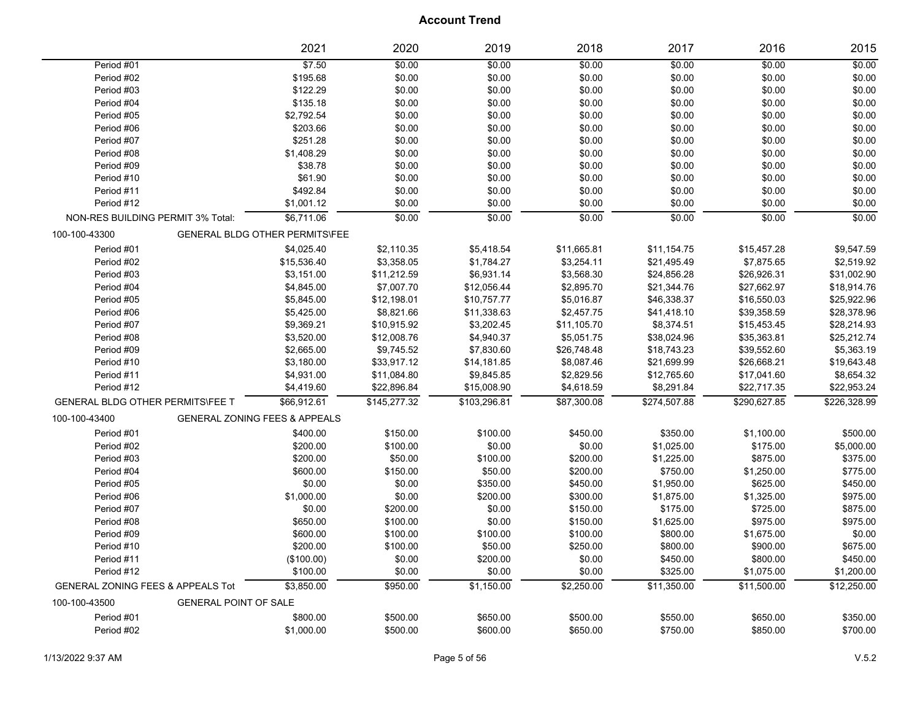|                                              | 2021                                     | 2020         | 2019         | 2018        | 2017         | 2016         | 2015         |
|----------------------------------------------|------------------------------------------|--------------|--------------|-------------|--------------|--------------|--------------|
| Period #01                                   | \$7.50                                   | \$0.00       | \$0.00       | \$0.00      | \$0.00       | \$0.00       | \$0.00       |
| Period #02                                   | \$195.68                                 | \$0.00       | \$0.00       | \$0.00      | \$0.00       | \$0.00       | \$0.00       |
| Period #03                                   | \$122.29                                 | \$0.00       | \$0.00       | \$0.00      | \$0.00       | \$0.00       | \$0.00       |
| Period #04                                   | \$135.18                                 | \$0.00       | \$0.00       | \$0.00      | \$0.00       | \$0.00       | \$0.00       |
| Period #05                                   | \$2,792.54                               | \$0.00       | \$0.00       | \$0.00      | \$0.00       | \$0.00       | \$0.00       |
| Period #06                                   | \$203.66                                 | \$0.00       | \$0.00       | \$0.00      | \$0.00       | \$0.00       | \$0.00       |
| Period #07                                   | \$251.28                                 | \$0.00       | \$0.00       | \$0.00      | \$0.00       | \$0.00       | \$0.00       |
| Period #08                                   | \$1,408.29                               | \$0.00       | \$0.00       | \$0.00      | \$0.00       | \$0.00       | \$0.00       |
| Period #09                                   | \$38.78                                  | \$0.00       | \$0.00       | \$0.00      | \$0.00       | \$0.00       | \$0.00       |
| Period #10                                   | \$61.90                                  | \$0.00       | \$0.00       | \$0.00      | \$0.00       | \$0.00       | \$0.00       |
| Period #11                                   | \$492.84                                 | \$0.00       | \$0.00       | \$0.00      | \$0.00       | \$0.00       | \$0.00       |
| Period #12                                   | \$1,001.12                               | \$0.00       | \$0.00       | \$0.00      | \$0.00       | \$0.00       | \$0.00       |
| NON-RES BUILDING PERMIT 3% Total:            | \$6,711.06                               | \$0.00       | \$0.00       | \$0.00      | \$0.00       | \$0.00       | \$0.00       |
| 100-100-43300                                | <b>GENERAL BLDG OTHER PERMITS\FEE</b>    |              |              |             |              |              |              |
| Period #01                                   | \$4,025.40                               | \$2,110.35   | \$5,418.54   | \$11,665.81 | \$11,154.75  | \$15,457.28  | \$9,547.59   |
| Period #02                                   | \$15,536.40                              | \$3,358.05   | \$1,784.27   | \$3,254.11  | \$21,495.49  | \$7,875.65   | \$2,519.92   |
| Period #03                                   | \$3,151.00                               | \$11,212.59  | \$6,931.14   | \$3,568.30  | \$24,856.28  | \$26,926.31  | \$31,002.90  |
| Period #04                                   | \$4,845.00                               | \$7,007.70   | \$12,056.44  | \$2,895.70  | \$21,344.76  | \$27,662.97  | \$18,914.76  |
| Period #05                                   | \$5,845.00                               | \$12,198.01  | \$10,757.77  | \$5,016.87  | \$46,338.37  | \$16,550.03  | \$25,922.96  |
| Period #06                                   | \$5,425.00                               | \$8,821.66   | \$11,338.63  | \$2,457.75  | \$41,418.10  | \$39,358.59  | \$28,378.96  |
| Period #07                                   | \$9,369.21                               | \$10,915.92  | \$3,202.45   | \$11,105.70 | \$8,374.51   | \$15,453.45  | \$28,214.93  |
| Period #08                                   | \$3,520.00                               | \$12,008.76  | \$4,940.37   | \$5,051.75  | \$38,024.96  | \$35,363.81  | \$25,212.74  |
| Period #09                                   | \$2,665.00                               | \$9,745.52   | \$7,830.60   | \$26,748.48 | \$18,743.23  | \$39,552.60  | \$5,363.19   |
| Period #10                                   | \$3,180.00                               | \$33,917.12  | \$14,181.85  | \$8,087.46  | \$21,699.99  | \$26,668.21  | \$19,643.48  |
| Period #11                                   | \$4,931.00                               | \$11,084.80  | \$9,845.85   | \$2,829.56  | \$12,765.60  | \$17,041.60  | \$8,654.32   |
| Period #12                                   | \$4,419.60                               | \$22,896.84  | \$15,008.90  | \$4,618.59  | \$8,291.84   | \$22,717.35  | \$22,953.24  |
| <b>GENERAL BLDG OTHER PERMITS\FEE T</b>      | \$66,912.61                              | \$145,277.32 | \$103,296.81 | \$87,300.08 | \$274,507.88 | \$290,627.85 | \$226,328.99 |
| 100-100-43400                                | <b>GENERAL ZONING FEES &amp; APPEALS</b> |              |              |             |              |              |              |
| Period #01                                   | \$400.00                                 | \$150.00     | \$100.00     | \$450.00    | \$350.00     | \$1,100.00   | \$500.00     |
| Period #02                                   | \$200.00                                 | \$100.00     | \$0.00       | \$0.00      | \$1,025.00   | \$175.00     | \$5,000.00   |
| Period #03                                   | \$200.00                                 | \$50.00      | \$100.00     | \$200.00    | \$1,225.00   | \$875.00     | \$375.00     |
| Period #04                                   | \$600.00                                 | \$150.00     | \$50.00      | \$200.00    | \$750.00     | \$1,250.00   | \$775.00     |
| Period #05                                   | \$0.00                                   | \$0.00       | \$350.00     | \$450.00    | \$1,950.00   | \$625.00     | \$450.00     |
| Period #06                                   | \$1,000.00                               | \$0.00       | \$200.00     | \$300.00    | \$1,875.00   | \$1,325.00   | \$975.00     |
| Period #07                                   | \$0.00                                   | \$200.00     | \$0.00       | \$150.00    | \$175.00     | \$725.00     | \$875.00     |
| Period #08                                   | \$650.00                                 | \$100.00     | \$0.00       | \$150.00    | \$1,625.00   | \$975.00     | \$975.00     |
| Period #09                                   | \$600.00                                 | \$100.00     | \$100.00     | \$100.00    | \$800.00     | \$1,675.00   | \$0.00       |
| Period #10                                   | \$200.00                                 | \$100.00     | \$50.00      | \$250.00    | \$800.00     | \$900.00     | \$675.00     |
| Period #11                                   | (\$100.00)                               | \$0.00       | \$200.00     | \$0.00      | \$450.00     | \$800.00     | \$450.00     |
| Period #12                                   | \$100.00                                 | \$0.00       | \$0.00       | \$0.00      | \$325.00     | \$1,075.00   | \$1,200.00   |
| <b>GENERAL ZONING FEES &amp; APPEALS Tot</b> | \$3,850.00                               | \$950.00     | \$1,150.00   | \$2,250.00  | \$11,350.00  | \$11,500.00  | \$12,250.00  |
| 100-100-43500                                | <b>GENERAL POINT OF SALE</b>             |              |              |             |              |              |              |
| Period #01                                   | \$800.00                                 | \$500.00     | \$650.00     | \$500.00    | \$550.00     | \$650.00     | \$350.00     |
| Period #02                                   | \$1,000.00                               | \$500.00     | \$600.00     | \$650.00    | \$750.00     | \$850.00     | \$700.00     |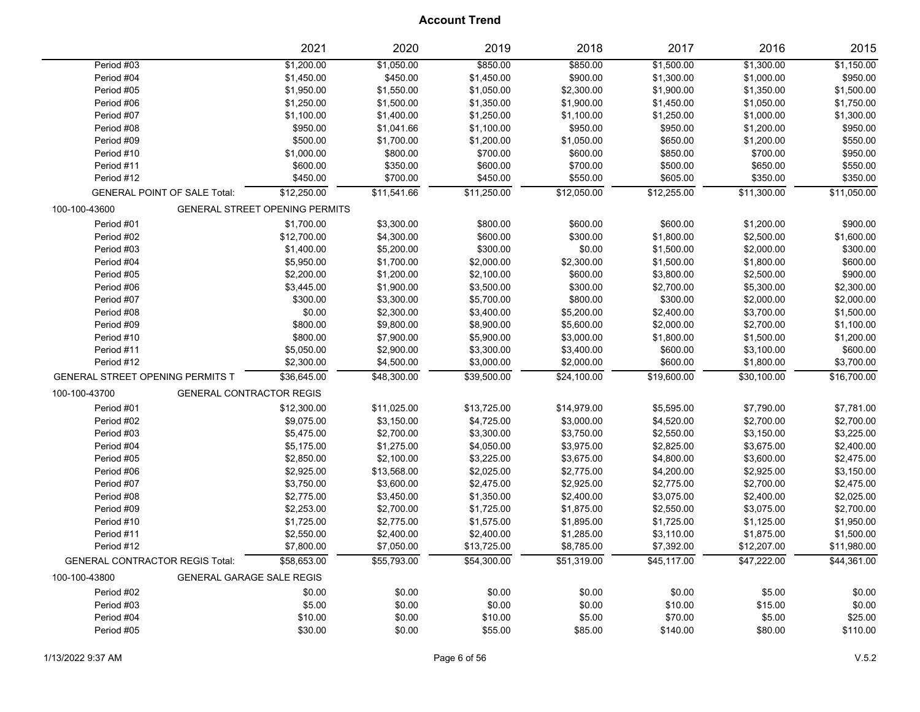|                                        |                                     | 2021                                  | 2020        | 2019        | 2018        | 2017        | 2016        | 2015        |
|----------------------------------------|-------------------------------------|---------------------------------------|-------------|-------------|-------------|-------------|-------------|-------------|
| Period #03                             |                                     | \$1,200.00                            | \$1,050.00  | \$850.00    | \$850.00    | \$1,500.00  | \$1,300.00  | \$1,150.00  |
| Period #04                             |                                     | \$1,450.00                            | \$450.00    | \$1,450.00  | \$900.00    | \$1,300.00  | \$1,000.00  | \$950.00    |
| Period #05                             |                                     | \$1,950.00                            | \$1,550.00  | \$1,050.00  | \$2,300.00  | \$1,900.00  | \$1,350.00  | \$1,500.00  |
| Period #06                             |                                     | \$1,250.00                            | \$1,500.00  | \$1,350.00  | \$1,900.00  | \$1,450.00  | \$1,050.00  | \$1,750.00  |
| Period #07                             |                                     | \$1,100.00                            | \$1,400.00  | \$1,250.00  | \$1,100.00  | \$1,250.00  | \$1,000.00  | \$1,300.00  |
| Period #08                             |                                     | \$950.00                              | \$1,041.66  | \$1,100.00  | \$950.00    | \$950.00    | \$1,200.00  | \$950.00    |
| Period #09                             |                                     | \$500.00                              | \$1,700.00  | \$1,200.00  | \$1,050.00  | \$650.00    | \$1,200.00  | \$550.00    |
| Period #10                             |                                     | \$1,000.00                            | \$800.00    | \$700.00    | \$600.00    | \$850.00    | \$700.00    | \$950.00    |
| Period #11                             |                                     | \$600.00                              | \$350.00    | \$600.00    | \$700.00    | \$500.00    | \$650.00    | \$550.00    |
| Period #12                             |                                     | \$450.00                              | \$700.00    | \$450.00    | \$550.00    | \$605.00    | \$350.00    | \$350.00    |
|                                        | <b>GENERAL POINT OF SALE Total:</b> | \$12,250.00                           | \$11,541.66 | \$11,250.00 | \$12,050.00 | \$12,255.00 | \$11,300.00 | \$11,050.00 |
| 100-100-43600                          |                                     | <b>GENERAL STREET OPENING PERMITS</b> |             |             |             |             |             |             |
| Period #01                             |                                     | \$1,700.00                            | \$3,300.00  | \$800.00    | \$600.00    | \$600.00    | \$1,200.00  | \$900.00    |
| Period #02                             |                                     | \$12,700.00                           | \$4,300.00  | \$600.00    | \$300.00    | \$1,800.00  | \$2,500.00  | \$1,600.00  |
| Period #03                             |                                     | \$1,400.00                            | \$5,200.00  | \$300.00    | \$0.00      | \$1,500.00  | \$2,000.00  | \$300.00    |
| Period #04                             |                                     | \$5,950.00                            | \$1,700.00  | \$2,000.00  | \$2,300.00  | \$1,500.00  | \$1,800.00  | \$600.00    |
| Period #05                             |                                     | \$2,200.00                            | \$1,200.00  | \$2,100.00  | \$600.00    | \$3,800.00  | \$2,500.00  | \$900.00    |
| Period #06                             |                                     | \$3,445.00                            | \$1,900.00  | \$3,500.00  | \$300.00    | \$2,700.00  | \$5,300.00  | \$2,300.00  |
| Period #07                             |                                     | \$300.00                              | \$3,300.00  | \$5,700.00  | \$800.00    | \$300.00    | \$2,000.00  | \$2,000.00  |
| Period #08                             |                                     | \$0.00                                | \$2,300.00  | \$3,400.00  | \$5,200.00  | \$2,400.00  | \$3,700.00  | \$1,500.00  |
| Period #09                             |                                     | \$800.00                              | \$9,800.00  | \$8,900.00  | \$5,600.00  | \$2,000.00  | \$2,700.00  | \$1,100.00  |
| Period #10                             |                                     | \$800.00                              | \$7,900.00  | \$5,900.00  | \$3,000.00  | \$1,800.00  | \$1,500.00  | \$1,200.00  |
| Period #11                             |                                     | \$5,050.00                            | \$2,900.00  | \$3,300.00  | \$3,400.00  | \$600.00    | \$3,100.00  | \$600.00    |
| Period #12                             |                                     | \$2,300.00                            | \$4,500.00  | \$3,000.00  | \$2,000.00  | \$600.00    | \$1,800.00  | \$3,700.00  |
| GENERAL STREET OPENING PERMITS T       |                                     | \$36,645.00                           | \$48,300.00 | \$39,500.00 | \$24,100.00 | \$19,600.00 | \$30,100.00 | \$16,700.00 |
| 100-100-43700                          | <b>GENERAL CONTRACTOR REGIS</b>     |                                       |             |             |             |             |             |             |
| Period #01                             |                                     | \$12,300.00                           | \$11,025.00 | \$13,725.00 | \$14,979.00 | \$5,595.00  | \$7,790.00  | \$7,781.00  |
| Period #02                             |                                     | \$9,075.00                            | \$3,150.00  | \$4,725.00  | \$3,000.00  | \$4,520.00  | \$2,700.00  | \$2,700.00  |
| Period #03                             |                                     | \$5,475.00                            | \$2,700.00  | \$3,300.00  | \$3,750.00  | \$2,550.00  | \$3,150.00  | \$3,225.00  |
| Period #04                             |                                     | \$5,175.00                            | \$1,275.00  | \$4,050.00  | \$3,975.00  | \$2,825.00  | \$3,675.00  | \$2,400.00  |
| Period #05                             |                                     | \$2,850.00                            | \$2,100.00  | \$3,225.00  | \$3,675.00  | \$4,800.00  | \$3,600.00  | \$2,475.00  |
| Period #06                             |                                     | \$2,925.00                            | \$13,568.00 | \$2,025.00  | \$2,775.00  | \$4,200.00  | \$2,925.00  | \$3,150.00  |
| Period #07                             |                                     | \$3,750.00                            | \$3,600.00  | \$2,475.00  | \$2,925.00  | \$2,775.00  | \$2,700.00  | \$2,475.00  |
| Period #08                             |                                     | \$2,775.00                            | \$3,450.00  | \$1,350.00  | \$2,400.00  | \$3,075.00  | \$2,400.00  | \$2,025.00  |
| Period #09                             |                                     | \$2,253.00                            | \$2,700.00  | \$1,725.00  | \$1,875.00  | \$2,550.00  | \$3,075.00  | \$2,700.00  |
| Period #10                             |                                     | \$1,725.00                            | \$2,775.00  | \$1,575.00  | \$1,895.00  | \$1,725.00  | \$1,125.00  | \$1,950.00  |
| Period #11                             |                                     | \$2,550.00                            | \$2,400.00  | \$2,400.00  | \$1,285.00  | \$3,110.00  | \$1,875.00  | \$1,500.00  |
| Period #12                             |                                     | \$7,800.00                            | \$7,050.00  | \$13,725.00 | \$8,785.00  | \$7,392.00  | \$12,207.00 | \$11,980.00 |
| <b>GENERAL CONTRACTOR REGIS Total:</b> |                                     | \$58.653.00                           | \$55,793.00 | \$54.300.00 | \$51,319.00 | \$45,117.00 | \$47.222.00 | \$44,361.00 |
| 100-100-43800                          | <b>GENERAL GARAGE SALE REGIS</b>    |                                       |             |             |             |             |             |             |
| Period #02                             |                                     | \$0.00                                | \$0.00      | \$0.00      | \$0.00      | \$0.00      | \$5.00      | \$0.00      |
| Period #03                             |                                     | \$5.00                                | \$0.00      | \$0.00      | \$0.00      | \$10.00     | \$15.00     | \$0.00      |
| Period #04                             |                                     | \$10.00                               | \$0.00      | \$10.00     | \$5.00      | \$70.00     | \$5.00      | \$25.00     |
| Period #05                             |                                     | \$30.00                               | \$0.00      | \$55.00     | \$85.00     | \$140.00    | \$80.00     | \$110.00    |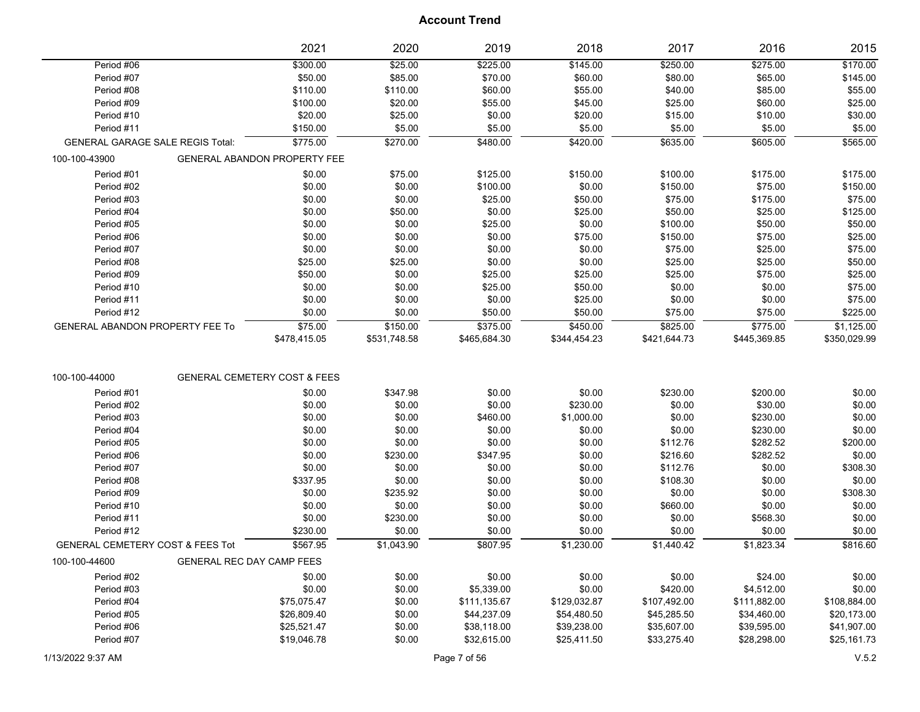|                                             |                                         | 2021                                    | 2020         | 2019         | 2018         | 2017         | 2016         | 2015         |
|---------------------------------------------|-----------------------------------------|-----------------------------------------|--------------|--------------|--------------|--------------|--------------|--------------|
| Period #06                                  |                                         | \$300.00                                | \$25.00      | \$225.00     | \$145.00     | \$250.00     | \$275.00     | \$170.00     |
| Period #07                                  |                                         | \$50.00                                 | \$85.00      | \$70.00      | \$60.00      | \$80.00      | \$65.00      | \$145.00     |
| Period #08                                  |                                         | \$110.00                                | \$110.00     | \$60.00      | \$55.00      | \$40.00      | \$85.00      | \$55.00      |
| Period #09                                  |                                         | \$100.00                                | \$20.00      | \$55.00      | \$45.00      | \$25.00      | \$60.00      | \$25.00      |
| Period #10                                  |                                         | \$20.00                                 | \$25.00      | \$0.00       | \$20.00      | \$15.00      | \$10.00      | \$30.00      |
| Period #11                                  |                                         | \$150.00                                | \$5.00       | \$5.00       | \$5.00       | \$5.00       | \$5.00       | \$5.00       |
|                                             | <b>GENERAL GARAGE SALE REGIS Total:</b> | \$775.00                                | \$270.00     | \$480.00     | \$420.00     | \$635.00     | \$605.00     | \$565.00     |
| 100-100-43900                               |                                         | <b>GENERAL ABANDON PROPERTY FEE</b>     |              |              |              |              |              |              |
| Period #01                                  |                                         | \$0.00                                  | \$75.00      | \$125.00     | \$150.00     | \$100.00     | \$175.00     | \$175.00     |
| Period #02                                  |                                         | \$0.00                                  | \$0.00       | \$100.00     | \$0.00       | \$150.00     | \$75.00      | \$150.00     |
| Period #03                                  |                                         | \$0.00                                  | \$0.00       | \$25.00      | \$50.00      | \$75.00      | \$175.00     | \$75.00      |
| Period #04                                  |                                         | \$0.00                                  | \$50.00      | \$0.00       | \$25.00      | \$50.00      | \$25.00      | \$125.00     |
| Period #05                                  |                                         | \$0.00                                  | \$0.00       | \$25.00      | \$0.00       | \$100.00     | \$50.00      | \$50.00      |
| Period #06                                  |                                         | \$0.00                                  | \$0.00       | \$0.00       | \$75.00      | \$150.00     | \$75.00      | \$25.00      |
| Period #07                                  |                                         | \$0.00                                  | \$0.00       | \$0.00       | \$0.00       | \$75.00      | \$25.00      | \$75.00      |
| Period #08                                  |                                         | \$25.00                                 | \$25.00      | \$0.00       | \$0.00       | \$25.00      | \$25.00      | \$50.00      |
| Period #09                                  |                                         | \$50.00                                 | \$0.00       | \$25.00      | \$25.00      | \$25.00      | \$75.00      | \$25.00      |
| Period #10                                  |                                         | \$0.00                                  | \$0.00       | \$25.00      | \$50.00      | \$0.00       | \$0.00       | \$75.00      |
| Period #11                                  |                                         | \$0.00                                  | \$0.00       | \$0.00       | \$25.00      | \$0.00       | \$0.00       | \$75.00      |
| Period #12                                  |                                         | \$0.00                                  | \$0.00       | \$50.00      | \$50.00      | \$75.00      | \$75.00      | \$225.00     |
| <b>GENERAL ABANDON PROPERTY FEE To</b>      |                                         | \$75.00                                 | \$150.00     | \$375.00     | \$450.00     | \$825.00     | \$775.00     | \$1,125.00   |
|                                             |                                         | \$478,415.05                            | \$531,748.58 | \$465,684.30 | \$344,454.23 | \$421,644.73 | \$445,369.85 | \$350,029.99 |
|                                             |                                         |                                         |              |              |              |              |              |              |
| 100-100-44000                               |                                         | <b>GENERAL CEMETERY COST &amp; FEES</b> |              |              |              |              |              |              |
| Period #01                                  |                                         | \$0.00                                  | \$347.98     | \$0.00       | \$0.00       | \$230.00     | \$200.00     | \$0.00       |
| Period #02                                  |                                         | \$0.00                                  | \$0.00       | \$0.00       | \$230.00     | \$0.00       | \$30.00      | \$0.00       |
| Period #03                                  |                                         | \$0.00                                  | \$0.00       | \$460.00     | \$1,000.00   | \$0.00       | \$230.00     | \$0.00       |
| Period #04                                  |                                         | \$0.00                                  | \$0.00       | \$0.00       | \$0.00       | \$0.00       | \$230.00     | \$0.00       |
| Period #05                                  |                                         | \$0.00                                  | \$0.00       | \$0.00       | \$0.00       | \$112.76     | \$282.52     | \$200.00     |
| Period #06                                  |                                         | \$0.00                                  | \$230.00     | \$347.95     | \$0.00       | \$216.60     | \$282.52     | \$0.00       |
| Period #07                                  |                                         | \$0.00                                  | \$0.00       | \$0.00       | \$0.00       | \$112.76     | \$0.00       | \$308.30     |
| Period #08                                  |                                         | \$337.95                                | \$0.00       | \$0.00       | \$0.00       | \$108.30     | \$0.00       | \$0.00       |
| Period #09                                  |                                         | \$0.00                                  | \$235.92     | \$0.00       | \$0.00       | \$0.00       | \$0.00       | \$308.30     |
| Period #10                                  |                                         | \$0.00                                  | \$0.00       | \$0.00       | \$0.00       | \$660.00     | \$0.00       | \$0.00       |
| Period #11                                  |                                         | \$0.00                                  | \$230.00     | \$0.00       | \$0.00       | \$0.00       | \$568.30     | \$0.00       |
| Period #12                                  |                                         | \$230.00                                | \$0.00       | \$0.00       | \$0.00       | \$0.00       | \$0.00       | \$0.00       |
| <b>GENERAL CEMETERY COST &amp; FEES Tot</b> |                                         | \$567.95                                | \$1,043.90   | \$807.95     | \$1,230.00   | \$1,440.42   | \$1,823.34   | \$816.60     |
| 100-100-44600                               | GENERAL REC DAY CAMP FEES               |                                         |              |              |              |              |              |              |
| Period #02                                  |                                         | \$0.00                                  | \$0.00       | \$0.00       | \$0.00       | \$0.00       | \$24.00      | \$0.00       |
| Period #03                                  |                                         | \$0.00                                  | \$0.00       | \$5,339.00   | \$0.00       | \$420.00     | \$4,512.00   | \$0.00       |
| Period #04                                  |                                         | \$75,075.47                             | \$0.00       | \$111,135.67 | \$129,032.87 | \$107,492.00 | \$111,882.00 | \$108,884.00 |
| Period #05                                  |                                         | \$26,809.40                             | \$0.00       | \$44,237.09  | \$54,480.50  | \$45,285.50  | \$34,460.00  | \$20,173.00  |
| Period #06                                  |                                         | \$25,521.47                             | \$0.00       | \$38,118.00  | \$39,238.00  | \$35,607.00  | \$39,595.00  | \$41,907.00  |
| Period #07                                  |                                         | \$19,046.78                             | \$0.00       | \$32,615.00  | \$25,411.50  | \$33,275.40  | \$28,298.00  | \$25,161.73  |
|                                             |                                         |                                         |              |              |              |              |              |              |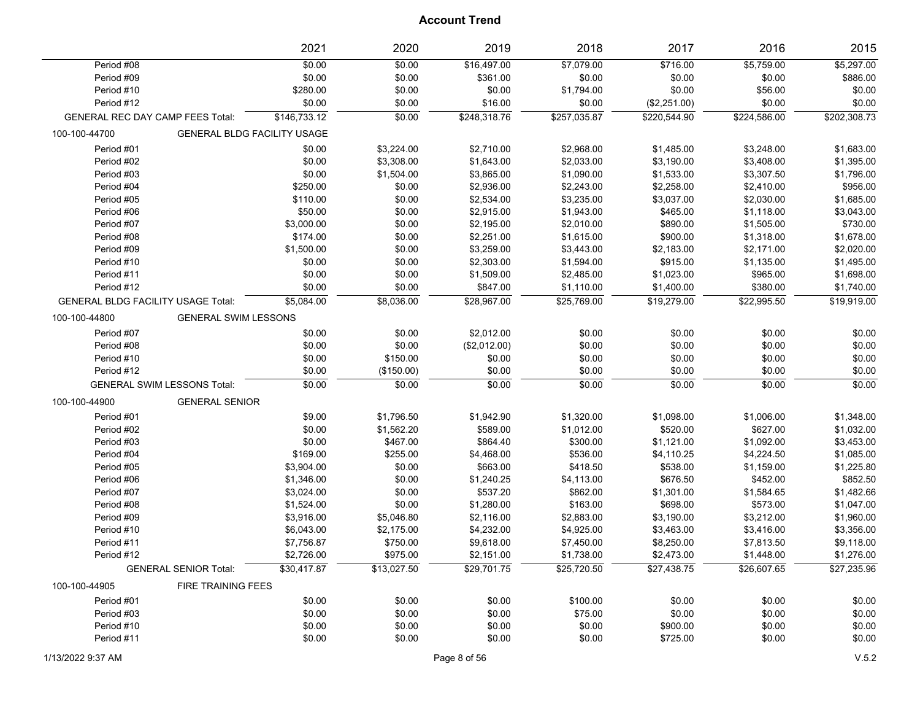|                                           |                                    | 2021                               | 2020        | 2019         | 2018         | 2017         | 2016         | 2015         |
|-------------------------------------------|------------------------------------|------------------------------------|-------------|--------------|--------------|--------------|--------------|--------------|
| Period #08                                |                                    | \$0.00                             | \$0.00      | \$16,497.00  | \$7,079.00   | \$716.00     | \$5,759.00   | \$5,297.00   |
| Period #09                                |                                    | \$0.00                             | \$0.00      | \$361.00     | \$0.00       | \$0.00       | \$0.00       | \$886.00     |
| Period #10                                |                                    | \$280.00                           | \$0.00      | \$0.00       | \$1,794.00   | \$0.00       | \$56.00      | \$0.00       |
| Period #12                                |                                    | \$0.00                             | \$0.00      | \$16.00      | \$0.00       | (\$2,251.00) | \$0.00       | \$0.00       |
| <b>GENERAL REC DAY CAMP FEES Total:</b>   |                                    | \$146,733.12                       | \$0.00      | \$248,318.76 | \$257,035.87 | \$220,544.90 | \$224,586.00 | \$202,308.73 |
| 100-100-44700                             |                                    | <b>GENERAL BLDG FACILITY USAGE</b> |             |              |              |              |              |              |
| Period #01                                |                                    | \$0.00                             | \$3,224.00  | \$2,710.00   | \$2,968.00   | \$1,485.00   | \$3,248.00   | \$1,683.00   |
| Period #02                                |                                    | \$0.00                             | \$3,308.00  | \$1,643.00   | \$2,033.00   | \$3,190.00   | \$3,408.00   | \$1,395.00   |
| Period #03                                |                                    | \$0.00                             | \$1,504.00  | \$3,865.00   | \$1,090.00   | \$1,533.00   | \$3,307.50   | \$1,796.00   |
| Period #04                                |                                    | \$250.00                           | \$0.00      | \$2,936.00   | \$2,243.00   | \$2,258.00   | \$2,410.00   | \$956.00     |
| Period #05                                |                                    | \$110.00                           | \$0.00      | \$2,534.00   | \$3,235.00   | \$3,037.00   | \$2,030.00   | \$1,685.00   |
| Period #06                                |                                    | \$50.00                            | \$0.00      | \$2,915.00   | \$1,943.00   | \$465.00     | \$1,118.00   | \$3,043.00   |
| Period #07                                |                                    | \$3,000.00                         | \$0.00      | \$2,195.00   | \$2,010.00   | \$890.00     | \$1,505.00   | \$730.00     |
| Period #08                                |                                    | \$174.00                           | \$0.00      | \$2,251.00   | \$1,615.00   | \$900.00     | \$1,318.00   | \$1,678.00   |
| Period #09                                |                                    | \$1,500.00                         | \$0.00      | \$3,259.00   | \$3,443.00   | \$2,183.00   | \$2,171.00   | \$2,020.00   |
| Period #10                                |                                    | \$0.00                             | \$0.00      | \$2,303.00   | \$1,594.00   | \$915.00     | \$1,135.00   | \$1,495.00   |
| Period #11                                |                                    | \$0.00                             | \$0.00      | \$1,509.00   | \$2,485.00   | \$1,023.00   | \$965.00     | \$1,698.00   |
| Period #12                                |                                    | \$0.00                             | \$0.00      | \$847.00     | \$1,110.00   | \$1,400.00   | \$380.00     | \$1,740.00   |
| <b>GENERAL BLDG FACILITY USAGE Total:</b> |                                    | \$5,084.00                         | \$8,036.00  | \$28,967.00  | \$25,769.00  | \$19,279.00  | \$22,995.50  | \$19,919.00  |
| 100-100-44800                             | <b>GENERAL SWIM LESSONS</b>        |                                    |             |              |              |              |              |              |
| Period #07                                |                                    | \$0.00                             | \$0.00      | \$2,012.00   | \$0.00       | \$0.00       | \$0.00       | \$0.00       |
| Period #08                                |                                    | \$0.00                             | \$0.00      | (\$2,012.00) | \$0.00       | \$0.00       | \$0.00       | \$0.00       |
| Period #10                                |                                    | \$0.00                             | \$150.00    | \$0.00       | \$0.00       | \$0.00       | \$0.00       | \$0.00       |
| Period #12                                |                                    | \$0.00                             | (\$150.00)  | \$0.00       | \$0.00       | \$0.00       | \$0.00       | \$0.00       |
|                                           | <b>GENERAL SWIM LESSONS Total:</b> | \$0.00                             | \$0.00      | \$0.00       | \$0.00       | \$0.00       | \$0.00       | \$0.00       |
| 100-100-44900                             | <b>GENERAL SENIOR</b>              |                                    |             |              |              |              |              |              |
| Period #01                                |                                    | \$9.00                             | \$1,796.50  | \$1,942.90   | \$1,320.00   | \$1,098.00   | \$1,006.00   | \$1,348.00   |
| Period #02                                |                                    | \$0.00                             | \$1,562.20  | \$589.00     | \$1,012.00   | \$520.00     | \$627.00     | \$1,032.00   |
| Period #03                                |                                    | \$0.00                             | \$467.00    | \$864.40     | \$300.00     | \$1,121.00   | \$1,092.00   | \$3,453.00   |
| Period #04                                |                                    | \$169.00                           | \$255.00    | \$4,468.00   | \$536.00     | \$4,110.25   | \$4,224.50   | \$1,085.00   |
| Period #05                                |                                    | \$3,904.00                         | \$0.00      | \$663.00     | \$418.50     | \$538.00     | \$1,159.00   | \$1,225.80   |
| Period #06                                |                                    | \$1,346.00                         | \$0.00      | \$1,240.25   | \$4,113.00   | \$676.50     | \$452.00     | \$852.50     |
| Period #07                                |                                    | \$3,024.00                         | \$0.00      | \$537.20     | \$862.00     | \$1,301.00   | \$1,584.65   | \$1,482.66   |
| Period #08                                |                                    | \$1,524.00                         | \$0.00      | \$1,280.00   | \$163.00     | \$698.00     | \$573.00     | \$1,047.00   |
| Period #09                                |                                    | \$3,916.00                         | \$5,046.80  | \$2,116.00   | \$2,883.00   | \$3,190.00   | \$3,212.00   | \$1,960.00   |
| Period #10                                |                                    | \$6,043.00                         | \$2,175.00  | \$4,232.00   | \$4,925.00   | \$3,463.00   | \$3,416.00   | \$3,356.00   |
| Period #11                                |                                    | \$7,756.87                         | \$750.00    | \$9,618.00   | \$7,450.00   | \$8,250.00   | \$7,813.50   | \$9,118.00   |
| Period #12                                |                                    | \$2,726.00                         | \$975.00    | \$2,151.00   | \$1,738.00   | \$2,473.00   | \$1,448.00   | \$1,276.00   |
|                                           | <b>GENERAL SENIOR Total:</b>       | \$30,417.87                        | \$13,027.50 | \$29,701.75  | \$25,720.50  | \$27,438.75  | \$26,607.65  | \$27,235.96  |
| 100-100-44905                             | <b>FIRE TRAINING FEES</b>          |                                    |             |              |              |              |              |              |
| Period #01                                |                                    | \$0.00                             | \$0.00      | \$0.00       | \$100.00     | \$0.00       | \$0.00       | \$0.00       |
| Period #03                                |                                    | \$0.00                             | \$0.00      | \$0.00       | \$75.00      | \$0.00       | \$0.00       | \$0.00       |
| Period #10                                |                                    | \$0.00                             | \$0.00      | \$0.00       | \$0.00       | \$900.00     | \$0.00       | \$0.00       |
| Period #11                                |                                    | \$0.00                             | \$0.00      | \$0.00       | \$0.00       | \$725.00     | \$0.00       | \$0.00       |
|                                           |                                    |                                    |             |              |              |              |              |              |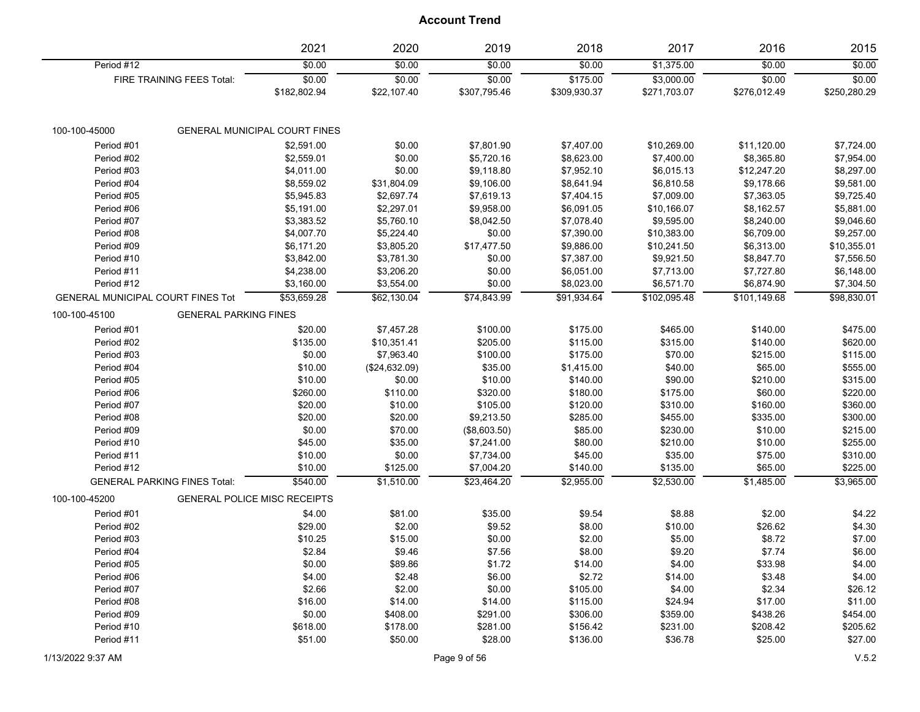|                                          |                              | 2021                                 | 2020                  | 2019                   | 2018                     | 2017                       | 2016                   | 2015                   |
|------------------------------------------|------------------------------|--------------------------------------|-----------------------|------------------------|--------------------------|----------------------------|------------------------|------------------------|
| Period #12                               |                              | \$0.00                               | \$0.00                | \$0.00                 | \$0.00                   | \$1,375.00                 | \$0.00                 | \$0.00                 |
|                                          | FIRE TRAINING FEES Total:    | \$0.00<br>\$182,802.94               | \$0.00<br>\$22,107.40 | \$0.00<br>\$307,795.46 | \$175.00<br>\$309,930.37 | \$3,000.00<br>\$271,703.07 | \$0.00<br>\$276,012.49 | \$0.00<br>\$250,280.29 |
| 100-100-45000                            |                              | <b>GENERAL MUNICIPAL COURT FINES</b> |                       |                        |                          |                            |                        |                        |
| Period #01                               |                              | \$2,591.00                           | \$0.00                | \$7,801.90             | \$7,407.00               | \$10,269.00                | \$11,120.00            | \$7,724.00             |
| Period #02                               |                              | \$2,559.01                           | \$0.00                | \$5,720.16             | \$8,623.00               | \$7,400.00                 | \$8,365.80             | \$7,954.00             |
| Period #03                               |                              | \$4,011.00                           | \$0.00                | \$9,118.80             | \$7,952.10               | \$6,015.13                 | \$12,247.20            | \$8,297.00             |
| Period #04                               |                              | \$8,559.02                           | \$31,804.09           | \$9,106.00             | \$8,641.94               | \$6,810.58                 | \$9,178.66             | \$9,581.00             |
| Period #05                               |                              | \$5,945.83                           | \$2,697.74            | \$7,619.13             | \$7,404.15               | \$7,009.00                 | \$7,363.05             | \$9,725.40             |
| Period #06                               |                              | \$5,191.00                           | \$2,297.01            | \$9,958.00             | \$6,091.05               | \$10,166.07                | \$8,162.57             | \$5,881.00             |
| Period #07                               |                              | \$3,383.52                           | \$5,760.10            | \$8,042.50             | \$7,078.40               | \$9,595.00                 | \$8,240.00             | \$9,046.60             |
| Period #08                               |                              | \$4,007.70                           | \$5,224.40            | \$0.00                 | \$7,390.00               | \$10,383.00                | \$6,709.00             | \$9,257.00             |
| Period #09                               |                              | \$6,171.20                           | \$3,805.20            | \$17,477.50            | \$9,886.00               | \$10,241.50                | \$6,313.00             | \$10,355.01            |
| Period #10                               |                              | \$3,842.00                           | \$3,781.30            | \$0.00                 | \$7,387.00               | \$9,921.50                 | \$8,847.70             | \$7,556.50             |
| Period #11                               |                              | \$4,238.00                           | \$3,206.20            | \$0.00                 | \$6,051.00               | \$7,713.00                 | \$7,727.80             | \$6,148.00             |
| Period #12                               |                              | \$3,160.00                           | \$3,554.00            | \$0.00                 | \$8,023.00               | \$6,571.70                 | \$6,874.90             | \$7,304.50             |
| <b>GENERAL MUNICIPAL COURT FINES Tot</b> |                              | \$53,659.28                          | \$62,130.04           | \$74,843.99            | \$91,934.64              | \$102,095.48               | \$101,149.68           | \$98,830.01            |
| 100-100-45100                            | <b>GENERAL PARKING FINES</b> |                                      |                       |                        |                          |                            |                        |                        |
| Period #01                               |                              | \$20.00                              | \$7,457.28            | \$100.00               | \$175.00                 | \$465.00                   | \$140.00               | \$475.00               |
| Period #02                               |                              | \$135.00                             | \$10,351.41           | \$205.00               | \$115.00                 | \$315.00                   | \$140.00               | \$620.00               |
| Period #03                               |                              | \$0.00                               | \$7,963.40            | \$100.00               | \$175.00                 | \$70.00                    | \$215.00               | \$115.00               |
| Period #04                               |                              | \$10.00                              | (\$24,632.09)         | \$35.00                | \$1,415.00               | \$40.00                    | \$65.00                | \$555.00               |
| Period #05                               |                              | \$10.00                              | \$0.00                | \$10.00                | \$140.00                 | \$90.00                    | \$210.00               | \$315.00               |
| Period #06                               |                              | \$260.00                             | \$110.00              | \$320.00               | \$180.00                 | \$175.00                   | \$60.00                | \$220.00               |
| Period #07                               |                              | \$20.00                              | \$10.00               | \$105.00               | \$120.00                 | \$310.00                   | \$160.00               | \$360.00               |
| Period #08                               |                              | \$20.00                              | \$20.00               | \$9,213.50             | \$285.00                 | \$455.00                   | \$335.00               | \$300.00               |
| Period #09                               |                              | \$0.00                               | \$70.00               | (\$8,603.50)           | \$85.00                  | \$230.00                   | \$10.00                | \$215.00               |
| Period #10                               |                              | \$45.00                              | \$35.00               | \$7,241.00             | \$80.00                  | \$210.00                   | \$10.00                | \$255.00               |
| Period #11                               |                              | \$10.00                              | \$0.00                | \$7,734.00             | \$45.00                  | \$35.00                    | \$75.00                | \$310.00               |
| Period #12                               |                              | \$10.00                              | \$125.00              | \$7,004.20             | \$140.00                 | \$135.00                   | \$65.00                | \$225.00               |
| <b>GENERAL PARKING FINES Total:</b>      |                              | \$540.00                             | \$1,510.00            | \$23,464.20            | \$2,955.00               | \$2,530.00                 | \$1,485.00             | \$3,965.00             |
| 100-100-45200                            |                              | <b>GENERAL POLICE MISC RECEIPTS</b>  |                       |                        |                          |                            |                        |                        |
| Period #01                               |                              | \$4.00                               | \$81.00               | \$35.00                | \$9.54                   | \$8.88                     | \$2.00                 | \$4.22                 |
| Period #02                               |                              | \$29.00                              | \$2.00                | \$9.52                 | \$8.00                   | \$10.00                    | \$26.62                | \$4.30                 |
| Period #03                               |                              | \$10.25                              | \$15.00               | \$0.00                 | \$2.00                   | \$5.00                     | \$8.72                 | \$7.00                 |
| Period #04                               |                              | \$2.84                               | \$9.46                | \$7.56                 | \$8.00                   | \$9.20                     | \$7.74                 | \$6.00                 |
| Period #05                               |                              | \$0.00                               | \$89.86               | \$1.72                 | \$14.00                  | \$4.00                     | \$33.98                | \$4.00                 |
| Period #06                               |                              | \$4.00                               | \$2.48                | \$6.00                 | \$2.72                   | \$14.00                    | \$3.48                 | \$4.00                 |
| Period #07                               |                              | \$2.66                               | \$2.00                | \$0.00                 | \$105.00                 | \$4.00                     | \$2.34                 | \$26.12                |
| Period #08                               |                              | \$16.00                              | \$14.00               | \$14.00                | \$115.00                 | \$24.94                    | \$17.00                | \$11.00                |
| Period #09                               |                              | \$0.00                               | \$408.00              | \$291.00               | \$306.00                 | \$359.00                   | \$438.26               | \$454.00               |
| Period #10                               |                              | \$618.00                             | \$178.00              | \$281.00               | \$156.42                 | \$231.00                   | \$208.42               | \$205.62               |
| Period #11                               |                              | \$51.00                              | \$50.00               | \$28.00                | \$136.00                 | \$36.78                    | \$25.00                | \$27.00                |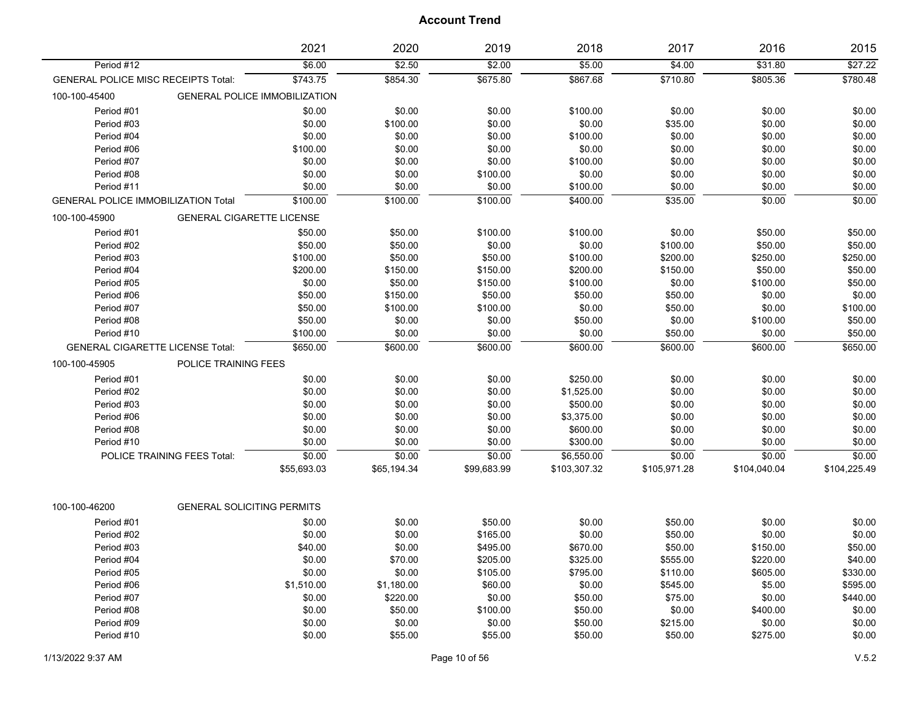|                                            |                                         | 2021                                 | 2020        | 2019        | 2018         | 2017         | 2016         | 2015         |
|--------------------------------------------|-----------------------------------------|--------------------------------------|-------------|-------------|--------------|--------------|--------------|--------------|
| Period #12                                 |                                         | \$6.00                               | \$2.50      | \$2.00      | \$5.00       | \$4.00       | \$31.80      | \$27.22      |
| GENERAL POLICE MISC RECEIPTS Total:        |                                         | \$743.75                             | \$854.30    | \$675.80    | \$867.68     | \$710.80     | \$805.36     | \$780.48     |
| 100-100-45400                              |                                         | <b>GENERAL POLICE IMMOBILIZATION</b> |             |             |              |              |              |              |
| Period #01                                 |                                         | \$0.00                               | \$0.00      | \$0.00      | \$100.00     | \$0.00       | \$0.00       | \$0.00       |
| Period #03                                 |                                         | \$0.00                               | \$100.00    | \$0.00      | \$0.00       | \$35.00      | \$0.00       | \$0.00       |
| Period #04                                 |                                         | \$0.00                               | \$0.00      | \$0.00      | \$100.00     | \$0.00       | \$0.00       | \$0.00       |
| Period #06                                 |                                         | \$100.00                             | \$0.00      | \$0.00      | \$0.00       | \$0.00       | \$0.00       | \$0.00       |
| Period #07                                 |                                         | \$0.00                               | \$0.00      | \$0.00      | \$100.00     | \$0.00       | \$0.00       | \$0.00       |
| Period #08                                 |                                         | \$0.00                               | \$0.00      | \$100.00    | \$0.00       | \$0.00       | \$0.00       | \$0.00       |
| Period #11                                 |                                         | \$0.00                               | \$0.00      | \$0.00      | \$100.00     | \$0.00       | \$0.00       | \$0.00       |
| <b>GENERAL POLICE IMMOBILIZATION Total</b> |                                         | \$100.00                             | \$100.00    | \$100.00    | \$400.00     | \$35.00      | \$0.00       | \$0.00       |
| 100-100-45900                              | <b>GENERAL CIGARETTE LICENSE</b>        |                                      |             |             |              |              |              |              |
| Period #01                                 |                                         | \$50.00                              | \$50.00     | \$100.00    | \$100.00     | \$0.00       | \$50.00      | \$50.00      |
| Period #02                                 |                                         | \$50.00                              | \$50.00     | \$0.00      | \$0.00       | \$100.00     | \$50.00      | \$50.00      |
| Period #03                                 |                                         | \$100.00                             | \$50.00     | \$50.00     | \$100.00     | \$200.00     | \$250.00     | \$250.00     |
| Period #04                                 |                                         | \$200.00                             | \$150.00    | \$150.00    | \$200.00     | \$150.00     | \$50.00      | \$50.00      |
| Period #05                                 |                                         | \$0.00                               | \$50.00     | \$150.00    | \$100.00     | \$0.00       | \$100.00     | \$50.00      |
| Period #06                                 |                                         | \$50.00                              | \$150.00    | \$50.00     | \$50.00      | \$50.00      | \$0.00       | \$0.00       |
| Period #07                                 |                                         | \$50.00                              | \$100.00    | \$100.00    | \$0.00       | \$50.00      | \$0.00       | \$100.00     |
| Period #08                                 |                                         | \$50.00                              | \$0.00      | \$0.00      | \$50.00      | \$0.00       | \$100.00     | \$50.00      |
| Period #10                                 |                                         | \$100.00                             | \$0.00      | \$0.00      | \$0.00       | \$50.00      | \$0.00       | \$50.00      |
|                                            | <b>GENERAL CIGARETTE LICENSE Total:</b> | \$650.00                             | \$600.00    | \$600.00    | \$600.00     | \$600.00     | \$600.00     | \$650.00     |
| 100-100-45905                              | POLICE TRAINING FEES                    |                                      |             |             |              |              |              |              |
| Period #01                                 |                                         | \$0.00                               | \$0.00      | \$0.00      | \$250.00     | \$0.00       | \$0.00       | \$0.00       |
| Period #02                                 |                                         | \$0.00                               | \$0.00      | \$0.00      | \$1,525.00   | \$0.00       | \$0.00       | \$0.00       |
| Period #03                                 |                                         | \$0.00                               | \$0.00      | \$0.00      | \$500.00     | \$0.00       | \$0.00       | \$0.00       |
| Period #06                                 |                                         | \$0.00                               | \$0.00      | \$0.00      | \$3,375.00   | \$0.00       | \$0.00       | \$0.00       |
| Period #08                                 |                                         | \$0.00                               | \$0.00      | \$0.00      | \$600.00     | \$0.00       | \$0.00       | \$0.00       |
| Period #10                                 |                                         | \$0.00                               | \$0.00      | \$0.00      | \$300.00     | \$0.00       | \$0.00       | \$0.00       |
|                                            | POLICE TRAINING FEES Total:             | \$0.00                               | \$0.00      | \$0.00      | \$6,550.00   | \$0.00       | \$0.00       | \$0.00       |
|                                            |                                         | \$55,693.03                          | \$65,194.34 | \$99,683.99 | \$103,307.32 | \$105,971.28 | \$104,040.04 | \$104,225.49 |
| 100-100-46200                              | <b>GENERAL SOLICITING PERMITS</b>       |                                      |             |             |              |              |              |              |
| Period #01                                 |                                         | \$0.00                               | \$0.00      | \$50.00     | \$0.00       | \$50.00      | \$0.00       | \$0.00       |
| Period #02                                 |                                         | \$0.00                               | \$0.00      | \$165.00    | \$0.00       | \$50.00      | \$0.00       | \$0.00       |
| Period #03                                 |                                         | \$40.00                              | \$0.00      | \$495.00    | \$670.00     | \$50.00      | \$150.00     | \$50.00      |
| Period #04                                 |                                         | \$0.00                               | \$70.00     | \$205.00    | \$325.00     | \$555.00     | \$220.00     | \$40.00      |
| Period #05                                 |                                         | \$0.00                               | \$0.00      | \$105.00    | \$795.00     | \$110.00     | \$605.00     | \$330.00     |
| Period #06                                 |                                         | \$1,510.00                           | \$1,180.00  | \$60.00     | \$0.00       | \$545.00     | \$5.00       | \$595.00     |
| Period #07                                 |                                         | \$0.00                               | \$220.00    | \$0.00      | \$50.00      | \$75.00      | \$0.00       | \$440.00     |
| Period #08                                 |                                         | \$0.00                               | \$50.00     | \$100.00    | \$50.00      | \$0.00       | \$400.00     | \$0.00       |
| Period #09                                 |                                         | \$0.00                               | \$0.00      | \$0.00      | \$50.00      | \$215.00     | \$0.00       | \$0.00       |
| Period #10                                 |                                         | \$0.00                               | \$55.00     | \$55.00     | \$50.00      | \$50.00      | \$275.00     | \$0.00       |
|                                            |                                         |                                      |             |             |              |              |              |              |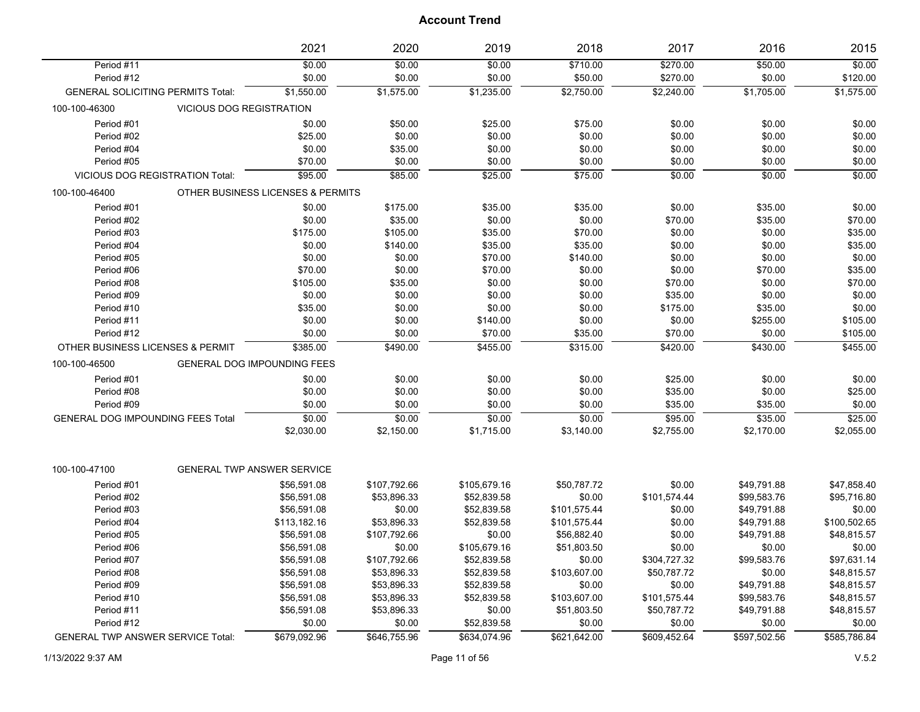|                                          |                                        | 2021                              | 2020         | 2019         | 2018         | 2017         | 2016         | 2015         |
|------------------------------------------|----------------------------------------|-----------------------------------|--------------|--------------|--------------|--------------|--------------|--------------|
| Period #11                               |                                        | \$0.00                            | \$0.00       | \$0.00       | \$710.00     | \$270.00     | \$50.00      | \$0.00       |
| Period #12                               |                                        | \$0.00                            | \$0.00       | \$0.00       | \$50.00      | \$270.00     | \$0.00       | \$120.00     |
| <b>GENERAL SOLICITING PERMITS Total:</b> |                                        | \$1,550.00                        | \$1,575.00   | \$1,235.00   | \$2,750.00   | \$2,240.00   | \$1,705.00   | \$1,575.00   |
| 100-100-46300                            | <b>VICIOUS DOG REGISTRATION</b>        |                                   |              |              |              |              |              |              |
| Period #01                               |                                        | \$0.00                            | \$50.00      | \$25.00      | \$75.00      | \$0.00       | \$0.00       | \$0.00       |
| Period #02                               |                                        | \$25.00                           | \$0.00       | \$0.00       | \$0.00       | \$0.00       | \$0.00       | \$0.00       |
| Period #04                               |                                        | \$0.00                            | \$35.00      | \$0.00       | \$0.00       | \$0.00       | \$0.00       | \$0.00       |
| Period #05                               |                                        | \$70.00                           | \$0.00       | \$0.00       | \$0.00       | \$0.00       | \$0.00       | \$0.00       |
|                                          | <b>VICIOUS DOG REGISTRATION Total:</b> | \$95.00                           | \$85.00      | \$25.00      | \$75.00      | \$0.00       | \$0.00       | \$0.00       |
| 100-100-46400                            |                                        | OTHER BUSINESS LICENSES & PERMITS |              |              |              |              |              |              |
| Period #01                               |                                        | \$0.00                            | \$175.00     | \$35.00      | \$35.00      | \$0.00       | \$35.00      | \$0.00       |
| Period #02                               |                                        | \$0.00                            | \$35.00      | \$0.00       | \$0.00       | \$70.00      | \$35.00      | \$70.00      |
| Period #03                               |                                        | \$175.00                          | \$105.00     | \$35.00      | \$70.00      | \$0.00       | \$0.00       | \$35.00      |
| Period #04                               |                                        | \$0.00                            | \$140.00     | \$35.00      | \$35.00      | \$0.00       | \$0.00       | \$35.00      |
| Period #05                               |                                        | \$0.00                            | \$0.00       | \$70.00      | \$140.00     | \$0.00       | \$0.00       | \$0.00       |
| Period #06                               |                                        | \$70.00                           | \$0.00       | \$70.00      | \$0.00       | \$0.00       | \$70.00      | \$35.00      |
| Period #08                               |                                        | \$105.00                          | \$35.00      | \$0.00       | \$0.00       | \$70.00      | \$0.00       | \$70.00      |
| Period #09                               |                                        | \$0.00                            | \$0.00       | \$0.00       | \$0.00       | \$35.00      | \$0.00       | \$0.00       |
| Period #10                               |                                        | \$35.00                           | \$0.00       | \$0.00       | \$0.00       | \$175.00     | \$35.00      | \$0.00       |
| Period #11                               |                                        | \$0.00                            | \$0.00       | \$140.00     | \$0.00       | \$0.00       | \$255.00     | \$105.00     |
| Period #12                               |                                        | \$0.00                            | \$0.00       | \$70.00      | \$35.00      | \$70.00      | \$0.00       | \$105.00     |
| OTHER BUSINESS LICENSES & PERMIT         |                                        | \$385.00                          | \$490.00     | \$455.00     | \$315.00     | \$420.00     | \$430.00     | \$455.00     |
| 100-100-46500                            |                                        | GENERAL DOG IMPOUNDING FEES       |              |              |              |              |              |              |
| Period #01                               |                                        | \$0.00                            | \$0.00       | \$0.00       | \$0.00       | \$25.00      | \$0.00       | \$0.00       |
| Period #08                               |                                        | \$0.00                            | \$0.00       | \$0.00       | \$0.00       | \$35.00      | \$0.00       | \$25.00      |
| Period #09                               |                                        | \$0.00                            | \$0.00       | \$0.00       | \$0.00       | \$35.00      | \$35.00      | \$0.00       |
| <b>GENERAL DOG IMPOUNDING FEES Total</b> |                                        | \$0.00                            | \$0.00       | \$0.00       | \$0.00       | \$95.00      | \$35.00      | \$25.00      |
|                                          |                                        | \$2,030.00                        | \$2,150.00   | \$1,715.00   | \$3,140.00   | \$2,755.00   | \$2,170.00   | \$2,055.00   |
|                                          |                                        |                                   |              |              |              |              |              |              |
| 100-100-47100                            |                                        | <b>GENERAL TWP ANSWER SERVICE</b> |              |              |              |              |              |              |
| Period #01                               |                                        | \$56,591.08                       | \$107,792.66 | \$105,679.16 | \$50,787.72  | \$0.00       | \$49,791.88  | \$47,858.40  |
| Period #02                               |                                        | \$56,591.08                       | \$53,896.33  | \$52,839.58  | \$0.00       | \$101,574.44 | \$99,583.76  | \$95,716.80  |
| Period #03                               |                                        | \$56,591.08                       | \$0.00       | \$52,839.58  | \$101,575.44 | \$0.00       | \$49,791.88  | \$0.00       |
| Period #04                               |                                        | \$113,182.16                      | \$53,896.33  | \$52,839.58  | \$101,575.44 | \$0.00       | \$49,791.88  | \$100,502.65 |
| Period #05                               |                                        | \$56,591.08                       | \$107,792.66 | \$0.00       | \$56,882.40  | \$0.00       | \$49,791.88  | \$48,815.57  |
| Period #06                               |                                        | \$56,591.08                       | \$0.00       | \$105,679.16 | \$51,803.50  | \$0.00       | \$0.00       | \$0.00       |
| Period #07                               |                                        | \$56,591.08                       | \$107,792.66 | \$52,839.58  | \$0.00       | \$304,727.32 | \$99,583.76  | \$97,631.14  |
| Period #08                               |                                        | \$56,591.08                       | \$53,896.33  | \$52,839.58  | \$103,607.00 | \$50,787.72  | \$0.00       | \$48,815.57  |
| Period #09                               |                                        | \$56,591.08                       | \$53,896.33  | \$52,839.58  | \$0.00       | \$0.00       | \$49,791.88  | \$48,815.57  |
| Period #10                               |                                        | \$56,591.08                       | \$53,896.33  | \$52,839.58  | \$103,607.00 | \$101,575.44 | \$99,583.76  | \$48,815.57  |
| Period #11                               |                                        | \$56,591.08                       | \$53,896.33  | \$0.00       | \$51,803.50  | \$50,787.72  | \$49,791.88  | \$48,815.57  |
| Period #12                               |                                        | \$0.00                            | \$0.00       | \$52,839.58  | \$0.00       | \$0.00       | \$0.00       | \$0.00       |
| <b>GENERAL TWP ANSWER SERVICE Total:</b> |                                        | \$679,092.96                      | \$646,755.96 | \$634,074.96 | \$621,642.00 | \$609,452.64 | \$597,502.56 | \$585,786.84 |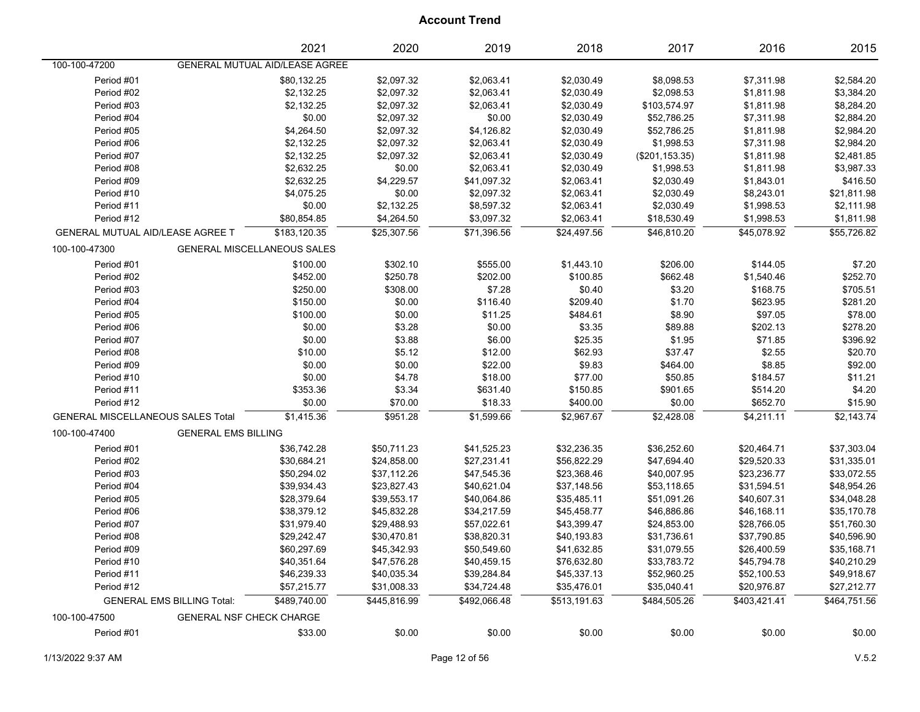|                                          |                                   | 2021                                  | 2020         | 2019         | 2018         | 2017            | 2016         | 2015         |
|------------------------------------------|-----------------------------------|---------------------------------------|--------------|--------------|--------------|-----------------|--------------|--------------|
| 100-100-47200                            |                                   | <b>GENERAL MUTUAL AID/LEASE AGREE</b> |              |              |              |                 |              |              |
| Period #01                               |                                   | \$80,132.25                           | \$2,097.32   | \$2,063.41   | \$2,030.49   | \$8,098.53      | \$7,311.98   | \$2,584.20   |
| Period #02                               |                                   | \$2,132.25                            | \$2,097.32   | \$2,063.41   | \$2,030.49   | \$2,098.53      | \$1,811.98   | \$3,384.20   |
| Period #03                               |                                   | \$2,132.25                            | \$2,097.32   | \$2,063.41   | \$2,030.49   | \$103,574.97    | \$1,811.98   | \$8,284.20   |
| Period #04                               |                                   | \$0.00                                | \$2,097.32   | \$0.00       | \$2,030.49   | \$52,786.25     | \$7,311.98   | \$2,884.20   |
| Period #05                               |                                   | \$4,264.50                            | \$2,097.32   | \$4,126.82   | \$2,030.49   | \$52,786.25     | \$1,811.98   | \$2,984.20   |
| Period #06                               |                                   | \$2,132.25                            | \$2,097.32   | \$2,063.41   | \$2,030.49   | \$1,998.53      | \$7,311.98   | \$2,984.20   |
| Period #07                               |                                   | \$2,132.25                            | \$2,097.32   | \$2,063.41   | \$2,030.49   | (\$201, 153.35) | \$1,811.98   | \$2,481.85   |
| Period #08                               |                                   | \$2,632.25                            | \$0.00       | \$2,063.41   | \$2,030.49   | \$1,998.53      | \$1,811.98   | \$3,987.33   |
| Period #09                               |                                   | \$2,632.25                            | \$4,229.57   | \$41,097.32  | \$2,063.41   | \$2,030.49      | \$1,843.01   | \$416.50     |
| Period #10                               |                                   | \$4,075.25                            | \$0.00       | \$2,097.32   | \$2,063.41   | \$2,030.49      | \$8,243.01   | \$21,811.98  |
| Period #11                               |                                   | \$0.00                                | \$2,132.25   | \$8,597.32   | \$2,063.41   | \$2,030.49      | \$1,998.53   | \$2,111.98   |
| Period #12                               |                                   | \$80,854.85                           | \$4,264.50   | \$3,097.32   | \$2,063.41   | \$18,530.49     | \$1,998.53   | \$1,811.98   |
| GENERAL MUTUAL AID/LEASE AGREE T         |                                   | \$183,120.35                          | \$25,307.56  | \$71,396.56  | \$24,497.56  | \$46,810.20     | \$45,078.92  | \$55,726.82  |
| 100-100-47300                            |                                   | GENERAL MISCELLANEOUS SALES           |              |              |              |                 |              |              |
| Period #01                               |                                   | \$100.00                              | \$302.10     | \$555.00     | \$1,443.10   | \$206.00        | \$144.05     | \$7.20       |
| Period #02                               |                                   | \$452.00                              | \$250.78     | \$202.00     | \$100.85     | \$662.48        | \$1,540.46   | \$252.70     |
| Period #03                               |                                   | \$250.00                              | \$308.00     | \$7.28       | \$0.40       | \$3.20          | \$168.75     | \$705.51     |
| Period #04                               |                                   | \$150.00                              | \$0.00       | \$116.40     | \$209.40     | \$1.70          | \$623.95     | \$281.20     |
| Period #05                               |                                   | \$100.00                              | \$0.00       | \$11.25      | \$484.61     | \$8.90          | \$97.05      | \$78.00      |
| Period #06                               |                                   | \$0.00                                | \$3.28       | \$0.00       | \$3.35       | \$89.88         | \$202.13     | \$278.20     |
| Period #07                               |                                   | \$0.00                                | \$3.88       | \$6.00       | \$25.35      | \$1.95          | \$71.85      | \$396.92     |
| Period #08                               |                                   | \$10.00                               | \$5.12       | \$12.00      | \$62.93      | \$37.47         | \$2.55       | \$20.70      |
| Period #09                               |                                   | \$0.00                                | \$0.00       | \$22.00      | \$9.83       | \$464.00        | \$8.85       | \$92.00      |
| Period #10                               |                                   | \$0.00                                | \$4.78       | \$18.00      | \$77.00      | \$50.85         | \$184.57     | \$11.21      |
| Period #11                               |                                   | \$353.36                              | \$3.34       | \$631.40     | \$150.85     | \$901.65        | \$514.20     | \$4.20       |
| Period #12                               |                                   | \$0.00                                | \$70.00      | \$18.33      | \$400.00     | \$0.00          | \$652.70     | \$15.90      |
| <b>GENERAL MISCELLANEOUS SALES Total</b> |                                   | \$1,415.36                            | \$951.28     | \$1,599.66   | \$2,967.67   | \$2,428.08      | \$4,211.11   | \$2,143.74   |
| 100-100-47400                            | <b>GENERAL EMS BILLING</b>        |                                       |              |              |              |                 |              |              |
| Period #01                               |                                   | \$36,742.28                           | \$50,711.23  | \$41,525.23  | \$32,236.35  | \$36,252.60     | \$20,464.71  | \$37,303.04  |
| Period #02                               |                                   | \$30,684.21                           | \$24,858.00  | \$27,231.41  | \$56,822.29  | \$47,694.40     | \$29,520.33  | \$31,335.01  |
| Period #03                               |                                   | \$50,294.02                           | \$37,112.26  | \$47,545.36  | \$23,368.46  | \$40,007.95     | \$23,236.77  | \$33,072.55  |
| Period #04                               |                                   | \$39,934.43                           | \$23,827.43  | \$40,621.04  | \$37,148.56  | \$53,118.65     | \$31,594.51  | \$48,954.26  |
| Period #05                               |                                   | \$28,379.64                           | \$39,553.17  | \$40,064.86  | \$35,485.11  | \$51,091.26     | \$40,607.31  | \$34,048.28  |
| Period #06                               |                                   | \$38,379.12                           | \$45,832.28  | \$34,217.59  | \$45,458.77  | \$46,886.86     | \$46,168.11  | \$35,170.78  |
| Period #07                               |                                   | \$31,979.40                           | \$29,488.93  | \$57,022.61  | \$43,399.47  | \$24,853.00     | \$28,766.05  | \$51,760.30  |
| Period #08                               |                                   | \$29,242.47                           | \$30,470.81  | \$38,820.31  | \$40,193.83  | \$31,736.61     | \$37,790.85  | \$40,596.90  |
| Period #09                               |                                   | \$60,297.69                           | \$45,342.93  | \$50,549.60  | \$41,632.85  | \$31,079.55     | \$26,400.59  | \$35,168.71  |
| Period #10                               |                                   | \$40,351.64                           | \$47,576.28  | \$40,459.15  | \$76,632.80  | \$33,783.72     | \$45,794.78  | \$40,210.29  |
| Period #11                               |                                   | \$46,239.33                           | \$40,035.34  | \$39,284.84  | \$45,337.13  | \$52,960.25     | \$52,100.53  | \$49,918.67  |
| Period #12                               |                                   | \$57,215.77                           | \$31,008.33  | \$34,724.48  | \$35,476.01  | \$35,040.41     | \$20,976.87  | \$27,212.77  |
|                                          | <b>GENERAL EMS BILLING Total:</b> | \$489,740.00                          | \$445,816.99 | \$492,066.48 | \$513,191.63 | \$484,505.26    | \$403,421.41 | \$464,751.56 |
| 100-100-47500                            | GENERAL NSF CHECK CHARGE          |                                       |              |              |              |                 |              |              |
| Period #01                               |                                   | \$33.00                               | \$0.00       | \$0.00       | \$0.00       | \$0.00          | \$0.00       | \$0.00       |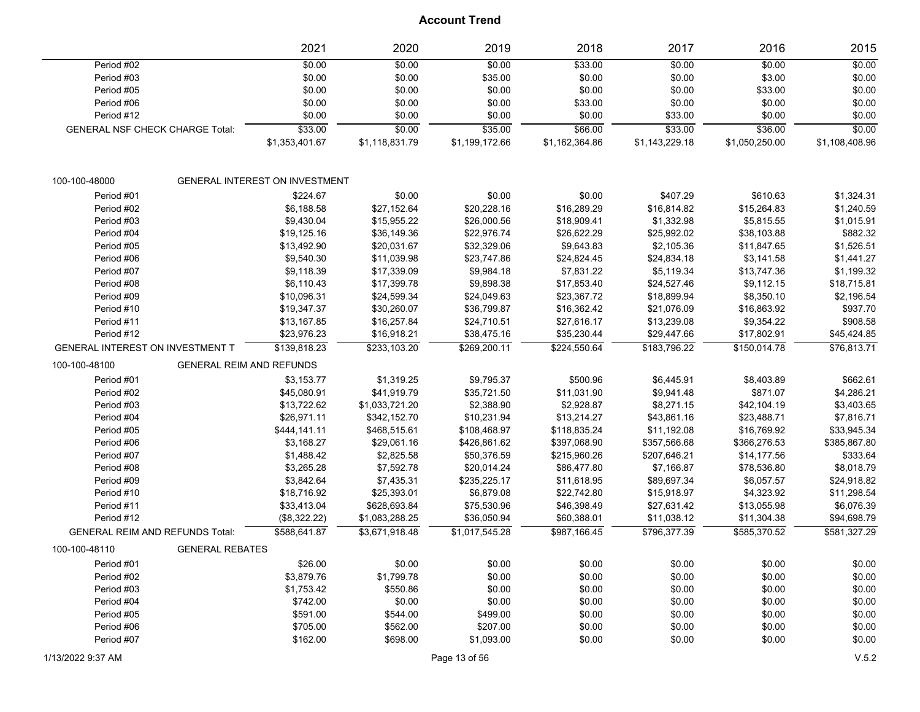|                                        |                                 | 2021                                  | 2020           | 2019           | 2018           | 2017           | 2016           | 2015           |
|----------------------------------------|---------------------------------|---------------------------------------|----------------|----------------|----------------|----------------|----------------|----------------|
| Period #02                             |                                 | \$0.00                                | \$0.00         | \$0.00         | \$33.00        | \$0.00         | \$0.00         | \$0.00         |
| Period #03                             |                                 | \$0.00                                | \$0.00         | \$35.00        | \$0.00         | \$0.00         | \$3.00         | \$0.00         |
| Period #05                             |                                 | \$0.00                                | \$0.00         | \$0.00         | \$0.00         | \$0.00         | \$33.00        | \$0.00         |
| Period #06                             |                                 | \$0.00                                | \$0.00         | \$0.00         | \$33.00        | \$0.00         | \$0.00         | \$0.00         |
| Period #12                             |                                 | \$0.00                                | \$0.00         | \$0.00         | \$0.00         | \$33.00        | \$0.00         | \$0.00         |
| <b>GENERAL NSF CHECK CHARGE Total:</b> |                                 | \$33.00                               | \$0.00         | \$35.00        | \$66.00        | \$33.00        | \$36.00        | \$0.00         |
|                                        |                                 | \$1,353,401.67                        | \$1,118,831.79 | \$1,199,172.66 | \$1,162,364.86 | \$1,143,229.18 | \$1,050,250.00 | \$1,108,408.96 |
| 100-100-48000                          |                                 | <b>GENERAL INTEREST ON INVESTMENT</b> |                |                |                |                |                |                |
| Period #01                             |                                 | \$224.67                              | \$0.00         | \$0.00         | \$0.00         | \$407.29       | \$610.63       | \$1,324.31     |
| Period #02                             |                                 | \$6,188.58                            | \$27,152.64    | \$20,228.16    | \$16,289.29    | \$16,814.82    | \$15,264.83    | \$1,240.59     |
| Period #03                             |                                 | \$9,430.04                            | \$15,955.22    | \$26,000.56    | \$18,909.41    | \$1,332.98     | \$5,815.55     | \$1,015.91     |
| Period #04                             |                                 | \$19,125.16                           | \$36,149.36    | \$22,976.74    | \$26,622.29    | \$25,992.02    | \$38,103.88    | \$882.32       |
| Period #05                             |                                 | \$13,492.90                           | \$20,031.67    | \$32,329.06    | \$9,643.83     | \$2,105.36     | \$11,847.65    | \$1,526.51     |
| Period #06                             |                                 | \$9,540.30                            | \$11,039.98    | \$23,747.86    | \$24,824.45    | \$24,834.18    | \$3,141.58     | \$1,441.27     |
| Period #07                             |                                 | \$9,118.39                            | \$17,339.09    | \$9,984.18     | \$7,831.22     | \$5,119.34     | \$13,747.36    | \$1,199.32     |
| Period #08                             |                                 | \$6,110.43                            | \$17,399.78    | \$9,898.38     | \$17,853.40    | \$24,527.46    | \$9,112.15     | \$18,715.81    |
| Period #09                             |                                 | \$10,096.31                           | \$24,599.34    | \$24,049.63    | \$23,367.72    | \$18,899.94    | \$8,350.10     | \$2,196.54     |
| Period #10                             |                                 | \$19,347.37                           | \$30,260.07    | \$36,799.87    | \$16,362.42    | \$21,076.09    | \$16,863.92    | \$937.70       |
| Period #11                             |                                 | \$13,167.85                           | \$16,257.84    | \$24,710.51    | \$27,616.17    | \$13,239.08    | \$9,354.22     | \$908.58       |
| Period #12                             |                                 | \$23,976.23                           | \$16,918.21    | \$38,475.16    | \$35,230.44    | \$29,447.66    | \$17,802.91    | \$45,424.85    |
| GENERAL INTEREST ON INVESTMENT T       |                                 | \$139,818.23                          | \$233,103.20   | \$269.200.11   | \$224,550.64   | \$183.796.22   | \$150,014.78   | \$76.813.71    |
| 100-100-48100                          | <b>GENERAL REIM AND REFUNDS</b> |                                       |                |                |                |                |                |                |
| Period #01                             |                                 | \$3,153.77                            | \$1,319.25     | \$9,795.37     | \$500.96       | \$6,445.91     | \$8,403.89     | \$662.61       |
| Period #02                             |                                 | \$45,080.91                           | \$41,919.79    | \$35,721.50    | \$11,031.90    | \$9,941.48     | \$871.07       | \$4,286.21     |
| Period #03                             |                                 | \$13,722.62                           | \$1,033,721.20 | \$2,388.90     | \$2,928.87     | \$8,271.15     | \$42,104.19    | \$3,403.65     |
| Period #04                             |                                 | \$26,971.11                           | \$342,152.70   | \$10,231.94    | \$13,214.27    | \$43,861.16    | \$23,488.71    | \$7,816.71     |
| Period #05                             |                                 | \$444,141.11                          | \$468,515.61   | \$108,468.97   | \$118,835.24   | \$11,192.08    | \$16,769.92    | \$33,945.34    |
| Period #06                             |                                 | \$3,168.27                            | \$29,061.16    | \$426,861.62   | \$397,068.90   | \$357,566.68   | \$366,276.53   | \$385,867.80   |
| Period #07                             |                                 | \$1,488.42                            | \$2,825.58     | \$50,376.59    | \$215,960.26   | \$207,646.21   | \$14,177.56    | \$333.64       |
| Period #08                             |                                 | \$3,265.28                            | \$7,592.78     | \$20,014.24    | \$86,477.80    | \$7,166.87     | \$78,536.80    | \$8,018.79     |
| Period #09                             |                                 | \$3,842.64                            | \$7,435.31     | \$235,225.17   | \$11,618.95    | \$89,697.34    | \$6,057.57     | \$24,918.82    |
| Period #10                             |                                 | \$18,716.92                           | \$25,393.01    | \$6,879.08     | \$22,742.80    | \$15,918.97    | \$4,323.92     | \$11,298.54    |
| Period #11                             |                                 | \$33,413.04                           | \$628,693.84   | \$75,530.96    | \$46,398.49    | \$27,631.42    | \$13,055.98    | \$6,076.39     |
| Period #12                             |                                 | (\$8,322.22)                          | \$1,083,288.25 | \$36,050.94    | \$60,388.01    | \$11,038.12    | \$11,304.38    | \$94,698.79    |
| <b>GENERAL REIM AND REFUNDS Total:</b> |                                 | \$588,641.87                          | \$3,671,918.48 | \$1,017,545.28 | \$987,166.45   | \$796,377.39   | \$585,370.52   | \$581,327.29   |
| 100-100-48110                          | <b>GENERAL REBATES</b>          |                                       |                |                |                |                |                |                |
| Period #01                             |                                 | \$26.00                               | \$0.00         | \$0.00         | \$0.00         | \$0.00         | \$0.00         | \$0.00         |
| Period #02                             |                                 | \$3,879.76                            | \$1,799.78     | \$0.00         | \$0.00         | \$0.00         | \$0.00         | \$0.00         |
| Period #03                             |                                 | \$1,753.42                            | \$550.86       | \$0.00         | \$0.00         | \$0.00         | \$0.00         | \$0.00         |
| Period #04                             |                                 | \$742.00                              | \$0.00         | \$0.00         | \$0.00         | \$0.00         | \$0.00         | \$0.00         |
| Period #05                             |                                 | \$591.00                              | \$544.00       | \$499.00       | \$0.00         | \$0.00         | \$0.00         | \$0.00         |
| Period #06                             |                                 | \$705.00                              | \$562.00       | \$207.00       | \$0.00         | \$0.00         | \$0.00         | \$0.00         |
| Period #07                             |                                 | \$162.00                              | \$698.00       | \$1,093.00     | \$0.00         | \$0.00         | \$0.00         | \$0.00         |
| 1/13/2022 9:37 AM                      |                                 |                                       |                | Page 13 of 56  |                |                |                | V.5.2          |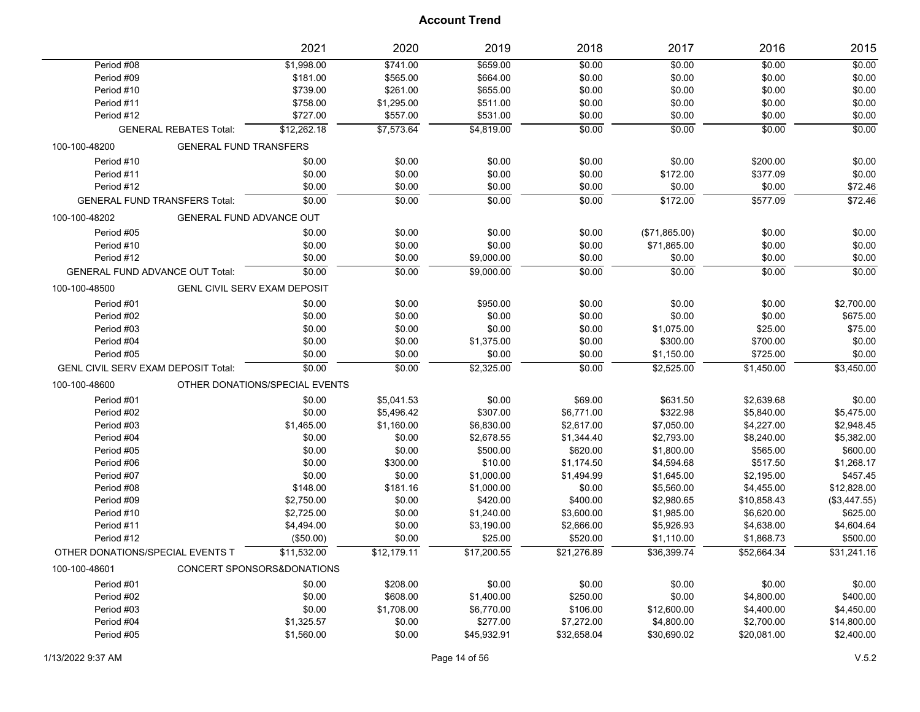|                                            |                                     | 2021                           | 2020        | 2019        | 2018        | 2017          | 2016        | 2015         |
|--------------------------------------------|-------------------------------------|--------------------------------|-------------|-------------|-------------|---------------|-------------|--------------|
| Period #08                                 |                                     | \$1,998.00                     | \$741.00    | \$659.00    | \$0.00      | \$0.00        | \$0.00      | \$0.00       |
| Period #09                                 |                                     | \$181.00                       | \$565.00    | \$664.00    | \$0.00      | \$0.00        | \$0.00      | \$0.00       |
| Period #10                                 |                                     | \$739.00                       | \$261.00    | \$655.00    | \$0.00      | \$0.00        | \$0.00      | \$0.00       |
| Period #11                                 |                                     | \$758.00                       | \$1,295.00  | \$511.00    | \$0.00      | \$0.00        | \$0.00      | \$0.00       |
| Period #12                                 |                                     | \$727.00                       | \$557.00    | \$531.00    | \$0.00      | \$0.00        | \$0.00      | \$0.00       |
|                                            | <b>GENERAL REBATES Total:</b>       | \$12,262.18                    | \$7,573.64  | \$4,819.00  | \$0.00      | \$0.00        | \$0.00      | \$0.00       |
| 100-100-48200                              | <b>GENERAL FUND TRANSFERS</b>       |                                |             |             |             |               |             |              |
| Period #10                                 |                                     | \$0.00                         | \$0.00      | \$0.00      | \$0.00      | \$0.00        | \$200.00    | \$0.00       |
| Period #11                                 |                                     | \$0.00                         | \$0.00      | \$0.00      | \$0.00      | \$172.00      | \$377.09    | \$0.00       |
| Period #12                                 |                                     | \$0.00                         | \$0.00      | \$0.00      | \$0.00      | \$0.00        | \$0.00      | \$72.46      |
| <b>GENERAL FUND TRANSFERS Total:</b>       |                                     | \$0.00                         | \$0.00      | \$0.00      | 50.00       | \$172.00      | \$577.09    | \$72.46      |
| 100-100-48202                              | GENERAL FUND ADVANCE OUT            |                                |             |             |             |               |             |              |
| Period #05                                 |                                     | \$0.00                         | \$0.00      | \$0.00      | \$0.00      | (\$71,865.00) | \$0.00      | \$0.00       |
| Period #10                                 |                                     | \$0.00                         | \$0.00      | \$0.00      | \$0.00      | \$71,865.00   | \$0.00      | \$0.00       |
| Period #12                                 |                                     | \$0.00                         | \$0.00      | \$9,000.00  | \$0.00      | \$0.00        | \$0.00      | \$0.00       |
| <b>GENERAL FUND ADVANCE OUT Total:</b>     |                                     | \$0.00                         | \$0.00      | \$9,000.00  | \$0.00      | \$0.00        | \$0.00      | \$0.00       |
| 100-100-48500                              | <b>GENL CIVIL SERV EXAM DEPOSIT</b> |                                |             |             |             |               |             |              |
| Period #01                                 |                                     | \$0.00                         | \$0.00      | \$950.00    | \$0.00      | \$0.00        | \$0.00      | \$2,700.00   |
| Period #02                                 |                                     | \$0.00                         | \$0.00      | \$0.00      | \$0.00      | \$0.00        | \$0.00      | \$675.00     |
| Period #03                                 |                                     | \$0.00                         | \$0.00      | \$0.00      | \$0.00      | \$1,075.00    | \$25.00     | \$75.00      |
| Period #04                                 |                                     | \$0.00                         | \$0.00      | \$1,375.00  | \$0.00      | \$300.00      | \$700.00    | \$0.00       |
| Period #05                                 |                                     | \$0.00                         | \$0.00      | \$0.00      | \$0.00      | \$1,150.00    | \$725.00    | \$0.00       |
| <b>GENL CIVIL SERV EXAM DEPOSIT Total:</b> |                                     | \$0.00                         | \$0.00      | \$2,325.00  | \$0.00      | \$2,525.00    | \$1,450.00  | \$3,450.00   |
| 100-100-48600                              |                                     | OTHER DONATIONS/SPECIAL EVENTS |             |             |             |               |             |              |
| Period #01                                 |                                     | \$0.00                         | \$5,041.53  | \$0.00      | \$69.00     | \$631.50      | \$2,639.68  | \$0.00       |
| Period #02                                 |                                     | \$0.00                         | \$5,496.42  | \$307.00    | \$6,771.00  | \$322.98      | \$5,840.00  | \$5,475.00   |
| Period #03                                 |                                     | \$1,465.00                     | \$1,160.00  | \$6,830.00  | \$2,617.00  | \$7,050.00    | \$4,227.00  | \$2,948.45   |
| Period #04                                 |                                     | \$0.00                         | \$0.00      | \$2,678.55  | \$1,344.40  | \$2,793.00    | \$8,240.00  | \$5,382.00   |
| Period #05                                 |                                     | \$0.00                         | \$0.00      | \$500.00    | \$620.00    | \$1,800.00    | \$565.00    | \$600.00     |
| Period #06                                 |                                     | \$0.00                         | \$300.00    | \$10.00     | \$1,174.50  | \$4,594.68    | \$517.50    | \$1,268.17   |
| Period #07                                 |                                     | \$0.00                         | \$0.00      | \$1,000.00  | \$1,494.99  | \$1,645.00    | \$2,195.00  | \$457.45     |
| Period #08                                 |                                     | \$148.00                       | \$181.16    | \$1,000.00  | \$0.00      | \$5,560.00    | \$4,455.00  | \$12,828.00  |
| Period #09                                 |                                     | \$2,750.00                     | \$0.00      | \$420.00    | \$400.00    | \$2,980.65    | \$10,858.43 | (\$3,447.55) |
| Period #10                                 |                                     | \$2,725.00                     | \$0.00      | \$1,240.00  | \$3,600.00  | \$1,985.00    | \$6,620.00  | \$625.00     |
| Period #11                                 |                                     | \$4,494.00                     | \$0.00      | \$3,190.00  | \$2,666.00  | \$5,926.93    | \$4,638.00  | \$4,604.64   |
| Period #12                                 |                                     | (\$50.00)                      | \$0.00      | \$25.00     | \$520.00    | \$1,110.00    | \$1,868.73  | \$500.00     |
| OTHER DONATIONS/SPECIAL EVENTS T           |                                     | \$11.532.00                    | \$12.179.11 | \$17,200.55 | \$21,276.89 | \$36,399.74   | \$52,664.34 | \$31,241.16  |
| 100-100-48601                              |                                     | CONCERT SPONSORS&DONATIONS     |             |             |             |               |             |              |
| Period #01                                 |                                     | \$0.00                         | \$208.00    | \$0.00      | \$0.00      | \$0.00        | \$0.00      | \$0.00       |
| Period #02                                 |                                     | \$0.00                         | \$608.00    | \$1,400.00  | \$250.00    | \$0.00        | \$4,800.00  | \$400.00     |
| Period #03                                 |                                     | \$0.00                         | \$1,708.00  | \$6,770.00  | \$106.00    | \$12,600.00   | \$4,400.00  | \$4,450.00   |
| Period #04                                 |                                     | \$1,325.57                     | \$0.00      | \$277.00    | \$7,272.00  | \$4,800.00    | \$2,700.00  | \$14,800.00  |
| Period #05                                 |                                     | \$1,560.00                     | \$0.00      | \$45,932.91 | \$32,658.04 | \$30,690.02   | \$20,081.00 | \$2,400.00   |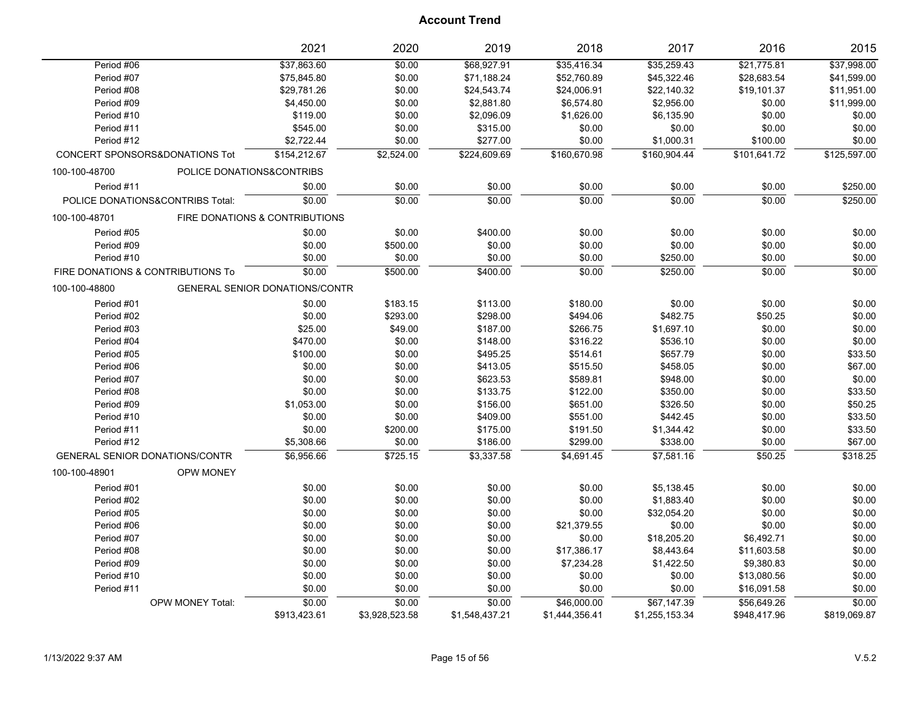|                                       |                           | 2021                                  | 2020           | 2019           | 2018           | 2017           | 2016         | 2015         |
|---------------------------------------|---------------------------|---------------------------------------|----------------|----------------|----------------|----------------|--------------|--------------|
| Period #06                            |                           | \$37,863.60                           | \$0.00         | \$68,927.91    | \$35,416.34    | \$35,259.43    | \$21,775.81  | \$37,998.00  |
| Period #07                            |                           | \$75,845.80                           | \$0.00         | \$71,188.24    | \$52,760.89    | \$45,322.46    | \$28,683.54  | \$41,599.00  |
| Period #08                            |                           | \$29,781.26                           | \$0.00         | \$24,543.74    | \$24,006.91    | \$22,140.32    | \$19,101.37  | \$11,951.00  |
| Period #09                            |                           | \$4,450.00                            | \$0.00         | \$2,881.80     | \$6,574.80     | \$2,956.00     | \$0.00       | \$11,999.00  |
| Period #10                            |                           | \$119.00                              | \$0.00         | \$2,096.09     | \$1,626.00     | \$6,135.90     | \$0.00       | \$0.00       |
| Period #11                            |                           | \$545.00                              | \$0.00         | \$315.00       | \$0.00         | \$0.00         | \$0.00       | \$0.00       |
| Period #12                            |                           | \$2,722.44                            | \$0.00         | \$277.00       | \$0.00         | \$1,000.31     | \$100.00     | \$0.00       |
| CONCERT SPONSORS&DONATIONS Tot        |                           | \$154,212.67                          | \$2,524.00     | \$224,609.69   | \$160,670.98   | \$160,904.44   | \$101,641.72 | \$125,597.00 |
| 100-100-48700                         | POLICE DONATIONS&CONTRIBS |                                       |                |                |                |                |              |              |
| Period #11                            |                           | \$0.00                                | \$0.00         | \$0.00         | \$0.00         | \$0.00         | \$0.00       | \$250.00     |
| POLICE DONATIONS&CONTRIBS Total:      |                           | \$0.00                                | \$0.00         | \$0.00         | \$0.00         | \$0.00         | \$0.00       | \$250.00     |
| 100-100-48701                         |                           | FIRE DONATIONS & CONTRIBUTIONS        |                |                |                |                |              |              |
| Period #05                            |                           | \$0.00                                | \$0.00         | \$400.00       | \$0.00         | \$0.00         | \$0.00       | \$0.00       |
| Period #09                            |                           | \$0.00                                | \$500.00       | \$0.00         | \$0.00         | \$0.00         | \$0.00       | \$0.00       |
| Period #10                            |                           | \$0.00                                | \$0.00         | \$0.00         | \$0.00         | \$250.00       | \$0.00       | \$0.00       |
| FIRE DONATIONS & CONTRIBUTIONS To     |                           | \$0.00                                | \$500.00       | \$400.00       | \$0.00         | \$250.00       | \$0.00       | \$0.00       |
| 100-100-48800                         |                           | <b>GENERAL SENIOR DONATIONS/CONTR</b> |                |                |                |                |              |              |
| Period #01                            |                           | \$0.00                                | \$183.15       | \$113.00       | \$180.00       | \$0.00         | \$0.00       | \$0.00       |
| Period #02                            |                           | \$0.00                                | \$293.00       | \$298.00       | \$494.06       | \$482.75       | \$50.25      | \$0.00       |
| Period #03                            |                           | \$25.00                               | \$49.00        | \$187.00       | \$266.75       | \$1,697.10     | \$0.00       | \$0.00       |
| Period #04                            |                           | \$470.00                              | \$0.00         | \$148.00       | \$316.22       | \$536.10       | \$0.00       | \$0.00       |
| Period #05                            |                           | \$100.00                              | \$0.00         | \$495.25       | \$514.61       | \$657.79       | \$0.00       | \$33.50      |
| Period #06                            |                           | \$0.00                                | \$0.00         | \$413.05       | \$515.50       | \$458.05       | \$0.00       | \$67.00      |
| Period #07                            |                           | \$0.00                                | \$0.00         | \$623.53       | \$589.81       | \$948.00       | \$0.00       | \$0.00       |
| Period #08                            |                           | \$0.00                                | \$0.00         | \$133.75       | \$122.00       | \$350.00       | \$0.00       | \$33.50      |
| Period #09                            |                           | \$1,053.00                            | \$0.00         | \$156.00       | \$651.00       | \$326.50       | \$0.00       | \$50.25      |
| Period #10                            |                           | \$0.00                                | \$0.00         | \$409.00       | \$551.00       | \$442.45       | \$0.00       | \$33.50      |
| Period #11                            |                           | \$0.00                                | \$200.00       | \$175.00       | \$191.50       | \$1,344.42     | \$0.00       | \$33.50      |
| Period #12                            |                           | \$5,308.66                            | \$0.00         | \$186.00       | \$299.00       | \$338.00       | \$0.00       | \$67.00      |
| <b>GENERAL SENIOR DONATIONS/CONTR</b> |                           | \$6,956.66                            | \$725.15       | \$3,337.58     | \$4,691.45     | \$7,581.16     | \$50.25      | \$318.25     |
| 100-100-48901                         | <b>OPW MONEY</b>          |                                       |                |                |                |                |              |              |
| Period #01                            |                           | \$0.00                                | \$0.00         | \$0.00         | \$0.00         | \$5,138.45     | \$0.00       | \$0.00       |
| Period #02                            |                           | \$0.00                                | \$0.00         | \$0.00         | \$0.00         | \$1,883.40     | \$0.00       | \$0.00       |
| Period #05                            |                           | \$0.00                                | \$0.00         | \$0.00         | \$0.00         | \$32,054.20    | \$0.00       | \$0.00       |
| Period #06                            |                           | \$0.00                                | \$0.00         | \$0.00         | \$21,379.55    | \$0.00         | \$0.00       | \$0.00       |
| Period #07                            |                           | \$0.00                                | \$0.00         | \$0.00         | \$0.00         | \$18,205.20    | \$6,492.71   | \$0.00       |
| Period #08                            |                           | \$0.00                                | \$0.00         | \$0.00         | \$17,386.17    | \$8,443.64     | \$11,603.58  | \$0.00       |
| Period #09                            |                           | \$0.00                                | \$0.00         | \$0.00         | \$7,234.28     | \$1,422.50     | \$9,380.83   | \$0.00       |
| Period #10                            |                           | \$0.00                                | \$0.00         | \$0.00         | \$0.00         | \$0.00         | \$13,080.56  | \$0.00       |
| Period #11                            |                           | \$0.00                                | \$0.00         | \$0.00         | \$0.00         | \$0.00         | \$16,091.58  | \$0.00       |
|                                       | <b>OPW MONEY Total:</b>   | \$0.00                                | \$0.00         | \$0.00         | \$46,000.00    | \$67,147.39    | \$56,649.26  | \$0.00       |
|                                       |                           | \$913,423.61                          | \$3,928,523.58 | \$1,548,437.21 | \$1,444,356.41 | \$1,255,153.34 | \$948,417.96 | \$819,069.87 |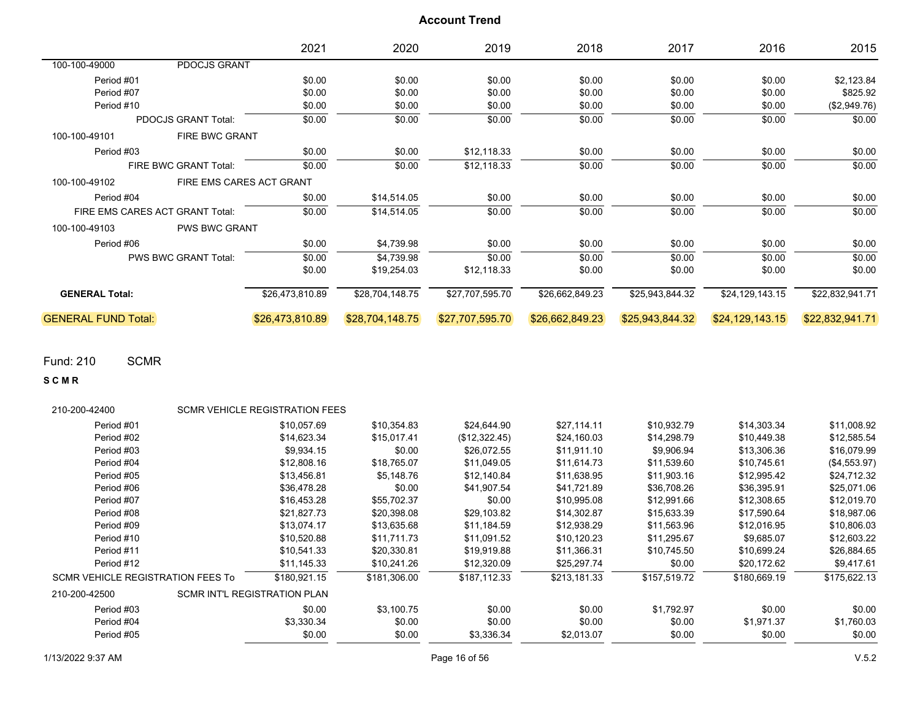|                            |                                 | 2021                     | 2020            | 2019            | 2018            | 2017            | 2016            | 2015            |
|----------------------------|---------------------------------|--------------------------|-----------------|-----------------|-----------------|-----------------|-----------------|-----------------|
| 100-100-49000              | PDOCJS GRANT                    |                          |                 |                 |                 |                 |                 |                 |
| Period #01                 |                                 | \$0.00                   | \$0.00          | \$0.00          | \$0.00          | \$0.00          | \$0.00          | \$2,123.84      |
| Period #07                 |                                 | \$0.00                   | \$0.00          | \$0.00          | \$0.00          | \$0.00          | \$0.00          | \$825.92        |
| Period #10                 |                                 | \$0.00                   | \$0.00          | \$0.00          | \$0.00          | \$0.00          | \$0.00          | (\$2,949.76)    |
|                            | <b>PDOCJS GRANT Total:</b>      | \$0.00                   | \$0.00          | \$0.00          | \$0.00          | \$0.00          | \$0.00          | \$0.00          |
| 100-100-49101              | <b>FIRE BWC GRANT</b>           |                          |                 |                 |                 |                 |                 |                 |
| Period #03                 |                                 | \$0.00                   | \$0.00          | \$12,118.33     | \$0.00          | \$0.00          | \$0.00          | \$0.00          |
|                            | FIRE BWC GRANT Total:           | \$0.00                   | \$0.00          | \$12,118.33     | \$0.00          | \$0.00          | \$0.00          | \$0.00          |
| 100-100-49102              |                                 | FIRE EMS CARES ACT GRANT |                 |                 |                 |                 |                 |                 |
| Period #04                 |                                 | \$0.00                   | \$14,514.05     | \$0.00          | \$0.00          | \$0.00          | \$0.00          | \$0.00          |
|                            | FIRE EMS CARES ACT GRANT Total: | \$0.00                   | \$14,514.05     | \$0.00          | \$0.00          | \$0.00          | \$0.00          | \$0.00          |
| 100-100-49103              | <b>PWS BWC GRANT</b>            |                          |                 |                 |                 |                 |                 |                 |
| Period #06                 |                                 | \$0.00                   | \$4,739.98      | \$0.00          | \$0.00          | \$0.00          | \$0.00          | \$0.00          |
|                            | <b>PWS BWC GRANT Total:</b>     | \$0.00                   | \$4,739.98      | \$0.00          | \$0.00          | \$0.00          | \$0.00          | \$0.00          |
|                            |                                 | \$0.00                   | \$19,254.03     | \$12,118.33     | \$0.00          | \$0.00          | \$0.00          | \$0.00          |
| <b>GENERAL Total:</b>      |                                 | \$26,473,810.89          | \$28,704,148.75 | \$27,707,595.70 | \$26,662,849.23 | \$25,943,844.32 | \$24,129,143.15 | \$22,832,941.71 |
| <b>GENERAL FUND Total:</b> |                                 | \$26,473,810.89          | \$28,704,148.75 | \$27,707,595.70 | \$26,662,849.23 | \$25,943,844.32 | \$24,129,143.15 | \$22,832,941.71 |

Fund: 210 SCMR

**S C M R**

| 210-200-42400                            |                              | <b>SCMR VEHICLE REGISTRATION FEES</b> |              |               |              |              |              |              |
|------------------------------------------|------------------------------|---------------------------------------|--------------|---------------|--------------|--------------|--------------|--------------|
| Period #01                               |                              | \$10,057.69                           | \$10,354.83  | \$24,644.90   | \$27,114.11  | \$10,932.79  | \$14,303.34  | \$11,008.92  |
| Period #02                               |                              | \$14,623.34                           | \$15,017.41  | (\$12,322.45) | \$24,160.03  | \$14,298.79  | \$10,449.38  | \$12,585.54  |
| Period #03                               |                              | \$9,934.15                            | \$0.00       | \$26,072.55   | \$11.911.10  | \$9.906.94   | \$13.306.36  | \$16,079.99  |
| Period #04                               |                              | \$12,808.16                           | \$18,765.07  | \$11,049.05   | \$11.614.73  | \$11,539.60  | \$10,745.61  | (\$4,553.97) |
| Period #05                               |                              | \$13,456.81                           | \$5,148.76   | \$12,140.84   | \$11,638.95  | \$11,903.16  | \$12,995.42  | \$24,712.32  |
| Period #06                               |                              | \$36,478.28                           | \$0.00       | \$41,907.54   | \$41,721.89  | \$36,708.26  | \$36,395.91  | \$25,071.06  |
| Period #07                               |                              | \$16,453.28                           | \$55,702.37  | \$0.00        | \$10,995.08  | \$12,991.66  | \$12,308.65  | \$12,019.70  |
| Period #08                               |                              | \$21,827.73                           | \$20,398.08  | \$29,103.82   | \$14,302.87  | \$15,633.39  | \$17,590.64  | \$18,987.06  |
| Period #09                               |                              | \$13,074.17                           | \$13,635.68  | \$11,184.59   | \$12,938.29  | \$11,563.96  | \$12,016.95  | \$10,806.03  |
| Period #10                               |                              | \$10,520.88                           | \$11,711.73  | \$11,091.52   | \$10,120.23  | \$11,295.67  | \$9,685.07   | \$12,603.22  |
| Period #11                               |                              | \$10,541.33                           | \$20,330.81  | \$19,919.88   | \$11,366.31  | \$10,745.50  | \$10,699.24  | \$26,884.65  |
| Period #12                               |                              | \$11,145.33                           | \$10,241.26  | \$12,320.09   | \$25,297.74  | \$0.00       | \$20,172.62  | \$9,417.61   |
| <b>SCMR VEHICLE REGISTRATION FEES To</b> |                              | \$180.921.15                          | \$181.306.00 | \$187.112.33  | \$213.181.33 | \$157,519.72 | \$180.669.19 | \$175,622.13 |
| 210-200-42500                            | SCMR INT'L REGISTRATION PLAN |                                       |              |               |              |              |              |              |
| Period #03                               |                              | \$0.00                                | \$3,100.75   | \$0.00        | \$0.00       | \$1,792.97   | \$0.00       | \$0.00       |
| Period #04                               |                              | \$3,330.34                            | \$0.00       | \$0.00        | \$0.00       | \$0.00       | \$1,971.37   | \$1,760.03   |
| Period #05                               |                              | \$0.00                                | \$0.00       | \$3,336.34    | \$2,013.07   | \$0.00       | \$0.00       | \$0.00       |
|                                          |                              |                                       |              |               |              |              |              |              |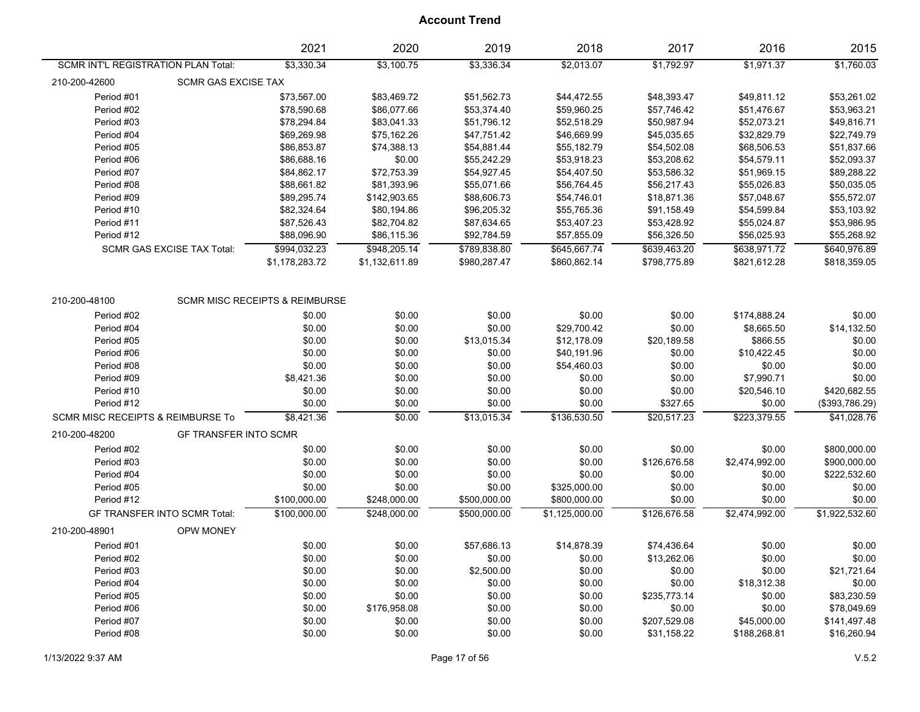|                                     |                                   | 2021                                      | 2020           | 2019         | 2018           | 2017         | 2016           | 2015           |
|-------------------------------------|-----------------------------------|-------------------------------------------|----------------|--------------|----------------|--------------|----------------|----------------|
| SCMR INT'L REGISTRATION PLAN Total: |                                   | \$3,330.34                                | \$3,100.75     | \$3,336.34   | \$2,013.07     | \$1,792.97   | \$1,971.37     | \$1,760.03     |
| 210-200-42600                       | <b>SCMR GAS EXCISE TAX</b>        |                                           |                |              |                |              |                |                |
| Period #01                          |                                   | \$73,567.00                               | \$83,469.72    | \$51,562.73  | \$44,472.55    | \$48,393.47  | \$49,811.12    | \$53,261.02    |
| Period #02                          |                                   | \$78,590.68                               | \$86,077.66    | \$53,374.40  | \$59,960.25    | \$57,746.42  | \$51,476.67    | \$53,963.21    |
| Period #03                          |                                   | \$78,294.84                               | \$83,041.33    | \$51,796.12  | \$52,518.29    | \$50,987.94  | \$52,073.21    | \$49,816.71    |
| Period #04                          |                                   | \$69,269.98                               | \$75,162.26    | \$47,751.42  | \$46,669.99    | \$45,035.65  | \$32,829.79    | \$22,749.79    |
| Period #05                          |                                   | \$86,853.87                               | \$74,388.13    | \$54,881.44  | \$55,182.79    | \$54,502.08  | \$68,506.53    | \$51,837.66    |
| Period #06                          |                                   | \$86,688.16                               | \$0.00         | \$55,242.29  | \$53,918.23    | \$53,208.62  | \$54,579.11    | \$52,093.37    |
| Period #07                          |                                   | \$84,862.17                               | \$72,753.39    | \$54,927.45  | \$54,407.50    | \$53,586.32  | \$51,969.15    | \$89,288.22    |
| Period #08                          |                                   | \$88,661.82                               | \$81,393.96    | \$55,071.66  | \$56,764.45    | \$56,217.43  | \$55,026.83    | \$50,035.05    |
| Period #09                          |                                   | \$89,295.74                               | \$142,903.65   | \$88,606.73  | \$54,746.01    | \$18,871.36  | \$57,048.67    | \$55,572.07    |
| Period #10                          |                                   | \$82,324.64                               | \$80,194.86    | \$96,205.32  | \$55,765.36    | \$91,158.49  | \$54,599.84    | \$53,103.92    |
| Period #11                          |                                   | \$87,526.43                               | \$82,704.82    | \$87,634.65  | \$53,407.23    | \$53,428.92  | \$55,024.87    | \$53,986.95    |
| Period #12                          |                                   | \$88,096.90                               | \$86,115.36    | \$92,784.59  | \$57,855.09    | \$56,326.50  | \$56,025.93    | \$55,268.92    |
|                                     | <b>SCMR GAS EXCISE TAX Total:</b> | \$994,032.23                              | \$948,205.14   | \$789,838.80 | \$645,667.74   | \$639,463.20 | \$638,971.72   | \$640,976.89   |
|                                     |                                   | \$1,178,283.72                            | \$1,132,611.89 | \$980,287.47 | \$860,862.14   | \$798,775.89 | \$821,612.28   | \$818,359.05   |
|                                     |                                   |                                           |                |              |                |              |                |                |
| 210-200-48100                       |                                   | <b>SCMR MISC RECEIPTS &amp; REIMBURSE</b> |                |              |                |              |                |                |
| Period #02                          |                                   | \$0.00                                    | \$0.00         | \$0.00       | \$0.00         | \$0.00       | \$174,888.24   | \$0.00         |
| Period #04                          |                                   | \$0.00                                    | \$0.00         | \$0.00       | \$29,700.42    | \$0.00       | \$8,665.50     | \$14,132.50    |
| Period #05                          |                                   | \$0.00                                    | \$0.00         | \$13,015.34  | \$12,178.09    | \$20,189.58  | \$866.55       | \$0.00         |
| Period #06                          |                                   | \$0.00                                    | \$0.00         | \$0.00       | \$40,191.96    | \$0.00       | \$10,422.45    | \$0.00         |
| Period #08                          |                                   | \$0.00                                    | \$0.00         | \$0.00       | \$54,460.03    | \$0.00       | \$0.00         | \$0.00         |
| Period #09                          |                                   | \$8,421.36                                | \$0.00         | \$0.00       | \$0.00         | \$0.00       | \$7,990.71     | \$0.00         |
| Period #10                          |                                   | \$0.00                                    | \$0.00         | \$0.00       | \$0.00         | \$0.00       | \$20,546.10    | \$420,682.55   |
| Period #12                          |                                   | \$0.00                                    | \$0.00         | \$0.00       | \$0.00         | \$327.65     | \$0.00         | (\$393,786.29) |
| SCMR MISC RECEIPTS & REIMBURSE To   |                                   | \$8,421.36                                | \$0.00         | \$13,015.34  | \$136,530.50   | \$20,517.23  | \$223,379.55   | \$41,028.76    |
| 210-200-48200                       | <b>GF TRANSFER INTO SCMR</b>      |                                           |                |              |                |              |                |                |
| Period #02                          |                                   | \$0.00                                    | \$0.00         | \$0.00       | \$0.00         | \$0.00       | \$0.00         | \$800,000.00   |
| Period #03                          |                                   | \$0.00                                    | \$0.00         | \$0.00       | \$0.00         | \$126,676.58 | \$2,474,992.00 | \$900,000.00   |
| Period #04                          |                                   | \$0.00                                    | \$0.00         | \$0.00       | \$0.00         | \$0.00       | \$0.00         | \$222,532.60   |
| Period #05                          |                                   | \$0.00                                    | \$0.00         | \$0.00       | \$325,000.00   | \$0.00       | \$0.00         | \$0.00         |
| Period #12                          |                                   | \$100,000.00                              | \$248,000.00   | \$500,000.00 | \$800,000.00   | \$0.00       | \$0.00         | \$0.00         |
|                                     | GF TRANSFER INTO SCMR Total:      | \$100,000.00                              | \$248,000.00   | \$500.000.00 | \$1,125,000.00 | \$126,676.58 | \$2,474,992.00 | \$1,922,532.60 |
| 210-200-48901                       | OPW MONEY                         |                                           |                |              |                |              |                |                |
| Period #01                          |                                   | \$0.00                                    | \$0.00         | \$57,686.13  | \$14,878.39    | \$74,436.64  | \$0.00         | \$0.00         |
| Period #02                          |                                   | \$0.00                                    | \$0.00         | \$0.00       | \$0.00         | \$13,262.06  | \$0.00         | \$0.00         |
| Period #03                          |                                   | \$0.00                                    | \$0.00         | \$2,500.00   | \$0.00         | \$0.00       | \$0.00         | \$21,721.64    |
| Period #04                          |                                   | \$0.00                                    | \$0.00         | \$0.00       | \$0.00         | \$0.00       | \$18,312.38    | \$0.00         |
| Period #05                          |                                   | \$0.00                                    | \$0.00         | \$0.00       | \$0.00         | \$235,773.14 | \$0.00         | \$83,230.59    |
| Period #06                          |                                   | \$0.00                                    | \$176,958.08   | \$0.00       | \$0.00         | \$0.00       | \$0.00         | \$78,049.69    |
| Period #07                          |                                   | \$0.00                                    | \$0.00         | \$0.00       | \$0.00         | \$207,529.08 | \$45,000.00    | \$141,497.48   |
| Period #08                          |                                   | \$0.00                                    | \$0.00         | \$0.00       | \$0.00         | \$31,158.22  | \$188,268.81   | \$16,260.94    |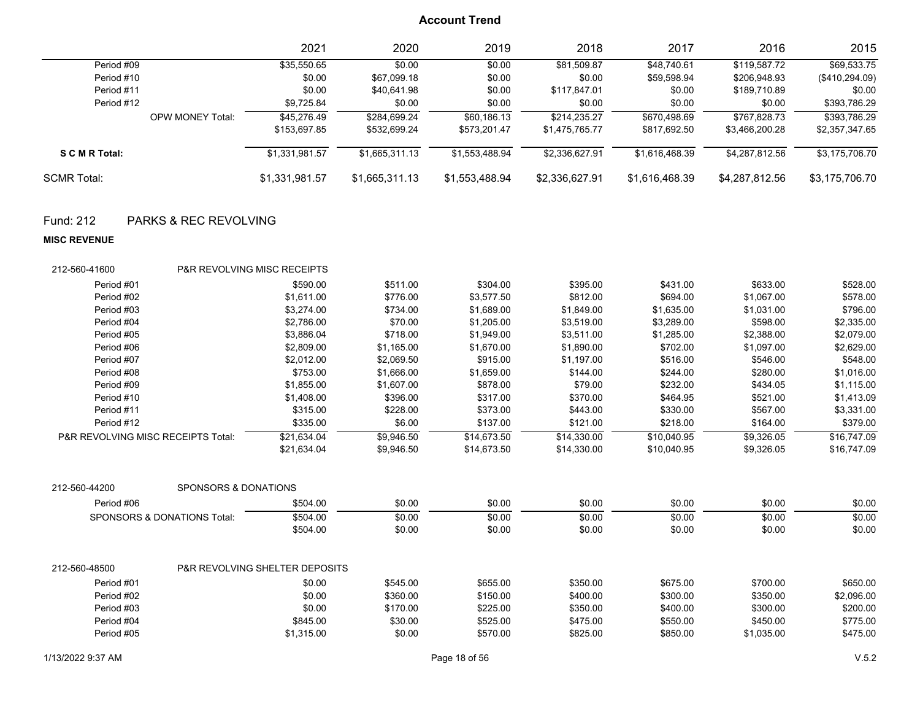|                    |                         | 2021           | 2020           | 2019           | 2018           | 2017           | 2016           | 2015           |
|--------------------|-------------------------|----------------|----------------|----------------|----------------|----------------|----------------|----------------|
| Period #09         |                         | \$35,550.65    | \$0.00         | \$0.00         | \$81,509.87    | \$48,740.61    | \$119.587.72   | \$69,533.75    |
| Period #10         |                         | \$0.00         | \$67,099.18    | \$0.00         | \$0.00         | \$59,598.94    | \$206,948.93   | (\$410,294.09) |
| Period #11         |                         | \$0.00         | \$40,641.98    | \$0.00         | \$117,847.01   | \$0.00         | \$189,710.89   | \$0.00         |
| Period #12         |                         | \$9,725.84     | \$0.00         | \$0.00         | \$0.00         | \$0.00         | \$0.00         | \$393,786.29   |
|                    | <b>OPW MONEY Total:</b> | \$45,276.49    | \$284,699.24   | \$60,186.13    | \$214.235.27   | \$670,498.69   | \$767.828.73   | \$393,786.29   |
|                    |                         | \$153,697.85   | \$532,699.24   | \$573,201.47   | \$1,475,765.77 | \$817,692.50   | \$3,466,200.28 | \$2,357,347.65 |
| S C M R Total:     |                         | \$1,331,981.57 | \$1,665,311.13 | \$1,553,488.94 | \$2,336,627.91 | \$1,616,468.39 | \$4,287,812.56 | \$3,175,706.70 |
| <b>SCMR Total:</b> |                         | \$1,331,981.57 | \$1,665,311.13 | \$1,553,488.94 | \$2,336,627.91 | \$1,616,468.39 | \$4,287,812.56 | \$3,175,706.70 |

## Fund: 212 PARKS & REC REVOLVING

#### **MISC REVENUE**

| 212-560-41600                                 | <b>P&amp;R REVOLVING MISC RECEIPTS</b> |                                           |            |             |             |             |            |             |
|-----------------------------------------------|----------------------------------------|-------------------------------------------|------------|-------------|-------------|-------------|------------|-------------|
| Period #01                                    |                                        | \$590.00                                  | \$511.00   | \$304.00    | \$395.00    | \$431.00    | \$633.00   | \$528.00    |
| Period #02                                    |                                        | \$1,611.00                                | \$776.00   | \$3,577.50  | \$812.00    | \$694.00    | \$1,067.00 | \$578.00    |
| Period #03                                    |                                        | \$3,274.00                                | \$734.00   | \$1,689.00  | \$1,849.00  | \$1,635.00  | \$1,031.00 | \$796.00    |
| Period #04                                    |                                        | \$2,786.00                                | \$70.00    | \$1,205.00  | \$3,519.00  | \$3,289.00  | \$598.00   | \$2,335.00  |
| Period #05                                    |                                        | \$3,886.04                                | \$718.00   | \$1,949.00  | \$3,511.00  | \$1,285.00  | \$2,388.00 | \$2,079.00  |
| Period #06                                    |                                        | \$2,809.00                                | \$1,165.00 | \$1,670.00  | \$1,890.00  | \$702.00    | \$1,097.00 | \$2,629.00  |
| Period #07                                    |                                        | \$2,012.00                                | \$2,069.50 | \$915.00    | \$1,197.00  | \$516.00    | \$546.00   | \$548.00    |
| Period #08                                    |                                        | \$753.00                                  | \$1,666.00 | \$1,659.00  | \$144.00    | \$244.00    | \$280.00   | \$1,016.00  |
| Period #09                                    |                                        | \$1,855.00                                | \$1,607.00 | \$878.00    | \$79.00     | \$232.00    | \$434.05   | \$1,115.00  |
| Period #10                                    | \$1,408.00                             |                                           | \$396.00   | \$317.00    | \$370.00    | \$464.95    | \$521.00   | \$1,413.09  |
| Period #11                                    | \$315.00                               |                                           | \$228.00   | \$373.00    | \$443.00    | \$330.00    | \$567.00   | \$3,331.00  |
| Period #12                                    |                                        | \$335.00                                  | \$6.00     | \$137.00    | \$121.00    | \$218.00    | \$164.00   | \$379.00    |
| <b>P&amp;R REVOLVING MISC RECEIPTS Total:</b> |                                        | \$21,634.04                               | \$9,946.50 | \$14,673.50 | \$14,330.00 | \$10,040.95 | \$9,326.05 | \$16,747.09 |
|                                               |                                        | \$21,634.04                               | \$9,946.50 | \$14,673.50 | \$14,330.00 | \$10,040.95 | \$9,326.05 | \$16,747.09 |
| 212-560-44200                                 | SPONSORS & DONATIONS                   |                                           |            |             |             |             |            |             |
| Period #06                                    |                                        | \$504.00                                  | \$0.00     | \$0.00      | \$0.00      | \$0.00      | \$0.00     | \$0.00      |
|                                               | SPONSORS & DONATIONS Total:            | \$504.00                                  | \$0.00     | \$0.00      | \$0.00      | \$0.00      | \$0.00     | \$0.00      |
|                                               |                                        | \$504.00                                  | \$0.00     | \$0.00      | \$0.00      | \$0.00      | \$0.00     | \$0.00      |
| 212-560-48500                                 |                                        | <b>P&amp;R REVOLVING SHELTER DEPOSITS</b> |            |             |             |             |            |             |
| Period #01                                    |                                        | \$0.00                                    | \$545.00   | \$655.00    | \$350.00    | \$675.00    | \$700.00   | \$650.00    |
| Period #02                                    |                                        | \$0.00                                    | \$360.00   | \$150.00    | \$400.00    | \$300.00    | \$350.00   | \$2,096.00  |
| Period #03                                    |                                        | \$0.00                                    | \$170.00   | \$225.00    | \$350.00    | \$400.00    | \$300.00   | \$200.00    |
| Period #04                                    |                                        | \$845.00                                  | \$30.00    | \$525.00    | \$475.00    | \$550.00    | \$450.00   | \$775.00    |
| Period #05                                    |                                        | \$1,315.00                                | \$0.00     | \$570.00    | \$825.00    | \$850.00    | \$1,035.00 | \$475.00    |
|                                               |                                        |                                           |            |             |             |             |            |             |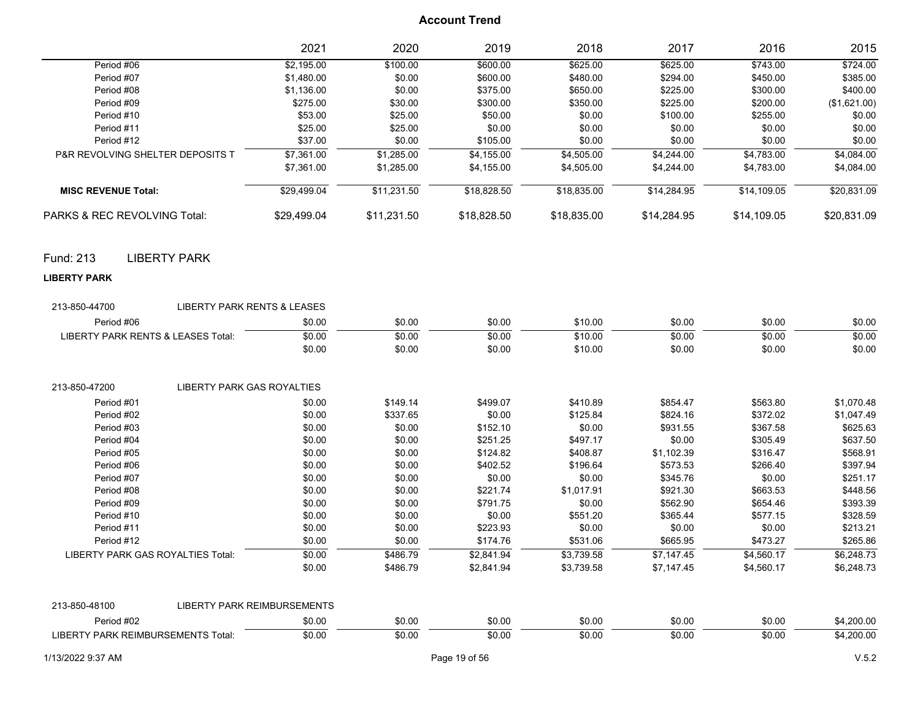|                                                         | 2021                        | 2020        | 2019        | 2018        | 2017        | 2016        | 2015         |
|---------------------------------------------------------|-----------------------------|-------------|-------------|-------------|-------------|-------------|--------------|
| Period #06                                              | \$2,195.00                  | \$100.00    | \$600.00    | \$625.00    | \$625.00    | \$743.00    | \$724.00     |
| Period #07                                              | \$1,480.00                  | \$0.00      | \$600.00    | \$480.00    | \$294.00    | \$450.00    | \$385.00     |
| Period #08                                              | \$1,136.00                  | \$0.00      | \$375.00    | \$650.00    | \$225.00    | \$300.00    | \$400.00     |
| Period #09                                              | \$275.00                    | \$30.00     | \$300.00    | \$350.00    | \$225.00    | \$200.00    | (\$1,621.00) |
| Period #10                                              | \$53.00                     | \$25.00     | \$50.00     | \$0.00      | \$100.00    | \$255.00    | \$0.00       |
| Period #11                                              | \$25.00                     | \$25.00     | \$0.00      | \$0.00      | \$0.00      | \$0.00      | \$0.00       |
| Period #12                                              | \$37.00                     | \$0.00      | \$105.00    | \$0.00      | \$0.00      | \$0.00      | \$0.00       |
| P&R REVOLVING SHELTER DEPOSITS T                        | \$7,361.00                  | \$1,285.00  | \$4,155.00  | \$4,505.00  | \$4,244.00  | \$4,783.00  | \$4,084.00   |
|                                                         | \$7,361.00                  | \$1,285.00  | \$4,155.00  | \$4,505.00  | \$4,244.00  | \$4,783.00  | \$4,084.00   |
| <b>MISC REVENUE Total:</b>                              | \$29,499.04                 | \$11,231.50 | \$18,828.50 | \$18,835.00 | \$14,284.95 | \$14,109.05 | \$20,831.09  |
| PARKS & REC REVOLVING Total:                            | \$29,499.04                 | \$11,231.50 | \$18,828.50 | \$18,835.00 | \$14,284.95 | \$14,109.05 | \$20,831.09  |
| <b>LIBERTY PARK</b><br>Fund: 213                        |                             |             |             |             |             |             |              |
| <b>LIBERTY PARK</b>                                     |                             |             |             |             |             |             |              |
| <b>LIBERTY PARK RENTS &amp; LEASES</b><br>213-850-44700 |                             |             |             |             |             |             |              |
| Period #06                                              | \$0.00                      | \$0.00      | \$0.00      | \$10.00     | \$0.00      | \$0.00      | \$0.00       |
| LIBERTY PARK RENTS & LEASES Total:                      | \$0.00                      | \$0.00      | \$0.00      | \$10.00     | \$0.00      | \$0.00      | \$0.00       |
|                                                         | \$0.00                      | \$0.00      | \$0.00      | \$10.00     | \$0.00      | \$0.00      | \$0.00       |
| <b>LIBERTY PARK GAS ROYALTIES</b><br>213-850-47200      |                             |             |             |             |             |             |              |
| Period #01                                              | \$0.00                      | \$149.14    | \$499.07    | \$410.89    | \$854.47    | \$563.80    | \$1,070.48   |
| Period #02                                              | \$0.00                      | \$337.65    | \$0.00      | \$125.84    | \$824.16    | \$372.02    | \$1,047.49   |
| Period #03                                              | \$0.00                      | \$0.00      | \$152.10    | \$0.00      | \$931.55    | \$367.58    | \$625.63     |
| Period #04                                              | \$0.00                      | \$0.00      | \$251.25    | \$497.17    | \$0.00      | \$305.49    | \$637.50     |
| Period #05                                              | \$0.00                      | \$0.00      | \$124.82    | \$408.87    | \$1,102.39  | \$316.47    | \$568.91     |
| Period #06                                              | \$0.00                      | \$0.00      | \$402.52    | \$196.64    | \$573.53    | \$266.40    | \$397.94     |
| Period #07                                              | \$0.00                      | \$0.00      | \$0.00      | \$0.00      | \$345.76    | \$0.00      | \$251.17     |
| Period #08                                              | \$0.00                      | \$0.00      | \$221.74    | \$1,017.91  | \$921.30    | \$663.53    | \$448.56     |
| Period #09                                              | \$0.00                      | \$0.00      | \$791.75    | \$0.00      | \$562.90    | \$654.46    | \$393.39     |
| Period #10                                              | \$0.00                      | \$0.00      | \$0.00      | \$551.20    | \$365.44    | \$577.15    | \$328.59     |
| Period #11                                              | \$0.00                      | \$0.00      | \$223.93    | \$0.00      | \$0.00      | \$0.00      | \$213.21     |
| Period #12                                              | \$0.00                      | \$0.00      | \$174.76    | \$531.06    | \$665.95    | \$473.27    | \$265.86     |
| LIBERTY PARK GAS ROYALTIES Total:                       | \$0.00                      | \$486.79    | \$2,841.94  | \$3,739.58  | \$7,147.45  | \$4,560.17  | \$6,248.73   |
|                                                         | \$0.00                      | \$486.79    | \$2,841.94  | \$3,739.58  | \$7,147.45  | \$4,560.17  | \$6,248.73   |
| 213-850-48100                                           | LIBERTY PARK REIMBURSEMENTS |             |             |             |             |             |              |
| Period #02                                              | \$0.00                      | \$0.00      | \$0.00      | \$0.00      | \$0.00      | \$0.00      | \$4,200.00   |
| LIBERTY PARK REIMBURSEMENTS Total:                      | \$0.00                      | \$0.00      | \$0.00      | \$0.00      | \$0.00      | \$0.00      | \$4,200.00   |
|                                                         |                             |             |             |             |             |             |              |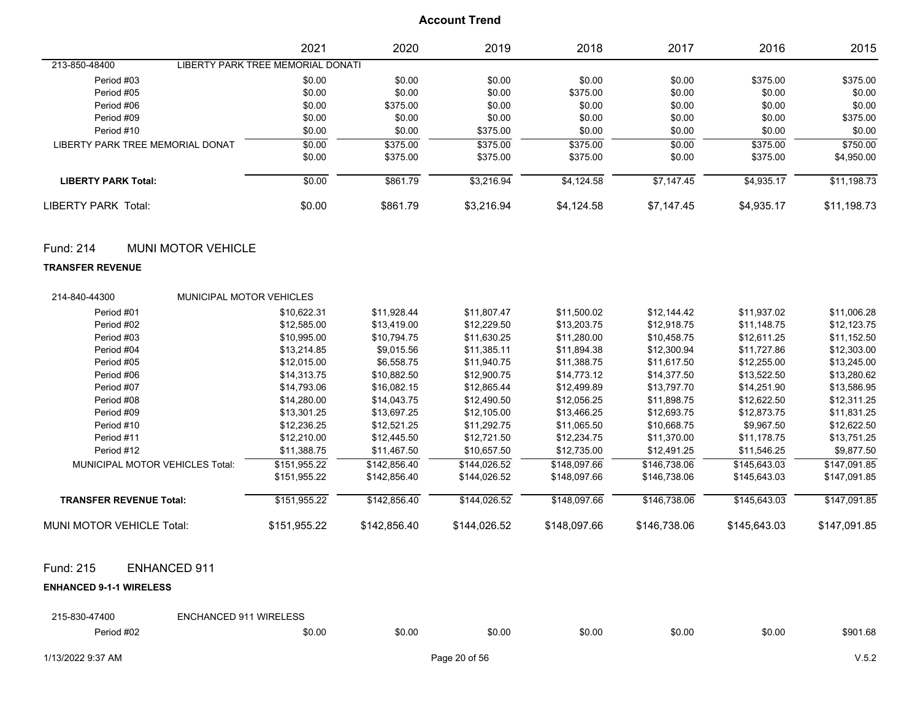|                                  |                                   | 2021   | 2020     | 2019       | 2018       | 2017       | 2016       | 2015        |
|----------------------------------|-----------------------------------|--------|----------|------------|------------|------------|------------|-------------|
| 213-850-48400                    | LIBERTY PARK TREE MEMORIAL DONATI |        |          |            |            |            |            |             |
| Period #03                       |                                   | \$0.00 | \$0.00   | \$0.00     | \$0.00     | \$0.00     | \$375.00   | \$375.00    |
| Period #05                       |                                   | \$0.00 | \$0.00   | \$0.00     | \$375.00   | \$0.00     | \$0.00     | \$0.00      |
| Period #06                       |                                   | \$0.00 | \$375.00 | \$0.00     | \$0.00     | \$0.00     | \$0.00     | \$0.00      |
| Period #09                       |                                   | \$0.00 | \$0.00   | \$0.00     | \$0.00     | \$0.00     | \$0.00     | \$375.00    |
| Period #10                       |                                   | \$0.00 | \$0.00   | \$375.00   | \$0.00     | \$0.00     | \$0.00     | \$0.00      |
| LIBERTY PARK TREE MEMORIAL DONAT |                                   | \$0.00 | \$375.00 | \$375.00   | \$375.00   | \$0.00     | \$375.00   | \$750.00    |
|                                  |                                   | \$0.00 | \$375.00 | \$375.00   | \$375.00   | \$0.00     | \$375.00   | \$4,950.00  |
| <b>LIBERTY PARK Total:</b>       |                                   | \$0.00 | \$861.79 | \$3.216.94 | \$4.124.58 | \$7.147.45 | \$4.935.17 | \$11.198.73 |
| LIBERTY PARK Total:              |                                   | \$0.00 | \$861.79 | \$3,216.94 | \$4,124.58 | \$7.147.45 | \$4,935.17 | \$11,198.73 |

### Fund: 214 MUNI MOTOR VEHICLE

#### **TRANSFER REVENUE**

| 214-840-44300                          | <b>MUNICIPAL MOTOR VEHICLES</b> |              |              |              |              |              |              |              |
|----------------------------------------|---------------------------------|--------------|--------------|--------------|--------------|--------------|--------------|--------------|
| Period #01                             |                                 | \$10,622.31  | \$11,928.44  | \$11,807.47  | \$11,500.02  | \$12,144.42  | \$11,937.02  | \$11,006.28  |
| Period #02                             |                                 | \$12,585.00  | \$13,419.00  | \$12,229.50  | \$13,203.75  | \$12,918.75  | \$11,148.75  | \$12,123.75  |
| Period #03                             |                                 | \$10,995.00  | \$10,794.75  | \$11,630.25  | \$11,280.00  | \$10,458.75  | \$12.611.25  | \$11,152.50  |
| Period #04                             |                                 | \$13,214.85  | \$9,015.56   | \$11,385.11  | \$11,894.38  | \$12,300.94  | \$11,727.86  | \$12,303.00  |
| Period #05                             |                                 | \$12,015.00  | \$6,558.75   | \$11,940.75  | \$11,388.75  | \$11,617.50  | \$12,255.00  | \$13,245.00  |
| Period #06                             |                                 | \$14,313.75  | \$10,882.50  | \$12,900.75  | \$14,773.12  | \$14,377.50  | \$13,522.50  | \$13,280.62  |
| Period #07                             |                                 | \$14,793.06  | \$16,082.15  | \$12,865.44  | \$12,499.89  | \$13,797.70  | \$14,251.90  | \$13,586.95  |
| Period #08                             |                                 | \$14,280.00  | \$14,043.75  | \$12,490.50  | \$12.056.25  | \$11,898.75  | \$12,622.50  | \$12,311.25  |
| Period #09                             |                                 | \$13,301.25  | \$13,697.25  | \$12,105.00  | \$13,466.25  | \$12,693.75  | \$12,873.75  | \$11,831.25  |
| Period #10                             |                                 | \$12,236.25  | \$12,521.25  | \$11,292.75  | \$11,065.50  | \$10,668.75  | \$9,967.50   | \$12,622.50  |
| Period #11                             |                                 | \$12,210.00  | \$12,445.50  | \$12,721.50  | \$12,234.75  | \$11,370.00  | \$11,178.75  | \$13,751.25  |
| Period #12                             |                                 | \$11,388.75  | \$11,467.50  | \$10,657.50  | \$12,735.00  | \$12,491.25  | \$11,546.25  | \$9,877.50   |
| <b>MUNICIPAL MOTOR VEHICLES Total:</b> |                                 | \$151,955.22 | \$142.856.40 | \$144,026.52 | \$148,097.66 | \$146,738.06 | \$145,643.03 | \$147,091.85 |
|                                        |                                 | \$151,955.22 | \$142,856.40 | \$144,026.52 | \$148,097.66 | \$146,738.06 | \$145,643.03 | \$147,091.85 |
| <b>TRANSFER REVENUE Total:</b>         |                                 | \$151,955.22 | \$142,856.40 | \$144,026.52 | \$148,097.66 | \$146,738.06 | \$145,643.03 | \$147,091.85 |
| MUNI MOTOR VEHICLE Total:              |                                 | \$151,955.22 | \$142,856.40 | \$144,026.52 | \$148,097.66 | \$146,738.06 | \$145,643.03 | \$147,091.85 |

### Fund: 215 ENHANCED 911

#### **ENHANCED 9-1-1 WIRELESS**

| 215-830-47400 | <b>ENCHANCED 911 WIRELESS</b> |        |        |        |        |        |          |
|---------------|-------------------------------|--------|--------|--------|--------|--------|----------|
| Period #02    | \$0.00                        | \$0.00 | \$0.00 | \$0.00 | \$0.00 | \$0.00 | \$901.68 |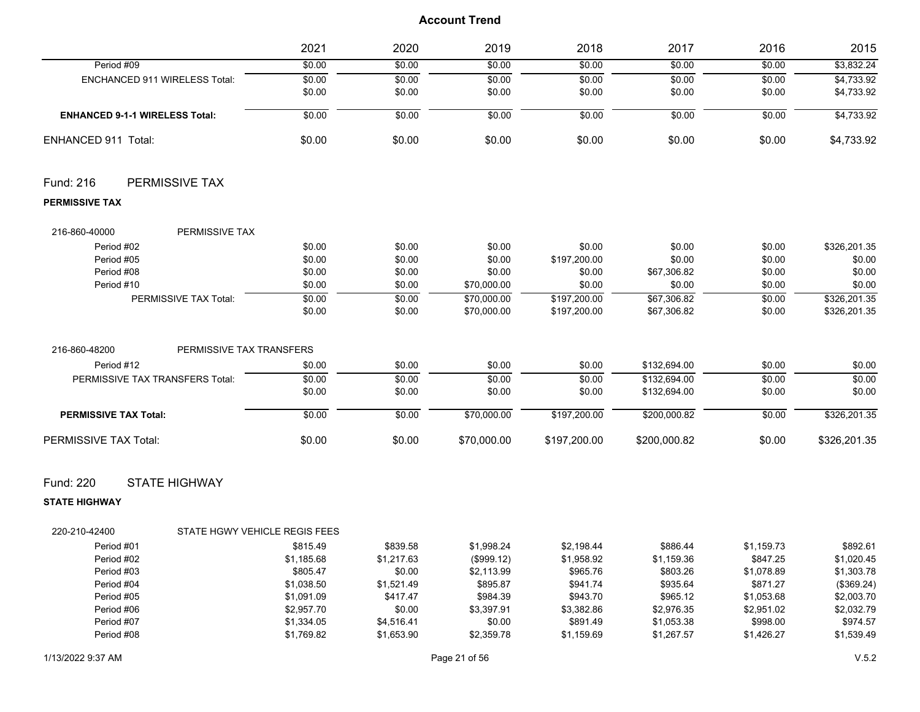|                                                | 2021     | 2020     | 2019        | 2018         | 2017         | 2016       | 2015         |
|------------------------------------------------|----------|----------|-------------|--------------|--------------|------------|--------------|
| Period #09                                     | \$0.00   | \$0.00   | \$0.00      | \$0.00       | \$0.00       | \$0.00     | \$3,832.24   |
| ENCHANCED 911 WIRELESS Total:                  | \$0.00   | \$0.00   | \$0.00      | \$0.00       | \$0.00       | \$0.00     | \$4,733.92   |
|                                                | \$0.00   | \$0.00   | \$0.00      | \$0.00       | \$0.00       | \$0.00     | \$4,733.92   |
| <b>ENHANCED 9-1-1 WIRELESS Total:</b>          | \$0.00   | \$0.00   | \$0.00      | \$0.00       | \$0.00       | \$0.00     | \$4,733.92   |
| ENHANCED 911 Total:                            | \$0.00   | \$0.00   | \$0.00      | \$0.00       | \$0.00       | \$0.00     | \$4,733.92   |
| PERMISSIVE TAX<br>Fund: 216                    |          |          |             |              |              |            |              |
| <b>PERMISSIVE TAX</b>                          |          |          |             |              |              |            |              |
| PERMISSIVE TAX<br>216-860-40000                |          |          |             |              |              |            |              |
| Period #02                                     | \$0.00   | \$0.00   | \$0.00      | \$0.00       | \$0.00       | \$0.00     | \$326,201.35 |
| Period #05                                     | \$0.00   | \$0.00   | \$0.00      | \$197,200.00 | \$0.00       | \$0.00     | \$0.00       |
| Period #08                                     | \$0.00   | \$0.00   | \$0.00      | \$0.00       | \$67,306.82  | \$0.00     | \$0.00       |
| Period #10                                     | \$0.00   | \$0.00   | \$70,000.00 | \$0.00       | \$0.00       | \$0.00     | \$0.00       |
| PERMISSIVE TAX Total:                          | \$0.00   | \$0.00   | \$70,000.00 | \$197,200.00 | \$67,306.82  | \$0.00     | \$326,201.35 |
|                                                | \$0.00   | \$0.00   | \$70,000.00 | \$197,200.00 | \$67,306.82  | \$0.00     | \$326,201.35 |
| 216-860-48200<br>PERMISSIVE TAX TRANSFERS      |          |          |             |              |              |            |              |
| Period #12                                     | \$0.00   | \$0.00   | \$0.00      | \$0.00       | \$132,694.00 | \$0.00     | \$0.00       |
| PERMISSIVE TAX TRANSFERS Total:                | \$0.00   | \$0.00   | \$0.00      | \$0.00       | \$132.694.00 | \$0.00     | \$0.00       |
|                                                | \$0.00   | \$0.00   | \$0.00      | \$0.00       | \$132,694.00 | \$0.00     | \$0.00       |
| <b>PERMISSIVE TAX Total:</b>                   | \$0.00   | \$0.00   | \$70,000.00 | \$197,200.00 | \$200,000.82 | \$0.00     | \$326,201.35 |
| PERMISSIVE TAX Total:                          | \$0.00   | \$0.00   | \$70,000.00 | \$197,200.00 | \$200,000.82 | \$0.00     | \$326,201.35 |
| Fund: 220<br><b>STATE HIGHWAY</b>              |          |          |             |              |              |            |              |
| <b>STATE HIGHWAY</b>                           |          |          |             |              |              |            |              |
| STATE HGWY VEHICLE REGIS FEES<br>220-210-42400 |          |          |             |              |              |            |              |
| Period #01                                     | \$815.49 | \$839.58 | \$1,998.24  | \$2,198.44   | \$886.44     | \$1,159.73 | \$892.61     |

| Period #02 | \$1,185.68 | \$1.217.63 | $($ \$999.12) | \$1.958.92 | \$1.159.36 | \$847.25   | \$1.020.45 |
|------------|------------|------------|---------------|------------|------------|------------|------------|
| Period #03 | \$805.47   | \$0.00     | \$2.113.99    | \$965.76   | \$803.26   | \$1.078.89 | \$1.303.78 |
| Period #04 | \$1.038.50 | \$1.521.49 | \$895.87      | \$941.74   | \$935.64   | \$871.27   | (\$369.24) |
| Period #05 | \$1.091.09 | \$417.47   | \$984.39      | \$943.70   | \$965.12   | \$1.053.68 | \$2,003.70 |
| Period #06 | \$2.957.70 | \$0.00     | \$3.397.91    | \$3.382.86 | \$2.976.35 | \$2.951.02 | \$2.032.79 |
| Period #07 | \$1,334.05 | \$4.516.41 | \$0.00        | \$891.49   | \$1,053.38 | \$998.00   | \$974.57   |
| Period #08 | \$1,769.82 | \$1.653.90 | \$2,359.78    | \$1.159.69 | \$1.267.57 | \$1.426.27 | \$1.539.49 |
|            |            |            |               |            |            |            |            |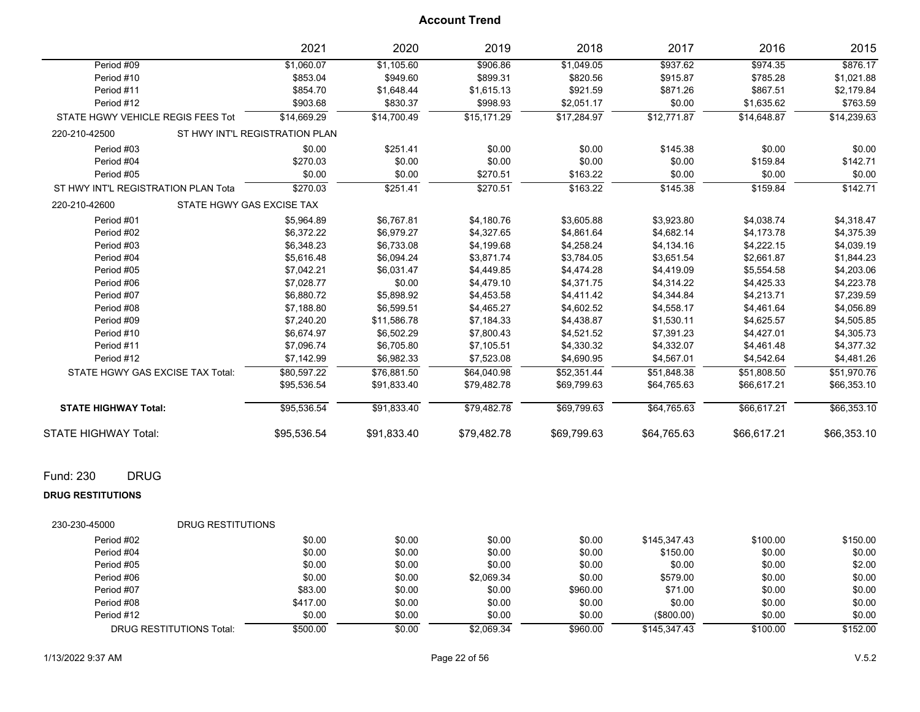|                                     | 2021                           | 2020        | 2019        | 2018        | 2017        | 2016        | 2015        |
|-------------------------------------|--------------------------------|-------------|-------------|-------------|-------------|-------------|-------------|
| Period #09                          | \$1,060.07                     | \$1,105.60  | \$906.86    | \$1,049.05  | \$937.62    | \$974.35    | \$876.17    |
| Period #10                          | \$853.04                       | \$949.60    | \$899.31    | \$820.56    | \$915.87    | \$785.28    | \$1,021.88  |
| Period #11                          | \$854.70                       | \$1,648.44  | \$1,615.13  | \$921.59    | \$871.26    | \$867.51    | \$2,179.84  |
| Period #12                          | \$903.68                       | \$830.37    | \$998.93    | \$2,051.17  | \$0.00      | \$1,635.62  | \$763.59    |
| STATE HGWY VEHICLE REGIS FEES Tot   | \$14,669.29                    | \$14,700.49 | \$15,171.29 | \$17,284.97 | \$12,771.87 | \$14,648.87 | \$14,239.63 |
| 220-210-42500                       | ST HWY INT'L REGISTRATION PLAN |             |             |             |             |             |             |
| Period #03                          | \$0.00                         | \$251.41    | \$0.00      | \$0.00      | \$145.38    | \$0.00      | \$0.00      |
| Period #04                          | \$270.03                       | \$0.00      | \$0.00      | \$0.00      | \$0.00      | \$159.84    | \$142.71    |
| Period #05                          | \$0.00                         | \$0.00      | \$270.51    | \$163.22    | \$0.00      | \$0.00      | \$0.00      |
| ST HWY INT'L REGISTRATION PLAN Tota | \$270.03                       | \$251.41    | \$270.51    | \$163.22    | \$145.38    | \$159.84    | \$142.71    |
| 220-210-42600                       | STATE HGWY GAS EXCISE TAX      |             |             |             |             |             |             |
| Period #01                          | \$5,964.89                     | \$6,767.81  | \$4,180.76  | \$3,605.88  | \$3,923.80  | \$4,038.74  | \$4,318.47  |
| Period #02                          | \$6,372.22                     | \$6,979.27  | \$4,327.65  | \$4,861.64  | \$4,682.14  | \$4,173.78  | \$4,375.39  |
| Period #03                          | \$6,348.23                     | \$6,733.08  | \$4,199.68  | \$4,258.24  | \$4,134.16  | \$4,222.15  | \$4,039.19  |
| Period #04                          | \$5,616.48                     | \$6,094.24  | \$3,871.74  | \$3,784.05  | \$3,651.54  | \$2,661.87  | \$1,844.23  |
| Period #05                          | \$7,042.21                     | \$6,031.47  | \$4,449.85  | \$4,474.28  | \$4,419.09  | \$5,554.58  | \$4,203.06  |
| Period #06                          | \$7,028.77                     | \$0.00      | \$4,479.10  | \$4,371.75  | \$4,314.22  | \$4,425.33  | \$4,223.78  |
| Period #07                          | \$6,880.72                     | \$5,898.92  | \$4,453.58  | \$4,411.42  | \$4,344.84  | \$4,213.71  | \$7,239.59  |
| Period #08                          | \$7,188.80                     | \$6,599.51  | \$4,465.27  | \$4,602.52  | \$4,558.17  | \$4,461.64  | \$4,056.89  |
| Period #09                          | \$7,240.20                     | \$11,586.78 | \$7,184.33  | \$4,438.87  | \$1,530.11  | \$4,625.57  | \$4,505.85  |
| Period #10                          | \$6,674.97                     | \$6,502.29  | \$7,800.43  | \$4,521.52  | \$7,391.23  | \$4,427.01  | \$4,305.73  |
| Period #11                          | \$7,096.74                     | \$6,705.80  | \$7,105.51  | \$4,330.32  | \$4,332.07  | \$4,461.48  | \$4,377.32  |
| Period #12                          | \$7,142.99                     | \$6,982.33  | \$7,523.08  | \$4,690.95  | \$4,567.01  | \$4,542.64  | \$4,481.26  |
| STATE HGWY GAS EXCISE TAX Total:    | \$80,597.22                    | \$76,881.50 | \$64,040.98 | \$52,351.44 | \$51,848.38 | \$51,808.50 | \$51,970.76 |
|                                     | \$95,536.54                    | \$91,833.40 | \$79,482.78 | \$69,799.63 | \$64,765.63 | \$66,617.21 | \$66,353.10 |
| <b>STATE HIGHWAY Total:</b>         | \$95,536.54                    | \$91,833.40 | \$79,482.78 | \$69,799.63 | \$64,765.63 | \$66,617.21 | \$66,353.10 |
| <b>STATE HIGHWAY Total:</b>         | \$95,536.54                    | \$91,833.40 | \$79,482.78 | \$69,799.63 | \$64,765.63 | \$66,617.21 | \$66,353.10 |
| Fund: 230<br><b>DRUG</b>            |                                |             |             |             |             |             |             |
|                                     |                                |             |             |             |             |             |             |
| <b>DRUG RESTITUTIONS</b>            |                                |             |             |             |             |             |             |
| 230-230-45000                       | <b>DRUG RESTITUTIONS</b>       |             |             |             |             |             |             |

| Period #02                      | \$0.00   | \$0.00 | \$0.00     | \$0.00   | \$145,347.43  | \$100.00 | \$150.00 |
|---------------------------------|----------|--------|------------|----------|---------------|----------|----------|
| Period #04                      | \$0.00   | \$0.00 | \$0.00     | \$0.00   | \$150.00      | \$0.00   | \$0.00   |
| Period #05                      | \$0.00   | \$0.00 | \$0.00     | \$0.00   | \$0.00        | \$0.00   | \$2.00   |
| Period #06                      | \$0.00   | \$0.00 | \$2,069.34 | \$0.00   | \$579.00      | \$0.00   | \$0.00   |
| Period #07                      | \$83.00  | \$0.00 | \$0.00     | \$960.00 | \$71.00       | \$0.00   | \$0.00   |
| Period #08                      | \$417.00 | \$0.00 | \$0.00     | \$0.00   | \$0.00        | \$0.00   | \$0.00   |
| Period #12                      | \$0.00   | \$0.00 | \$0.00     | \$0.00   | $($ \$800.00) | \$0.00   | \$0.00   |
| <b>DRUG RESTITUTIONS Total:</b> | \$500.00 | \$0.00 | \$2,069.34 | \$960.00 | \$145,347.43  | \$100.00 | \$152.00 |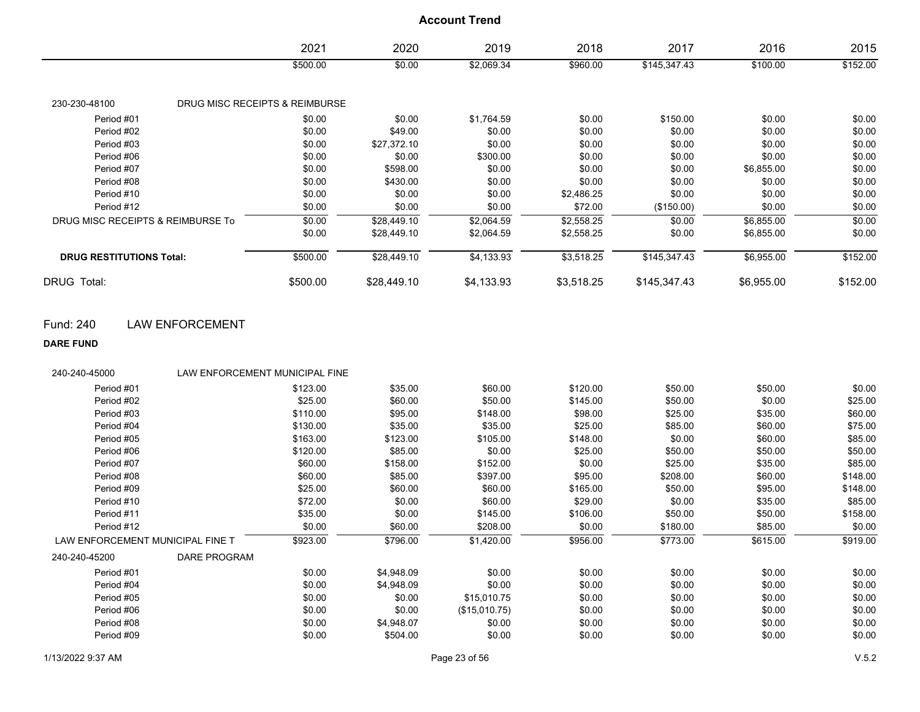|                                   | 2021                           | 2020        | 2019       | 2018       | 2017         | 2016       | 2015     |
|-----------------------------------|--------------------------------|-------------|------------|------------|--------------|------------|----------|
|                                   | \$500.00                       | \$0.00      | \$2,069.34 | \$960.00   | \$145,347.43 | \$100.00   | \$152.00 |
| 230-230-48100                     | DRUG MISC RECEIPTS & REIMBURSE |             |            |            |              |            |          |
| Period #01                        | \$0.00                         | \$0.00      | \$1,764.59 | \$0.00     | \$150.00     | \$0.00     | \$0.00   |
| Period #02                        | \$0.00                         | \$49.00     | \$0.00     | \$0.00     | \$0.00       | \$0.00     | \$0.00   |
| Period #03                        | \$0.00                         | \$27,372.10 | \$0.00     | \$0.00     | \$0.00       | \$0.00     | \$0.00   |
| Period #06                        | \$0.00                         | \$0.00      | \$300.00   | \$0.00     | \$0.00       | \$0.00     | \$0.00   |
| Period #07                        | \$0.00                         | \$598.00    | \$0.00     | \$0.00     | \$0.00       | \$6,855.00 | \$0.00   |
| Period #08                        | \$0.00                         | \$430.00    | \$0.00     | \$0.00     | \$0.00       | \$0.00     | \$0.00   |
| Period #10                        | \$0.00                         | \$0.00      | \$0.00     | \$2,486.25 | \$0.00       | \$0.00     | \$0.00   |
| Period #12                        | \$0.00                         | \$0.00      | \$0.00     | \$72.00    | (\$150.00)   | \$0.00     | \$0.00   |
| DRUG MISC RECEIPTS & REIMBURSE To | \$0.00                         | \$28,449.10 | \$2,064.59 | \$2,558.25 | \$0.00       | \$6,855.00 | \$0.00   |
|                                   | \$0.00                         | \$28,449.10 | \$2,064.59 | \$2,558.25 | \$0.00       | \$6,855.00 | \$0.00   |
| <b>DRUG RESTITUTIONS Total:</b>   | \$500.00                       | \$28,449.10 | \$4,133.93 | \$3,518.25 | \$145,347.43 | \$6,955.00 | \$152.00 |
| DRUG Total:                       | \$500.00                       | \$28,449.10 | \$4,133.93 | \$3,518.25 | \$145,347.43 | \$6,955.00 | \$152.00 |

Fund: 240 LAW ENFORCEMENT

**DARE FUND**

| 240-240-45000                    | LAW ENFORCEMENT MUNICIPAL FINE |          |            |               |          |          |          |          |
|----------------------------------|--------------------------------|----------|------------|---------------|----------|----------|----------|----------|
| Period #01                       |                                | \$123.00 | \$35.00    | \$60.00       | \$120.00 | \$50.00  | \$50.00  | \$0.00   |
| Period #02                       |                                | \$25.00  | \$60.00    | \$50.00       | \$145.00 | \$50.00  | \$0.00   | \$25.00  |
| Period #03                       |                                | \$110.00 | \$95.00    | \$148.00      | \$98.00  | \$25.00  | \$35.00  | \$60.00  |
| Period #04                       |                                | \$130.00 | \$35.00    | \$35.00       | \$25.00  | \$85.00  | \$60.00  | \$75.00  |
| Period #05                       |                                | \$163.00 | \$123.00   | \$105.00      | \$148.00 | \$0.00   | \$60.00  | \$85.00  |
| Period #06                       |                                | \$120.00 | \$85.00    | \$0.00        | \$25.00  | \$50.00  | \$50.00  | \$50.00  |
| Period #07                       |                                | \$60.00  | \$158.00   | \$152.00      | \$0.00   | \$25.00  | \$35.00  | \$85.00  |
| Period #08                       |                                | \$60.00  | \$85.00    | \$397.00      | \$95.00  | \$208.00 | \$60.00  | \$148.00 |
| Period #09                       |                                | \$25.00  | \$60.00    | \$60.00       | \$165.00 | \$50.00  | \$95.00  | \$148.00 |
| Period #10                       |                                | \$72.00  | \$0.00     | \$60.00       | \$29.00  | \$0.00   | \$35.00  | \$85.00  |
| Period #11                       |                                | \$35.00  | \$0.00     | \$145.00      | \$106.00 | \$50.00  | \$50.00  | \$158.00 |
| Period #12                       |                                | \$0.00   | \$60.00    | \$208.00      | \$0.00   | \$180.00 | \$85.00  | \$0.00   |
| LAW ENFORCEMENT MUNICIPAL FINE T |                                | \$923.00 | \$796.00   | \$1,420.00    | \$956.00 | \$773.00 | \$615.00 | \$919.00 |
| 240-240-45200                    | DARE PROGRAM                   |          |            |               |          |          |          |          |
| Period #01                       |                                | \$0.00   | \$4,948.09 | \$0.00        | \$0.00   | \$0.00   | \$0.00   | \$0.00   |
| Period #04                       |                                | \$0.00   | \$4,948.09 | \$0.00        | \$0.00   | \$0.00   | \$0.00   | \$0.00   |
| Period #05                       |                                | \$0.00   | \$0.00     | \$15,010.75   | \$0.00   | \$0.00   | \$0.00   | \$0.00   |
| Period #06                       |                                | \$0.00   | \$0.00     | (\$15,010.75) | \$0.00   | \$0.00   | \$0.00   | \$0.00   |
| Period #08                       |                                | \$0.00   | \$4,948.07 | \$0.00        | \$0.00   | \$0.00   | \$0.00   | \$0.00   |
| Period #09                       |                                | \$0.00   | \$504.00   | \$0.00        | \$0.00   | \$0.00   | \$0.00   | \$0.00   |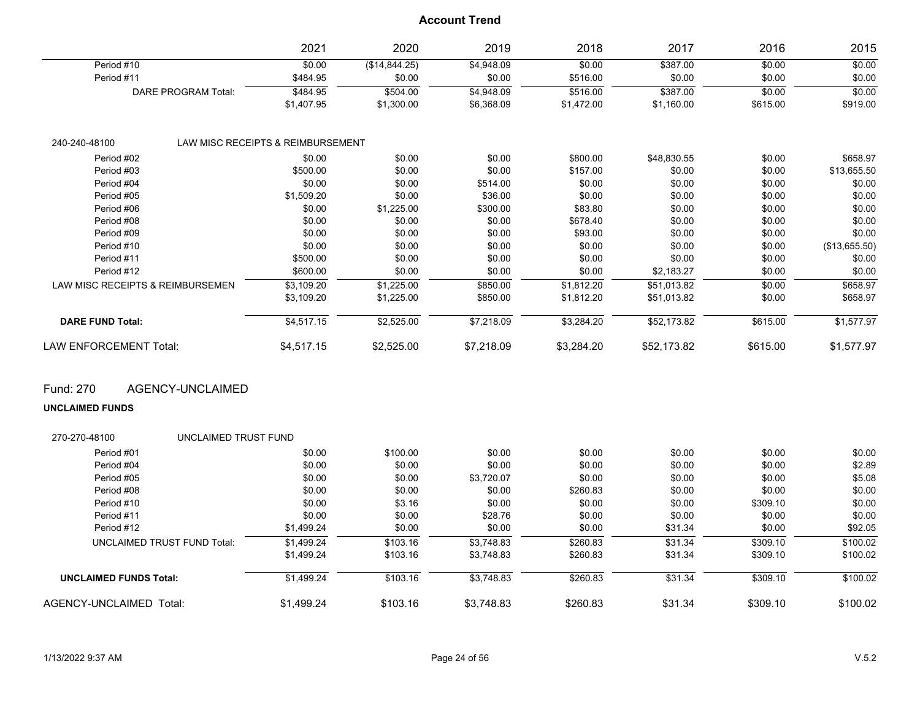|                                  | 2021                              | 2020          | 2019       | 2018       | 2017        | 2016     | 2015          |
|----------------------------------|-----------------------------------|---------------|------------|------------|-------------|----------|---------------|
| Period #10                       | \$0.00                            | (\$14,844.25) | \$4,948.09 | \$0.00     | \$387.00    | \$0.00   | \$0.00        |
| Period #11                       | \$484.95                          | \$0.00        | \$0.00     | \$516.00   | \$0.00      | \$0.00   | \$0.00        |
| DARE PROGRAM Total:              | \$484.95                          | \$504.00      | \$4,948.09 | \$516.00   | \$387.00    | \$0.00   | \$0.00        |
|                                  | \$1,407.95                        | \$1,300.00    | \$6,368.09 | \$1,472.00 | \$1,160.00  | \$615.00 | \$919.00      |
| 240-240-48100                    | LAW MISC RECEIPTS & REIMBURSEMENT |               |            |            |             |          |               |
| Period #02                       | \$0.00                            | \$0.00        | \$0.00     | \$800.00   | \$48,830.55 | \$0.00   | \$658.97      |
| Period #03                       | \$500.00                          | \$0.00        | \$0.00     | \$157.00   | \$0.00      | \$0.00   | \$13,655.50   |
| Period #04                       | \$0.00                            | \$0.00        | \$514.00   | \$0.00     | \$0.00      | \$0.00   | \$0.00        |
| Period #05                       | \$1,509.20                        | \$0.00        | \$36.00    | \$0.00     | \$0.00      | \$0.00   | \$0.00        |
| Period #06                       | \$0.00                            | \$1,225.00    | \$300.00   | \$83.80    | \$0.00      | \$0.00   | \$0.00        |
| Period #08                       | \$0.00                            | \$0.00        | \$0.00     | \$678.40   | \$0.00      | \$0.00   | \$0.00        |
| Period #09                       | \$0.00                            | \$0.00        | \$0.00     | \$93.00    | \$0.00      | \$0.00   | \$0.00        |
| Period #10                       | \$0.00                            | \$0.00        | \$0.00     | \$0.00     | \$0.00      | \$0.00   | (\$13,655.50) |
| Period #11                       | \$500.00                          | \$0.00        | \$0.00     | \$0.00     | \$0.00      | \$0.00   | \$0.00        |
| Period #12                       | \$600.00                          | \$0.00        | \$0.00     | \$0.00     | \$2,183.27  | \$0.00   | \$0.00        |
| LAW MISC RECEIPTS & REIMBURSEMEN | \$3,109.20                        | \$1,225.00    | \$850.00   | \$1,812.20 | \$51,013.82 | \$0.00   | \$658.97      |
|                                  | \$3,109.20                        | \$1,225.00    | \$850.00   | \$1,812.20 | \$51,013.82 | \$0.00   | \$658.97      |
| <b>DARE FUND Total:</b>          | \$4,517.15                        | \$2,525.00    | \$7,218.09 | \$3,284.20 | \$52,173.82 | \$615.00 | \$1,577.97    |
| <b>LAW ENFORCEMENT Total:</b>    | \$4,517.15                        | \$2,525.00    | \$7,218.09 | \$3,284.20 | \$52,173.82 | \$615.00 | \$1,577.97    |

Fund: 270 AGENCY-UNCLAIMED

**UNCLAIMED FUNDS**

| 270-270-48100                      | UNCLAIMED TRUST FUND |            |          |            |          |         |          |          |
|------------------------------------|----------------------|------------|----------|------------|----------|---------|----------|----------|
| Period #01                         |                      | \$0.00     | \$100.00 | \$0.00     | \$0.00   | \$0.00  | \$0.00   | \$0.00   |
| Period #04                         |                      | \$0.00     | \$0.00   | \$0.00     | \$0.00   | \$0.00  | \$0.00   | \$2.89   |
| Period #05                         |                      | \$0.00     | \$0.00   | \$3,720.07 | \$0.00   | \$0.00  | \$0.00   | \$5.08   |
| Period #08                         |                      | \$0.00     | \$0.00   | \$0.00     | \$260.83 | \$0.00  | \$0.00   | \$0.00   |
| Period #10                         |                      | \$0.00     | \$3.16   | \$0.00     | \$0.00   | \$0.00  | \$309.10 | \$0.00   |
| Period #11                         |                      | \$0.00     | \$0.00   | \$28.76    | \$0.00   | \$0.00  | \$0.00   | \$0.00   |
| Period #12                         |                      | \$1,499.24 | \$0.00   | \$0.00     | \$0.00   | \$31.34 | \$0.00   | \$92.05  |
| <b>UNCLAIMED TRUST FUND Total:</b> |                      | \$1.499.24 | \$103.16 | \$3.748.83 | \$260.83 | \$31.34 | \$309.10 | \$100.02 |
|                                    |                      | \$1,499.24 | \$103.16 | \$3,748.83 | \$260.83 | \$31.34 | \$309.10 | \$100.02 |
| <b>UNCLAIMED FUNDS Total:</b>      |                      | \$1,499.24 | \$103.16 | \$3,748.83 | \$260.83 | \$31.34 | \$309.10 | \$100.02 |
| AGENCY-UNCLAIMED<br>Total:         |                      | \$1.499.24 | \$103.16 | \$3.748.83 | \$260.83 | \$31.34 | \$309.10 | \$100.02 |
|                                    |                      |            |          |            |          |         |          |          |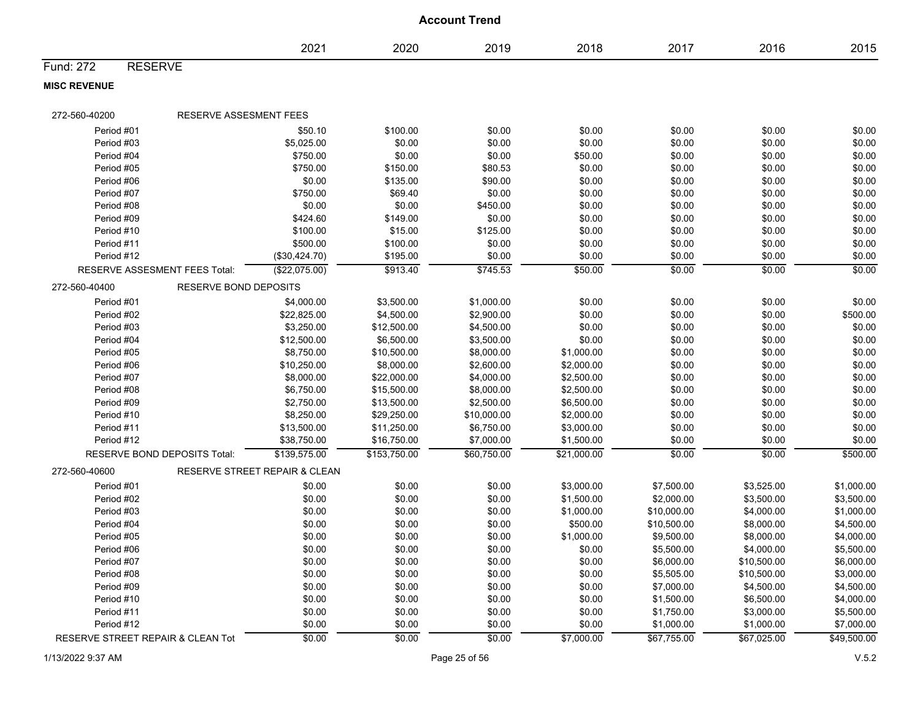|                                   |                                          |              | <b>Account Trend</b> |             |             |             |             |
|-----------------------------------|------------------------------------------|--------------|----------------------|-------------|-------------|-------------|-------------|
|                                   | 2021                                     | 2020         | 2019                 | 2018        | 2017        | 2016        | 2015        |
| <b>RESERVE</b><br>Fund: 272       |                                          |              |                      |             |             |             |             |
| <b>MISC REVENUE</b>               |                                          |              |                      |             |             |             |             |
| 272-560-40200                     | RESERVE ASSESMENT FEES                   |              |                      |             |             |             |             |
| Period #01                        | \$50.10                                  | \$100.00     | \$0.00               | \$0.00      | \$0.00      | \$0.00      | \$0.00      |
| Period #03                        | \$5,025.00                               | \$0.00       | \$0.00               | \$0.00      | \$0.00      | \$0.00      | \$0.00      |
| Period #04                        | \$750.00                                 | \$0.00       | \$0.00               | \$50.00     | \$0.00      | \$0.00      | \$0.00      |
| Period #05                        | \$750.00                                 | \$150.00     | \$80.53              | \$0.00      | \$0.00      | \$0.00      | \$0.00      |
| Period #06                        | \$0.00                                   | \$135.00     | \$90.00              | \$0.00      | \$0.00      | \$0.00      | \$0.00      |
| Period #07                        | \$750.00                                 | \$69.40      | \$0.00               | \$0.00      | \$0.00      | \$0.00      | \$0.00      |
| Period #08                        | \$0.00                                   | \$0.00       | \$450.00             | \$0.00      | \$0.00      | \$0.00      | \$0.00      |
| Period #09                        | \$424.60                                 | \$149.00     | \$0.00               | \$0.00      | \$0.00      | \$0.00      | \$0.00      |
| Period #10                        | \$100.00                                 | \$15.00      | \$125.00             | \$0.00      | \$0.00      | \$0.00      | \$0.00      |
| Period #11                        | \$500.00                                 | \$100.00     | \$0.00               | \$0.00      | \$0.00      | \$0.00      | \$0.00      |
| Period #12                        | (\$30,424.70)                            | \$195.00     | \$0.00               | \$0.00      | \$0.00      | \$0.00      | \$0.00      |
| RESERVE ASSESMENT FEES Total:     | (\$22,075.00)                            | \$913.40     | \$745.53             | \$50.00     | \$0.00      | \$0.00      | \$0.00      |
| 272-560-40400                     | <b>RESERVE BOND DEPOSITS</b>             |              |                      |             |             |             |             |
| Period #01                        | \$4,000.00                               | \$3,500.00   | \$1,000.00           | \$0.00      | \$0.00      | \$0.00      | \$0.00      |
| Period #02                        | \$22,825.00                              | \$4,500.00   | \$2,900.00           | \$0.00      | \$0.00      | \$0.00      | \$500.00    |
| Period #03                        | \$3,250.00                               | \$12,500.00  | \$4,500.00           | \$0.00      | \$0.00      | \$0.00      | \$0.00      |
| Period #04                        | \$12,500.00                              | \$6,500.00   | \$3,500.00           | \$0.00      | \$0.00      | \$0.00      | \$0.00      |
| Period #05                        | \$8,750.00                               | \$10,500.00  | \$8,000.00           | \$1,000.00  | \$0.00      | \$0.00      | \$0.00      |
| Period #06                        | \$10,250.00                              | \$8,000.00   | \$2,600.00           | \$2,000.00  | \$0.00      | \$0.00      | \$0.00      |
| Period #07                        | \$8,000.00                               | \$22,000.00  | \$4,000.00           | \$2,500.00  | \$0.00      | \$0.00      | \$0.00      |
| Period #08                        | \$6,750.00                               | \$15,500.00  | \$8,000.00           | \$2,500.00  | \$0.00      | \$0.00      | \$0.00      |
| Period #09                        | \$2,750.00                               | \$13,500.00  | \$2,500.00           | \$6,500.00  | \$0.00      | \$0.00      | \$0.00      |
| Period #10                        | \$8,250.00                               | \$29,250.00  | \$10,000.00          | \$2,000.00  | \$0.00      | \$0.00      | \$0.00      |
| Period #11                        | \$13,500.00                              | \$11,250.00  | \$6,750.00           | \$3,000.00  | \$0.00      | \$0.00      | \$0.00      |
| Period #12                        | \$38,750.00                              | \$16,750.00  | \$7,000.00           | \$1,500.00  | \$0.00      | \$0.00      | \$0.00      |
| RESERVE BOND DEPOSITS Total:      | \$139,575.00                             | \$153,750.00 | \$60,750.00          | \$21,000.00 | \$0.00      | \$0.00      | \$500.00    |
| 272-560-40600                     | <b>RESERVE STREET REPAIR &amp; CLEAN</b> |              |                      |             |             |             |             |
| Period #01                        | \$0.00                                   | \$0.00       | \$0.00               | \$3,000.00  | \$7,500.00  | \$3,525.00  | \$1,000.00  |
| Period #02                        | \$0.00                                   | \$0.00       | \$0.00               | \$1,500.00  | \$2,000.00  | \$3,500.00  | \$3,500.00  |
| Period #03                        | \$0.00                                   | \$0.00       | \$0.00               | \$1,000.00  | \$10,000.00 | \$4,000.00  | \$1,000.00  |
| Period #04                        | \$0.00                                   | \$0.00       | \$0.00               | \$500.00    | \$10,500.00 | \$8,000.00  | \$4,500.00  |
| Period #05                        | \$0.00                                   | \$0.00       | \$0.00               | \$1,000.00  | \$9,500.00  | \$8,000.00  | \$4,000.00  |
| Period #06                        | \$0.00                                   | \$0.00       | \$0.00               | \$0.00      | \$5,500.00  | \$4,000.00  | \$5,500.00  |
| Period #07                        | \$0.00                                   | \$0.00       | \$0.00               | \$0.00      | \$6,000.00  | \$10,500.00 | \$6,000.00  |
| Period #08                        | \$0.00                                   | \$0.00       | \$0.00               | \$0.00      | \$5,505.00  | \$10,500.00 | \$3,000.00  |
| Period #09                        | \$0.00                                   | \$0.00       | \$0.00               | \$0.00      | \$7,000.00  | \$4,500.00  | \$4,500.00  |
| Period #10                        | \$0.00                                   | \$0.00       | \$0.00               | \$0.00      | \$1,500.00  | \$6,500.00  | \$4,000.00  |
| Period #11                        | \$0.00                                   | \$0.00       | \$0.00               | \$0.00      | \$1,750.00  | \$3,000.00  | \$5,500.00  |
| Period #12                        | \$0.00                                   | \$0.00       | \$0.00               | \$0.00      | \$1,000.00  | \$1,000.00  | \$7,000.00  |
| RESERVE STREET REPAIR & CLEAN Tot | \$0.00                                   | \$0.00       | \$0.00               | \$7,000.00  | \$67,755.00 | \$67,025.00 | \$49,500.00 |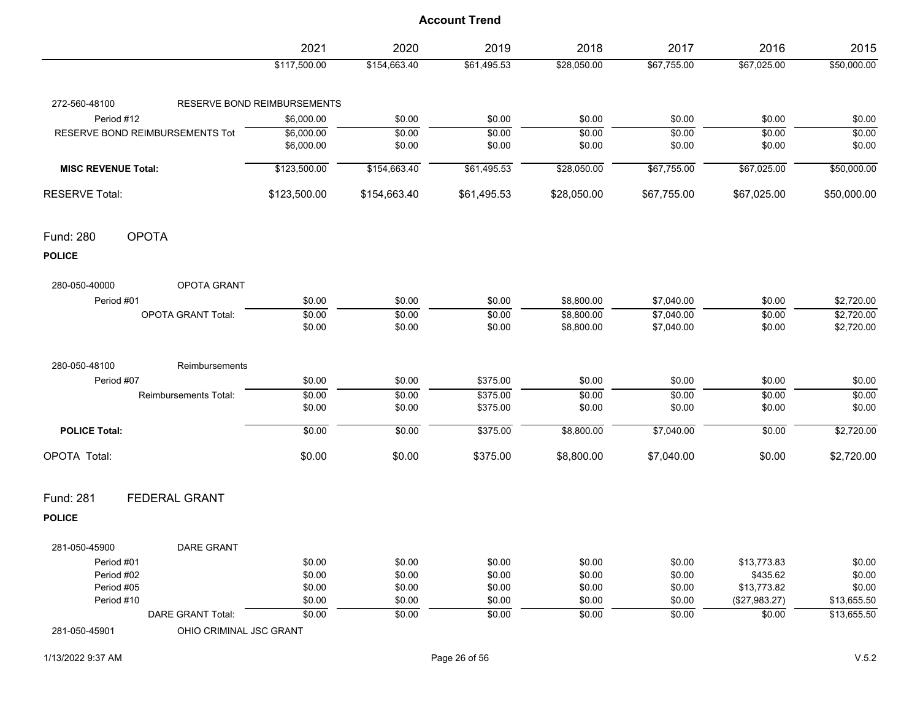|                                          | 2021                        | 2020         | 2019        | 2018        | 2017                     | 2016          | 2015        |
|------------------------------------------|-----------------------------|--------------|-------------|-------------|--------------------------|---------------|-------------|
|                                          | \$117,500.00                | \$154,663.40 | \$61,495.53 | \$28,050.00 | \$67,755.00              | \$67,025.00   | \$50,000.00 |
| 272-560-48100                            | RESERVE BOND REIMBURSEMENTS |              |             |             |                          |               |             |
| Period #12                               | \$6,000.00                  | \$0.00       | \$0.00      | \$0.00      | \$0.00                   | \$0.00        | \$0.00      |
| <b>RESERVE BOND REIMBURSEMENTS Tot</b>   | \$6,000.00                  | \$0.00       | \$0.00      | \$0.00      | \$0.00                   | \$0.00        | \$0.00      |
|                                          | \$6,000.00                  | \$0.00       | \$0.00      | \$0.00      | \$0.00                   | \$0.00        | \$0.00      |
| <b>MISC REVENUE Total:</b>               | \$123,500.00                | \$154,663.40 | \$61,495.53 | \$28,050.00 | \$67,755.00              | \$67,025.00   | \$50,000.00 |
| <b>RESERVE Total:</b>                    | \$123,500.00                | \$154,663.40 | \$61,495.53 | \$28,050.00 | \$67,755.00              | \$67,025.00   | \$50,000.00 |
| <b>OPOTA</b><br>Fund: 280                |                             |              |             |             |                          |               |             |
| <b>POLICE</b>                            |                             |              |             |             |                          |               |             |
| 280-050-40000<br>OPOTA GRANT             |                             |              |             |             |                          |               |             |
| Period #01                               | \$0.00                      | \$0.00       | \$0.00      | \$8,800.00  | \$7,040.00               | \$0.00        | \$2,720.00  |
| <b>OPOTA GRANT Total:</b>                | \$0.00                      | \$0.00       | \$0.00      | \$8,800.00  | $\frac{1}{1}$ \$7,040.00 | \$0.00        | \$2,720.00  |
|                                          | \$0.00                      | \$0.00       | \$0.00      | \$8,800.00  | \$7,040.00               | \$0.00        | \$2,720.00  |
| 280-050-48100<br>Reimbursements          |                             |              |             |             |                          |               |             |
| Period #07                               | \$0.00                      | \$0.00       | \$375.00    | \$0.00      | \$0.00                   | \$0.00        | \$0.00      |
| Reimbursements Total:                    | \$0.00                      | \$0.00       | \$375.00    | \$0.00      | \$0.00                   | \$0.00        | \$0.00      |
|                                          | \$0.00                      | \$0.00       | \$375.00    | \$0.00      | \$0.00                   | \$0.00        | \$0.00      |
| <b>POLICE Total:</b>                     | \$0.00                      | \$0.00       | \$375.00    | \$8,800.00  | \$7,040.00               | \$0.00        | \$2,720.00  |
| OPOTA Total:                             | \$0.00                      | \$0.00       | \$375.00    | \$8,800.00  | \$7,040.00               | \$0.00        | \$2,720.00  |
| Fund: 281<br><b>FEDERAL GRANT</b>        |                             |              |             |             |                          |               |             |
| <b>POLICE</b>                            |                             |              |             |             |                          |               |             |
| 281-050-45900<br>DARE GRANT              |                             |              |             |             |                          |               |             |
| Period #01                               | \$0.00                      | \$0.00       | \$0.00      | \$0.00      | \$0.00                   | \$13,773.83   | \$0.00      |
| Period #02                               | \$0.00                      | \$0.00       | \$0.00      | \$0.00      | \$0.00                   | \$435.62      | \$0.00      |
| Period #05                               | \$0.00                      | \$0.00       | \$0.00      | \$0.00      | \$0.00                   | \$13,773.82   | \$0.00      |
| Period #10                               | \$0.00                      | \$0.00       | \$0.00      | \$0.00      | \$0.00                   | (\$27,983.27) | \$13,655.50 |
| <b>DARE GRANT Total:</b>                 | \$0.00                      | \$0.00       | \$0.00      | \$0.00      | \$0.00                   | \$0.00        | \$13,655.50 |
| OHIO CRIMINAL JSC GRANT<br>281-050-45901 |                             |              |             |             |                          |               |             |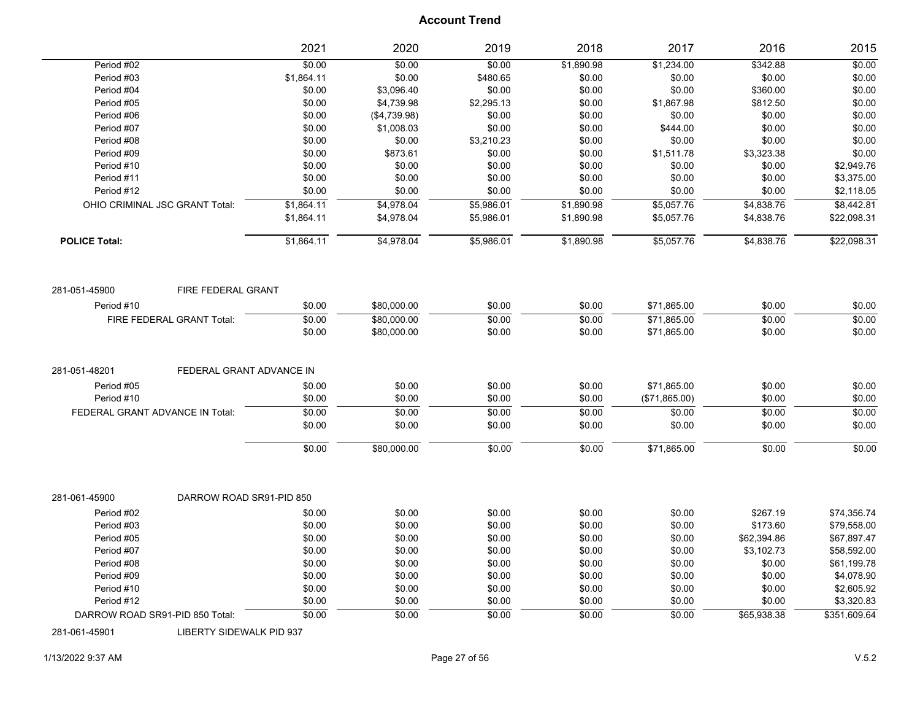|                      |                                 | 2021       | 2020         | 2019       | 2018              | 2017          | 2016        | 2015         |
|----------------------|---------------------------------|------------|--------------|------------|-------------------|---------------|-------------|--------------|
| Period #02           |                                 | \$0.00     | \$0.00       | \$0.00     | \$1,890.98        | \$1,234.00    | \$342.88    | \$0.00       |
| Period #03           |                                 | \$1,864.11 | \$0.00       | \$480.65   | \$0.00            | \$0.00        | \$0.00      | \$0.00       |
| Period #04           |                                 | \$0.00     | \$3,096.40   | \$0.00     | \$0.00            | \$0.00        | \$360.00    | \$0.00       |
| Period #05           |                                 | \$0.00     | \$4,739.98   | \$2,295.13 | \$0.00            | \$1,867.98    | \$812.50    | \$0.00       |
| Period #06           |                                 | \$0.00     | (\$4,739.98) | \$0.00     | \$0.00            | \$0.00        | \$0.00      | \$0.00       |
| Period #07           |                                 | \$0.00     | \$1,008.03   | \$0.00     | \$0.00            | \$444.00      | \$0.00      | \$0.00       |
| Period #08           |                                 | \$0.00     | \$0.00       | \$3,210.23 | \$0.00            | \$0.00        | \$0.00      | \$0.00       |
| Period #09           |                                 | \$0.00     | \$873.61     | \$0.00     | \$0.00            | \$1,511.78    | \$3,323.38  | \$0.00       |
| Period #10           |                                 | \$0.00     | \$0.00       | \$0.00     | \$0.00            | \$0.00        | \$0.00      | \$2,949.76   |
| Period #11           |                                 | \$0.00     | \$0.00       | \$0.00     | \$0.00            | \$0.00        | \$0.00      | \$3,375.00   |
| Period #12           |                                 | \$0.00     | \$0.00       | \$0.00     | \$0.00            | \$0.00        | \$0.00      | \$2,118.05   |
|                      | OHIO CRIMINAL JSC GRANT Total:  | \$1,864.11 | \$4,978.04   | \$5,986.01 | \$1,890.98        | \$5,057.76    | \$4,838.76  | \$8,442.81   |
|                      |                                 | \$1,864.11 | \$4,978.04   | \$5,986.01 | \$1,890.98        | \$5,057.76    | \$4,838.76  | \$22,098.31  |
| <b>POLICE Total:</b> |                                 | \$1,864.11 | \$4,978.04   | \$5,986.01 | \$1,890.98        | \$5,057.76    | \$4,838.76  | \$22,098.31  |
| 281-051-45900        | FIRE FEDERAL GRANT              |            |              |            |                   |               |             |              |
| Period #10           |                                 | \$0.00     | \$80,000.00  | \$0.00     | \$0.00            | \$71,865.00   | \$0.00      | \$0.00       |
|                      | FIRE FEDERAL GRANT Total:       | \$0.00     | \$80,000.00  | \$0.00     | \$0.00            | \$71,865.00   | \$0.00      | \$0.00       |
|                      |                                 | \$0.00     | \$80,000.00  | \$0.00     | \$0.00            | \$71,865.00   | \$0.00      | \$0.00       |
|                      |                                 |            |              |            |                   |               |             |              |
| 281-051-48201        | FEDERAL GRANT ADVANCE IN        |            |              |            |                   |               |             |              |
| Period #05           |                                 | \$0.00     | \$0.00       | \$0.00     | \$0.00            | \$71,865.00   | \$0.00      | \$0.00       |
| Period #10           |                                 | \$0.00     | \$0.00       | \$0.00     | \$0.00            | (\$71,865.00) | \$0.00      | \$0.00       |
|                      | FEDERAL GRANT ADVANCE IN Total: | \$0.00     | \$0.00       | \$0.00     | \$0.00            | \$0.00        | \$0.00      | \$0.00       |
|                      |                                 | \$0.00     | \$0.00       | \$0.00     | \$0.00            | \$0.00        | \$0.00      | \$0.00       |
|                      |                                 | \$0.00     | \$80,000.00  | \$0.00     | $\frac{1}{60.00}$ | \$71,865.00   | \$0.00      | \$0.00       |
| 281-061-45900        | DARROW ROAD SR91-PID 850        |            |              |            |                   |               |             |              |
| Period #02           |                                 | \$0.00     | \$0.00       | \$0.00     | \$0.00            | \$0.00        | \$267.19    | \$74,356.74  |
| Period #03           |                                 | \$0.00     | \$0.00       | \$0.00     | \$0.00            | \$0.00        | \$173.60    | \$79,558.00  |
| Period #05           |                                 | \$0.00     | \$0.00       | \$0.00     | \$0.00            | \$0.00        | \$62,394.86 | \$67,897.47  |
| Period #07           |                                 | \$0.00     | \$0.00       | \$0.00     | \$0.00            | \$0.00        | \$3,102.73  | \$58,592.00  |
| Period #08           |                                 | \$0.00     | \$0.00       | \$0.00     | \$0.00            | \$0.00        | \$0.00      | \$61,199.78  |
| Period #09           |                                 | \$0.00     | \$0.00       | \$0.00     | \$0.00            | \$0.00        | \$0.00      | \$4,078.90   |
| Period #10           |                                 | \$0.00     | \$0.00       | \$0.00     | \$0.00            | \$0.00        | \$0.00      | \$2,605.92   |
| Period #12           |                                 | \$0.00     | \$0.00       | \$0.00     | \$0.00            | \$0.00        | \$0.00      | \$3,320.83   |
|                      | DARROW ROAD SR91-PID 850 Total: | \$0.00     | \$0.00       | \$0.00     | \$0.00            | \$0.00        | \$65,938.38 | \$351,609.64 |

281-061-45901 LIBERTY SIDEWALK PID 937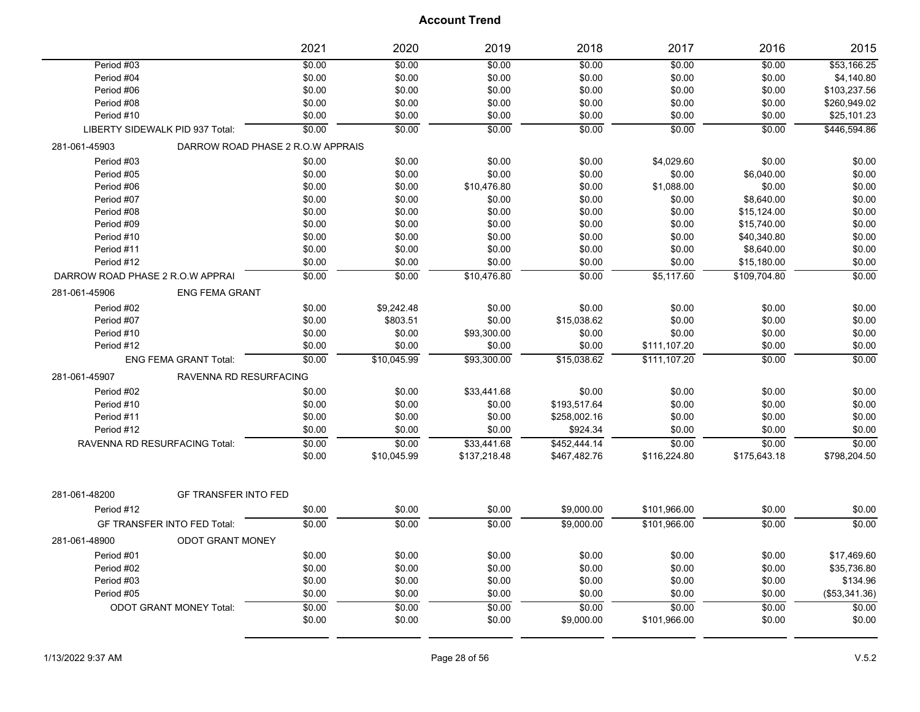|                                  |                                    | 2021   | 2020        | 2019         | 2018         | 2017         | 2016         | 2015          |
|----------------------------------|------------------------------------|--------|-------------|--------------|--------------|--------------|--------------|---------------|
| Period #03                       |                                    | \$0.00 | \$0.00      | \$0.00       | \$0.00       | \$0.00       | \$0.00       | \$53,166.25   |
| Period #04                       |                                    | \$0.00 | \$0.00      | \$0.00       | \$0.00       | \$0.00       | \$0.00       | \$4,140.80    |
| Period #06                       |                                    | \$0.00 | \$0.00      | \$0.00       | \$0.00       | \$0.00       | \$0.00       | \$103,237.56  |
| Period #08                       |                                    | \$0.00 | \$0.00      | \$0.00       | \$0.00       | \$0.00       | \$0.00       | \$260,949.02  |
| Period #10                       |                                    | \$0.00 | \$0.00      | \$0.00       | \$0.00       | \$0.00       | \$0.00       | \$25,101.23   |
|                                  | LIBERTY SIDEWALK PID 937 Total:    | \$0.00 | \$0.00      | \$0.00       | \$0.00       | \$0.00       | \$0.00       | \$446,594.86  |
| 281-061-45903                    | DARROW ROAD PHASE 2 R.O.W APPRAIS  |        |             |              |              |              |              |               |
| Period #03                       |                                    | \$0.00 | \$0.00      | \$0.00       | \$0.00       | \$4,029.60   | \$0.00       | \$0.00        |
| Period #05                       |                                    | \$0.00 | \$0.00      | \$0.00       | \$0.00       | \$0.00       | \$6,040.00   | \$0.00        |
| Period #06                       |                                    | \$0.00 | \$0.00      | \$10,476.80  | \$0.00       | \$1,088.00   | \$0.00       | \$0.00        |
| Period #07                       |                                    | \$0.00 | \$0.00      | \$0.00       | \$0.00       | \$0.00       | \$8,640.00   | \$0.00        |
| Period #08                       |                                    | \$0.00 | \$0.00      | \$0.00       | \$0.00       | \$0.00       | \$15,124.00  | \$0.00        |
| Period #09                       |                                    | \$0.00 | \$0.00      | \$0.00       | \$0.00       | \$0.00       | \$15,740.00  | \$0.00        |
| Period #10                       |                                    | \$0.00 | \$0.00      | \$0.00       | \$0.00       | \$0.00       | \$40,340.80  | \$0.00        |
| Period #11                       |                                    | \$0.00 | \$0.00      | \$0.00       | \$0.00       | \$0.00       | \$8,640.00   | \$0.00        |
| Period #12                       |                                    | \$0.00 | \$0.00      | \$0.00       | \$0.00       | \$0.00       | \$15,180.00  | \$0.00        |
| DARROW ROAD PHASE 2 R.O.W APPRAI |                                    | \$0.00 | \$0.00      | \$10,476.80  | \$0.00       | \$5,117.60   | \$109,704.80 | \$0.00        |
| 281-061-45906                    | <b>ENG FEMA GRANT</b>              |        |             |              |              |              |              |               |
| Period #02                       |                                    | \$0.00 | \$9,242.48  | \$0.00       | \$0.00       | \$0.00       | \$0.00       | \$0.00        |
| Period #07                       |                                    | \$0.00 | \$803.51    | \$0.00       | \$15,038.62  | \$0.00       | \$0.00       | \$0.00        |
| Period #10                       |                                    | \$0.00 | \$0.00      | \$93,300.00  | \$0.00       | \$0.00       | \$0.00       | \$0.00        |
| Period #12                       |                                    | \$0.00 | \$0.00      | \$0.00       | \$0.00       | \$111,107.20 | \$0.00       | \$0.00        |
|                                  | <b>ENG FEMA GRANT Total:</b>       | \$0.00 | \$10,045.99 | \$93,300.00  | \$15,038.62  | \$111,107.20 | \$0.00       | \$0.00        |
| 281-061-45907                    | RAVENNA RD RESURFACING             |        |             |              |              |              |              |               |
| Period #02                       |                                    | \$0.00 | \$0.00      | \$33,441.68  | \$0.00       | \$0.00       | \$0.00       | \$0.00        |
| Period #10                       |                                    | \$0.00 | \$0.00      | \$0.00       | \$193,517.64 | \$0.00       | \$0.00       | \$0.00        |
| Period #11                       |                                    | \$0.00 | \$0.00      | \$0.00       | \$258,002.16 | \$0.00       | \$0.00       | \$0.00        |
| Period #12                       |                                    | \$0.00 | \$0.00      | \$0.00       | \$924.34     | \$0.00       | \$0.00       | \$0.00        |
|                                  | RAVENNA RD RESURFACING Total:      | \$0.00 | \$0.00      | \$33,441.68  | \$452,444.14 | \$0.00       | \$0.00       | \$0.00        |
|                                  |                                    | \$0.00 | \$10,045.99 | \$137,218.48 | \$467,482.76 | \$116,224.80 | \$175,643.18 | \$798,204.50  |
|                                  |                                    |        |             |              |              |              |              |               |
| 281-061-48200                    | <b>GF TRANSFER INTO FED</b>        |        |             |              |              |              |              |               |
| Period #12                       |                                    | \$0.00 | \$0.00      | \$0.00       | \$9,000.00   | \$101,966.00 | \$0.00       | \$0.00        |
|                                  | <b>GF TRANSFER INTO FED Total:</b> | \$0.00 | \$0.00      | \$0.00       | \$9,000.00   | \$101.966.00 | \$0.00       | \$0.00        |
| 281-061-48900                    | <b>ODOT GRANT MONEY</b>            |        |             |              |              |              |              |               |
| Period #01                       |                                    | \$0.00 | \$0.00      | \$0.00       | \$0.00       | \$0.00       | \$0.00       | \$17,469.60   |
| Period #02                       |                                    | \$0.00 | \$0.00      | \$0.00       | \$0.00       | \$0.00       | \$0.00       | \$35,736.80   |
| Period #03                       |                                    | \$0.00 | \$0.00      | \$0.00       | \$0.00       | \$0.00       | \$0.00       | \$134.96      |
| Period #05                       |                                    | \$0.00 | \$0.00      | \$0.00       | \$0.00       | \$0.00       | \$0.00       | (\$53,341.36) |
|                                  | <b>ODOT GRANT MONEY Total:</b>     | \$0.00 | \$0.00      | \$0.00       | \$0.00       | \$0.00       | \$0.00       | \$0.00        |
|                                  |                                    | \$0.00 | \$0.00      | \$0.00       | \$9,000.00   | \$101,966.00 | \$0.00       | \$0.00        |
|                                  |                                    |        |             |              |              |              |              |               |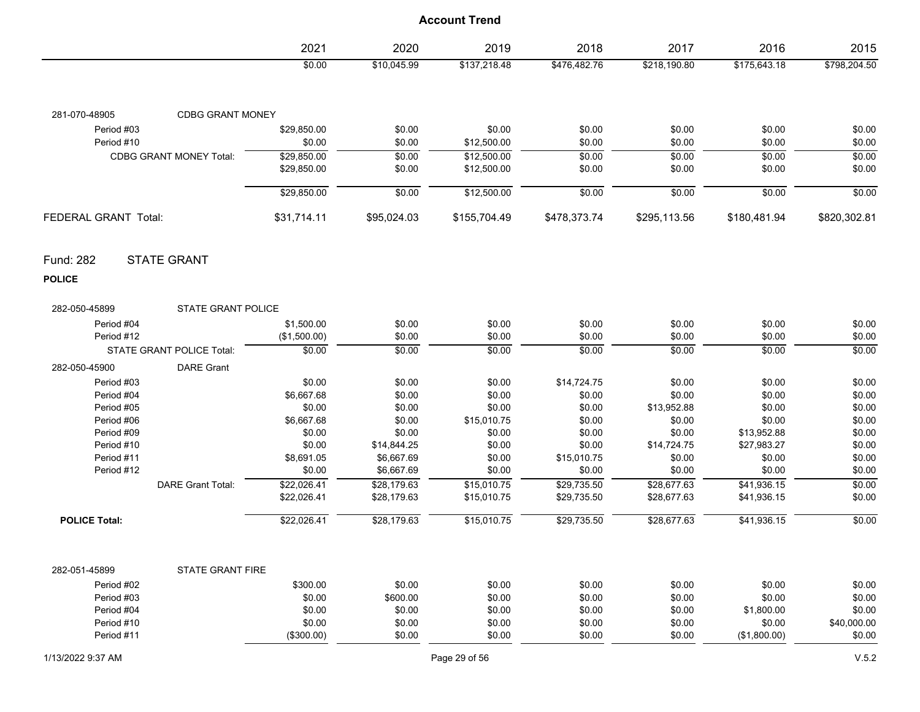|                                                  | 2021         | 2020        | 2019          | 2018         | 2017         | 2016         | 2015         |
|--------------------------------------------------|--------------|-------------|---------------|--------------|--------------|--------------|--------------|
|                                                  | \$0.00       | \$10,045.99 | \$137,218.48  | \$476,482.76 | \$218,190.80 | \$175,643.18 | \$798,204.50 |
| 281-070-48905<br><b>CDBG GRANT MONEY</b>         |              |             |               |              |              |              |              |
| Period #03                                       | \$29,850.00  | \$0.00      | \$0.00        | \$0.00       | \$0.00       | \$0.00       | \$0.00       |
| Period #10                                       | \$0.00       | \$0.00      | \$12,500.00   | \$0.00       | \$0.00       | \$0.00       | \$0.00       |
| <b>CDBG GRANT MONEY Total:</b>                   | \$29,850.00  | \$0.00      | \$12,500.00   | \$0.00       | \$0.00       | \$0.00       | \$0.00       |
|                                                  | \$29,850.00  | \$0.00      | \$12,500.00   | \$0.00       | \$0.00       | \$0.00       | \$0.00       |
|                                                  | \$29,850.00  | \$0.00      | \$12,500.00   | \$0.00       | \$0.00       | \$0.00       | \$0.00       |
| FEDERAL GRANT Total:                             | \$31,714.11  | \$95,024.03 | \$155,704.49  | \$478,373.74 | \$295,113.56 | \$180,481.94 | \$820,302.81 |
| <b>STATE GRANT</b><br>Fund: 282<br><b>POLICE</b> |              |             |               |              |              |              |              |
| <b>STATE GRANT POLICE</b><br>282-050-45899       |              |             |               |              |              |              |              |
| Period #04                                       | \$1,500.00   | \$0.00      | \$0.00        | \$0.00       | \$0.00       | \$0.00       | \$0.00       |
| Period #12                                       | (\$1,500.00) | \$0.00      | \$0.00        | \$0.00       | \$0.00       | \$0.00       | \$0.00       |
| <b>STATE GRANT POLICE Total:</b>                 | \$0.00       | \$0.00      | \$0.00        | \$0.00       | \$0.00       | \$0.00       | \$0.00       |
| <b>DARE Grant</b><br>282-050-45900               |              |             |               |              |              |              |              |
| Period #03                                       | \$0.00       | \$0.00      | \$0.00        | \$14,724.75  | \$0.00       | \$0.00       | \$0.00       |
| Period #04                                       | \$6,667.68   | \$0.00      | \$0.00        | \$0.00       | \$0.00       | \$0.00       | \$0.00       |
| Period #05                                       | \$0.00       | \$0.00      | \$0.00        | \$0.00       | \$13,952.88  | \$0.00       | \$0.00       |
| Period #06                                       | \$6,667.68   | \$0.00      | \$15,010.75   | \$0.00       | \$0.00       | \$0.00       | \$0.00       |
| Period #09                                       | \$0.00       | \$0.00      | \$0.00        | \$0.00       | \$0.00       | \$13,952.88  | \$0.00       |
| Period #10                                       | \$0.00       | \$14,844.25 | \$0.00        | \$0.00       | \$14,724.75  | \$27,983.27  | \$0.00       |
| Period #11                                       | \$8,691.05   | \$6,667.69  | \$0.00        | \$15,010.75  | \$0.00       | \$0.00       | \$0.00       |
| Period #12                                       | \$0.00       | \$6,667.69  | \$0.00        | \$0.00       | \$0.00       | \$0.00       | \$0.00       |
| <b>DARE Grant Total:</b>                         | \$22,026.41  | \$28,179.63 | \$15,010.75   | \$29,735.50  | \$28,677.63  | \$41,936.15  | \$0.00       |
|                                                  | \$22,026.41  | \$28,179.63 | \$15,010.75   | \$29,735.50  | \$28,677.63  | \$41,936.15  | \$0.00       |
| <b>POLICE Total:</b>                             | \$22,026.41  | \$28,179.63 | \$15,010.75   | \$29,735.50  | \$28,677.63  | \$41,936.15  | \$0.00       |
|                                                  |              |             |               |              |              |              |              |
| 282-051-45899<br><b>STATE GRANT FIRE</b>         |              |             |               |              |              |              |              |
| Period #02                                       | \$300.00     | \$0.00      | \$0.00        | \$0.00       | \$0.00       | \$0.00       | \$0.00       |
| Period #03                                       | \$0.00       | \$600.00    | \$0.00        | \$0.00       | \$0.00       | \$0.00       | \$0.00       |
| Period #04                                       | \$0.00       | \$0.00      | \$0.00        | \$0.00       | \$0.00       | \$1,800.00   | \$0.00       |
| Period #10                                       | \$0.00       | \$0.00      | \$0.00        | \$0.00       | \$0.00       | \$0.00       | \$40,000.00  |
| Period #11                                       | (\$300.00)   | \$0.00      | \$0.00        | \$0.00       | \$0.00       | (\$1,800.00) | \$0.00       |
| 1/13/2022 9:37 AM                                |              |             | Page 29 of 56 |              |              |              | V.5.2        |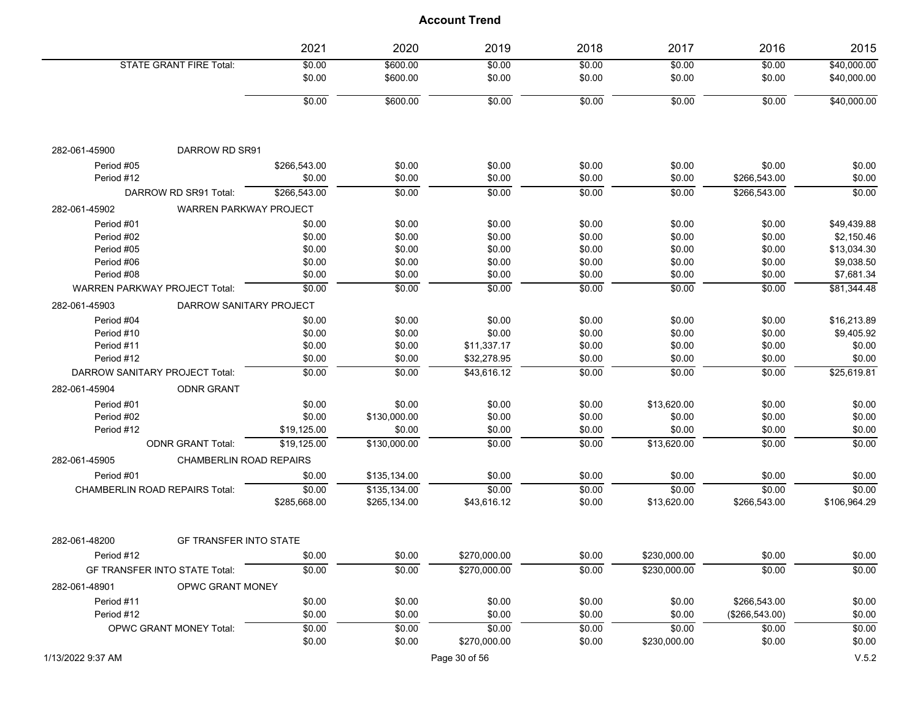|                                       |                                | 2021         | 2020         | 2019         | 2018   | 2017         | 2016           | 2015         |
|---------------------------------------|--------------------------------|--------------|--------------|--------------|--------|--------------|----------------|--------------|
|                                       | <b>STATE GRANT FIRE Total:</b> | \$0.00       | \$600.00     | \$0.00       | \$0.00 | \$0.00       | \$0.00         | \$40,000.00  |
|                                       |                                | \$0.00       | \$600.00     | \$0.00       | \$0.00 | \$0.00       | \$0.00         | \$40,000.00  |
|                                       |                                | \$0.00       | \$600.00     | \$0.00       | \$0.00 | \$0.00       | \$0.00         | \$40,000.00  |
|                                       |                                |              |              |              |        |              |                |              |
| 282-061-45900                         | DARROW RD SR91                 |              |              |              |        |              |                |              |
| Period #05                            |                                | \$266,543.00 | \$0.00       | \$0.00       | \$0.00 | \$0.00       | \$0.00         | \$0.00       |
| Period #12                            |                                | \$0.00       | \$0.00       | \$0.00       | \$0.00 | \$0.00       | \$266,543.00   | \$0.00       |
|                                       | DARROW RD SR91 Total:          | \$266.543.00 | \$0.00       | \$0.00       | \$0.00 | \$0.00       | \$266,543.00   | \$0.00       |
| 282-061-45902                         | WARREN PARKWAY PROJECT         |              |              |              |        |              |                |              |
| Period #01                            |                                | \$0.00       | \$0.00       | \$0.00       | \$0.00 | \$0.00       | \$0.00         | \$49,439.88  |
| Period #02                            |                                | \$0.00       | \$0.00       | \$0.00       | \$0.00 | \$0.00       | \$0.00         | \$2,150.46   |
| Period #05                            |                                | \$0.00       | \$0.00       | \$0.00       | \$0.00 | \$0.00       | \$0.00         | \$13,034.30  |
| Period #06                            |                                | \$0.00       | \$0.00       | \$0.00       | \$0.00 | \$0.00       | \$0.00         | \$9,038.50   |
| Period #08                            |                                | \$0.00       | \$0.00       | \$0.00       | \$0.00 | \$0.00       | \$0.00         | \$7,681.34   |
| <b>WARREN PARKWAY PROJECT Total:</b>  |                                | \$0.00       | \$0.00       | \$0.00       | \$0.00 | \$0.00       | \$0.00         | \$81.344.48  |
| 282-061-45903                         | DARROW SANITARY PROJECT        |              |              |              |        |              |                |              |
| Period #04                            |                                | \$0.00       | \$0.00       | \$0.00       | \$0.00 | \$0.00       | \$0.00         | \$16,213.89  |
| Period #10                            |                                | \$0.00       | \$0.00       | \$0.00       | \$0.00 | \$0.00       | \$0.00         | \$9,405.92   |
| Period #11                            |                                | \$0.00       | \$0.00       | \$11,337.17  | \$0.00 | \$0.00       | \$0.00         | \$0.00       |
| Period #12                            |                                | \$0.00       | \$0.00       | \$32,278.95  | \$0.00 | \$0.00       | \$0.00         | \$0.00       |
| DARROW SANITARY PROJECT Total:        |                                | \$0.00       | \$0.00       | \$43,616.12  | \$0.00 | \$0.00       | \$0.00         | \$25,619.81  |
| 282-061-45904                         | <b>ODNR GRANT</b>              |              |              |              |        |              |                |              |
| Period #01                            |                                | \$0.00       | \$0.00       | \$0.00       | \$0.00 | \$13,620.00  | \$0.00         | \$0.00       |
| Period #02                            |                                | \$0.00       | \$130,000.00 | \$0.00       | \$0.00 | \$0.00       | \$0.00         | \$0.00       |
| Period #12                            |                                | \$19,125.00  | \$0.00       | \$0.00       | \$0.00 | \$0.00       | \$0.00         | \$0.00       |
|                                       | <b>ODNR GRANT Total:</b>       | \$19,125.00  | \$130,000.00 | \$0.00       | \$0.00 | \$13,620.00  | \$0.00         | \$0.00       |
| 282-061-45905                         | <b>CHAMBERLIN ROAD REPAIRS</b> |              |              |              |        |              |                |              |
| Period #01                            |                                | \$0.00       | \$135,134.00 | \$0.00       | \$0.00 | \$0.00       | \$0.00         | \$0.00       |
| <b>CHAMBERLIN ROAD REPAIRS Total:</b> |                                | \$0.00       | \$135,134.00 | \$0.00       | \$0.00 | \$0.00       | \$0.00         | \$0.00       |
|                                       |                                | \$285,668.00 | \$265,134.00 | \$43,616.12  | \$0.00 | \$13,620.00  | \$266,543.00   | \$106,964.29 |
| 282-061-48200                         | <b>GF TRANSFER INTO STATE</b>  |              |              |              |        |              |                |              |
| Period #12                            |                                | \$0.00       | \$0.00       | \$270,000.00 | \$0.00 | \$230.000.00 | \$0.00         | \$0.00       |
| GF TRANSFER INTO STATE Total:         |                                | \$0.00       | \$0.00       | \$270,000.00 | \$0.00 | \$230,000.00 | \$0.00         | \$0.00       |
| 282-061-48901                         | OPWC GRANT MONEY               |              |              |              |        |              |                |              |
| Period #11                            |                                | \$0.00       | \$0.00       | \$0.00       | \$0.00 | \$0.00       | \$266,543.00   | \$0.00       |
| Period #12                            |                                | \$0.00       | \$0.00       | \$0.00       | \$0.00 | \$0.00       | (\$266,543.00) | \$0.00       |
|                                       | <b>OPWC GRANT MONEY Total:</b> | \$0.00       | \$0.00       | \$0.00       | \$0.00 | \$0.00       | \$0.00         | \$0.00       |
|                                       |                                | \$0.00       | \$0.00       | \$270,000.00 | \$0.00 | \$230,000.00 | \$0.00         | \$0.00       |
|                                       |                                |              |              |              |        |              |                |              |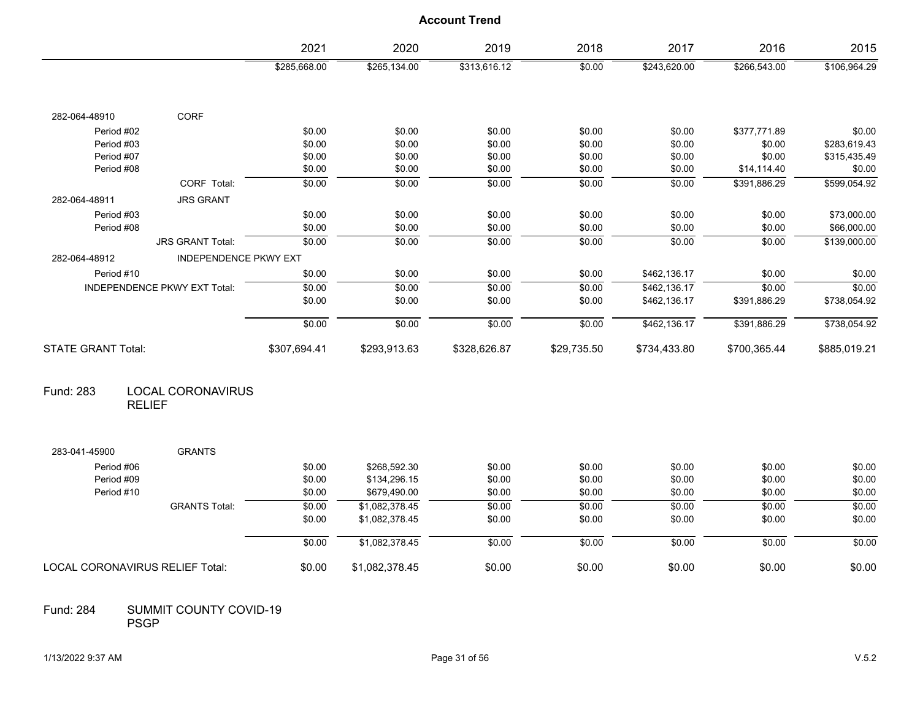|                                 |                                           | 2021         | 2020           | 2019         | 2018        | 2017         | 2016         | 2015         |
|---------------------------------|-------------------------------------------|--------------|----------------|--------------|-------------|--------------|--------------|--------------|
|                                 |                                           | \$285,668.00 | \$265,134.00   | \$313,616.12 | \$0.00      | \$243,620.00 | \$266,543.00 | \$106,964.29 |
| 282-064-48910                   | CORF                                      |              |                |              |             |              |              |              |
| Period #02                      |                                           | \$0.00       | \$0.00         | \$0.00       | \$0.00      | \$0.00       | \$377,771.89 | \$0.00       |
| Period #03                      |                                           | \$0.00       | \$0.00         | \$0.00       | \$0.00      | \$0.00       | \$0.00       | \$283,619.43 |
| Period #07                      |                                           | \$0.00       | \$0.00         | \$0.00       | \$0.00      | \$0.00       | \$0.00       | \$315,435.49 |
| Period #08                      |                                           | \$0.00       | \$0.00         | \$0.00       | \$0.00      | \$0.00       | \$14,114.40  | \$0.00       |
|                                 | CORF Total:                               | \$0.00       | \$0.00         | \$0.00       | \$0.00      | \$0.00       | \$391,886.29 | \$599,054.92 |
| 282-064-48911                   | <b>JRS GRANT</b>                          |              |                |              |             |              |              |              |
| Period #03                      |                                           | \$0.00       | \$0.00         | \$0.00       | \$0.00      | \$0.00       | \$0.00       | \$73,000.00  |
| Period #08                      |                                           | \$0.00       | \$0.00         | \$0.00       | \$0.00      | \$0.00       | \$0.00       | \$66,000.00  |
|                                 | <b>JRS GRANT Total:</b>                   | \$0.00       | \$0.00         | \$0.00       | \$0.00      | \$0.00       | \$0.00       | \$139,000.00 |
| 282-064-48912                   | <b>INDEPENDENCE PKWY EXT</b>              |              |                |              |             |              |              |              |
| Period #10                      |                                           | \$0.00       | \$0.00         | \$0.00       | \$0.00      | \$462,136.17 | \$0.00       | \$0.00       |
|                                 | INDEPENDENCE PKWY EXT Total:              | \$0.00       | \$0.00         | \$0.00       | \$0.00      | \$462.136.17 | \$0.00       | \$0.00       |
|                                 |                                           | \$0.00       | \$0.00         | \$0.00       | \$0.00      | \$462,136.17 | \$391,886.29 | \$738,054.92 |
|                                 |                                           | \$0.00       | \$0.00         | \$0.00       | \$0.00      | \$462,136.17 | \$391,886.29 | \$738,054.92 |
| <b>STATE GRANT Total:</b>       |                                           | \$307,694.41 | \$293,913.63   | \$328,626.87 | \$29,735.50 | \$734,433.80 | \$700,365.44 | \$885,019.21 |
| Fund: 283                       | <b>LOCAL CORONAVIRUS</b><br><b>RELIEF</b> |              |                |              |             |              |              |              |
| 283-041-45900                   | <b>GRANTS</b>                             |              |                |              |             |              |              |              |
| Period #06                      |                                           | \$0.00       | \$268,592.30   | \$0.00       | \$0.00      | \$0.00       | \$0.00       | \$0.00       |
| Period #09                      |                                           | \$0.00       | \$134,296.15   | \$0.00       | \$0.00      | \$0.00       | \$0.00       | \$0.00       |
| Period #10                      |                                           | \$0.00       | \$679,490.00   | \$0.00       | \$0.00      | \$0.00       | \$0.00       | \$0.00       |
|                                 | <b>GRANTS Total:</b>                      | \$0.00       | \$1,082,378.45 | \$0.00       | \$0.00      | \$0.00       | \$0.00       | \$0.00       |
|                                 |                                           | \$0.00       | \$1,082,378.45 | \$0.00       | \$0.00      | \$0.00       | \$0.00       | \$0.00       |
|                                 |                                           | \$0.00       | \$1,082,378.45 | \$0.00       | \$0.00      | \$0.00       | \$0.00       | \$0.00       |
| LOCAL CORONAVIRUS RELIEF Total: |                                           | \$0.00       | \$1,082,378.45 | \$0.00       | \$0.00      | \$0.00       | \$0.00       | \$0.00       |

#### SUMMIT COUNTY COVID-19 PSGP Fund: 284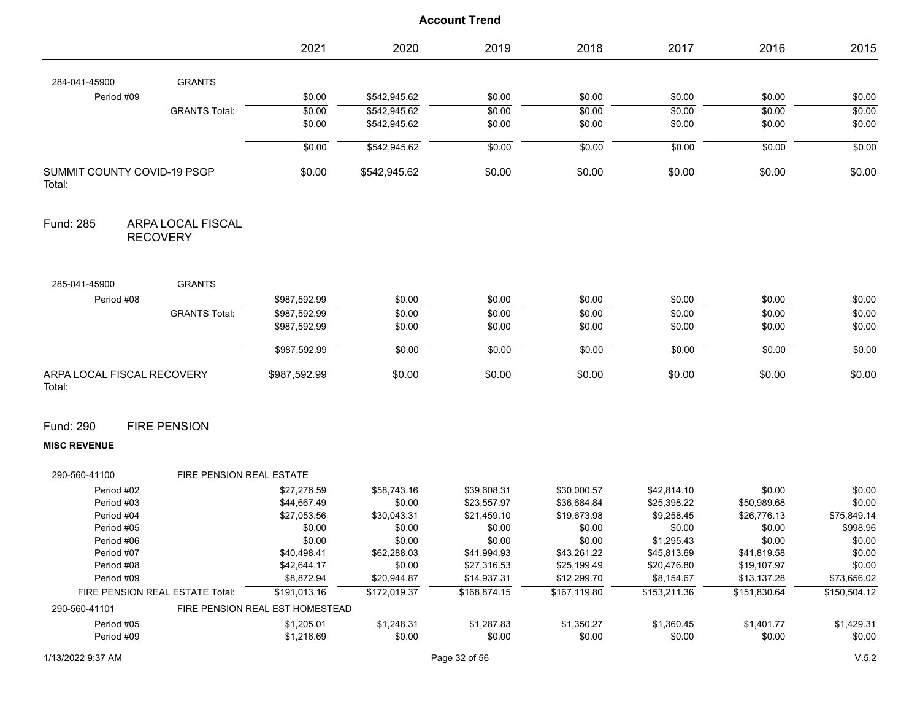|                                                   | 2021                            | 2020         | 2019         | 2018         | 2017         | 2016         | 2015         |
|---------------------------------------------------|---------------------------------|--------------|--------------|--------------|--------------|--------------|--------------|
| <b>GRANTS</b><br>284-041-45900                    |                                 |              |              |              |              |              |              |
| Period #09                                        | \$0.00                          | \$542,945.62 | \$0.00       | \$0.00       | \$0.00       | \$0.00       | \$0.00       |
| <b>GRANTS Total:</b>                              | \$0.00                          | \$542,945.62 | \$0.00       | \$0.00       | \$0.00       | \$0.00       | \$0.00       |
|                                                   | \$0.00                          | \$542,945.62 | \$0.00       | \$0.00       | \$0.00       | \$0.00       | \$0.00       |
|                                                   | \$0.00                          | \$542,945.62 | \$0.00       | \$0.00       | \$0.00       | \$0.00       | \$0.00       |
| <b>SUMMIT COUNTY COVID-19 PSGP</b><br>Total:      | \$0.00                          | \$542,945.62 | \$0.00       | \$0.00       | \$0.00       | \$0.00       | \$0.00       |
| Fund: 285<br>ARPA LOCAL FISCAL<br><b>RECOVERY</b> |                                 |              |              |              |              |              |              |
| <b>GRANTS</b><br>285-041-45900                    |                                 |              |              |              |              |              |              |
| Period #08                                        | \$987,592.99                    | \$0.00       | \$0.00       | \$0.00       | \$0.00       | \$0.00       | \$0.00       |
| <b>GRANTS Total:</b>                              | \$987,592.99                    | \$0.00       | \$0.00       | \$0.00       | \$0.00       | \$0.00       | \$0.00       |
|                                                   | \$987,592.99                    | \$0.00       | \$0.00       | \$0.00       | \$0.00       | \$0.00       | \$0.00       |
|                                                   | \$987,592.99                    | \$0.00       | \$0.00       | \$0.00       | \$0.00       | \$0.00       | \$0.00       |
| ARPA LOCAL FISCAL RECOVERY<br>Total:              | \$987,592.99                    | \$0.00       | \$0.00       | \$0.00       | \$0.00       | \$0.00       | \$0.00       |
| Fund: 290<br><b>FIRE PENSION</b>                  |                                 |              |              |              |              |              |              |
| <b>MISC REVENUE</b>                               |                                 |              |              |              |              |              |              |
| 290-560-41100                                     | FIRE PENSION REAL ESTATE        |              |              |              |              |              |              |
| Period #02                                        | \$27,276.59                     | \$58,743.16  | \$39,608.31  | \$30,000.57  | \$42,814.10  | \$0.00       | \$0.00       |
| Period #03                                        | \$44,667.49                     | \$0.00       | \$23,557.97  | \$36,684.84  | \$25,398.22  | \$50,989.68  | \$0.00       |
| Period #04                                        | \$27,053.56                     | \$30,043.31  | \$21,459.10  | \$19,673.98  | \$9,258.45   | \$26,776.13  | \$75,849.14  |
| Period #05                                        | \$0.00                          | \$0.00       | \$0.00       | \$0.00       | \$0.00       | \$0.00       | \$998.96     |
| Period #06                                        | \$0.00                          | \$0.00       | \$0.00       | \$0.00       | \$1,295.43   | \$0.00       | \$0.00       |
| Period #07                                        | \$40,498.41                     | \$62,288.03  | \$41,994.93  | \$43,261.22  | \$45,813.69  | \$41,819.58  | \$0.00       |
| Period #08                                        | \$42,644.17                     | \$0.00       | \$27,316.53  | \$25,199.49  | \$20,476.80  | \$19,107.97  | \$0.00       |
| Period #09                                        | \$8,872.94                      | \$20,944.87  | \$14,937.31  | \$12,299.70  | \$8,154.67   | \$13,137.28  | \$73,656.02  |
| FIRE PENSION REAL ESTATE Total:                   | \$191,013.16                    | \$172,019.37 | \$168,874.15 | \$167,119.80 | \$153,211.36 | \$151,830.64 | \$150,504.12 |
| 290-560-41101                                     | FIRE PENSION REAL EST HOMESTEAD |              |              |              |              |              |              |
| Period #05                                        | \$1,205.01                      | \$1,248.31   | \$1,287.83   | \$1,350.27   | \$1,360.45   | \$1,401.77   | \$1,429.31   |
| Period #09                                        | \$1,216.69                      | \$0.00       | \$0.00       | \$0.00       | \$0.00       | \$0.00       | \$0.00       |
|                                                   |                                 |              |              |              |              |              |              |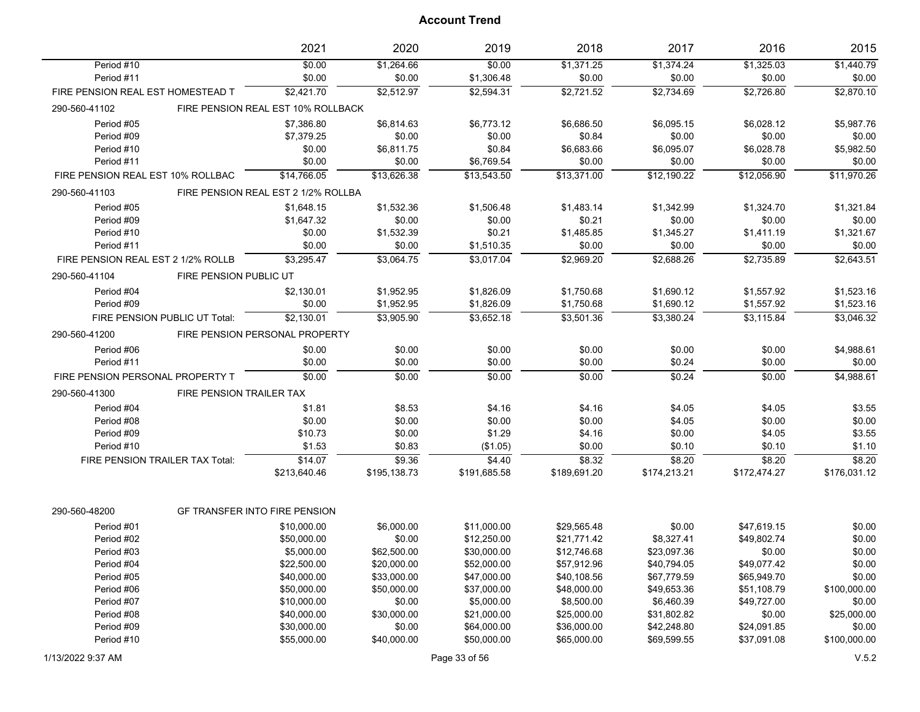|                                    |                               | 2021                                 | 2020         | 2019         | 2018         | 2017         | 2016           | 2015         |
|------------------------------------|-------------------------------|--------------------------------------|--------------|--------------|--------------|--------------|----------------|--------------|
| Period #10                         |                               | \$0.00                               | \$1,264.66   | \$0.00       | \$1,371.25   | \$1,374.24   | \$1,325.03     | \$1,440.79   |
| Period #11                         |                               | \$0.00                               | \$0.00       | \$1,306.48   | \$0.00       | \$0.00       | \$0.00         | \$0.00       |
| FIRE PENSION REAL EST HOMESTEAD T  |                               | \$2,421.70                           | \$2,512.97   | \$2,594.31   | \$2,721.52   | \$2,734.69   | \$2,726.80     | \$2.870.10   |
| 290-560-41102                      |                               | FIRE PENSION REAL EST 10% ROLLBACK   |              |              |              |              |                |              |
| Period #05                         |                               | \$7,386.80                           | \$6,814.63   | \$6,773.12   | \$6,686.50   | \$6,095.15   | \$6,028.12     | \$5,987.76   |
| Period #09                         |                               | \$7,379.25                           | \$0.00       | \$0.00       | \$0.84       | \$0.00       | \$0.00         | \$0.00       |
| Period #10                         |                               | \$0.00                               | \$6,811.75   | \$0.84       | \$6,683.66   | \$6,095.07   | \$6,028.78     | \$5,982.50   |
| Period #11                         |                               | \$0.00                               | \$0.00       | \$6,769.54   | \$0.00       | \$0.00       | \$0.00         | \$0.00       |
| FIRE PENSION REAL EST 10% ROLLBAC  |                               | \$14,766.05                          | \$13,626.38  | \$13,543.50  | \$13,371.00  | \$12,190.22  | \$12,056.90    | \$11,970.26  |
| 290-560-41103                      |                               | FIRE PENSION REAL EST 2 1/2% ROLLBA  |              |              |              |              |                |              |
| Period #05                         |                               | \$1,648.15                           | \$1,532.36   | \$1,506.48   | \$1,483.14   | \$1,342.99   | \$1,324.70     | \$1,321.84   |
| Period #09                         |                               | \$1,647.32                           | \$0.00       | \$0.00       | \$0.21       | \$0.00       | \$0.00         | \$0.00       |
| Period #10                         |                               | \$0.00                               | \$1,532.39   | \$0.21       | \$1,485.85   | \$1,345.27   | \$1,411.19     | \$1,321.67   |
| Period #11                         |                               | \$0.00                               | \$0.00       | \$1,510.35   | \$0.00       | \$0.00       | \$0.00         | \$0.00       |
| FIRE PENSION REAL EST 2 1/2% ROLLB |                               | \$3,295.47                           | \$3,064.75   | \$3,017.04   | \$2,969.20   | \$2,688.26   | \$2,735.89     | \$2,643.51   |
| 290-560-41104                      | <b>FIRE PENSION PUBLIC UT</b> |                                      |              |              |              |              |                |              |
| Period #04                         |                               | \$2,130.01                           | \$1,952.95   | \$1,826.09   | \$1,750.68   | \$1,690.12   | \$1,557.92     | \$1,523.16   |
| Period #09                         |                               | \$0.00                               | \$1,952.95   | \$1,826.09   | \$1,750.68   | \$1,690.12   | \$1,557.92     | \$1,523.16   |
| FIRE PENSION PUBLIC UT Total:      |                               | \$2,130.01                           | \$3,905.90   | \$3,652.18   | \$3,501.36   | \$3,380.24   | \$3,115.84     | \$3,046.32   |
| 290-560-41200                      |                               | FIRE PENSION PERSONAL PROPERTY       |              |              |              |              |                |              |
| Period #06                         |                               | \$0.00                               | \$0.00       | \$0.00       | \$0.00       | \$0.00       | \$0.00         | \$4,988.61   |
| Period #11                         |                               | \$0.00                               | \$0.00       | \$0.00       | \$0.00       | \$0.24       | \$0.00         | \$0.00       |
| FIRE PENSION PERSONAL PROPERTY T   |                               | \$0.00                               | \$0.00       | \$0.00       | \$0.00       | \$0.24       | $\frac{1}{00}$ | \$4,988.61   |
| 290-560-41300                      | FIRE PENSION TRAILER TAX      |                                      |              |              |              |              |                |              |
| Period #04                         |                               | \$1.81                               | \$8.53       | \$4.16       | \$4.16       | \$4.05       | \$4.05         | \$3.55       |
| Period #08                         |                               | \$0.00                               | \$0.00       | \$0.00       | \$0.00       | \$4.05       | \$0.00         | \$0.00       |
| Period #09                         |                               | \$10.73                              | \$0.00       | \$1.29       | \$4.16       | \$0.00       | \$4.05         | \$3.55       |
| Period #10                         |                               | \$1.53                               | \$0.83       | (\$1.05)     | \$0.00       | \$0.10       | \$0.10         | \$1.10       |
| FIRE PENSION TRAILER TAX Total:    |                               | \$14.07                              | \$9.36       | \$4.40       | \$8.32       | \$8.20       | \$8.20         | \$8.20       |
|                                    |                               | \$213,640.46                         | \$195,138.73 | \$191,685.58 | \$189,691.20 | \$174,213.21 | \$172,474.27   | \$176,031.12 |
| 290-560-48200                      |                               | <b>GF TRANSFER INTO FIRE PENSION</b> |              |              |              |              |                |              |
| Period #01                         |                               | \$10,000.00                          | \$6,000.00   | \$11,000.00  | \$29,565.48  | \$0.00       | \$47,619.15    | \$0.00       |
| Period #02                         |                               | \$50,000.00                          | \$0.00       | \$12,250.00  | \$21,771.42  | \$8,327.41   | \$49,802.74    | \$0.00       |
| Period #03                         |                               | \$5,000.00                           | \$62,500.00  | \$30,000.00  | \$12,746.68  | \$23,097.36  | \$0.00         | \$0.00       |
| Period #04                         |                               | \$22,500.00                          | \$20,000.00  | \$52,000.00  | \$57,912.96  | \$40,794.05  | \$49,077.42    | \$0.00       |
| Period #05                         |                               | \$40,000.00                          | \$33,000.00  | \$47,000.00  | \$40,108.56  | \$67,779.59  | \$65,949.70    | \$0.00       |
| Period #06                         |                               | \$50,000.00                          | \$50,000.00  | \$37,000.00  | \$48,000.00  | \$49,653.36  | \$51,108.79    | \$100,000.00 |
| Period #07                         |                               | \$10,000.00                          | \$0.00       | \$5,000.00   | \$8,500.00   | \$6,460.39   | \$49,727.00    | \$0.00       |
| Period #08                         |                               | \$40,000.00                          | \$30,000.00  | \$21,000.00  | \$25,000.00  | \$31,802.82  | \$0.00         | \$25,000.00  |
| Period #09                         |                               | \$30,000.00                          | \$0.00       | \$64,000.00  | \$36,000.00  | \$42,248.80  | \$24,091.85    | \$0.00       |
| Period #10                         |                               | \$55,000.00                          | \$40,000.00  | \$50,000.00  | \$65,000.00  | \$69,599.55  | \$37,091.08    | \$100,000.00 |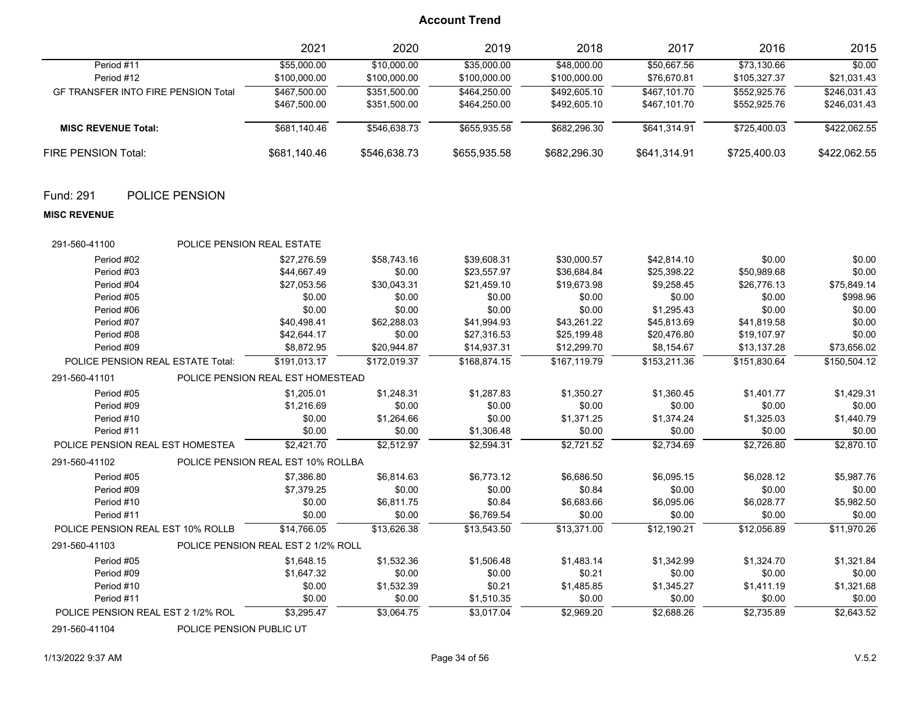|                                            | 2021         | 2020         | 2019         | 2018         | 2017         | 2016         | 2015         |
|--------------------------------------------|--------------|--------------|--------------|--------------|--------------|--------------|--------------|
| Period #11                                 | \$55,000.00  | \$10,000.00  | \$35,000.00  | \$48,000.00  | \$50.667.56  | \$73.130.66  | \$0.00       |
| Period #12                                 | \$100,000.00 | \$100,000.00 | \$100,000.00 | \$100,000.00 | \$76,670.81  | \$105,327.37 | \$21,031.43  |
| <b>GF TRANSFER INTO FIRE PENSION Total</b> | \$467.500.00 | \$351.500.00 | \$464.250.00 | \$492,605.10 | \$467.101.70 | \$552.925.76 | \$246.031.43 |
|                                            | \$467,500.00 | \$351,500.00 | \$464.250.00 | \$492.605.10 | \$467,101.70 | \$552.925.76 | \$246,031.43 |
| <b>MISC REVENUE Total:</b>                 | \$681.140.46 | \$546.638.73 | \$655,935.58 | \$682.296.30 | \$641.314.91 | \$725.400.03 | \$422,062.55 |
| FIRE PENSION Total:                        | \$681,140.46 | \$546,638.73 | \$655,935.58 | \$682,296.30 | \$641.314.91 | \$725,400.03 | \$422,062.55 |

### Fund: 291 POLICE PENSION

#### **MISC REVENUE**

| 291-560-41100                      | <b>POLICE PENSION REAL ESTATE</b> |                                     |              |              |              |              |              |              |
|------------------------------------|-----------------------------------|-------------------------------------|--------------|--------------|--------------|--------------|--------------|--------------|
| Period #02                         |                                   | \$27.276.59                         | \$58,743.16  | \$39,608.31  | \$30,000.57  | \$42,814.10  | \$0.00       | \$0.00       |
| Period #03                         |                                   | \$44,667.49                         | \$0.00       | \$23,557.97  | \$36,684.84  | \$25,398.22  | \$50,989.68  | \$0.00       |
| Period #04                         |                                   | \$27,053.56                         | \$30,043.31  | \$21,459.10  | \$19,673.98  | \$9,258.45   | \$26,776.13  | \$75,849.14  |
| Period #05                         |                                   | \$0.00                              | \$0.00       | \$0.00       | \$0.00       | \$0.00       | \$0.00       | \$998.96     |
| Period #06                         |                                   | \$0.00                              | \$0.00       | \$0.00       | \$0.00       | \$1,295.43   | \$0.00       | \$0.00       |
| Period #07                         |                                   | \$40,498.41                         | \$62,288.03  | \$41,994.93  | \$43,261.22  | \$45,813.69  | \$41,819.58  | \$0.00       |
| Period #08                         |                                   | \$42,644.17                         | \$0.00       | \$27,316.53  | \$25,199.48  | \$20.476.80  | \$19,107.97  | \$0.00       |
| Period #09                         |                                   | \$8,872.95                          | \$20,944.87  | \$14,937.31  | \$12,299.70  | \$8,154.67   | \$13,137.28  | \$73,656.02  |
| POLICE PENSION REAL ESTATE Total:  |                                   | \$191.013.17                        | \$172.019.37 | \$168.874.15 | \$167.119.79 | \$153.211.36 | \$151.830.64 | \$150,504.12 |
| 291-560-41101                      |                                   | POLICE PENSION REAL EST HOMESTEAD   |              |              |              |              |              |              |
| Period #05                         |                                   | \$1,205.01                          | \$1,248.31   | \$1,287.83   | \$1,350.27   | \$1,360.45   | \$1,401.77   | \$1,429.31   |
| Period #09                         |                                   | \$1,216.69                          | \$0.00       | \$0.00       | \$0.00       | \$0.00       | \$0.00       | \$0.00       |
| Period #10                         |                                   | \$0.00                              | \$1,264.66   | \$0.00       | \$1,371.25   | \$1,374.24   | \$1,325.03   | \$1,440.79   |
| Period #11                         |                                   | \$0.00                              | \$0.00       | \$1,306.48   | \$0.00       | \$0.00       | \$0.00       | \$0.00       |
| POLICE PENSION REAL EST HOMESTEA   |                                   | \$2,421.70                          | \$2,512.97   | \$2,594.31   | \$2,721.52   | \$2,734.69   | \$2,726.80   | \$2,870.10   |
| 291-560-41102                      |                                   | POLICE PENSION REAL EST 10% ROLLBA  |              |              |              |              |              |              |
| Period #05                         |                                   | \$7,386.80                          | \$6,814.63   | \$6,773.12   | \$6,686.50   | \$6,095.15   | \$6,028.12   | \$5,987.76   |
| Period #09                         |                                   | \$7,379.25                          | \$0.00       | \$0.00       | \$0.84       | \$0.00       | \$0.00       | \$0.00       |
| Period #10                         |                                   | \$0.00                              | \$6,811.75   | \$0.84       | \$6,683.66   | \$6,095.06   | \$6,028.77   | \$5,982.50   |
| Period #11                         |                                   | \$0.00                              | \$0.00       | \$6,769.54   | \$0.00       | \$0.00       | \$0.00       | \$0.00       |
| POLICE PENSION REAL EST 10% ROLLB  |                                   | \$14,766.05                         | \$13,626.38  | \$13,543.50  | \$13,371.00  | \$12,190.21  | \$12,056.89  | \$11,970.26  |
| 291-560-41103                      |                                   | POLICE PENSION REAL EST 2 1/2% ROLL |              |              |              |              |              |              |
| Period #05                         |                                   | \$1.648.15                          | \$1,532.36   | \$1,506.48   | \$1,483.14   | \$1,342.99   | \$1,324.70   | \$1,321.84   |
| Period #09                         |                                   | \$1,647.32                          | \$0.00       | \$0.00       | \$0.21       | \$0.00       | \$0.00       | \$0.00       |
| Period #10                         |                                   | \$0.00                              | \$1,532.39   | \$0.21       | \$1,485.85   | \$1,345.27   | \$1,411.19   | \$1,321.68   |
| Period #11                         |                                   | \$0.00                              | \$0.00       | \$1,510.35   | \$0.00       | \$0.00       | \$0.00       | \$0.00       |
| POLICE PENSION REAL EST 2 1/2% ROL |                                   | \$3,295.47                          | \$3,064.75   | \$3,017.04   | \$2,969.20   | \$2,688.26   | \$2,735.89   | \$2,643.52   |
|                                    |                                   |                                     |              |              |              |              |              |              |

291-560-41104 POLICE PENSION PUBLIC UT

1/13/2022 9:37 AM Page 34 of 56 V.5.2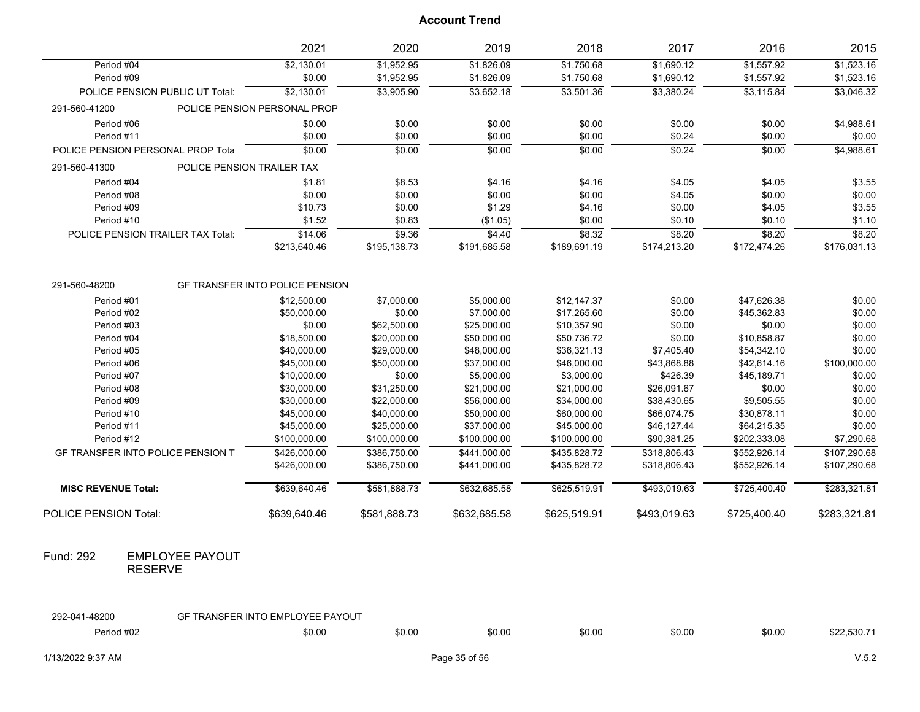|                                          | 2021                                   | 2020         | 2019         | 2018         | 2017         | 2016         | 2015         |
|------------------------------------------|----------------------------------------|--------------|--------------|--------------|--------------|--------------|--------------|
| Period #04                               | \$2,130.01                             | \$1,952.95   | \$1,826.09   | \$1,750.68   | \$1,690.12   | \$1,557.92   | \$1,523.16   |
| Period #09                               | \$0.00                                 | \$1,952.95   | \$1,826.09   | \$1,750.68   | \$1,690.12   | \$1,557.92   | \$1,523.16   |
| POLICE PENSION PUBLIC UT Total:          | \$2,130.01                             | \$3,905.90   | \$3,652.18   | \$3,501.36   | \$3,380.24   | \$3,115.84   | \$3,046.32   |
| 291-560-41200                            | POLICE PENSION PERSONAL PROP           |              |              |              |              |              |              |
| Period #06                               | \$0.00                                 | \$0.00       | \$0.00       | \$0.00       | \$0.00       | \$0.00       | \$4,988.61   |
| Period #11                               | \$0.00                                 | \$0.00       | \$0.00       | \$0.00       | \$0.24       | \$0.00       | \$0.00       |
| POLICE PENSION PERSONAL PROP Tota        | \$0.00                                 | \$0.00       | \$0.00       | \$0.00       | \$0.24       | \$0.00       | \$4,988.61   |
| 291-560-41300                            | POLICE PENSION TRAILER TAX             |              |              |              |              |              |              |
| Period #04                               | \$1.81                                 | \$8.53       | \$4.16       | \$4.16       | \$4.05       | \$4.05       | \$3.55       |
| Period #08                               | \$0.00                                 | \$0.00       | \$0.00       | \$0.00       | \$4.05       | \$0.00       | \$0.00       |
| Period #09                               | \$10.73                                | \$0.00       | \$1.29       | \$4.16       | \$0.00       | \$4.05       | \$3.55       |
| Period #10                               | \$1.52                                 | \$0.83       | (\$1.05)     | \$0.00       | \$0.10       | \$0.10       | \$1.10       |
| POLICE PENSION TRAILER TAX Total:        | \$14.06                                | \$9.36       | \$4.40       | \$8.32       | \$8.20       | \$8.20       | \$8.20       |
|                                          | \$213,640.46                           | \$195,138.73 | \$191,685.58 | \$189,691.19 | \$174,213.20 | \$172,474.26 | \$176,031.13 |
|                                          |                                        |              |              |              |              |              |              |
| 291-560-48200                            | <b>GF TRANSFER INTO POLICE PENSION</b> |              |              |              |              |              |              |
| Period #01                               | \$12,500.00                            | \$7,000.00   | \$5,000.00   | \$12,147.37  | \$0.00       | \$47,626.38  | \$0.00       |
| Period #02                               | \$50,000.00                            | \$0.00       | \$7,000.00   | \$17,265.60  | \$0.00       | \$45,362.83  | \$0.00       |
| Period #03                               | \$0.00                                 | \$62,500.00  | \$25,000.00  | \$10,357.90  | \$0.00       | \$0.00       | \$0.00       |
| Period #04                               | \$18,500.00                            | \$20,000.00  | \$50,000.00  | \$50,736.72  | \$0.00       | \$10,858.87  | \$0.00       |
| Period #05                               | \$40,000.00                            | \$29,000.00  | \$48,000.00  | \$36,321.13  | \$7,405.40   | \$54,342.10  | \$0.00       |
| Period #06                               | \$45,000.00                            | \$50,000.00  | \$37,000.00  | \$46,000.00  | \$43,868.88  | \$42,614.16  | \$100,000.00 |
| Period #07                               | \$10,000.00                            | \$0.00       | \$5,000.00   | \$3,000.00   | \$426.39     | \$45,189.71  | \$0.00       |
| Period #08                               | \$30,000.00                            | \$31,250.00  | \$21,000.00  | \$21,000.00  | \$26,091.67  | \$0.00       | \$0.00       |
| Period #09                               | \$30,000.00                            | \$22,000.00  | \$56,000.00  | \$34,000.00  | \$38,430.65  | \$9,505.55   | \$0.00       |
| Period #10                               | \$45,000.00                            | \$40,000.00  | \$50,000.00  | \$60,000.00  | \$66,074.75  | \$30,878.11  | \$0.00       |
| Period #11                               | \$45,000.00                            | \$25,000.00  | \$37,000.00  | \$45,000.00  | \$46,127.44  | \$64,215.35  | \$0.00       |
| Period #12                               | \$100,000.00                           | \$100,000.00 | \$100,000.00 | \$100,000.00 | \$90,381.25  | \$202,333.08 | \$7,290.68   |
| <b>GF TRANSFER INTO POLICE PENSION T</b> | \$426,000.00                           | \$386,750.00 | \$441,000.00 | \$435,828.72 | \$318,806.43 | \$552,926.14 | \$107,290.68 |
|                                          | \$426,000.00                           | \$386,750.00 | \$441,000.00 | \$435,828.72 | \$318,806.43 | \$552,926.14 | \$107,290.68 |
| <b>MISC REVENUE Total:</b>               | \$639,640.46                           | \$581,888.73 | \$632,685.58 | \$625,519.91 | \$493,019.63 | \$725,400.40 | \$283,321.81 |
| <b>POLICE PENSION Total:</b>             | \$639,640.46                           | \$581,888.73 | \$632,685.58 | \$625,519.91 | \$493,019.63 | \$725,400.40 | \$283,321.81 |

#### EMPLOYEE PAYOUT RESERVE Fund: 292

| 292-041<br>-48200 | TRANSFER INTO EMPLOYEE PAYOUT<br>(-iF |        |        |        |        |        |            |
|-------------------|---------------------------------------|--------|--------|--------|--------|--------|------------|
| Period #02        | \$0.00                                | \$0.00 | \$0.00 | \$0.00 | \$0.00 | \$0.00 | \$22.530.7 |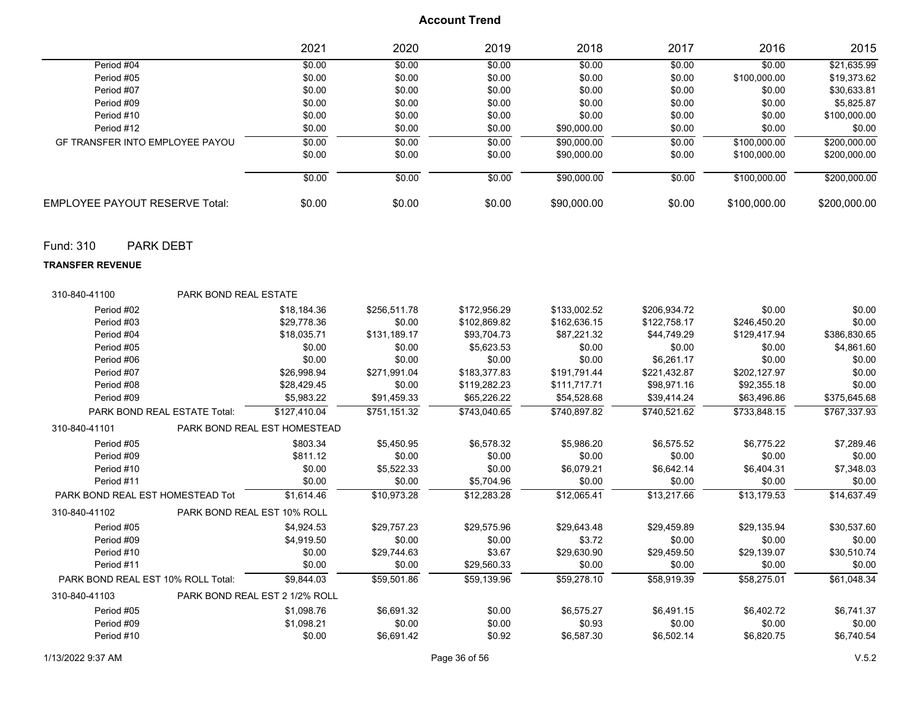|                                        | 2021   | 2020   | 2019   | 2018        | 2017   | 2016         | 2015         |
|----------------------------------------|--------|--------|--------|-------------|--------|--------------|--------------|
| Period #04                             | \$0.00 | \$0.00 | \$0.00 | \$0.00      | \$0.00 | \$0.00       | \$21.635.99  |
| Period #05                             | \$0.00 | \$0.00 | \$0.00 | \$0.00      | \$0.00 | \$100,000.00 | \$19,373.62  |
| Period #07                             | \$0.00 | \$0.00 | \$0.00 | \$0.00      | \$0.00 | \$0.00       | \$30,633.81  |
| Period #09                             | \$0.00 | \$0.00 | \$0.00 | \$0.00      | \$0.00 | \$0.00       | \$5.825.87   |
| Period #10                             | \$0.00 | \$0.00 | \$0.00 | \$0.00      | \$0.00 | \$0.00       | \$100,000.00 |
| Period #12                             | \$0.00 | \$0.00 | \$0.00 | \$90,000.00 | \$0.00 | \$0.00       | \$0.00       |
| <b>GF TRANSFER INTO EMPLOYEE PAYOU</b> | \$0.00 | \$0.00 | \$0.00 | \$90,000.00 | \$0.00 | \$100,000.00 | \$200,000.00 |
|                                        | \$0.00 | \$0.00 | \$0.00 | \$90,000.00 | \$0.00 | \$100,000.00 | \$200,000.00 |
|                                        | \$0.00 | \$0.00 | \$0.00 | \$90,000.00 | \$0.00 | \$100,000.00 | \$200,000.00 |
| <b>EMPLOYEE PAYOUT RESERVE Total:</b>  | \$0.00 | \$0.00 | \$0.00 | \$90,000.00 | \$0.00 | \$100,000.00 | \$200,000.00 |

Fund: 310 PARK DEBT

**TRANSFER REVENUE**

| 310-840-41100                      | <b>PARK BOND REAL ESTATE</b> |                                |              |              |              |              |              |              |
|------------------------------------|------------------------------|--------------------------------|--------------|--------------|--------------|--------------|--------------|--------------|
| Period #02                         |                              | \$18,184.36                    | \$256,511.78 | \$172,956.29 | \$133,002.52 | \$206,934.72 | \$0.00       | \$0.00       |
| Period #03                         |                              | \$29.778.36                    | \$0.00       | \$102,869.82 | \$162,636.15 | \$122,758.17 | \$246,450.20 | \$0.00       |
| Period #04                         |                              | \$18,035.71                    | \$131,189.17 | \$93.704.73  | \$87,221.32  | \$44.749.29  | \$129,417.94 | \$386,830.65 |
| Period #05                         |                              | \$0.00                         | \$0.00       | \$5,623.53   | \$0.00       | \$0.00       | \$0.00       | \$4,861.60   |
| Period #06                         |                              | \$0.00                         | \$0.00       | \$0.00       | \$0.00       | \$6,261.17   | \$0.00       | \$0.00       |
| Period #07                         |                              | \$26,998.94                    | \$271,991.04 | \$183,377.83 | \$191,791.44 | \$221,432.87 | \$202,127.97 | \$0.00       |
| Period #08                         |                              | \$28,429.45                    | \$0.00       | \$119,282.23 | \$111,717.71 | \$98.971.16  | \$92,355.18  | \$0.00       |
| Period #09                         |                              | \$5,983.22                     | \$91,459.33  | \$65,226.22  | \$54,528.68  | \$39,414.24  | \$63,496.86  | \$375,645.68 |
| PARK BOND REAL ESTATE Total:       |                              | \$127,410.04                   | \$751,151.32 | \$743.040.65 | \$740.897.82 | \$740,521.62 | \$733,848.15 | \$767,337.93 |
| 310-840-41101                      |                              | PARK BOND REAL EST HOMESTEAD   |              |              |              |              |              |              |
| Period #05                         |                              | \$803.34                       | \$5,450.95   | \$6,578.32   | \$5,986.20   | \$6,575.52   | \$6,775.22   | \$7,289.46   |
| Period #09                         |                              | \$811.12                       | \$0.00       | \$0.00       | \$0.00       | \$0.00       | \$0.00       | \$0.00       |
| Period #10                         |                              | \$0.00                         | \$5,522.33   | \$0.00       | \$6,079.21   | \$6,642.14   | \$6,404.31   | \$7,348.03   |
| Period #11                         |                              | \$0.00                         | \$0.00       | \$5,704.96   | \$0.00       | \$0.00       | \$0.00       | \$0.00       |
| PARK BOND REAL EST HOMESTEAD Tot   |                              | \$1,614.46                     | \$10.973.28  | \$12.283.28  | \$12,065.41  | \$13,217.66  | \$13.179.53  | \$14,637.49  |
| 310-840-41102                      | PARK BOND REAL EST 10% ROLL  |                                |              |              |              |              |              |              |
| Period #05                         |                              | \$4,924.53                     | \$29,757.23  | \$29,575.96  | \$29,643.48  | \$29,459.89  | \$29,135.94  | \$30,537.60  |
| Period #09                         |                              | \$4,919.50                     | \$0.00       | \$0.00       | \$3.72       | \$0.00       | \$0.00       | \$0.00       |
| Period #10                         |                              | \$0.00                         | \$29,744.63  | \$3.67       | \$29,630.90  | \$29,459.50  | \$29,139.07  | \$30,510.74  |
| Period #11                         |                              | \$0.00                         | \$0.00       | \$29,560.33  | \$0.00       | \$0.00       | \$0.00       | \$0.00       |
| PARK BOND REAL EST 10% ROLL Total: |                              | \$9,844.03                     | \$59,501.86  | \$59.139.96  | \$59,278.10  | \$58.919.39  | \$58,275.01  | \$61,048.34  |
| 310-840-41103                      |                              | PARK BOND REAL EST 2 1/2% ROLL |              |              |              |              |              |              |
| Period #05                         |                              | \$1,098.76                     | \$6,691.32   | \$0.00       | \$6,575.27   | \$6,491.15   | \$6,402.72   | \$6,741.37   |
| Period #09                         |                              | \$1,098.21                     | \$0.00       | \$0.00       | \$0.93       | \$0.00       | \$0.00       | \$0.00       |
| Period #10                         |                              | \$0.00                         | \$6,691.42   | \$0.92       | \$6,587.30   | \$6,502.14   | \$6,820.75   | \$6,740.54   |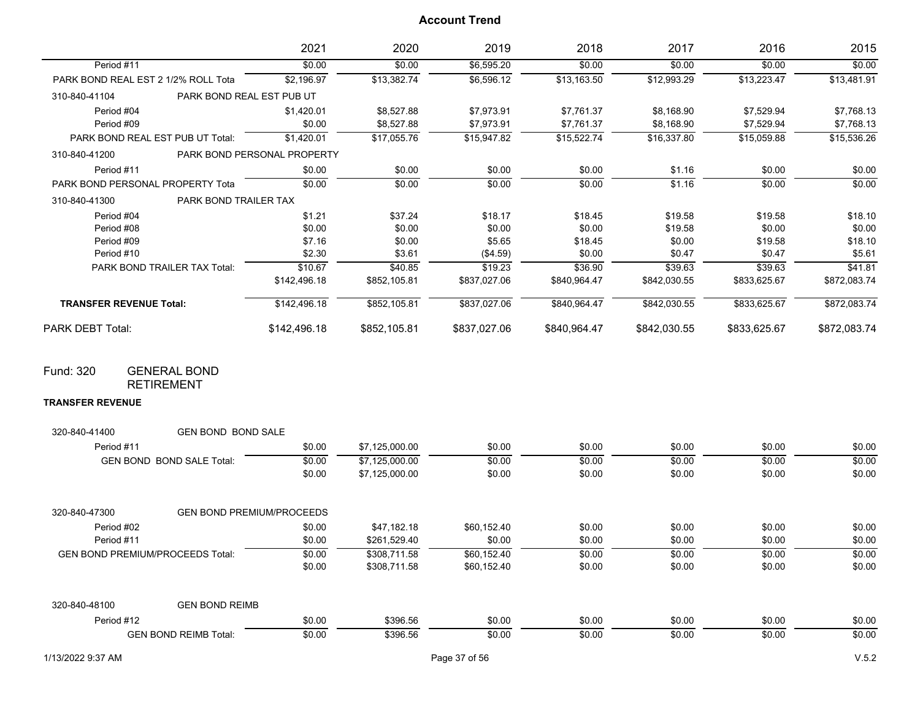|                                     |                           | 2021                        | 2020         | 2019         | 2018         | 2017         | 2016         | 2015         |
|-------------------------------------|---------------------------|-----------------------------|--------------|--------------|--------------|--------------|--------------|--------------|
| Period #11                          |                           | \$0.00                      | \$0.00       | \$6,595.20   | \$0.00       | \$0.00       | \$0.00       | \$0.00       |
| PARK BOND REAL EST 2 1/2% ROLL Tota |                           | \$2,196.97                  | \$13,382.74  | \$6,596.12   | \$13,163.50  | \$12,993.29  | \$13,223.47  | \$13,481.91  |
| 310-840-41104                       | PARK BOND REAL EST PUB UT |                             |              |              |              |              |              |              |
| Period #04                          |                           | \$1,420.01                  | \$8,527.88   | \$7,973.91   | \$7,761.37   | \$8,168.90   | \$7,529.94   | \$7,768.13   |
| Period #09                          |                           | \$0.00                      | \$8,527.88   | \$7,973.91   | \$7,761.37   | \$8,168.90   | \$7,529.94   | \$7,768.13   |
| PARK BOND REAL EST PUB UT Total:    |                           | \$1,420.01                  | \$17,055.76  | \$15,947.82  | \$15,522.74  | \$16,337.80  | \$15,059.88  | \$15,536.26  |
| 310-840-41200                       |                           | PARK BOND PERSONAL PROPERTY |              |              |              |              |              |              |
| Period #11                          |                           | \$0.00                      | \$0.00       | \$0.00       | \$0.00       | \$1.16       | \$0.00       | \$0.00       |
| PARK BOND PERSONAL PROPERTY Tota    |                           | \$0.00                      | \$0.00       | \$0.00       | \$0.00       | \$1.16       | \$0.00       | \$0.00       |
| 310-840-41300                       | PARK BOND TRAILER TAX     |                             |              |              |              |              |              |              |
| Period #04                          |                           | \$1.21                      | \$37.24      | \$18.17      | \$18.45      | \$19.58      | \$19.58      | \$18.10      |
| Period #08                          |                           | \$0.00                      | \$0.00       | \$0.00       | \$0.00       | \$19.58      | \$0.00       | \$0.00       |
| Period #09                          |                           | \$7.16                      | \$0.00       | \$5.65       | \$18.45      | \$0.00       | \$19.58      | \$18.10      |
| Period #10                          |                           | \$2.30                      | \$3.61       | (\$4.59)     | \$0.00       | \$0.47       | \$0.47       | \$5.61       |
| PARK BOND TRAILER TAX Total:        |                           | \$10.67                     | \$40.85      | \$19.23      | \$36.90      | \$39.63      | \$39.63      | \$41.81      |
|                                     |                           | \$142,496.18                | \$852,105.81 | \$837,027.06 | \$840,964.47 | \$842,030.55 | \$833,625.67 | \$872,083.74 |
| <b>TRANSFER REVENUE Total:</b>      |                           | \$142,496.18                | \$852,105.81 | \$837,027.06 | \$840,964.47 | \$842,030.55 | \$833,625.67 | \$872,083.74 |
| <b>PARK DEBT Total:</b>             |                           | \$142,496.18                | \$852,105.81 | \$837,027.06 | \$840,964.47 | \$842,030.55 | \$833,625.67 | \$872,083.74 |
|                                     |                           |                             |              |              |              |              |              |              |

GENERAL BOND Fund: 320

RETIREMENT

### **TRANSFER REVENUE**

| 320-840-41400 | <b>GEN BOND BOND SALE</b>               |        |                |             |        |        |        |        |
|---------------|-----------------------------------------|--------|----------------|-------------|--------|--------|--------|--------|
| Period #11    |                                         | \$0.00 | \$7,125,000.00 | \$0.00      | \$0.00 | \$0.00 | \$0.00 | \$0.00 |
|               | <b>GEN BOND BOND SALE Total:</b>        | \$0.00 | \$7,125,000.00 | \$0.00      | \$0.00 | \$0.00 | \$0.00 | \$0.00 |
|               |                                         | \$0.00 | \$7,125,000.00 | \$0.00      | \$0.00 | \$0.00 | \$0.00 | \$0.00 |
| 320-840-47300 | <b>GEN BOND PREMIUM/PROCEEDS</b>        |        |                |             |        |        |        |        |
| Period #02    |                                         | \$0.00 | \$47,182.18    | \$60,152.40 | \$0.00 | \$0.00 | \$0.00 | \$0.00 |
| Period #11    |                                         | \$0.00 | \$261,529.40   | \$0.00      | \$0.00 | \$0.00 | \$0.00 | \$0.00 |
|               | <b>GEN BOND PREMIUM/PROCEEDS Total:</b> | \$0.00 | \$308,711.58   | \$60,152.40 | \$0.00 | \$0.00 | \$0.00 | \$0.00 |
|               |                                         | \$0.00 | \$308,711.58   | \$60,152.40 | \$0.00 | \$0.00 | \$0.00 | \$0.00 |
| 320-840-48100 | <b>GEN BOND REIMB</b>                   |        |                |             |        |        |        |        |
| Period #12    |                                         | \$0.00 | \$396.56       | \$0.00      | \$0.00 | \$0.00 | \$0.00 | \$0.00 |
|               | <b>GEN BOND REIMB Total:</b>            | \$0.00 | \$396.56       | \$0.00      | \$0.00 | \$0.00 | \$0.00 | \$0.00 |
|               |                                         |        |                |             |        |        |        |        |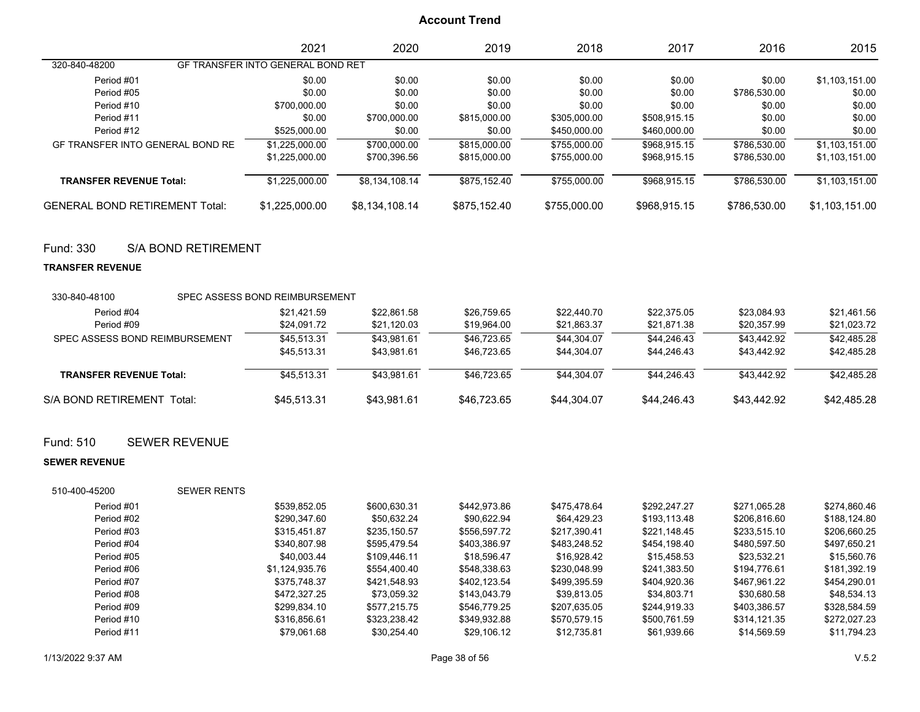|                                       | 2021                              | 2020           | 2019         | 2018         | 2017         | 2016         | 2015           |
|---------------------------------------|-----------------------------------|----------------|--------------|--------------|--------------|--------------|----------------|
| 320-840-48200                         | GF TRANSFER INTO GENERAL BOND RET |                |              |              |              |              |                |
| Period #01                            | \$0.00                            | \$0.00         | \$0.00       | \$0.00       | \$0.00       | \$0.00       | \$1,103,151.00 |
| Period #05                            | \$0.00                            | \$0.00         | \$0.00       | \$0.00       | \$0.00       | \$786,530.00 | \$0.00         |
| Period #10                            | \$700,000.00                      | \$0.00         | \$0.00       | \$0.00       | \$0.00       | \$0.00       | \$0.00         |
| Period #11                            | \$0.00                            | \$700,000.00   | \$815,000.00 | \$305,000.00 | \$508.915.15 | \$0.00       | \$0.00         |
| Period #12                            | \$525,000.00                      | \$0.00         | \$0.00       | \$450,000.00 | \$460,000.00 | \$0.00       | \$0.00         |
| GF TRANSFER INTO GENERAL BOND RE      | \$1,225,000.00                    | \$700,000.00   | \$815,000.00 | \$755,000.00 | \$968.915.15 | \$786,530.00 | \$1,103,151.00 |
|                                       | \$1,225,000.00                    | \$700,396.56   | \$815,000.00 | \$755,000.00 | \$968,915.15 | \$786,530.00 | \$1,103,151.00 |
| <b>TRANSFER REVENUE Total:</b>        | \$1,225,000.00                    | \$8,134,108.14 | \$875,152.40 | \$755,000.00 | \$968,915.15 | \$786,530.00 | \$1,103,151.00 |
| <b>GENERAL BOND RETIREMENT Total:</b> | \$1,225,000.00                    | \$8,134,108.14 | \$875,152.40 | \$755,000.00 | \$968,915.15 | \$786,530.00 | \$1,103,151.00 |

### Fund: 330 S/A BOND RETIREMENT

#### **TRANSFER REVENUE**

| 330-840-48100                  |        | SPEC ASSESS BOND REIMBURSEMENT |             |             |             |             |             |             |
|--------------------------------|--------|--------------------------------|-------------|-------------|-------------|-------------|-------------|-------------|
| Period #04                     |        | \$21.421.59                    | \$22.861.58 | \$26.759.65 | \$22,440.70 | \$22,375.05 | \$23.084.93 | \$21.461.56 |
| Period #09                     |        | \$24.091.72                    | \$21,120.03 | \$19,964.00 | \$21,863.37 | \$21.871.38 | \$20.357.99 | \$21,023.72 |
| SPEC ASSESS BOND REIMBURSEMENT |        | \$45,513.31                    | \$43.981.61 | \$46,723.65 | \$44.304.07 | \$44.246.43 | \$43.442.92 | \$42,485.28 |
|                                |        | \$45,513.31                    | \$43.981.61 | \$46,723.65 | \$44.304.07 | \$44,246.43 | \$43.442.92 | \$42,485.28 |
| <b>TRANSFER REVENUE Total:</b> |        | \$45.513.31                    | \$43.981.61 | \$46,723.65 | \$44.304.07 | \$44.246.43 | \$43,442.92 | \$42,485.28 |
| S/A BOND RETIREMENT            | Total: | \$45.513.31                    | \$43.981.61 | \$46.723.65 | \$44.304.07 | \$44.246.43 | \$43.442.92 | \$42.485.28 |

### Fund: 510 SEWER REVENUE

#### **SEWER REVENUE**

| 510-400-45200 | <b>SEWER RENTS</b> |              |              |              |              |              |              |
|---------------|--------------------|--------------|--------------|--------------|--------------|--------------|--------------|
| Period #01    | \$539.852.05       | \$600.630.31 | \$442,973.86 | \$475.478.64 | \$292.247.27 | \$271.065.28 | \$274,860.46 |
| Period #02    | \$290,347.60       | \$50.632.24  | \$90.622.94  | \$64.429.23  | \$193,113.48 | \$206.816.60 | \$188.124.80 |
| Period #03    | \$315.451.87       | \$235.150.57 | \$556,597.72 | \$217.390.41 | \$221.148.45 | \$233.515.10 | \$206,660.25 |
| Period #04    | \$340,807.98       | \$595.479.54 | \$403.386.97 | \$483.248.52 | \$454.198.40 | \$480,597.50 | \$497.650.21 |
| Period #05    | \$40,003.44        | \$109,446.11 | \$18,596.47  | \$16.928.42  | \$15.458.53  | \$23.532.21  | \$15.560.76  |
| Period #06    | \$1.124.935.76     | \$554,400.40 | \$548,338.63 | \$230,048.99 | \$241.383.50 | \$194.776.61 | \$181.392.19 |
| Period #07    | \$375,748.37       | \$421,548.93 | \$402.123.54 | \$499.395.59 | \$404.920.36 | \$467.961.22 | \$454.290.01 |
| Period #08    | \$472,327.25       | \$73.059.32  | \$143,043.79 | \$39.813.05  | \$34.803.71  | \$30.680.58  | \$48.534.13  |
| Period #09    | \$299.834.10       | \$577.215.75 | \$546,779.25 | \$207.635.05 | \$244,919.33 | \$403.386.57 | \$328.584.59 |
| Period #10    | \$316.856.61       | \$323.238.42 | \$349.932.88 | \$570,579.15 | \$500.761.59 | \$314,121.35 | \$272.027.23 |
| Period #11    | \$79.061.68        | \$30.254.40  | \$29.106.12  | \$12,735.81  | \$61,939.66  | \$14.569.59  | \$11,794.23  |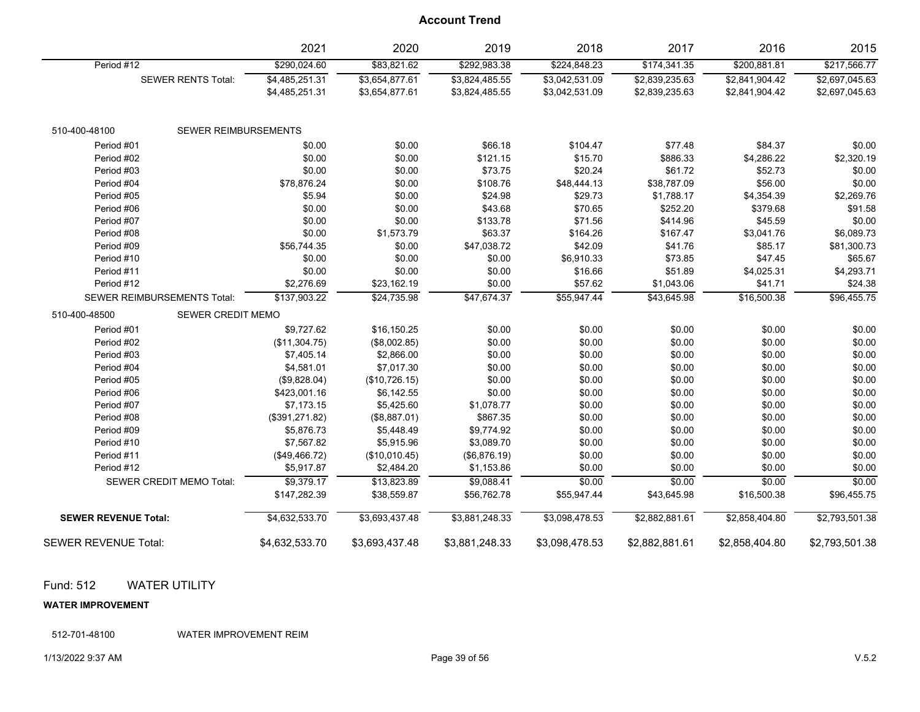|                             |                                    | 2021           | 2020           | 2019           | 2018           | 2017           | 2016           | 2015           |
|-----------------------------|------------------------------------|----------------|----------------|----------------|----------------|----------------|----------------|----------------|
| Period #12                  |                                    | \$290,024.60   | \$83,821.62    | \$292,983.38   | \$224,848.23   | \$174,341.35   | \$200,881.81   | \$217,566.77   |
|                             | <b>SEWER RENTS Total:</b>          | \$4,485,251.31 | \$3,654,877.61 | \$3,824,485.55 | \$3,042,531.09 | \$2,839,235.63 | \$2,841,904.42 | \$2,697,045.63 |
|                             |                                    | \$4,485,251.31 | \$3,654,877.61 | \$3,824,485.55 | \$3,042,531.09 | \$2,839,235.63 | \$2,841,904.42 | \$2,697,045.63 |
| 510-400-48100               | SEWER REIMBURSEMENTS               |                |                |                |                |                |                |                |
| Period #01                  |                                    | \$0.00         | \$0.00         | \$66.18        | \$104.47       | \$77.48        | \$84.37        | \$0.00         |
| Period #02                  |                                    | \$0.00         | \$0.00         | \$121.15       | \$15.70        | \$886.33       | \$4,286.22     | \$2,320.19     |
| Period #03                  |                                    | \$0.00         | \$0.00         | \$73.75        | \$20.24        | \$61.72        | \$52.73        | \$0.00         |
| Period #04                  |                                    | \$78,876.24    | \$0.00         | \$108.76       | \$48,444.13    | \$38,787.09    | \$56.00        | \$0.00         |
| Period #05                  |                                    | \$5.94         | \$0.00         | \$24.98        | \$29.73        | \$1,788.17     | \$4,354.39     | \$2,269.76     |
| Period #06                  |                                    | \$0.00         | \$0.00         | \$43.68        | \$70.65        | \$252.20       | \$379.68       | \$91.58        |
| Period #07                  |                                    | \$0.00         | \$0.00         | \$133.78       | \$71.56        | \$414.96       | \$45.59        | \$0.00         |
| Period #08                  |                                    | \$0.00         | \$1,573.79     | \$63.37        | \$164.26       | \$167.47       | \$3,041.76     | \$6,089.73     |
| Period #09                  |                                    | \$56,744.35    | \$0.00         | \$47,038.72    | \$42.09        | \$41.76        | \$85.17        | \$81,300.73    |
| Period #10                  |                                    | \$0.00         | \$0.00         | \$0.00         | \$6,910.33     | \$73.85        | \$47.45        | \$65.67        |
| Period #11                  |                                    | \$0.00         | \$0.00         | \$0.00         | \$16.66        | \$51.89        | \$4,025.31     | \$4,293.71     |
| Period #12                  |                                    | \$2,276.69     | \$23,162.19    | \$0.00         | \$57.62        | \$1,043.06     | \$41.71        | \$24.38        |
|                             | <b>SEWER REIMBURSEMENTS Total:</b> | \$137,903.22   | \$24,735.98    | \$47,674.37    | \$55,947.44    | \$43,645.98    | \$16,500.38    | \$96,455.75    |
| 510-400-48500               | <b>SEWER CREDIT MEMO</b>           |                |                |                |                |                |                |                |
| Period #01                  |                                    | \$9,727.62     | \$16,150.25    | \$0.00         | \$0.00         | \$0.00         | \$0.00         | \$0.00         |
| Period #02                  |                                    | (\$11,304.75)  | (\$8,002.85)   | \$0.00         | \$0.00         | \$0.00         | \$0.00         | \$0.00         |
| Period #03                  |                                    | \$7,405.14     | \$2,866.00     | \$0.00         | \$0.00         | \$0.00         | \$0.00         | \$0.00         |
| Period #04                  |                                    | \$4,581.01     | \$7,017.30     | \$0.00         | \$0.00         | \$0.00         | \$0.00         | \$0.00         |
| Period #05                  |                                    | (\$9,828.04)   | (\$10,726.15)  | \$0.00         | \$0.00         | \$0.00         | \$0.00         | \$0.00         |
| Period #06                  |                                    | \$423,001.16   | \$6,142.55     | \$0.00         | \$0.00         | \$0.00         | \$0.00         | \$0.00         |
| Period #07                  |                                    | \$7,173.15     | \$5,425.60     | \$1,078.77     | \$0.00         | \$0.00         | \$0.00         | \$0.00         |
| Period #08                  |                                    | (\$391,271.82) | (\$8,887.01)   | \$867.35       | \$0.00         | \$0.00         | \$0.00         | \$0.00         |
| Period #09                  |                                    | \$5,876.73     | \$5,448.49     | \$9,774.92     | \$0.00         | \$0.00         | \$0.00         | \$0.00         |
| Period #10                  |                                    | \$7,567.82     | \$5,915.96     | \$3,089.70     | \$0.00         | \$0.00         | \$0.00         | \$0.00         |
| Period #11                  |                                    | (\$49,466.72)  | (\$10,010.45)  | (\$6,876.19)   | \$0.00         | \$0.00         | \$0.00         | \$0.00         |
| Period #12                  |                                    | \$5,917.87     | \$2,484.20     | \$1,153.86     | \$0.00         | \$0.00         | \$0.00         | \$0.00         |
|                             | <b>SEWER CREDIT MEMO Total:</b>    | \$9,379.17     | \$13,823.89    | \$9,088.41     | \$0.00         | \$0.00         | \$0.00         | \$0.00         |
|                             |                                    | \$147,282.39   | \$38,559.87    | \$56,762.78    | \$55,947.44    | \$43,645.98    | \$16,500.38    | \$96,455.75    |
| <b>SEWER REVENUE Total:</b> |                                    | \$4,632,533.70 | \$3,693,437.48 | \$3,881,248.33 | \$3,098,478.53 | \$2,882,881.61 | \$2,858,404.80 | \$2,793,501.38 |
| <b>SEWER REVENUE Total:</b> |                                    | \$4,632,533.70 | \$3,693,437.48 | \$3,881,248.33 | \$3,098,478.53 | \$2,882,881.61 | \$2,858,404.80 | \$2,793,501.38 |

### Fund: 512 WATER UTILITY

#### **WATER IMPROVEMENT**

512-701-48100 WATER IMPROVEMENT REIM

#### 1/13/2022 9:37 AM Page 39 of 56 V.5.2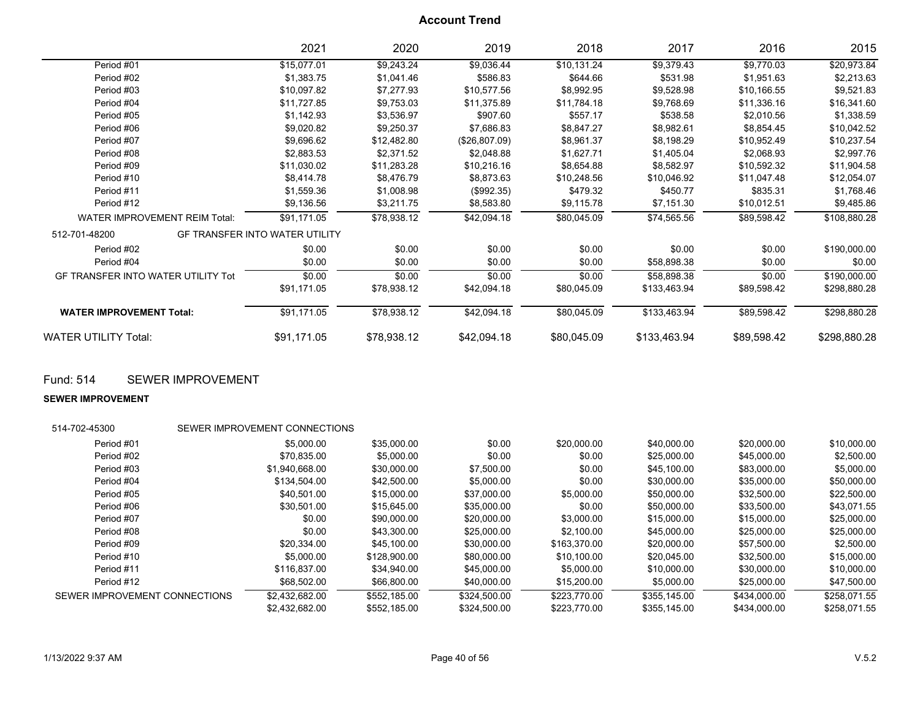|                                           | 2021                           | 2020        | 2019          | 2018        | 2017         | 2016        | 2015         |
|-------------------------------------------|--------------------------------|-------------|---------------|-------------|--------------|-------------|--------------|
| Period #01                                | \$15,077.01                    | \$9,243.24  | \$9,036.44    | \$10,131.24 | \$9,379.43   | \$9,770.03  | \$20,973.84  |
| Period #02                                | \$1,383.75                     | \$1,041.46  | \$586.83      | \$644.66    | \$531.98     | \$1,951.63  | \$2,213.63   |
| Period #03                                | \$10,097.82                    | \$7,277.93  | \$10,577.56   | \$8,992.95  | \$9,528.98   | \$10,166.55 | \$9,521.83   |
| Period #04                                | \$11,727.85                    | \$9,753.03  | \$11,375.89   | \$11,784.18 | \$9,768.69   | \$11,336.16 | \$16,341.60  |
| Period #05                                | \$1,142.93                     | \$3,536.97  | \$907.60      | \$557.17    | \$538.58     | \$2,010.56  | \$1,338.59   |
| Period #06                                | \$9,020.82                     | \$9,250.37  | \$7,686.83    | \$8,847.27  | \$8,982.61   | \$8,854.45  | \$10,042.52  |
| Period #07                                | \$9,696.62                     | \$12,482.80 | (\$26,807.09) | \$8,961.37  | \$8,198.29   | \$10,952.49 | \$10,237.54  |
| Period #08                                | \$2,883.53                     | \$2,371.52  | \$2,048.88    | \$1,627.71  | \$1,405.04   | \$2,068.93  | \$2,997.76   |
| Period #09                                | \$11,030.02                    | \$11,283.28 | \$10,216.16   | \$8,654.88  | \$8,582.97   | \$10,592.32 | \$11,904.58  |
| Period #10                                | \$8,414.78                     | \$8,476.79  | \$8,873.63    | \$10,248.56 | \$10,046.92  | \$11,047.48 | \$12,054.07  |
| Period #11                                | \$1,559.36                     | \$1,008.98  | (\$992.35)    | \$479.32    | \$450.77     | \$835.31    | \$1,768.46   |
| Period #12                                | \$9,136.56                     | \$3,211.75  | \$8,583.80    | \$9,115.78  | \$7,151.30   | \$10,012.51 | \$9,485.86   |
| <b>WATER IMPROVEMENT REIM Total:</b>      | \$91,171.05                    | \$78,938.12 | \$42,094.18   | \$80,045.09 | \$74,565.56  | \$89,598.42 | \$108,880.28 |
| 512-701-48200                             | GF TRANSFER INTO WATER UTILITY |             |               |             |              |             |              |
| Period #02                                | \$0.00                         | \$0.00      | \$0.00        | \$0.00      | \$0.00       | \$0.00      | \$190,000.00 |
| Period #04                                | \$0.00                         | \$0.00      | \$0.00        | \$0.00      | \$58,898.38  | \$0.00      | \$0.00       |
| <b>GF TRANSFER INTO WATER UTILITY Tot</b> | \$0.00                         | \$0.00      | \$0.00        | \$0.00      | \$58,898.38  | \$0.00      | \$190,000.00 |
|                                           | \$91,171.05                    | \$78,938.12 | \$42,094.18   | \$80,045.09 | \$133,463.94 | \$89,598.42 | \$298,880.28 |
| <b>WATER IMPROVEMENT Total:</b>           | \$91,171.05                    | \$78,938.12 | \$42,094.18   | \$80,045.09 | \$133,463.94 | \$89,598.42 | \$298,880.28 |
| <b>WATER UTILITY Total:</b>               | \$91,171.05                    | \$78,938.12 | \$42,094.18   | \$80,045.09 | \$133,463.94 | \$89,598.42 | \$298,880.28 |

Fund: 514 SEWER IMPROVEMENT

**SEWER IMPROVEMENT**

| 514-702-45300                 | SEWER IMPROVEMENT CONNECTIONS |              |              |              |              |              |              |
|-------------------------------|-------------------------------|--------------|--------------|--------------|--------------|--------------|--------------|
| Period #01                    | \$5,000.00                    | \$35,000.00  | \$0.00       | \$20,000.00  | \$40,000.00  | \$20,000.00  | \$10,000.00  |
| Period #02                    | \$70,835.00                   | \$5,000.00   | \$0.00       | \$0.00       | \$25,000.00  | \$45,000.00  | \$2.500.00   |
| Period #03                    | \$1.940.668.00                | \$30,000.00  | \$7,500.00   | \$0.00       | \$45,100.00  | \$83,000.00  | \$5,000.00   |
| Period #04                    | \$134.504.00                  | \$42,500.00  | \$5,000.00   | \$0.00       | \$30,000.00  | \$35,000.00  | \$50,000.00  |
| Period #05                    | \$40.501.00                   | \$15,000.00  | \$37,000.00  | \$5,000.00   | \$50,000.00  | \$32,500.00  | \$22,500.00  |
| Period #06                    | \$30,501.00                   | \$15,645.00  | \$35,000.00  | \$0.00       | \$50,000.00  | \$33,500.00  | \$43,071.55  |
| Period #07                    | \$0.00                        | \$90,000.00  | \$20,000.00  | \$3,000.00   | \$15,000.00  | \$15,000.00  | \$25,000.00  |
| Period #08                    | \$0.00                        | \$43,300.00  | \$25,000.00  | \$2,100.00   | \$45,000.00  | \$25,000.00  | \$25,000.00  |
| Period #09                    | \$20.334.00                   | \$45,100.00  | \$30,000.00  | \$163,370.00 | \$20,000.00  | \$57,500.00  | \$2,500.00   |
| Period #10                    | \$5,000.00                    | \$128,900.00 | \$80,000.00  | \$10.100.00  | \$20,045.00  | \$32,500.00  | \$15,000.00  |
| Period #11                    | \$116,837.00                  | \$34,940.00  | \$45,000.00  | \$5,000.00   | \$10,000.00  | \$30,000.00  | \$10,000.00  |
| Period #12                    | \$68,502.00                   | \$66,800.00  | \$40,000.00  | \$15,200.00  | \$5,000.00   | \$25,000.00  | \$47,500.00  |
| SEWER IMPROVEMENT CONNECTIONS | \$2.432.682.00                | \$552.185.00 | \$324.500.00 | \$223.770.00 | \$355.145.00 | \$434,000.00 | \$258,071.55 |
|                               | \$2,432,682.00                | \$552,185.00 | \$324.500.00 | \$223,770.00 | \$355.145.00 | \$434,000.00 | \$258,071.55 |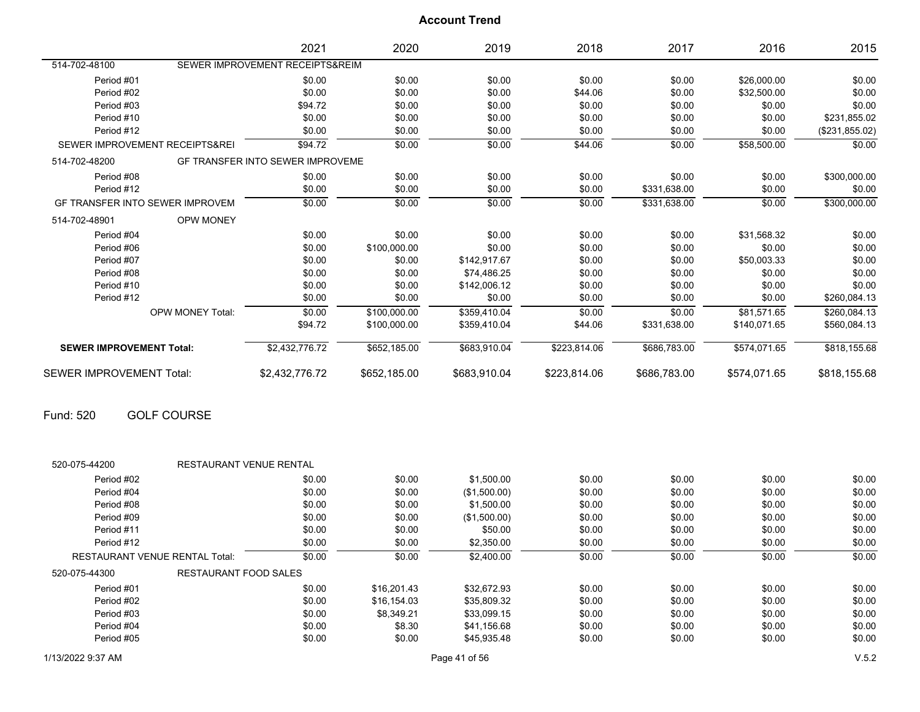|                                        |                         | 2021                                    | 2020         | 2019         | 2018         | 2017         | 2016         | 2015           |
|----------------------------------------|-------------------------|-----------------------------------------|--------------|--------------|--------------|--------------|--------------|----------------|
| 514-702-48100                          |                         | SEWER IMPROVEMENT RECEIPTS&REIM         |              |              |              |              |              |                |
| Period #01                             |                         | \$0.00                                  | \$0.00       | \$0.00       | \$0.00       | \$0.00       | \$26,000.00  | \$0.00         |
| Period #02                             |                         | \$0.00                                  | \$0.00       | \$0.00       | \$44.06      | \$0.00       | \$32,500.00  | \$0.00         |
| Period #03                             |                         | \$94.72                                 | \$0.00       | \$0.00       | \$0.00       | \$0.00       | \$0.00       | \$0.00         |
| Period #10                             |                         | \$0.00                                  | \$0.00       | \$0.00       | \$0.00       | \$0.00       | \$0.00       | \$231,855.02   |
| Period #12                             |                         | \$0.00                                  | \$0.00       | \$0.00       | \$0.00       | \$0.00       | \$0.00       | (\$231,855.02) |
| SEWER IMPROVEMENT RECEIPTS&REI         |                         | \$94.72                                 | \$0.00       | \$0.00       | \$44.06      | \$0.00       | \$58,500.00  | \$0.00         |
| 514-702-48200                          |                         | <b>GF TRANSFER INTO SEWER IMPROVEME</b> |              |              |              |              |              |                |
| Period #08                             |                         | \$0.00                                  | \$0.00       | \$0.00       | \$0.00       | \$0.00       | \$0.00       | \$300,000.00   |
| Period #12                             |                         | \$0.00                                  | \$0.00       | \$0.00       | \$0.00       | \$331,638.00 | \$0.00       | \$0.00         |
| <b>GF TRANSFER INTO SEWER IMPROVEM</b> |                         | \$0.00                                  | \$0.00       | \$0.00       | \$0.00       | \$331,638.00 | \$0.00       | \$300,000.00   |
| 514-702-48901                          | <b>OPW MONEY</b>        |                                         |              |              |              |              |              |                |
| Period #04                             |                         | \$0.00                                  | \$0.00       | \$0.00       | \$0.00       | \$0.00       | \$31,568.32  | \$0.00         |
| Period #06                             |                         | \$0.00                                  | \$100,000.00 | \$0.00       | \$0.00       | \$0.00       | \$0.00       | \$0.00         |
| Period #07                             |                         | \$0.00                                  | \$0.00       | \$142,917.67 | \$0.00       | \$0.00       | \$50,003.33  | \$0.00         |
| Period #08                             |                         | \$0.00                                  | \$0.00       | \$74,486.25  | \$0.00       | \$0.00       | \$0.00       | \$0.00         |
| Period #10                             |                         | \$0.00                                  | \$0.00       | \$142,006.12 | \$0.00       | \$0.00       | \$0.00       | \$0.00         |
| Period #12                             |                         | \$0.00                                  | \$0.00       | \$0.00       | \$0.00       | \$0.00       | \$0.00       | \$260,084.13   |
|                                        | <b>OPW MONEY Total:</b> | \$0.00                                  | \$100,000.00 | \$359,410.04 | \$0.00       | \$0.00       | \$81,571.65  | \$260,084.13   |
|                                        |                         | \$94.72                                 | \$100,000.00 | \$359.410.04 | \$44.06      | \$331,638.00 | \$140.071.65 | \$560,084.13   |
| <b>SEWER IMPROVEMENT Total:</b>        |                         | \$2,432,776.72                          | \$652,185.00 | \$683,910.04 | \$223,814.06 | \$686,783.00 | \$574,071.65 | \$818,155.68   |
| <b>SEWER IMPROVEMENT Total:</b>        |                         | \$2,432,776.72                          | \$652,185.00 | \$683,910.04 | \$223,814.06 | \$686,783.00 | \$574,071.65 | \$818,155.68   |

Fund: 520 GOLF COURSE

| 520-075-44200                         | <b>RESTAURANT VENUE RENTAL</b>                     |        |             |              |        |        |        |        |
|---------------------------------------|----------------------------------------------------|--------|-------------|--------------|--------|--------|--------|--------|
| Period #02                            |                                                    | \$0.00 | \$0.00      | \$1,500.00   | \$0.00 | \$0.00 | \$0.00 | \$0.00 |
| Period #04                            |                                                    | \$0.00 | \$0.00      | (\$1,500.00) | \$0.00 | \$0.00 | \$0.00 | \$0.00 |
| Period #08                            |                                                    | \$0.00 | \$0.00      | \$1,500.00   | \$0.00 | \$0.00 | \$0.00 | \$0.00 |
| Period #09                            |                                                    | \$0.00 | \$0.00      | (\$1,500.00) | \$0.00 | \$0.00 | \$0.00 | \$0.00 |
| Period #11                            |                                                    | \$0.00 | \$0.00      | \$50.00      | \$0.00 | \$0.00 | \$0.00 | \$0.00 |
| Period #12                            |                                                    | \$0.00 | \$0.00      | \$2,350.00   | \$0.00 | \$0.00 | \$0.00 | \$0.00 |
| <b>RESTAURANT VENUE RENTAL Total:</b> | \$0.00<br>\$0.00<br>\$2,400.00<br>\$0.00<br>\$0.00 |        | \$0.00      | \$0.00       |        |        |        |        |
| 520-075-44300                         | RESTAURANT FOOD SALES                              |        |             |              |        |        |        |        |
| Period #01                            |                                                    | \$0.00 | \$16,201.43 | \$32.672.93  | \$0.00 | \$0.00 | \$0.00 | \$0.00 |
| Period #02                            |                                                    | \$0.00 | \$16,154.03 | \$35,809.32  | \$0.00 | \$0.00 | \$0.00 | \$0.00 |
| Period #03                            |                                                    | \$0.00 | \$8.349.21  | \$33.099.15  | \$0.00 | \$0.00 | \$0.00 | \$0.00 |
| Period #04                            |                                                    | \$0.00 | \$8.30      | \$41.156.68  | \$0.00 | \$0.00 | \$0.00 | \$0.00 |
| Period #05                            |                                                    | \$0.00 | \$0.00      | \$45,935.48  | \$0.00 | \$0.00 | \$0.00 | \$0.00 |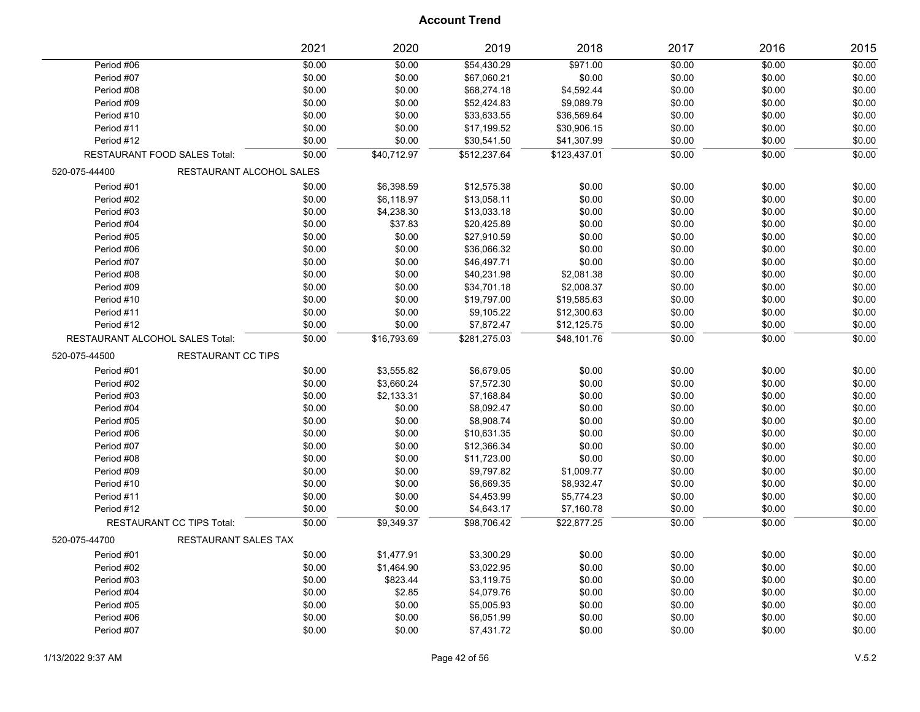|                                 |                                  | 2021              | 2020        | 2019         | 2018         | 2017   | 2016   | 2015   |
|---------------------------------|----------------------------------|-------------------|-------------|--------------|--------------|--------|--------|--------|
| Period #06                      |                                  | $\frac{1}{60.00}$ | \$0.00      | \$54,430.29  | \$971.00     | \$0.00 | \$0.00 | \$0.00 |
| Period #07                      |                                  | \$0.00            | \$0.00      | \$67,060.21  | \$0.00       | \$0.00 | \$0.00 | \$0.00 |
| Period #08                      |                                  | \$0.00            | \$0.00      | \$68,274.18  | \$4,592.44   | \$0.00 | \$0.00 | \$0.00 |
| Period #09                      |                                  | \$0.00            | \$0.00      | \$52,424.83  | \$9,089.79   | \$0.00 | \$0.00 | \$0.00 |
| Period #10                      |                                  | \$0.00            | \$0.00      | \$33,633.55  | \$36,569.64  | \$0.00 | \$0.00 | \$0.00 |
| Period #11                      |                                  | \$0.00            | \$0.00      | \$17,199.52  | \$30,906.15  | \$0.00 | \$0.00 | \$0.00 |
| Period #12                      |                                  | \$0.00            | \$0.00      | \$30,541.50  | \$41,307.99  | \$0.00 | \$0.00 | \$0.00 |
|                                 | RESTAURANT FOOD SALES Total:     | \$0.00            | \$40,712.97 | \$512,237.64 | \$123,437.01 | \$0.00 | \$0.00 | \$0.00 |
| 520-075-44400                   | RESTAURANT ALCOHOL SALES         |                   |             |              |              |        |        |        |
| Period #01                      |                                  | \$0.00            | \$6,398.59  | \$12,575.38  | \$0.00       | \$0.00 | \$0.00 | \$0.00 |
| Period #02                      |                                  | \$0.00            | \$6,118.97  | \$13,058.11  | \$0.00       | \$0.00 | \$0.00 | \$0.00 |
| Period #03                      |                                  | \$0.00            | \$4,238.30  | \$13,033.18  | \$0.00       | \$0.00 | \$0.00 | \$0.00 |
| Period #04                      |                                  | \$0.00            | \$37.83     | \$20,425.89  | \$0.00       | \$0.00 | \$0.00 | \$0.00 |
| Period #05                      |                                  | \$0.00            | \$0.00      | \$27,910.59  | \$0.00       | \$0.00 | \$0.00 | \$0.00 |
| Period #06                      |                                  | \$0.00            | \$0.00      | \$36,066.32  | \$0.00       | \$0.00 | \$0.00 | \$0.00 |
| Period #07                      |                                  | \$0.00            | \$0.00      | \$46,497.71  | \$0.00       | \$0.00 | \$0.00 | \$0.00 |
| Period #08                      |                                  | \$0.00            | \$0.00      | \$40,231.98  | \$2,081.38   | \$0.00 | \$0.00 | \$0.00 |
| Period #09                      |                                  | \$0.00            | \$0.00      | \$34,701.18  | \$2,008.37   | \$0.00 | \$0.00 | \$0.00 |
| Period #10                      |                                  | \$0.00            | \$0.00      | \$19,797.00  | \$19,585.63  | \$0.00 | \$0.00 | \$0.00 |
| Period #11                      |                                  | \$0.00            | \$0.00      | \$9,105.22   | \$12,300.63  | \$0.00 | \$0.00 | \$0.00 |
| Period #12                      |                                  | \$0.00            | \$0.00      | \$7,872.47   | \$12,125.75  | \$0.00 | \$0.00 | \$0.00 |
| RESTAURANT ALCOHOL SALES Total: |                                  | \$0.00            | \$16,793.69 | \$281,275.03 | \$48,101.76  | \$0.00 | \$0.00 | \$0.00 |
| 520-075-44500                   | <b>RESTAURANT CC TIPS</b>        |                   |             |              |              |        |        |        |
| Period #01                      |                                  | \$0.00            | \$3,555.82  | \$6,679.05   | \$0.00       | \$0.00 | \$0.00 | \$0.00 |
| Period #02                      |                                  | \$0.00            | \$3,660.24  | \$7,572.30   | \$0.00       | \$0.00 | \$0.00 | \$0.00 |
| Period #03                      |                                  | \$0.00            | \$2,133.31  | \$7,168.84   | \$0.00       | \$0.00 | \$0.00 | \$0.00 |
| Period #04                      |                                  | \$0.00            | \$0.00      | \$8,092.47   | \$0.00       | \$0.00 | \$0.00 | \$0.00 |
| Period #05                      |                                  | \$0.00            | \$0.00      | \$8,908.74   | \$0.00       | \$0.00 | \$0.00 | \$0.00 |
| Period #06                      |                                  | \$0.00            | \$0.00      | \$10,631.35  | \$0.00       | \$0.00 | \$0.00 | \$0.00 |
| Period #07                      |                                  | \$0.00            | \$0.00      | \$12,366.34  | \$0.00       | \$0.00 | \$0.00 | \$0.00 |
| Period #08                      |                                  | \$0.00            | \$0.00      | \$11,723.00  | \$0.00       | \$0.00 | \$0.00 | \$0.00 |
| Period #09                      |                                  | \$0.00            | \$0.00      | \$9,797.82   | \$1,009.77   | \$0.00 | \$0.00 | \$0.00 |
| Period #10                      |                                  | \$0.00            | \$0.00      | \$6,669.35   | \$8,932.47   | \$0.00 | \$0.00 | \$0.00 |
| Period #11                      |                                  | \$0.00            | \$0.00      | \$4,453.99   | \$5,774.23   | \$0.00 | \$0.00 | \$0.00 |
| Period #12                      |                                  | \$0.00            | \$0.00      | \$4,643.17   | \$7,160.78   | \$0.00 | \$0.00 | \$0.00 |
|                                 | <b>RESTAURANT CC TIPS Total:</b> | \$0.00            | \$9,349.37  | \$98,706.42  | \$22,877.25  | \$0.00 | \$0.00 | \$0.00 |
| 520-075-44700                   | <b>RESTAURANT SALES TAX</b>      |                   |             |              |              |        |        |        |
| Period #01                      |                                  | \$0.00            | \$1,477.91  | \$3,300.29   | \$0.00       | \$0.00 | \$0.00 | \$0.00 |
| Period #02                      |                                  | \$0.00            | \$1,464.90  | \$3,022.95   | \$0.00       | \$0.00 | \$0.00 | \$0.00 |
| Period #03                      |                                  | \$0.00            | \$823.44    | \$3,119.75   | \$0.00       | \$0.00 | \$0.00 | \$0.00 |
| Period #04                      |                                  | \$0.00            | \$2.85      | \$4,079.76   | \$0.00       | \$0.00 | \$0.00 | \$0.00 |
| Period #05                      |                                  | \$0.00            | \$0.00      | \$5,005.93   | \$0.00       | \$0.00 | \$0.00 | \$0.00 |
| Period #06                      |                                  | \$0.00            | \$0.00      | \$6,051.99   | \$0.00       | \$0.00 | \$0.00 | \$0.00 |
| Period #07                      |                                  | \$0.00            | \$0.00      | \$7,431.72   | \$0.00       | \$0.00 | \$0.00 | \$0.00 |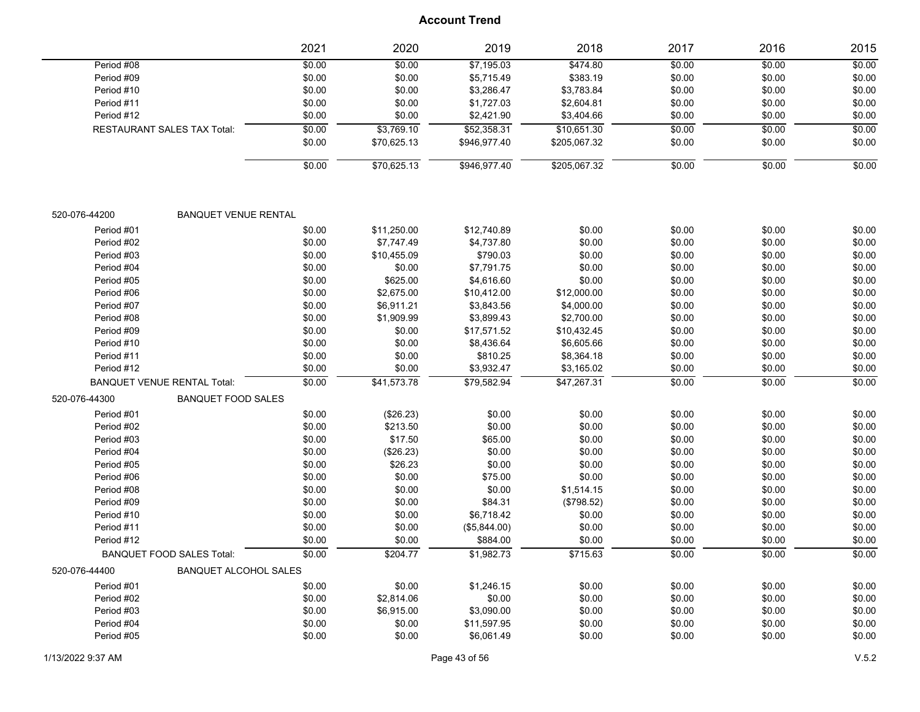|               |                                    | 2021   | 2020        | 2019         | 2018         | 2017   | 2016   | 2015   |
|---------------|------------------------------------|--------|-------------|--------------|--------------|--------|--------|--------|
| Period #08    |                                    | \$0.00 | \$0.00      | \$7,195.03   | 3474.80      | \$0.00 | \$0.00 | \$0.00 |
| Period #09    |                                    | \$0.00 | \$0.00      | \$5,715.49   | \$383.19     | \$0.00 | \$0.00 | \$0.00 |
| Period #10    |                                    | \$0.00 | \$0.00      | \$3,286.47   | \$3,783.84   | \$0.00 | \$0.00 | \$0.00 |
| Period #11    |                                    | \$0.00 | \$0.00      | \$1,727.03   | \$2,604.81   | \$0.00 | \$0.00 | \$0.00 |
| Period #12    |                                    | \$0.00 | \$0.00      | \$2,421.90   | \$3,404.66   | \$0.00 | \$0.00 | \$0.00 |
|               | <b>RESTAURANT SALES TAX Total:</b> | \$0.00 | \$3,769.10  | \$52,358.31  | \$10,651.30  | \$0.00 | \$0.00 | \$0.00 |
|               |                                    | \$0.00 | \$70,625.13 | \$946,977.40 | \$205,067.32 | \$0.00 | \$0.00 | \$0.00 |
|               |                                    | \$0.00 | \$70,625.13 | \$946,977.40 | \$205,067.32 | \$0.00 | \$0.00 | \$0.00 |
| 520-076-44200 | <b>BANQUET VENUE RENTAL</b>        |        |             |              |              |        |        |        |
| Period #01    |                                    | \$0.00 | \$11,250.00 | \$12,740.89  | \$0.00       | \$0.00 | \$0.00 | \$0.00 |
| Period #02    |                                    | \$0.00 | \$7,747.49  | \$4,737.80   | \$0.00       | \$0.00 | \$0.00 | \$0.00 |
| Period #03    |                                    | \$0.00 | \$10,455.09 | \$790.03     | \$0.00       | \$0.00 | \$0.00 | \$0.00 |
| Period #04    |                                    | \$0.00 | \$0.00      | \$7,791.75   | \$0.00       | \$0.00 | \$0.00 | \$0.00 |
| Period #05    |                                    | \$0.00 | \$625.00    | \$4,616.60   | \$0.00       | \$0.00 | \$0.00 | \$0.00 |
| Period #06    |                                    | \$0.00 | \$2,675.00  | \$10,412.00  | \$12,000.00  | \$0.00 | \$0.00 | \$0.00 |
| Period #07    |                                    | \$0.00 | \$6,911.21  | \$3,843.56   | \$4,000.00   | \$0.00 | \$0.00 | \$0.00 |
| Period #08    |                                    | \$0.00 | \$1,909.99  | \$3,899.43   | \$2,700.00   | \$0.00 | \$0.00 | \$0.00 |
| Period #09    |                                    | \$0.00 | \$0.00      | \$17,571.52  | \$10,432.45  | \$0.00 | \$0.00 | \$0.00 |
| Period #10    |                                    | \$0.00 | \$0.00      | \$8,436.64   | \$6,605.66   | \$0.00 | \$0.00 | \$0.00 |
| Period #11    |                                    | \$0.00 | \$0.00      | \$810.25     | \$8,364.18   | \$0.00 | \$0.00 | \$0.00 |
| Period #12    |                                    | \$0.00 | \$0.00      | \$3,932.47   | \$3,165.02   | \$0.00 | \$0.00 | \$0.00 |
|               | <b>BANQUET VENUE RENTAL Total:</b> | \$0.00 | \$41,573.78 | \$79,582.94  | \$47,267.31  | \$0.00 | \$0.00 | \$0.00 |
| 520-076-44300 | <b>BANQUET FOOD SALES</b>          |        |             |              |              |        |        |        |
| Period #01    |                                    | \$0.00 | (\$26.23)   | \$0.00       | \$0.00       | \$0.00 | \$0.00 | \$0.00 |
| Period #02    |                                    | \$0.00 | \$213.50    | \$0.00       | \$0.00       | \$0.00 | \$0.00 | \$0.00 |
| Period #03    |                                    | \$0.00 | \$17.50     | \$65.00      | \$0.00       | \$0.00 | \$0.00 | \$0.00 |
| Period #04    |                                    | \$0.00 | (\$26.23)   | \$0.00       | \$0.00       | \$0.00 | \$0.00 | \$0.00 |
| Period #05    |                                    | \$0.00 | \$26.23     | \$0.00       | \$0.00       | \$0.00 | \$0.00 | \$0.00 |
| Period #06    |                                    | \$0.00 | \$0.00      | \$75.00      | \$0.00       | \$0.00 | \$0.00 | \$0.00 |
| Period #08    |                                    | \$0.00 | \$0.00      | \$0.00       | \$1,514.15   | \$0.00 | \$0.00 | \$0.00 |
| Period #09    |                                    | \$0.00 | \$0.00      | \$84.31      | (\$798.52)   | \$0.00 | \$0.00 | \$0.00 |
| Period #10    |                                    | \$0.00 | \$0.00      | \$6,718.42   | \$0.00       | \$0.00 | \$0.00 | \$0.00 |
| Period #11    |                                    | \$0.00 | \$0.00      | (\$5,844.00) | \$0.00       | \$0.00 | \$0.00 | \$0.00 |
| Period #12    |                                    | \$0.00 | \$0.00      | \$884.00     | \$0.00       | \$0.00 | \$0.00 | \$0.00 |
|               | <b>BANQUET FOOD SALES Total:</b>   | \$0.00 | \$204.77    | \$1,982.73   | \$715.63     | \$0.00 | \$0.00 | \$0.00 |
| 520-076-44400 | <b>BANQUET ALCOHOL SALES</b>       |        |             |              |              |        |        |        |
| Period #01    |                                    | \$0.00 | \$0.00      | \$1,246.15   | \$0.00       | \$0.00 | \$0.00 | \$0.00 |
| Period #02    |                                    | \$0.00 | \$2,814.06  | \$0.00       | \$0.00       | \$0.00 | \$0.00 | \$0.00 |
| Period #03    |                                    | \$0.00 | \$6,915.00  | \$3,090.00   | \$0.00       | \$0.00 | \$0.00 | \$0.00 |
| Period #04    |                                    | \$0.00 | \$0.00      | \$11,597.95  | \$0.00       | \$0.00 | \$0.00 | \$0.00 |
| Period #05    |                                    | \$0.00 | \$0.00      | \$6,061.49   | \$0.00       | \$0.00 | \$0.00 | \$0.00 |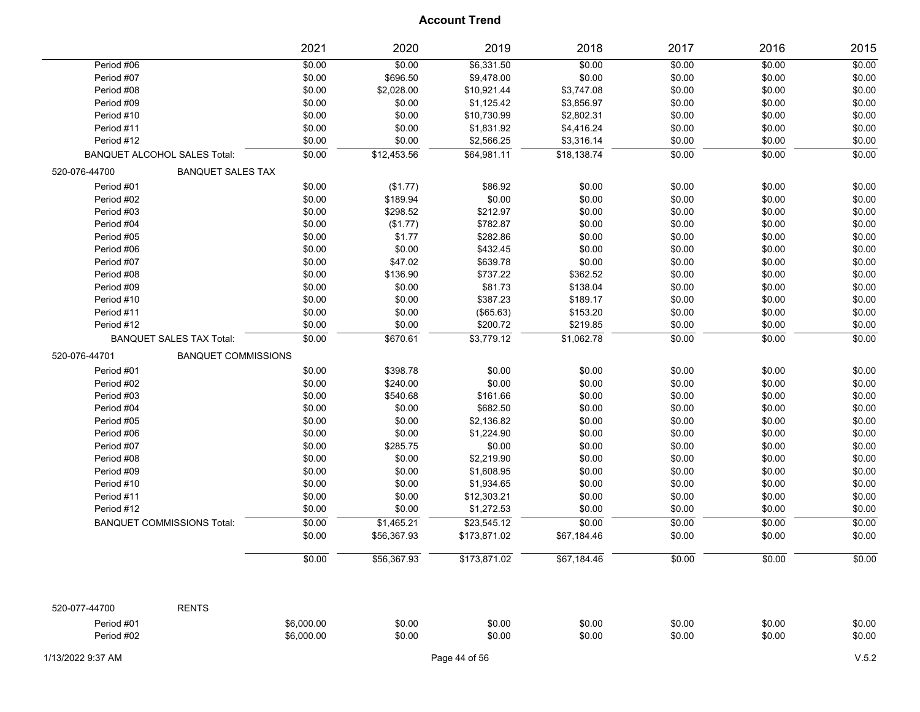|                   |                                     | 2021       | 2020        | 2019          | 2018        | 2017   | 2016   | 2015   |
|-------------------|-------------------------------------|------------|-------------|---------------|-------------|--------|--------|--------|
| Period #06        |                                     | \$0.00     | \$0.00      | \$6,331.50    | \$0.00      | \$0.00 | \$0.00 | \$0.00 |
| Period #07        |                                     | \$0.00     | \$696.50    | \$9,478.00    | \$0.00      | \$0.00 | \$0.00 | \$0.00 |
| Period #08        |                                     | \$0.00     | \$2,028.00  | \$10,921.44   | \$3,747.08  | \$0.00 | \$0.00 | \$0.00 |
| Period #09        |                                     | \$0.00     | \$0.00      | \$1,125.42    | \$3,856.97  | \$0.00 | \$0.00 | \$0.00 |
| Period #10        |                                     | \$0.00     | \$0.00      | \$10,730.99   | \$2,802.31  | \$0.00 | \$0.00 | \$0.00 |
| Period #11        |                                     | \$0.00     | \$0.00      | \$1,831.92    | \$4,416.24  | \$0.00 | \$0.00 | \$0.00 |
| Period #12        |                                     | \$0.00     | \$0.00      | \$2,566.25    | \$3,316.14  | \$0.00 | \$0.00 | \$0.00 |
|                   | <b>BANQUET ALCOHOL SALES Total:</b> | \$0.00     | \$12,453.56 | \$64,981.11   | \$18,138.74 | \$0.00 | \$0.00 | \$0.00 |
| 520-076-44700     | <b>BANQUET SALES TAX</b>            |            |             |               |             |        |        |        |
| Period #01        |                                     | \$0.00     | (\$1.77)    | \$86.92       | \$0.00      | \$0.00 | \$0.00 | \$0.00 |
| Period #02        |                                     | \$0.00     | \$189.94    | \$0.00        | \$0.00      | \$0.00 | \$0.00 | \$0.00 |
| Period #03        |                                     | \$0.00     | \$298.52    | \$212.97      | \$0.00      | \$0.00 | \$0.00 | \$0.00 |
| Period #04        |                                     | \$0.00     | (\$1.77)    | \$782.87      | \$0.00      | \$0.00 | \$0.00 | \$0.00 |
| Period #05        |                                     | \$0.00     | \$1.77      | \$282.86      | \$0.00      | \$0.00 | \$0.00 | \$0.00 |
| Period #06        |                                     | \$0.00     | \$0.00      | \$432.45      | \$0.00      | \$0.00 | \$0.00 | \$0.00 |
| Period #07        |                                     | \$0.00     | \$47.02     | \$639.78      | \$0.00      | \$0.00 | \$0.00 | \$0.00 |
| Period #08        |                                     | \$0.00     | \$136.90    | \$737.22      | \$362.52    | \$0.00 | \$0.00 | \$0.00 |
| Period #09        |                                     | \$0.00     | \$0.00      | \$81.73       | \$138.04    | \$0.00 | \$0.00 | \$0.00 |
| Period #10        |                                     | \$0.00     | \$0.00      | \$387.23      | \$189.17    | \$0.00 | \$0.00 | \$0.00 |
| Period #11        |                                     | \$0.00     | \$0.00      | (\$65.63)     | \$153.20    | \$0.00 | \$0.00 | \$0.00 |
| Period #12        |                                     | \$0.00     | \$0.00      | \$200.72      | \$219.85    | \$0.00 | \$0.00 | \$0.00 |
|                   | <b>BANQUET SALES TAX Total:</b>     | \$0.00     | \$670.61    | \$3,779.12    | \$1,062.78  | \$0.00 | \$0.00 | \$0.00 |
| 520-076-44701     | <b>BANQUET COMMISSIONS</b>          |            |             |               |             |        |        |        |
| Period #01        |                                     | \$0.00     | \$398.78    | \$0.00        | \$0.00      | \$0.00 | \$0.00 | \$0.00 |
| Period #02        |                                     | \$0.00     | \$240.00    | \$0.00        | \$0.00      | \$0.00 | \$0.00 | \$0.00 |
| Period #03        |                                     | \$0.00     | \$540.68    | \$161.66      | \$0.00      | \$0.00 | \$0.00 | \$0.00 |
| Period #04        |                                     | \$0.00     | \$0.00      | \$682.50      | \$0.00      | \$0.00 | \$0.00 | \$0.00 |
| Period #05        |                                     | \$0.00     | \$0.00      | \$2,136.82    | \$0.00      | \$0.00 | \$0.00 | \$0.00 |
| Period #06        |                                     | \$0.00     | \$0.00      | \$1,224.90    | \$0.00      | \$0.00 | \$0.00 | \$0.00 |
| Period #07        |                                     | \$0.00     | \$285.75    | \$0.00        | \$0.00      | \$0.00 | \$0.00 | \$0.00 |
| Period #08        |                                     | \$0.00     | \$0.00      | \$2,219.90    | \$0.00      | \$0.00 | \$0.00 | \$0.00 |
| Period #09        |                                     | \$0.00     | \$0.00      | \$1,608.95    | \$0.00      | \$0.00 | \$0.00 | \$0.00 |
| Period #10        |                                     | \$0.00     | \$0.00      | \$1,934.65    | \$0.00      | \$0.00 | \$0.00 | \$0.00 |
| Period #11        |                                     | \$0.00     | \$0.00      | \$12,303.21   | \$0.00      | \$0.00 | \$0.00 | \$0.00 |
| Period #12        |                                     | \$0.00     | \$0.00      | \$1,272.53    | \$0.00      | \$0.00 | \$0.00 | \$0.00 |
|                   | <b>BANQUET COMMISSIONS Total:</b>   | \$0.00     | \$1,465.21  | \$23,545.12   | \$0.00      | \$0.00 | \$0.00 | \$0.00 |
|                   |                                     | \$0.00     | \$56,367.93 | \$173,871.02  | \$67,184.46 | \$0.00 | \$0.00 | \$0.00 |
|                   |                                     | \$0.00     | \$56,367.93 | \$173,871.02  | \$67,184.46 | \$0.00 | \$0.00 | \$0.00 |
| 520-077-44700     | <b>RENTS</b>                        |            |             |               |             |        |        |        |
| Period #01        |                                     | \$6,000.00 | \$0.00      | \$0.00        | \$0.00      | \$0.00 | \$0.00 | \$0.00 |
| Period #02        |                                     | \$6,000.00 | \$0.00      | \$0.00        | \$0.00      | \$0.00 | \$0.00 | \$0.00 |
|                   |                                     |            |             |               |             |        |        |        |
| 1/13/2022 9:37 AM |                                     |            |             | Page 44 of 56 |             |        |        | V.5.2  |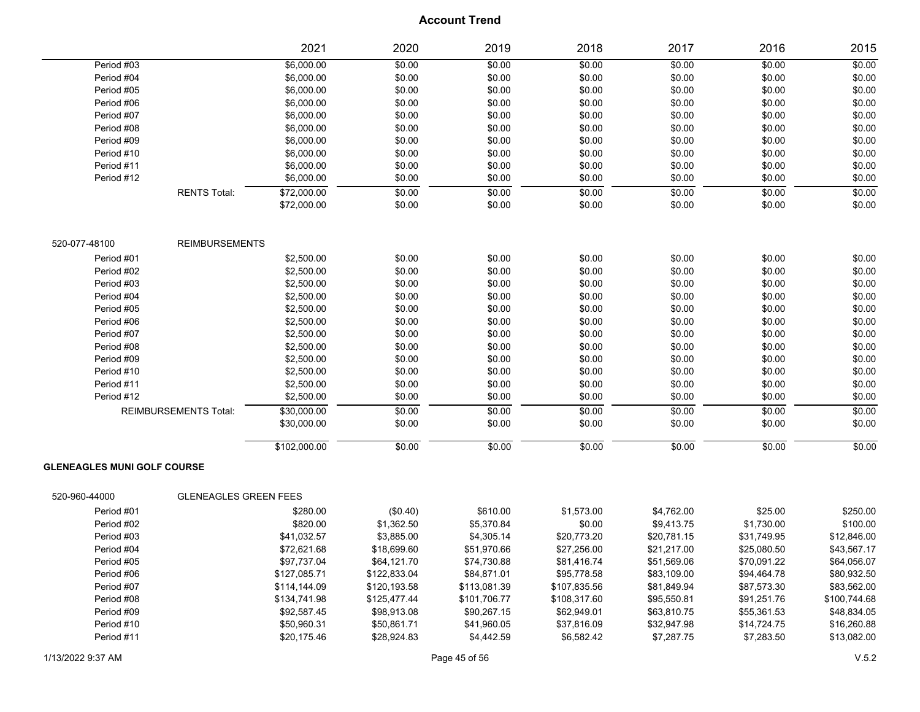|                                    | 2021                         | 2020                      | 2019                      | 2018                       | 2017                       | 2016                       | 2015                       |
|------------------------------------|------------------------------|---------------------------|---------------------------|----------------------------|----------------------------|----------------------------|----------------------------|
| Period #03                         | \$6,000.00                   | \$0.00                    | \$0.00                    | \$0.00                     | \$0.00                     | \$0.00                     | \$0.00                     |
| Period #04                         | \$6,000.00                   | \$0.00                    | \$0.00                    | \$0.00                     | \$0.00                     | \$0.00                     | \$0.00                     |
| Period #05                         | \$6,000.00                   | \$0.00                    | \$0.00                    | \$0.00                     | \$0.00                     | \$0.00                     | \$0.00                     |
| Period #06                         | \$6,000.00                   | \$0.00                    | \$0.00                    | \$0.00                     | \$0.00                     | \$0.00                     | \$0.00                     |
| Period #07                         | \$6,000.00                   | \$0.00                    | \$0.00                    | \$0.00                     | \$0.00                     | \$0.00                     | \$0.00                     |
| Period #08                         | \$6,000.00                   | \$0.00                    | \$0.00                    | \$0.00                     | \$0.00                     | \$0.00                     | \$0.00                     |
| Period #09                         | \$6,000.00                   | \$0.00                    | \$0.00                    | \$0.00                     | \$0.00                     | \$0.00                     | \$0.00                     |
| Period #10                         | \$6,000.00                   | \$0.00                    | \$0.00                    | \$0.00                     | \$0.00                     | \$0.00                     | \$0.00                     |
| Period #11                         | \$6,000.00                   | \$0.00                    | \$0.00                    | \$0.00                     | \$0.00                     | \$0.00                     | \$0.00                     |
| Period #12                         | \$6,000.00                   | \$0.00                    | \$0.00                    | \$0.00                     | \$0.00                     | \$0.00                     | \$0.00                     |
| <b>RENTS Total:</b>                | \$72,000.00                  | \$0.00                    | \$0.00                    | \$0.00                     | \$0.00                     | \$0.00                     | \$0.00                     |
|                                    | \$72,000.00                  | \$0.00                    | \$0.00                    | \$0.00                     | \$0.00                     | \$0.00                     | \$0.00                     |
| 520-077-48100                      | <b>REIMBURSEMENTS</b>        |                           |                           |                            |                            |                            |                            |
| Period #01                         | \$2,500.00                   | \$0.00                    | \$0.00                    | \$0.00                     | \$0.00                     | \$0.00                     | \$0.00                     |
| Period #02                         | \$2,500.00                   | \$0.00                    | \$0.00                    | \$0.00                     | \$0.00                     | \$0.00                     | \$0.00                     |
| Period #03                         | \$2,500.00                   | \$0.00                    | \$0.00                    | \$0.00                     | \$0.00                     | \$0.00                     | \$0.00                     |
| Period #04                         | \$2,500.00                   | \$0.00                    | \$0.00                    | \$0.00                     | \$0.00                     | \$0.00                     | \$0.00                     |
| Period #05                         | \$2,500.00                   | \$0.00                    | \$0.00                    | \$0.00                     | \$0.00                     | \$0.00                     | \$0.00                     |
| Period #06                         | \$2,500.00                   | \$0.00                    | \$0.00                    | \$0.00                     | \$0.00                     | \$0.00                     | \$0.00                     |
| Period #07                         | \$2,500.00                   | \$0.00                    | \$0.00                    | \$0.00                     | \$0.00                     | \$0.00                     | \$0.00                     |
| Period #08                         | \$2,500.00                   | \$0.00                    | \$0.00                    | \$0.00                     | \$0.00                     | \$0.00                     | \$0.00                     |
| Period #09                         | \$2,500.00                   | \$0.00                    | \$0.00                    | \$0.00                     | \$0.00                     | \$0.00                     | \$0.00                     |
| Period #10                         | \$2,500.00                   | \$0.00                    | \$0.00                    | \$0.00                     | \$0.00                     | \$0.00                     | \$0.00                     |
| Period #11                         | \$2,500.00                   | \$0.00                    | \$0.00                    | \$0.00                     | \$0.00                     | \$0.00                     | \$0.00                     |
| Period #12                         | \$2,500.00                   | \$0.00                    | \$0.00                    | \$0.00                     | \$0.00                     | \$0.00                     | \$0.00                     |
| <b>REIMBURSEMENTS Total:</b>       | \$30,000.00                  | \$0.00                    | \$0.00                    | \$0.00                     | \$0.00                     | \$0.00                     | \$0.00                     |
|                                    | \$30,000.00                  | \$0.00                    | \$0.00                    | \$0.00                     | \$0.00                     | \$0.00                     | \$0.00                     |
|                                    | \$102,000.00                 | \$0.00                    | \$0.00                    | \$0.00                     | \$0.00                     | \$0.00                     | \$0.00                     |
| <b>GLENEAGLES MUNI GOLF COURSE</b> |                              |                           |                           |                            |                            |                            |                            |
| 520-960-44000                      | <b>GLENEAGLES GREEN FEES</b> |                           |                           |                            |                            |                            |                            |
| Period #01                         | \$280.00                     | (\$0.40)                  | \$610.00                  | \$1,573.00                 | \$4,762.00                 | \$25.00                    | \$250.00                   |
| Period #02<br>Period #03           | \$820.00                     | \$1,362.50                | \$5,370.84                | \$0.00                     | \$9,413.75                 | \$1,730.00                 | \$100.00                   |
| Period #04                         | \$41,032.57<br>\$72,621.68   | \$3,885.00<br>\$18,699.60 | \$4,305.14<br>\$51,970.66 | \$20,773.20<br>\$27,256.00 | \$20,781.15<br>\$21,217.00 | \$31,749.95<br>\$25,080.50 | \$12,846.00<br>\$43,567.17 |
| Period #05                         | \$97,737.04                  | \$64,121.70               | \$74,730.88               | \$81,416.74                | \$51,569.06                | \$70,091.22                | \$64,056.07                |
| Period #06                         | \$127,085.71                 | \$122,833.04              | \$84,871.01               | \$95,778.58                | \$83,109.00                | \$94,464.78                | \$80,932.50                |
| Period #07                         | \$114,144.09                 | \$120,193.58              | \$113,081.39              | \$107,835.56               | \$81,849.94                | \$87,573.30                | \$83,562.00                |
| Period #08                         | \$134,741.98                 | \$125,477.44              | \$101,706.77              | \$108,317.60               | \$95,550.81                | \$91,251.76                | \$100,744.68               |
| Period #09                         | \$92,587.45                  | \$98,913.08               | \$90,267.15               | \$62,949.01                | \$63,810.75                | \$55,361.53                | \$48,834.05                |
| Period #10                         | \$50,960.31                  | \$50,861.71               | \$41,960.05               | \$37,816.09                | \$32,947.98                | \$14,724.75                | \$16,260.88                |
| Period #11                         | \$20,175.46                  | \$28,924.83               | \$4,442.59                | \$6,582.42                 | \$7,287.75                 | \$7,283.50                 | \$13,082.00                |
|                                    |                              |                           |                           |                            |                            |                            |                            |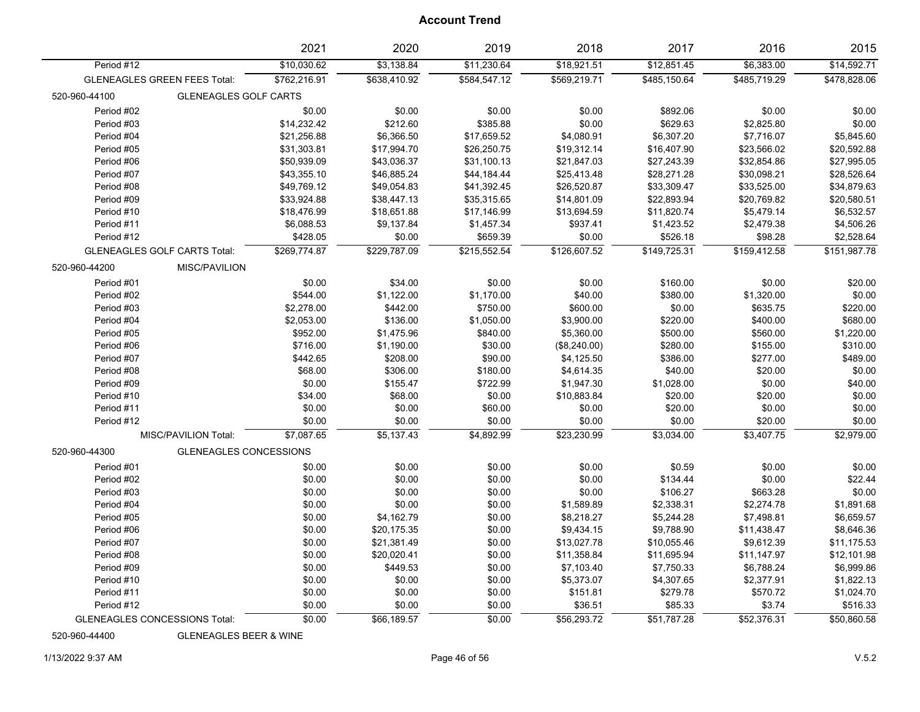|               |                                      | 2021         | 2020         | 2019         | 2018         | 2017         | 2016         | 2015         |
|---------------|--------------------------------------|--------------|--------------|--------------|--------------|--------------|--------------|--------------|
| Period #12    |                                      | \$10,030.62  | \$3,138.84   | \$11,230.64  | \$18,921.51  | \$12,851.45  | \$6,383.00   | \$14,592.71  |
|               | <b>GLENEAGLES GREEN FEES Total:</b>  | \$762,216.91 | \$638,410.92 | \$584,547.12 | \$569,219.71 | \$485,150.64 | \$485,719.29 | \$478,828.06 |
| 520-960-44100 | <b>GLENEAGLES GOLF CARTS</b>         |              |              |              |              |              |              |              |
| Period #02    |                                      | \$0.00       | \$0.00       | \$0.00       | \$0.00       | \$892.06     | \$0.00       | \$0.00       |
| Period #03    |                                      | \$14,232.42  | \$212.60     | \$385.88     | \$0.00       | \$629.63     | \$2,825.80   | \$0.00       |
| Period #04    |                                      | \$21,256.88  | \$6,366.50   | \$17,659.52  | \$4,080.91   | \$6,307.20   | \$7,716.07   | \$5,845.60   |
| Period #05    |                                      | \$31,303.81  | \$17,994.70  | \$26,250.75  | \$19,312.14  | \$16,407.90  | \$23,566.02  | \$20,592.88  |
| Period #06    |                                      | \$50,939.09  | \$43,036.37  | \$31,100.13  | \$21,847.03  | \$27,243.39  | \$32,854.86  | \$27,995.05  |
| Period #07    |                                      | \$43,355.10  | \$46,885.24  | \$44,184.44  | \$25,413.48  | \$28,271.28  | \$30,098.21  | \$28,526.64  |
| Period #08    |                                      | \$49,769.12  | \$49,054.83  | \$41,392.45  | \$26,520.87  | \$33,309.47  | \$33,525.00  | \$34,879.63  |
| Period #09    |                                      | \$33,924.88  | \$38,447.13  | \$35,315.65  | \$14,801.09  | \$22,893.94  | \$20,769.82  | \$20,580.51  |
| Period #10    |                                      | \$18,476.99  | \$18,651.88  | \$17,146.99  | \$13,694.59  | \$11,820.74  | \$5,479.14   | \$6,532.57   |
| Period #11    |                                      | \$6,088.53   | \$9,137.84   | \$1,457.34   | \$937.41     | \$1,423.52   | \$2,479.38   | \$4,506.26   |
| Period #12    |                                      | \$428.05     | \$0.00       | \$659.39     | \$0.00       | \$526.18     | \$98.28      | \$2,528.64   |
|               | <b>GLENEAGLES GOLF CARTS Total:</b>  | \$269,774.87 | \$229,787.09 | \$215,552.54 | \$126,607.52 | \$149,725.31 | \$159,412.58 | \$151,987.78 |
| 520-960-44200 | MISC/PAVILION                        |              |              |              |              |              |              |              |
| Period #01    |                                      | \$0.00       | \$34.00      | \$0.00       | \$0.00       | \$160.00     | \$0.00       | \$20.00      |
| Period #02    |                                      | \$544.00     | \$1,122.00   | \$1,170.00   | \$40.00      | \$380.00     | \$1,320.00   | \$0.00       |
| Period #03    |                                      | \$2,278.00   | \$442.00     | \$750.00     | \$600.00     | \$0.00       | \$635.75     | \$220.00     |
| Period #04    |                                      | \$2,053.00   | \$136.00     | \$1,050.00   | \$3,900.00   | \$220.00     | \$400.00     | \$680.00     |
| Period #05    |                                      | \$952.00     | \$1,475.96   | \$840.00     | \$5,360.00   | \$500.00     | \$560.00     | \$1,220.00   |
| Period #06    |                                      | \$716.00     | \$1,190.00   | \$30.00      | (\$8,240.00) | \$280.00     | \$155.00     | \$310.00     |
| Period #07    |                                      | \$442.65     | \$208.00     | \$90.00      | \$4,125.50   | \$386.00     | \$277.00     | \$489.00     |
| Period #08    |                                      | \$68.00      | \$306.00     | \$180.00     | \$4,614.35   | \$40.00      | \$20.00      | \$0.00       |
| Period #09    |                                      | \$0.00       | \$155.47     | \$722.99     | \$1,947.30   | \$1,028.00   | \$0.00       | \$40.00      |
| Period #10    |                                      | \$34.00      | \$68.00      | \$0.00       | \$10,883.84  | \$20.00      | \$20.00      | \$0.00       |
| Period #11    |                                      | \$0.00       | \$0.00       | \$60.00      | \$0.00       | \$20.00      | \$0.00       | \$0.00       |
| Period #12    |                                      | \$0.00       | \$0.00       | \$0.00       | \$0.00       | \$0.00       | \$20.00      | \$0.00       |
|               | MISC/PAVILION Total:                 | \$7,087.65   | \$5,137.43   | \$4,892.99   | \$23,230.99  | \$3,034.00   | \$3,407.75   | \$2,979.00   |
| 520-960-44300 | <b>GLENEAGLES CONCESSIONS</b>        |              |              |              |              |              |              |              |
| Period #01    |                                      | \$0.00       | \$0.00       | \$0.00       | \$0.00       | \$0.59       | \$0.00       | \$0.00       |
| Period #02    |                                      | \$0.00       | \$0.00       | \$0.00       | \$0.00       | \$134.44     | \$0.00       | \$22.44      |
| Period #03    |                                      | \$0.00       | \$0.00       | \$0.00       | \$0.00       | \$106.27     | \$663.28     | \$0.00       |
| Period #04    |                                      | \$0.00       | \$0.00       | \$0.00       | \$1,589.89   | \$2,338.31   | \$2,274.78   | \$1,891.68   |
| Period #05    |                                      | \$0.00       | \$4,162.79   | \$0.00       | \$8,218.27   | \$5,244.28   | \$7,498.81   | \$6,659.57   |
| Period #06    |                                      | \$0.00       | \$20,175.35  | \$0.00       | \$9,434.15   | \$9,788.90   | \$11,438.47  | \$8,646.36   |
| Period #07    |                                      | \$0.00       | \$21,381.49  | \$0.00       | \$13,027.78  | \$10,055.46  | \$9,612.39   | \$11,175.53  |
| Period #08    |                                      | \$0.00       | \$20,020.41  | \$0.00       | \$11,358.84  | \$11,695.94  | \$11,147.97  | \$12,101.98  |
| Period #09    |                                      | \$0.00       | \$449.53     | \$0.00       | \$7,103.40   | \$7,750.33   | \$6,788.24   | \$6,999.86   |
| Period #10    |                                      | \$0.00       | \$0.00       | \$0.00       | \$5,373.07   | \$4,307.65   | \$2,377.91   | \$1,822.13   |
| Period #11    |                                      | \$0.00       | \$0.00       | \$0.00       | \$151.81     | \$279.78     | \$570.72     | \$1,024.70   |
| Period #12    |                                      | \$0.00       | \$0.00       | \$0.00       | \$36.51      | \$85.33      | \$3.74       | \$516.33     |
|               | <b>GLENEAGLES CONCESSIONS Total:</b> | \$0.00       | \$66,189.57  | \$0.00       | \$56,293.72  | \$51,787.28  | \$52,376.31  | \$50,860.58  |

520-960-44400 GLENEAGLES BEER & WINE

1/13/2022 9:37 AM Page 46 of 56 V.5.2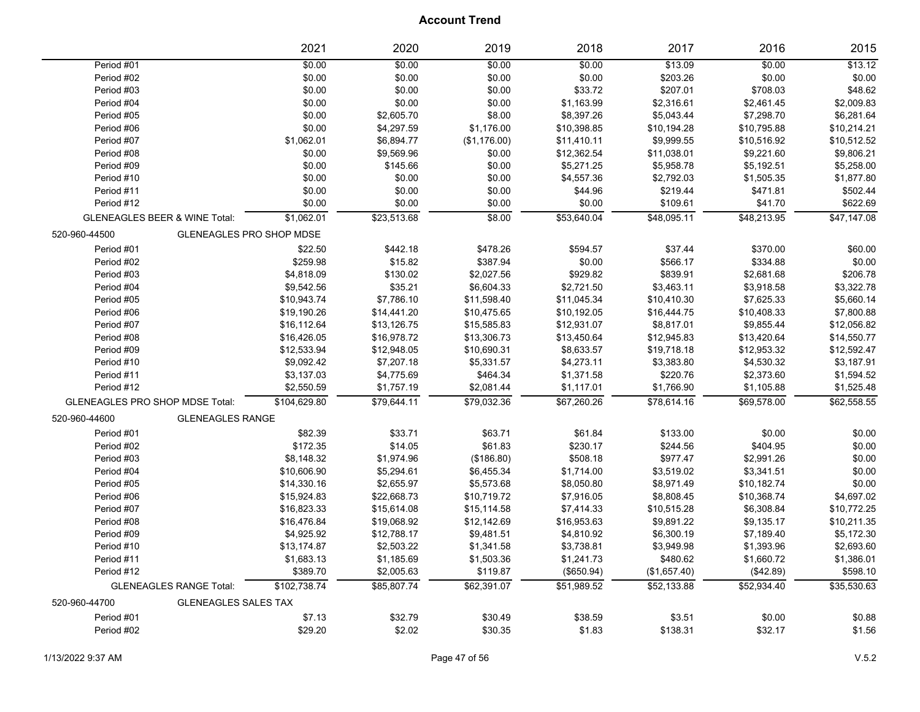|                                                  | 2021         | 2020        | 2019         | 2018        | 2017         | 2016        | 2015        |
|--------------------------------------------------|--------------|-------------|--------------|-------------|--------------|-------------|-------------|
| Period #01                                       | \$0.00       | \$0.00      | \$0.00       | \$0.00      | \$13.09      | \$0.00      | \$13.12     |
| Period #02                                       | \$0.00       | \$0.00      | \$0.00       | \$0.00      | \$203.26     | \$0.00      | \$0.00      |
| Period #03                                       | \$0.00       | \$0.00      | \$0.00       | \$33.72     | \$207.01     | \$708.03    | \$48.62     |
| Period #04                                       | \$0.00       | \$0.00      | \$0.00       | \$1,163.99  | \$2,316.61   | \$2,461.45  | \$2,009.83  |
| Period #05                                       | \$0.00       | \$2,605.70  | \$8.00       | \$8,397.26  | \$5,043.44   | \$7,298.70  | \$6,281.64  |
| Period #06                                       | \$0.00       | \$4,297.59  | \$1,176.00   | \$10,398.85 | \$10,194.28  | \$10,795.88 | \$10,214.21 |
| Period #07                                       | \$1,062.01   | \$6,894.77  | (\$1,176.00) | \$11,410.11 | \$9,999.55   | \$10,516.92 | \$10,512.52 |
| Period #08                                       | \$0.00       | \$9,569.96  | \$0.00       | \$12,362.54 | \$11,038.01  | \$9,221.60  | \$9,806.21  |
| Period #09                                       | \$0.00       | \$145.66    | \$0.00       | \$5,271.25  | \$5,958.78   | \$5,192.51  | \$5,258.00  |
| Period #10                                       | \$0.00       | \$0.00      | \$0.00       | \$4,557.36  | \$2,792.03   | \$1,505.35  | \$1,877.80  |
| Period #11                                       | \$0.00       | \$0.00      | \$0.00       | \$44.96     | \$219.44     | \$471.81    | \$502.44    |
| Period #12                                       | \$0.00       | \$0.00      | \$0.00       | \$0.00      | \$109.61     | \$41.70     | \$622.69    |
| <b>GLENEAGLES BEER &amp; WINE Total:</b>         | \$1,062.01   | \$23,513.68 | \$8.00       | \$53,640.04 | \$48,095.11  | \$48,213.95 | \$47,147.08 |
| 520-960-44500<br><b>GLENEAGLES PRO SHOP MDSE</b> |              |             |              |             |              |             |             |
| Period #01                                       | \$22.50      | \$442.18    | \$478.26     | \$594.57    | \$37.44      | \$370.00    | \$60.00     |
| Period #02                                       | \$259.98     | \$15.82     | \$387.94     | \$0.00      | \$566.17     | \$334.88    | \$0.00      |
| Period #03                                       | \$4,818.09   | \$130.02    | \$2,027.56   | \$929.82    | \$839.91     | \$2,681.68  | \$206.78    |
| Period #04                                       | \$9,542.56   | \$35.21     | \$6,604.33   | \$2,721.50  | \$3,463.11   | \$3,918.58  | \$3,322.78  |
| Period #05                                       | \$10,943.74  | \$7,786.10  | \$11,598.40  | \$11,045.34 | \$10,410.30  | \$7,625.33  | \$5,660.14  |
| Period #06                                       | \$19,190.26  | \$14,441.20 | \$10,475.65  | \$10,192.05 | \$16,444.75  | \$10,408.33 | \$7,800.88  |
| Period #07                                       | \$16,112.64  | \$13,126.75 | \$15,585.83  | \$12,931.07 | \$8,817.01   | \$9,855.44  | \$12,056.82 |
| Period #08                                       | \$16,426.05  | \$16,978.72 | \$13,306.73  | \$13,450.64 | \$12,945.83  | \$13,420.64 | \$14,550.77 |
| Period #09                                       | \$12,533.94  | \$12,948.05 | \$10,690.31  | \$8,633.57  | \$19,718.18  | \$12,953.32 | \$12,592.47 |
| Period #10                                       | \$9,092.42   | \$7,207.18  | \$5,331.57   | \$4,273.11  | \$3,383.80   | \$4,530.32  | \$3,187.91  |
| Period #11                                       | \$3,137.03   | \$4,775.69  | \$464.34     | \$1,371.58  | \$220.76     | \$2,373.60  | \$1,594.52  |
| Period #12                                       | \$2,550.59   | \$1,757.19  | \$2,081.44   | \$1,117.01  | \$1,766.90   | \$1,105.88  | \$1,525.48  |
| <b>GLENEAGLES PRO SHOP MDSE Total:</b>           | \$104,629.80 | \$79.644.11 | \$79.032.36  | \$67,260.26 | \$78,614.16  | \$69.578.00 | \$62.558.55 |
| <b>GLENEAGLES RANGE</b><br>520-960-44600         |              |             |              |             |              |             |             |
| Period #01                                       | \$82.39      | \$33.71     | \$63.71      | \$61.84     | \$133.00     | \$0.00      | \$0.00      |
| Period #02                                       | \$172.35     | \$14.05     | \$61.83      | \$230.17    | \$244.56     | \$404.95    | \$0.00      |
| Period #03                                       | \$8,148.32   | \$1,974.96  | (\$186.80)   | \$508.18    | \$977.47     | \$2,991.26  | \$0.00      |
| Period #04                                       | \$10,606.90  | \$5,294.61  | \$6,455.34   | \$1,714.00  | \$3,519.02   | \$3,341.51  | \$0.00      |
| Period #05                                       | \$14,330.16  | \$2,655.97  | \$5,573.68   | \$8,050.80  | \$8,971.49   | \$10,182.74 | \$0.00      |
| Period #06                                       | \$15,924.83  | \$22,668.73 | \$10,719.72  | \$7,916.05  | \$8,808.45   | \$10,368.74 | \$4,697.02  |
| Period #07                                       | \$16,823.33  | \$15,614.08 | \$15,114.58  | \$7,414.33  | \$10,515.28  | \$6,308.84  | \$10,772.25 |
| Period #08                                       | \$16,476.84  | \$19,068.92 | \$12,142.69  | \$16,953.63 | \$9,891.22   | \$9,135.17  | \$10,211.35 |
| Period #09                                       | \$4,925.92   | \$12,788.17 | \$9,481.51   | \$4,810.92  | \$6,300.19   | \$7,189.40  | \$5,172.30  |
| Period #10                                       | \$13,174.87  | \$2,503.22  | \$1,341.58   | \$3,738.81  | \$3,949.98   | \$1,393.96  | \$2,693.60  |
| Period #11                                       | \$1,683.13   | \$1,185.69  | \$1,503.36   | \$1,241.73  | \$480.62     | \$1,660.72  | \$1,386.01  |
| Period #12                                       | \$389.70     | \$2,005.63  | \$119.87     | (\$650.94)  | (\$1,657.40) | (\$42.89)   | \$598.10    |
| <b>GLENEAGLES RANGE Total:</b>                   | \$102,738.74 | \$85,807.74 | \$62,391.07  | \$51,989.52 | \$52,133.88  | \$52,934.40 | \$35,530.63 |
| 520-960-44700<br><b>GLENEAGLES SALES TAX</b>     |              |             |              |             |              |             |             |
| Period #01                                       | \$7.13       | \$32.79     | \$30.49      | \$38.59     | \$3.51       | \$0.00      | \$0.88      |
| Period #02                                       | \$29.20      | \$2.02      | \$30.35      | \$1.83      | \$138.31     | \$32.17     | \$1.56      |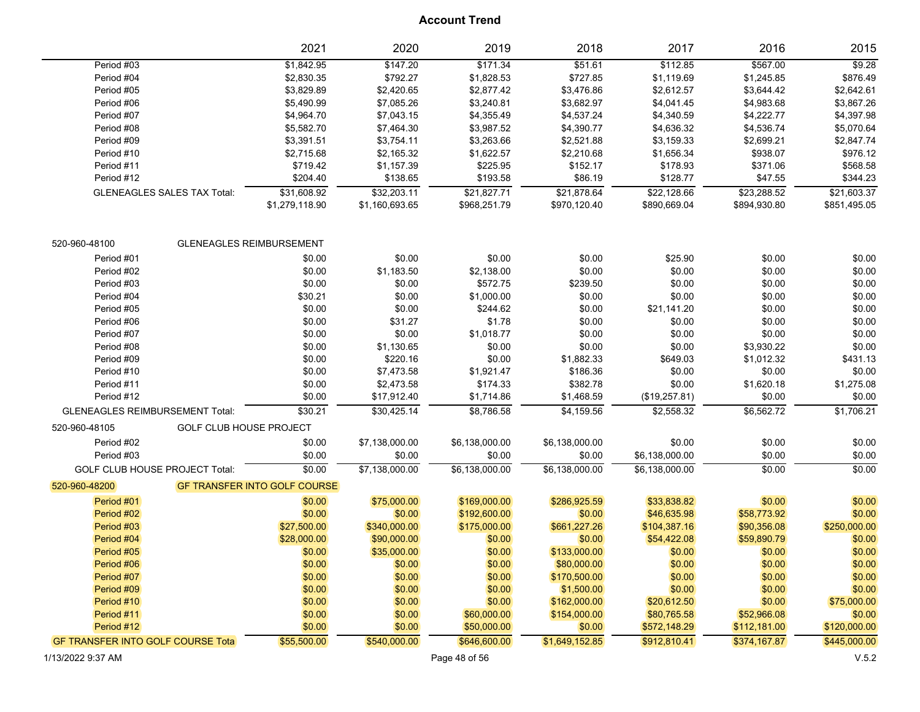|                                          |                                    | 2021                                | 2020           | 2019           | 2018           | 2017           | 2016         | 2015         |
|------------------------------------------|------------------------------------|-------------------------------------|----------------|----------------|----------------|----------------|--------------|--------------|
| Period #03                               |                                    | \$1,842.95                          | \$147.20       | \$171.34       | \$51.61        | \$112.85       | \$567.00     | \$9.28       |
| Period #04                               |                                    | \$2,830.35                          | \$792.27       | \$1,828.53     | \$727.85       | \$1,119.69     | \$1,245.85   | \$876.49     |
| Period #05                               |                                    | \$3,829.89                          | \$2,420.65     | \$2,877.42     | \$3,476.86     | \$2,612.57     | \$3,644.42   | \$2,642.61   |
| Period #06                               |                                    | \$5,490.99                          | \$7,085.26     | \$3,240.81     | \$3,682.97     | \$4,041.45     | \$4,983.68   | \$3,867.26   |
| Period #07                               |                                    | \$4,964.70                          | \$7,043.15     | \$4,355.49     | \$4,537.24     | \$4,340.59     | \$4,222.77   | \$4,397.98   |
| Period #08                               |                                    | \$5,582.70                          | \$7,464.30     | \$3,987.52     | \$4,390.77     | \$4,636.32     | \$4,536.74   | \$5,070.64   |
| Period #09                               |                                    | \$3,391.51                          | \$3,754.11     | \$3,263.66     | \$2,521.88     | \$3,159.33     | \$2,699.21   | \$2,847.74   |
| Period #10                               |                                    | \$2,715.68                          | \$2,165.32     | \$1,622.57     | \$2,210.68     | \$1,656.34     | \$938.07     | \$976.12     |
| Period #11                               |                                    | \$719.42                            | \$1,157.39     | \$225.95       | \$152.17       | \$178.93       | \$371.06     | \$568.58     |
| Period #12                               |                                    | \$204.40                            | \$138.65       | \$193.58       | \$86.19        | \$128.77       | \$47.55      | \$344.23     |
|                                          | <b>GLENEAGLES SALES TAX Total:</b> | \$31,608.92                         | \$32,203.11    | \$21,827.71    | \$21,878.64    | \$22,128.66    | \$23,288.52  | \$21,603.37  |
|                                          |                                    | \$1,279,118.90                      | \$1,160,693.65 | \$968,251.79   | \$970,120.40   | \$890,669.04   | \$894,930.80 | \$851,495.05 |
| 520-960-48100                            |                                    | <b>GLENEAGLES REIMBURSEMENT</b>     |                |                |                |                |              |              |
| Period #01                               |                                    | \$0.00                              | \$0.00         | \$0.00         | \$0.00         | \$25.90        | \$0.00       | \$0.00       |
| Period #02                               |                                    | \$0.00                              | \$1,183.50     | \$2,138.00     | \$0.00         | \$0.00         | \$0.00       | \$0.00       |
| Period #03                               |                                    | \$0.00                              | \$0.00         | \$572.75       | \$239.50       | \$0.00         | \$0.00       | \$0.00       |
| Period #04                               |                                    | \$30.21                             | \$0.00         | \$1,000.00     | \$0.00         | \$0.00         | \$0.00       | \$0.00       |
| Period #05                               |                                    | \$0.00                              | \$0.00         | \$244.62       | \$0.00         | \$21,141.20    | \$0.00       | \$0.00       |
| Period #06                               |                                    | \$0.00                              | \$31.27        | \$1.78         | \$0.00         | \$0.00         | \$0.00       | \$0.00       |
| Period #07                               |                                    | \$0.00                              | \$0.00         | \$1,018.77     | \$0.00         | \$0.00         | \$0.00       | \$0.00       |
| Period #08                               |                                    | \$0.00                              | \$1,130.65     | \$0.00         | \$0.00         | \$0.00         | \$3,930.22   | \$0.00       |
| Period #09                               |                                    | \$0.00                              | \$220.16       | \$0.00         | \$1,882.33     | \$649.03       | \$1,012.32   | \$431.13     |
| Period #10                               |                                    | \$0.00                              | \$7,473.58     | \$1,921.47     | \$186.36       | \$0.00         | \$0.00       | \$0.00       |
| Period #11                               |                                    | \$0.00                              | \$2,473.58     | \$174.33       | \$382.78       | \$0.00         | \$1,620.18   | \$1,275.08   |
| Period #12                               |                                    | \$0.00                              | \$17,912.40    | \$1,714.86     | \$1,468.59     | (\$19,257.81)  | \$0.00       | \$0.00       |
| <b>GLENEAGLES REIMBURSEMENT Total:</b>   |                                    | \$30.21                             | \$30,425.14    | \$8,786.58     | \$4,159.56     | \$2,558.32     | \$6,562.72   | \$1,706.21   |
|                                          |                                    |                                     |                |                |                |                |              |              |
| 520-960-48105                            | <b>GOLF CLUB HOUSE PROJECT</b>     |                                     |                |                |                |                |              |              |
| Period #02                               |                                    | \$0.00                              | \$7,138,000.00 | \$6,138,000.00 | \$6,138,000.00 | \$0.00         | \$0.00       | \$0.00       |
| Period #03                               |                                    | \$0.00                              | \$0.00         | \$0.00         | \$0.00         | \$6,138,000.00 | \$0.00       | \$0.00       |
| <b>GOLF CLUB HOUSE PROJECT Total:</b>    |                                    | \$0.00                              | \$7,138,000.00 | \$6,138,000.00 | \$6,138,000.00 | \$6,138,000.00 | \$0.00       | \$0.00       |
| 520-960-48200                            |                                    | <b>GF TRANSFER INTO GOLF COURSE</b> |                |                |                |                |              |              |
| Period #01                               |                                    | \$0.00                              | \$75,000.00    | \$169,000.00   | \$286,925.59   | \$33,838.82    | \$0.00       | \$0.00       |
| Period #02                               |                                    | \$0.00                              | \$0.00         | \$192,600.00   | \$0.00         | \$46,635.98    | \$58,773.92  | \$0.00       |
| Period #03                               |                                    | \$27,500.00                         | \$340,000.00   | \$175,000.00   | \$661,227.26   | \$104,387.16   | \$90,356.08  | \$250,000.00 |
| Period #04                               |                                    | \$28,000.00                         | \$90,000.00    | \$0.00         | \$0.00         | \$54,422.08    | \$59,890.79  | \$0.00       |
| Period #05                               |                                    | \$0.00                              | \$35,000.00    | \$0.00         | \$133,000.00   | \$0.00         | \$0.00       | \$0.00       |
| Period #06                               |                                    | \$0.00                              | \$0.00         | \$0.00         | \$80,000.00    | \$0.00         | \$0.00       | \$0.00       |
| Period #07                               |                                    | \$0.00                              | \$0.00         | \$0.00         | \$170,500.00   | \$0.00         | \$0.00       | \$0.00       |
| Period #09                               |                                    | \$0.00                              | \$0.00         | \$0.00         | \$1,500.00     | \$0.00         | \$0.00       | \$0.00       |
| Period #10                               |                                    | \$0.00                              | \$0.00         | \$0.00         | \$162,000.00   | \$20,612.50    | \$0.00       | \$75,000.00  |
| Period #11                               |                                    | \$0.00                              | \$0.00         | \$60,000.00    | \$154,000.00   | \$80,765.58    | \$52,966.08  | \$0.00       |
| Period #12                               |                                    | \$0.00                              | \$0.00         | \$50,000.00    | \$0.00         | \$572,148.29   | \$112,181.00 | \$120,000.00 |
| <b>GF TRANSFER INTO GOLF COURSE Tota</b> |                                    | \$55,500.00                         | \$540,000.00   | \$646,600.00   | \$1,649,152.85 | \$912,810.41   | \$374,167.87 | \$445,000.00 |
|                                          |                                    |                                     |                |                |                |                |              |              |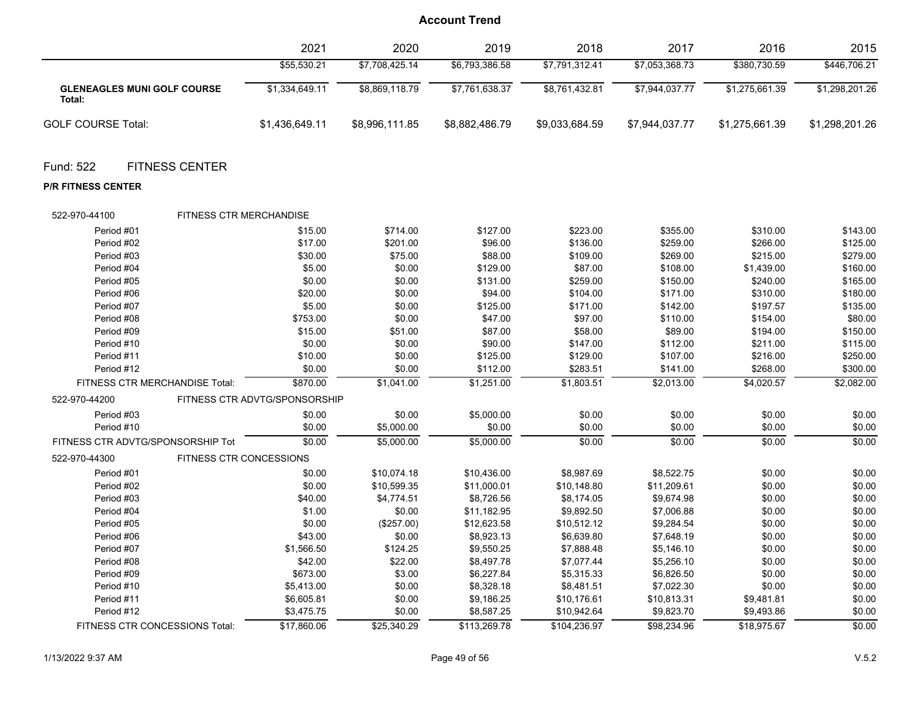| \$55,530.21<br>\$7,708,425.14<br>\$6,793,386.58<br>\$7,791,312.41<br>\$7,053,368.73<br>\$380,730.59<br>\$446,706.21<br>\$7,944,037.77<br>\$1,275,661.39<br>\$1,298,201.26<br>\$1,334,649.11<br>\$8,869,118.79<br>\$7,761,638.37<br>\$8,761,432.81<br><b>GLENEAGLES MUNI GOLF COURSE</b><br>Total:<br><b>GOLF COURSE Total:</b><br>\$1,436,649.11<br>\$8,996,111.85<br>\$8,882,486.79<br>\$9,033,684.59<br>\$7,944,037.77<br>\$1,275,661.39<br>\$1,298,201.26<br>Fund: 522<br><b>FITNESS CENTER</b><br><b>P/R FITNESS CENTER</b><br>522-970-44100<br>FITNESS CTR MERCHANDISE<br>\$15.00<br>\$714.00<br>\$127.00<br>\$223.00<br>\$355.00<br>\$143.00<br>Period #01<br>\$310.00<br>\$17.00<br>\$201.00<br>\$96.00<br>\$136.00<br>\$259.00<br>\$266.00<br>\$125.00<br>Period #02<br>\$30.00<br>\$279.00<br>Period #03<br>\$75.00<br>\$88.00<br>\$109.00<br>\$269.00<br>\$215.00<br>\$160.00<br>Period #04<br>\$5.00<br>\$0.00<br>\$129.00<br>\$87.00<br>\$108.00<br>\$1,439.00<br>Period #05<br>\$0.00<br>\$0.00<br>\$131.00<br>\$259.00<br>\$150.00<br>\$240.00<br>\$165.00<br>\$20.00<br>\$0.00<br>\$180.00<br>Period #06<br>\$94.00<br>\$104.00<br>\$171.00<br>\$310.00<br>\$5.00<br>\$0.00<br>\$125.00<br>\$171.00<br>\$197.57<br>\$135.00<br>Period #07<br>\$142.00<br>\$753.00<br>\$80.00<br>Period #08<br>\$0.00<br>\$47.00<br>\$97.00<br>\$110.00<br>\$154.00<br>Period #09<br>\$15.00<br>\$51.00<br>\$87.00<br>\$58.00<br>\$89.00<br>\$194.00<br>\$150.00<br>\$0.00<br>\$115.00<br>Period #10<br>\$0.00<br>\$90.00<br>\$147.00<br>\$112.00<br>\$211.00<br>Period #11<br>\$10.00<br>\$0.00<br>\$125.00<br>\$129.00<br>\$107.00<br>\$216.00<br>\$250.00<br>Period #12<br>\$0.00<br>\$283.51<br>\$268.00<br>\$300.00<br>\$0.00<br>\$112.00<br>\$141.00<br>\$1,041.00<br>\$1,251.00<br>\$1,803.51<br>\$4,020.57<br>\$2,082.00<br>FITNESS CTR MERCHANDISE Total:<br>\$870.00<br>\$2,013.00<br>FITNESS CTR ADVTG/SPONSORSHIP<br>522-970-44200<br>\$0.00<br>\$0.00<br>\$0.00<br>\$0.00<br>Period #03<br>\$0.00<br>\$5,000.00<br>\$0.00<br>Period #10<br>\$0.00<br>\$0.00<br>\$0.00<br>\$0.00<br>\$0.00<br>\$0.00<br>\$5,000.00<br>\$0.00<br>\$0.00<br>\$0.00<br>\$0.00<br>FITNESS CTR ADVTG/SPONSORSHIP Tot<br>\$0.00<br>\$5,000.00<br>\$5,000.00<br>522-970-44300<br>FITNESS CTR CONCESSIONS<br>\$8,522.75<br>\$0.00<br>Period #01<br>\$0.00<br>\$10,074.18<br>\$10,436.00<br>\$8,987.69<br>\$0.00<br>\$0.00<br>\$0.00<br>Period #02<br>\$0.00<br>\$10,599.35<br>\$11,000.01<br>\$10,148.80<br>\$11,209.61<br>\$0.00<br>\$0.00<br>Period #03<br>\$40.00<br>\$4,774.51<br>\$8,726.56<br>\$8,174.05<br>\$9,674.98<br>Period #04<br>\$1.00<br>\$0.00<br>\$11,182.95<br>\$9,892.50<br>\$7,006.88<br>\$0.00<br>\$0.00<br>\$12,623.58<br>\$0.00<br>\$0.00<br>Period #05<br>\$0.00<br>(\$257.00)<br>\$10,512.12<br>\$9,284.54<br>\$43.00<br>\$8,923.13<br>\$6,639.80<br>\$0.00<br>\$0.00<br>Period #06<br>\$0.00<br>\$7,648.19<br>\$9,550.25<br>\$0.00<br>\$0.00<br>Period #07<br>\$1,566.50<br>\$124.25<br>\$7,888.48<br>\$5,146.10<br>\$42.00<br>\$22.00<br>\$8,497.78<br>\$7,077.44<br>\$0.00<br>\$0.00<br>Period #08<br>\$5,256.10<br>\$6,227.84<br>\$0.00<br>Period #09<br>\$673.00<br>\$3.00<br>\$5,315.33<br>\$6,826.50<br>\$0.00<br>Period #10<br>\$5,413.00<br>\$0.00<br>\$8,328.18<br>\$8,481.51<br>\$7,022.30<br>\$0.00<br>\$0.00<br>\$9,186.25<br>\$0.00<br>Period #11<br>\$6,605.81<br>\$0.00<br>\$10,176.61<br>\$10,813.31<br>\$9,481.81<br>\$0.00<br>Period #12<br>\$3,475.75<br>\$0.00<br>\$8,587.25<br>\$10,942.64<br>\$9,823.70<br>\$9,493.86<br>FITNESS CTR CONCESSIONS Total: | 2021        | 2020        | 2019         | 2018         | 2017        | 2016        | 2015   |
|-------------------------------------------------------------------------------------------------------------------------------------------------------------------------------------------------------------------------------------------------------------------------------------------------------------------------------------------------------------------------------------------------------------------------------------------------------------------------------------------------------------------------------------------------------------------------------------------------------------------------------------------------------------------------------------------------------------------------------------------------------------------------------------------------------------------------------------------------------------------------------------------------------------------------------------------------------------------------------------------------------------------------------------------------------------------------------------------------------------------------------------------------------------------------------------------------------------------------------------------------------------------------------------------------------------------------------------------------------------------------------------------------------------------------------------------------------------------------------------------------------------------------------------------------------------------------------------------------------------------------------------------------------------------------------------------------------------------------------------------------------------------------------------------------------------------------------------------------------------------------------------------------------------------------------------------------------------------------------------------------------------------------------------------------------------------------------------------------------------------------------------------------------------------------------------------------------------------------------------------------------------------------------------------------------------------------------------------------------------------------------------------------------------------------------------------------------------------------------------------------------------------------------------------------------------------------------------------------------------------------------------------------------------------------------------------------------------------------------------------------------------------------------------------------------------------------------------------------------------------------------------------------------------------------------------------------------------------------------------------------------------------------------------------------------------------------------------------------------------------------------------------------------------------------------------------------------------------------------------------------------------------------------------------------------------------------------------------------------------------------------------------------------------------------------------------------------------------------------------------------------------------------------------------------------------------------------------------|-------------|-------------|--------------|--------------|-------------|-------------|--------|
|                                                                                                                                                                                                                                                                                                                                                                                                                                                                                                                                                                                                                                                                                                                                                                                                                                                                                                                                                                                                                                                                                                                                                                                                                                                                                                                                                                                                                                                                                                                                                                                                                                                                                                                                                                                                                                                                                                                                                                                                                                                                                                                                                                                                                                                                                                                                                                                                                                                                                                                                                                                                                                                                                                                                                                                                                                                                                                                                                                                                                                                                                                                                                                                                                                                                                                                                                                                                                                                                                                                                                                                           |             |             |              |              |             |             |        |
|                                                                                                                                                                                                                                                                                                                                                                                                                                                                                                                                                                                                                                                                                                                                                                                                                                                                                                                                                                                                                                                                                                                                                                                                                                                                                                                                                                                                                                                                                                                                                                                                                                                                                                                                                                                                                                                                                                                                                                                                                                                                                                                                                                                                                                                                                                                                                                                                                                                                                                                                                                                                                                                                                                                                                                                                                                                                                                                                                                                                                                                                                                                                                                                                                                                                                                                                                                                                                                                                                                                                                                                           |             |             |              |              |             |             |        |
|                                                                                                                                                                                                                                                                                                                                                                                                                                                                                                                                                                                                                                                                                                                                                                                                                                                                                                                                                                                                                                                                                                                                                                                                                                                                                                                                                                                                                                                                                                                                                                                                                                                                                                                                                                                                                                                                                                                                                                                                                                                                                                                                                                                                                                                                                                                                                                                                                                                                                                                                                                                                                                                                                                                                                                                                                                                                                                                                                                                                                                                                                                                                                                                                                                                                                                                                                                                                                                                                                                                                                                                           |             |             |              |              |             |             |        |
|                                                                                                                                                                                                                                                                                                                                                                                                                                                                                                                                                                                                                                                                                                                                                                                                                                                                                                                                                                                                                                                                                                                                                                                                                                                                                                                                                                                                                                                                                                                                                                                                                                                                                                                                                                                                                                                                                                                                                                                                                                                                                                                                                                                                                                                                                                                                                                                                                                                                                                                                                                                                                                                                                                                                                                                                                                                                                                                                                                                                                                                                                                                                                                                                                                                                                                                                                                                                                                                                                                                                                                                           |             |             |              |              |             |             |        |
|                                                                                                                                                                                                                                                                                                                                                                                                                                                                                                                                                                                                                                                                                                                                                                                                                                                                                                                                                                                                                                                                                                                                                                                                                                                                                                                                                                                                                                                                                                                                                                                                                                                                                                                                                                                                                                                                                                                                                                                                                                                                                                                                                                                                                                                                                                                                                                                                                                                                                                                                                                                                                                                                                                                                                                                                                                                                                                                                                                                                                                                                                                                                                                                                                                                                                                                                                                                                                                                                                                                                                                                           |             |             |              |              |             |             |        |
|                                                                                                                                                                                                                                                                                                                                                                                                                                                                                                                                                                                                                                                                                                                                                                                                                                                                                                                                                                                                                                                                                                                                                                                                                                                                                                                                                                                                                                                                                                                                                                                                                                                                                                                                                                                                                                                                                                                                                                                                                                                                                                                                                                                                                                                                                                                                                                                                                                                                                                                                                                                                                                                                                                                                                                                                                                                                                                                                                                                                                                                                                                                                                                                                                                                                                                                                                                                                                                                                                                                                                                                           |             |             |              |              |             |             |        |
|                                                                                                                                                                                                                                                                                                                                                                                                                                                                                                                                                                                                                                                                                                                                                                                                                                                                                                                                                                                                                                                                                                                                                                                                                                                                                                                                                                                                                                                                                                                                                                                                                                                                                                                                                                                                                                                                                                                                                                                                                                                                                                                                                                                                                                                                                                                                                                                                                                                                                                                                                                                                                                                                                                                                                                                                                                                                                                                                                                                                                                                                                                                                                                                                                                                                                                                                                                                                                                                                                                                                                                                           |             |             |              |              |             |             |        |
|                                                                                                                                                                                                                                                                                                                                                                                                                                                                                                                                                                                                                                                                                                                                                                                                                                                                                                                                                                                                                                                                                                                                                                                                                                                                                                                                                                                                                                                                                                                                                                                                                                                                                                                                                                                                                                                                                                                                                                                                                                                                                                                                                                                                                                                                                                                                                                                                                                                                                                                                                                                                                                                                                                                                                                                                                                                                                                                                                                                                                                                                                                                                                                                                                                                                                                                                                                                                                                                                                                                                                                                           |             |             |              |              |             |             |        |
|                                                                                                                                                                                                                                                                                                                                                                                                                                                                                                                                                                                                                                                                                                                                                                                                                                                                                                                                                                                                                                                                                                                                                                                                                                                                                                                                                                                                                                                                                                                                                                                                                                                                                                                                                                                                                                                                                                                                                                                                                                                                                                                                                                                                                                                                                                                                                                                                                                                                                                                                                                                                                                                                                                                                                                                                                                                                                                                                                                                                                                                                                                                                                                                                                                                                                                                                                                                                                                                                                                                                                                                           |             |             |              |              |             |             |        |
|                                                                                                                                                                                                                                                                                                                                                                                                                                                                                                                                                                                                                                                                                                                                                                                                                                                                                                                                                                                                                                                                                                                                                                                                                                                                                                                                                                                                                                                                                                                                                                                                                                                                                                                                                                                                                                                                                                                                                                                                                                                                                                                                                                                                                                                                                                                                                                                                                                                                                                                                                                                                                                                                                                                                                                                                                                                                                                                                                                                                                                                                                                                                                                                                                                                                                                                                                                                                                                                                                                                                                                                           |             |             |              |              |             |             |        |
|                                                                                                                                                                                                                                                                                                                                                                                                                                                                                                                                                                                                                                                                                                                                                                                                                                                                                                                                                                                                                                                                                                                                                                                                                                                                                                                                                                                                                                                                                                                                                                                                                                                                                                                                                                                                                                                                                                                                                                                                                                                                                                                                                                                                                                                                                                                                                                                                                                                                                                                                                                                                                                                                                                                                                                                                                                                                                                                                                                                                                                                                                                                                                                                                                                                                                                                                                                                                                                                                                                                                                                                           |             |             |              |              |             |             |        |
|                                                                                                                                                                                                                                                                                                                                                                                                                                                                                                                                                                                                                                                                                                                                                                                                                                                                                                                                                                                                                                                                                                                                                                                                                                                                                                                                                                                                                                                                                                                                                                                                                                                                                                                                                                                                                                                                                                                                                                                                                                                                                                                                                                                                                                                                                                                                                                                                                                                                                                                                                                                                                                                                                                                                                                                                                                                                                                                                                                                                                                                                                                                                                                                                                                                                                                                                                                                                                                                                                                                                                                                           |             |             |              |              |             |             |        |
|                                                                                                                                                                                                                                                                                                                                                                                                                                                                                                                                                                                                                                                                                                                                                                                                                                                                                                                                                                                                                                                                                                                                                                                                                                                                                                                                                                                                                                                                                                                                                                                                                                                                                                                                                                                                                                                                                                                                                                                                                                                                                                                                                                                                                                                                                                                                                                                                                                                                                                                                                                                                                                                                                                                                                                                                                                                                                                                                                                                                                                                                                                                                                                                                                                                                                                                                                                                                                                                                                                                                                                                           |             |             |              |              |             |             |        |
|                                                                                                                                                                                                                                                                                                                                                                                                                                                                                                                                                                                                                                                                                                                                                                                                                                                                                                                                                                                                                                                                                                                                                                                                                                                                                                                                                                                                                                                                                                                                                                                                                                                                                                                                                                                                                                                                                                                                                                                                                                                                                                                                                                                                                                                                                                                                                                                                                                                                                                                                                                                                                                                                                                                                                                                                                                                                                                                                                                                                                                                                                                                                                                                                                                                                                                                                                                                                                                                                                                                                                                                           |             |             |              |              |             |             |        |
|                                                                                                                                                                                                                                                                                                                                                                                                                                                                                                                                                                                                                                                                                                                                                                                                                                                                                                                                                                                                                                                                                                                                                                                                                                                                                                                                                                                                                                                                                                                                                                                                                                                                                                                                                                                                                                                                                                                                                                                                                                                                                                                                                                                                                                                                                                                                                                                                                                                                                                                                                                                                                                                                                                                                                                                                                                                                                                                                                                                                                                                                                                                                                                                                                                                                                                                                                                                                                                                                                                                                                                                           |             |             |              |              |             |             |        |
|                                                                                                                                                                                                                                                                                                                                                                                                                                                                                                                                                                                                                                                                                                                                                                                                                                                                                                                                                                                                                                                                                                                                                                                                                                                                                                                                                                                                                                                                                                                                                                                                                                                                                                                                                                                                                                                                                                                                                                                                                                                                                                                                                                                                                                                                                                                                                                                                                                                                                                                                                                                                                                                                                                                                                                                                                                                                                                                                                                                                                                                                                                                                                                                                                                                                                                                                                                                                                                                                                                                                                                                           |             |             |              |              |             |             |        |
|                                                                                                                                                                                                                                                                                                                                                                                                                                                                                                                                                                                                                                                                                                                                                                                                                                                                                                                                                                                                                                                                                                                                                                                                                                                                                                                                                                                                                                                                                                                                                                                                                                                                                                                                                                                                                                                                                                                                                                                                                                                                                                                                                                                                                                                                                                                                                                                                                                                                                                                                                                                                                                                                                                                                                                                                                                                                                                                                                                                                                                                                                                                                                                                                                                                                                                                                                                                                                                                                                                                                                                                           |             |             |              |              |             |             |        |
|                                                                                                                                                                                                                                                                                                                                                                                                                                                                                                                                                                                                                                                                                                                                                                                                                                                                                                                                                                                                                                                                                                                                                                                                                                                                                                                                                                                                                                                                                                                                                                                                                                                                                                                                                                                                                                                                                                                                                                                                                                                                                                                                                                                                                                                                                                                                                                                                                                                                                                                                                                                                                                                                                                                                                                                                                                                                                                                                                                                                                                                                                                                                                                                                                                                                                                                                                                                                                                                                                                                                                                                           |             |             |              |              |             |             |        |
|                                                                                                                                                                                                                                                                                                                                                                                                                                                                                                                                                                                                                                                                                                                                                                                                                                                                                                                                                                                                                                                                                                                                                                                                                                                                                                                                                                                                                                                                                                                                                                                                                                                                                                                                                                                                                                                                                                                                                                                                                                                                                                                                                                                                                                                                                                                                                                                                                                                                                                                                                                                                                                                                                                                                                                                                                                                                                                                                                                                                                                                                                                                                                                                                                                                                                                                                                                                                                                                                                                                                                                                           |             |             |              |              |             |             |        |
|                                                                                                                                                                                                                                                                                                                                                                                                                                                                                                                                                                                                                                                                                                                                                                                                                                                                                                                                                                                                                                                                                                                                                                                                                                                                                                                                                                                                                                                                                                                                                                                                                                                                                                                                                                                                                                                                                                                                                                                                                                                                                                                                                                                                                                                                                                                                                                                                                                                                                                                                                                                                                                                                                                                                                                                                                                                                                                                                                                                                                                                                                                                                                                                                                                                                                                                                                                                                                                                                                                                                                                                           |             |             |              |              |             |             |        |
|                                                                                                                                                                                                                                                                                                                                                                                                                                                                                                                                                                                                                                                                                                                                                                                                                                                                                                                                                                                                                                                                                                                                                                                                                                                                                                                                                                                                                                                                                                                                                                                                                                                                                                                                                                                                                                                                                                                                                                                                                                                                                                                                                                                                                                                                                                                                                                                                                                                                                                                                                                                                                                                                                                                                                                                                                                                                                                                                                                                                                                                                                                                                                                                                                                                                                                                                                                                                                                                                                                                                                                                           |             |             |              |              |             |             |        |
|                                                                                                                                                                                                                                                                                                                                                                                                                                                                                                                                                                                                                                                                                                                                                                                                                                                                                                                                                                                                                                                                                                                                                                                                                                                                                                                                                                                                                                                                                                                                                                                                                                                                                                                                                                                                                                                                                                                                                                                                                                                                                                                                                                                                                                                                                                                                                                                                                                                                                                                                                                                                                                                                                                                                                                                                                                                                                                                                                                                                                                                                                                                                                                                                                                                                                                                                                                                                                                                                                                                                                                                           |             |             |              |              |             |             |        |
|                                                                                                                                                                                                                                                                                                                                                                                                                                                                                                                                                                                                                                                                                                                                                                                                                                                                                                                                                                                                                                                                                                                                                                                                                                                                                                                                                                                                                                                                                                                                                                                                                                                                                                                                                                                                                                                                                                                                                                                                                                                                                                                                                                                                                                                                                                                                                                                                                                                                                                                                                                                                                                                                                                                                                                                                                                                                                                                                                                                                                                                                                                                                                                                                                                                                                                                                                                                                                                                                                                                                                                                           |             |             |              |              |             |             |        |
|                                                                                                                                                                                                                                                                                                                                                                                                                                                                                                                                                                                                                                                                                                                                                                                                                                                                                                                                                                                                                                                                                                                                                                                                                                                                                                                                                                                                                                                                                                                                                                                                                                                                                                                                                                                                                                                                                                                                                                                                                                                                                                                                                                                                                                                                                                                                                                                                                                                                                                                                                                                                                                                                                                                                                                                                                                                                                                                                                                                                                                                                                                                                                                                                                                                                                                                                                                                                                                                                                                                                                                                           |             |             |              |              |             |             |        |
|                                                                                                                                                                                                                                                                                                                                                                                                                                                                                                                                                                                                                                                                                                                                                                                                                                                                                                                                                                                                                                                                                                                                                                                                                                                                                                                                                                                                                                                                                                                                                                                                                                                                                                                                                                                                                                                                                                                                                                                                                                                                                                                                                                                                                                                                                                                                                                                                                                                                                                                                                                                                                                                                                                                                                                                                                                                                                                                                                                                                                                                                                                                                                                                                                                                                                                                                                                                                                                                                                                                                                                                           |             |             |              |              |             |             |        |
|                                                                                                                                                                                                                                                                                                                                                                                                                                                                                                                                                                                                                                                                                                                                                                                                                                                                                                                                                                                                                                                                                                                                                                                                                                                                                                                                                                                                                                                                                                                                                                                                                                                                                                                                                                                                                                                                                                                                                                                                                                                                                                                                                                                                                                                                                                                                                                                                                                                                                                                                                                                                                                                                                                                                                                                                                                                                                                                                                                                                                                                                                                                                                                                                                                                                                                                                                                                                                                                                                                                                                                                           |             |             |              |              |             |             |        |
|                                                                                                                                                                                                                                                                                                                                                                                                                                                                                                                                                                                                                                                                                                                                                                                                                                                                                                                                                                                                                                                                                                                                                                                                                                                                                                                                                                                                                                                                                                                                                                                                                                                                                                                                                                                                                                                                                                                                                                                                                                                                                                                                                                                                                                                                                                                                                                                                                                                                                                                                                                                                                                                                                                                                                                                                                                                                                                                                                                                                                                                                                                                                                                                                                                                                                                                                                                                                                                                                                                                                                                                           |             |             |              |              |             |             |        |
|                                                                                                                                                                                                                                                                                                                                                                                                                                                                                                                                                                                                                                                                                                                                                                                                                                                                                                                                                                                                                                                                                                                                                                                                                                                                                                                                                                                                                                                                                                                                                                                                                                                                                                                                                                                                                                                                                                                                                                                                                                                                                                                                                                                                                                                                                                                                                                                                                                                                                                                                                                                                                                                                                                                                                                                                                                                                                                                                                                                                                                                                                                                                                                                                                                                                                                                                                                                                                                                                                                                                                                                           |             |             |              |              |             |             |        |
|                                                                                                                                                                                                                                                                                                                                                                                                                                                                                                                                                                                                                                                                                                                                                                                                                                                                                                                                                                                                                                                                                                                                                                                                                                                                                                                                                                                                                                                                                                                                                                                                                                                                                                                                                                                                                                                                                                                                                                                                                                                                                                                                                                                                                                                                                                                                                                                                                                                                                                                                                                                                                                                                                                                                                                                                                                                                                                                                                                                                                                                                                                                                                                                                                                                                                                                                                                                                                                                                                                                                                                                           |             |             |              |              |             |             |        |
|                                                                                                                                                                                                                                                                                                                                                                                                                                                                                                                                                                                                                                                                                                                                                                                                                                                                                                                                                                                                                                                                                                                                                                                                                                                                                                                                                                                                                                                                                                                                                                                                                                                                                                                                                                                                                                                                                                                                                                                                                                                                                                                                                                                                                                                                                                                                                                                                                                                                                                                                                                                                                                                                                                                                                                                                                                                                                                                                                                                                                                                                                                                                                                                                                                                                                                                                                                                                                                                                                                                                                                                           |             |             |              |              |             |             |        |
|                                                                                                                                                                                                                                                                                                                                                                                                                                                                                                                                                                                                                                                                                                                                                                                                                                                                                                                                                                                                                                                                                                                                                                                                                                                                                                                                                                                                                                                                                                                                                                                                                                                                                                                                                                                                                                                                                                                                                                                                                                                                                                                                                                                                                                                                                                                                                                                                                                                                                                                                                                                                                                                                                                                                                                                                                                                                                                                                                                                                                                                                                                                                                                                                                                                                                                                                                                                                                                                                                                                                                                                           |             |             |              |              |             |             |        |
|                                                                                                                                                                                                                                                                                                                                                                                                                                                                                                                                                                                                                                                                                                                                                                                                                                                                                                                                                                                                                                                                                                                                                                                                                                                                                                                                                                                                                                                                                                                                                                                                                                                                                                                                                                                                                                                                                                                                                                                                                                                                                                                                                                                                                                                                                                                                                                                                                                                                                                                                                                                                                                                                                                                                                                                                                                                                                                                                                                                                                                                                                                                                                                                                                                                                                                                                                                                                                                                                                                                                                                                           |             |             |              |              |             |             |        |
|                                                                                                                                                                                                                                                                                                                                                                                                                                                                                                                                                                                                                                                                                                                                                                                                                                                                                                                                                                                                                                                                                                                                                                                                                                                                                                                                                                                                                                                                                                                                                                                                                                                                                                                                                                                                                                                                                                                                                                                                                                                                                                                                                                                                                                                                                                                                                                                                                                                                                                                                                                                                                                                                                                                                                                                                                                                                                                                                                                                                                                                                                                                                                                                                                                                                                                                                                                                                                                                                                                                                                                                           |             |             |              |              |             |             |        |
|                                                                                                                                                                                                                                                                                                                                                                                                                                                                                                                                                                                                                                                                                                                                                                                                                                                                                                                                                                                                                                                                                                                                                                                                                                                                                                                                                                                                                                                                                                                                                                                                                                                                                                                                                                                                                                                                                                                                                                                                                                                                                                                                                                                                                                                                                                                                                                                                                                                                                                                                                                                                                                                                                                                                                                                                                                                                                                                                                                                                                                                                                                                                                                                                                                                                                                                                                                                                                                                                                                                                                                                           |             |             |              |              |             |             |        |
|                                                                                                                                                                                                                                                                                                                                                                                                                                                                                                                                                                                                                                                                                                                                                                                                                                                                                                                                                                                                                                                                                                                                                                                                                                                                                                                                                                                                                                                                                                                                                                                                                                                                                                                                                                                                                                                                                                                                                                                                                                                                                                                                                                                                                                                                                                                                                                                                                                                                                                                                                                                                                                                                                                                                                                                                                                                                                                                                                                                                                                                                                                                                                                                                                                                                                                                                                                                                                                                                                                                                                                                           |             |             |              |              |             |             |        |
|                                                                                                                                                                                                                                                                                                                                                                                                                                                                                                                                                                                                                                                                                                                                                                                                                                                                                                                                                                                                                                                                                                                                                                                                                                                                                                                                                                                                                                                                                                                                                                                                                                                                                                                                                                                                                                                                                                                                                                                                                                                                                                                                                                                                                                                                                                                                                                                                                                                                                                                                                                                                                                                                                                                                                                                                                                                                                                                                                                                                                                                                                                                                                                                                                                                                                                                                                                                                                                                                                                                                                                                           |             |             |              |              |             |             |        |
|                                                                                                                                                                                                                                                                                                                                                                                                                                                                                                                                                                                                                                                                                                                                                                                                                                                                                                                                                                                                                                                                                                                                                                                                                                                                                                                                                                                                                                                                                                                                                                                                                                                                                                                                                                                                                                                                                                                                                                                                                                                                                                                                                                                                                                                                                                                                                                                                                                                                                                                                                                                                                                                                                                                                                                                                                                                                                                                                                                                                                                                                                                                                                                                                                                                                                                                                                                                                                                                                                                                                                                                           | \$17,860.06 | \$25,340.29 | \$113,269.78 | \$104,236.97 | \$98,234.96 | \$18,975.67 | \$0.00 |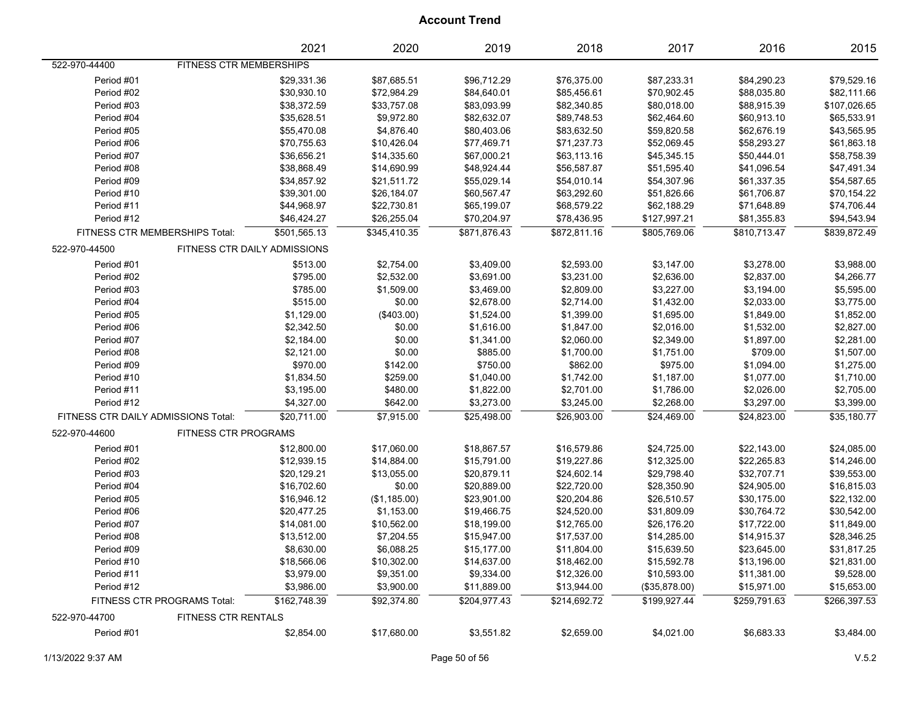|                                     |                                    | 2021                         | 2020         | 2019         | 2018         | 2017          | 2016         | 2015         |
|-------------------------------------|------------------------------------|------------------------------|--------------|--------------|--------------|---------------|--------------|--------------|
| 522-970-44400                       | FITNESS CTR MEMBERSHIPS            |                              |              |              |              |               |              |              |
| Period #01                          |                                    | \$29,331.36                  | \$87,685.51  | \$96,712.29  | \$76,375.00  | \$87,233.31   | \$84,290.23  | \$79,529.16  |
| Period #02                          |                                    | \$30,930.10                  | \$72,984.29  | \$84,640.01  | \$85,456.61  | \$70,902.45   | \$88,035.80  | \$82,111.66  |
| Period #03                          |                                    | \$38,372.59                  | \$33,757.08  | \$83,093.99  | \$82,340.85  | \$80,018.00   | \$88,915.39  | \$107,026.65 |
| Period #04                          |                                    | \$35,628.51                  | \$9,972.80   | \$82,632.07  | \$89,748.53  | \$62,464.60   | \$60,913.10  | \$65,533.91  |
| Period #05                          |                                    | \$55,470.08                  | \$4,876.40   | \$80,403.06  | \$83,632.50  | \$59,820.58   | \$62,676.19  | \$43,565.95  |
| Period #06                          |                                    | \$70,755.63                  | \$10,426.04  | \$77,469.71  | \$71,237.73  | \$52,069.45   | \$58,293.27  | \$61,863.18  |
| Period #07                          |                                    | \$36,656.21                  | \$14,335.60  | \$67,000.21  | \$63,113.16  | \$45,345.15   | \$50,444.01  | \$58,758.39  |
| Period #08                          |                                    | \$38,868.49                  | \$14,690.99  | \$48,924.44  | \$56,587.87  | \$51,595.40   | \$41,096.54  | \$47,491.34  |
| Period #09                          |                                    | \$34,857.92                  | \$21,511.72  | \$55,029.14  | \$54,010.14  | \$54,307.96   | \$61,337.35  | \$54,587.65  |
| Period #10                          |                                    | \$39,301.00                  | \$26,184.07  | \$60,567.47  | \$63,292.60  | \$51,826.66   | \$61,706.87  | \$70,154.22  |
| Period #11                          |                                    | \$44,968.97                  | \$22,730.81  | \$65,199.07  | \$68,579.22  | \$62,188.29   | \$71,648.89  | \$74,706.44  |
| Period #12                          |                                    | \$46,424.27                  | \$26,255.04  | \$70,204.97  | \$78,436.95  | \$127,997.21  | \$81,355.83  | \$94,543.94  |
| FITNESS CTR MEMBERSHIPS Total:      |                                    | \$501,565.13                 | \$345,410.35 | \$871,876.43 | \$872,811.16 | \$805,769.06  | \$810,713.47 | \$839,872.49 |
| 522-970-44500                       |                                    | FITNESS CTR DAILY ADMISSIONS |              |              |              |               |              |              |
| Period #01                          |                                    | \$513.00                     | \$2,754.00   | \$3,409.00   | \$2,593.00   | \$3,147.00    | \$3,278.00   | \$3,988.00   |
| Period #02                          |                                    | \$795.00                     | \$2,532.00   | \$3,691.00   | \$3,231.00   | \$2,636.00    | \$2,837.00   | \$4,266.77   |
| Period #03                          |                                    | \$785.00                     | \$1,509.00   | \$3,469.00   | \$2,809.00   | \$3,227.00    | \$3,194.00   | \$5,595.00   |
| Period #04                          |                                    | \$515.00                     | \$0.00       | \$2,678.00   | \$2,714.00   | \$1,432.00    | \$2,033.00   | \$3,775.00   |
| Period #05                          |                                    | \$1,129.00                   | $(\$403.00)$ | \$1,524.00   | \$1,399.00   | \$1,695.00    | \$1,849.00   | \$1,852.00   |
| Period #06                          |                                    | \$2,342.50                   | \$0.00       | \$1,616.00   | \$1,847.00   | \$2,016.00    | \$1,532.00   | \$2,827.00   |
| Period #07                          |                                    | \$2,184.00                   | \$0.00       | \$1,341.00   | \$2,060.00   | \$2,349.00    | \$1,897.00   | \$2,281.00   |
| Period #08                          |                                    | \$2,121.00                   | \$0.00       | \$885.00     | \$1,700.00   | \$1,751.00    | \$709.00     | \$1,507.00   |
| Period #09                          |                                    | \$970.00                     | \$142.00     | \$750.00     | \$862.00     | \$975.00      | \$1,094.00   | \$1,275.00   |
| Period #10                          |                                    | \$1,834.50                   | \$259.00     | \$1,040.00   | \$1,742.00   | \$1,187.00    | \$1,077.00   | \$1,710.00   |
| Period #11                          |                                    | \$3,195.00                   | \$480.00     | \$1,822.00   | \$2,701.00   | \$1,786.00    | \$2,026.00   | \$2,705.00   |
| Period #12                          |                                    | \$4,327.00                   | \$642.00     | \$3,273.00   | \$3,245.00   | \$2,268.00    | \$3,297.00   | \$3,399.00   |
| FITNESS CTR DAILY ADMISSIONS Total: |                                    | \$20,711.00                  | \$7,915.00   | \$25,498.00  | \$26,903.00  | \$24,469.00   | \$24,823.00  | \$35,180.77  |
| 522-970-44600                       | <b>FITNESS CTR PROGRAMS</b>        |                              |              |              |              |               |              |              |
| Period #01                          |                                    | \$12,800.00                  | \$17,060.00  | \$18,867.57  | \$16,579.86  | \$24,725.00   | \$22,143.00  | \$24,085.00  |
| Period #02                          |                                    | \$12,939.15                  | \$14,884.00  | \$15,791.00  | \$19,227.86  | \$12,325.00   | \$22,265.83  | \$14,246.00  |
| Period #03                          |                                    | \$20,129.21                  | \$13,055.00  | \$20,879.11  | \$24,602.14  | \$29,798.40   | \$32,707.71  | \$39,553.00  |
| Period #04                          |                                    | \$16,702.60                  | \$0.00       | \$20,889.00  | \$22,720.00  | \$28,350.90   | \$24,905.00  | \$16,815.03  |
| Period #05                          |                                    | \$16,946.12                  | (\$1,185.00) | \$23,901.00  | \$20,204.86  | \$26,510.57   | \$30,175.00  | \$22,132.00  |
| Period #06                          |                                    | \$20,477.25                  | \$1,153.00   | \$19,466.75  | \$24,520.00  | \$31,809.09   | \$30,764.72  | \$30,542.00  |
| Period #07                          |                                    | \$14,081.00                  | \$10,562.00  | \$18,199.00  | \$12,765.00  | \$26,176.20   | \$17,722.00  | \$11,849.00  |
| Period #08                          |                                    | \$13,512.00                  | \$7,204.55   | \$15,947.00  | \$17,537.00  | \$14,285.00   | \$14,915.37  | \$28,346.25  |
| Period #09                          |                                    | \$8,630.00                   | \$6,088.25   | \$15,177.00  | \$11,804.00  | \$15,639.50   | \$23,645.00  | \$31,817.25  |
| Period #10                          |                                    | \$18,566.06                  | \$10,302.00  | \$14,637.00  | \$18,462.00  | \$15,592.78   | \$13,196.00  | \$21,831.00  |
| Period #11                          |                                    | \$3,979.00                   | \$9,351.00   | \$9,334.00   | \$12,326.00  | \$10,593.00   | \$11,381.00  | \$9,528.00   |
| Period #12                          |                                    | \$3,986.00                   | \$3,900.00   | \$11,889.00  | \$13,944.00  | (\$35,878.00) | \$15,971.00  | \$15,653.00  |
|                                     | <b>FITNESS CTR PROGRAMS Total:</b> | \$162,748.39                 | \$92,374.80  | \$204,977.43 | \$214,692.72 | \$199,927.44  | \$259,791.63 | \$266,397.53 |
| 522-970-44700                       | FITNESS CTR RENTALS                |                              |              |              |              |               |              |              |
| Period #01                          |                                    | \$2,854.00                   | \$17,680.00  | \$3,551.82   | \$2,659.00   | \$4,021.00    | \$6,683.33   | \$3,484.00   |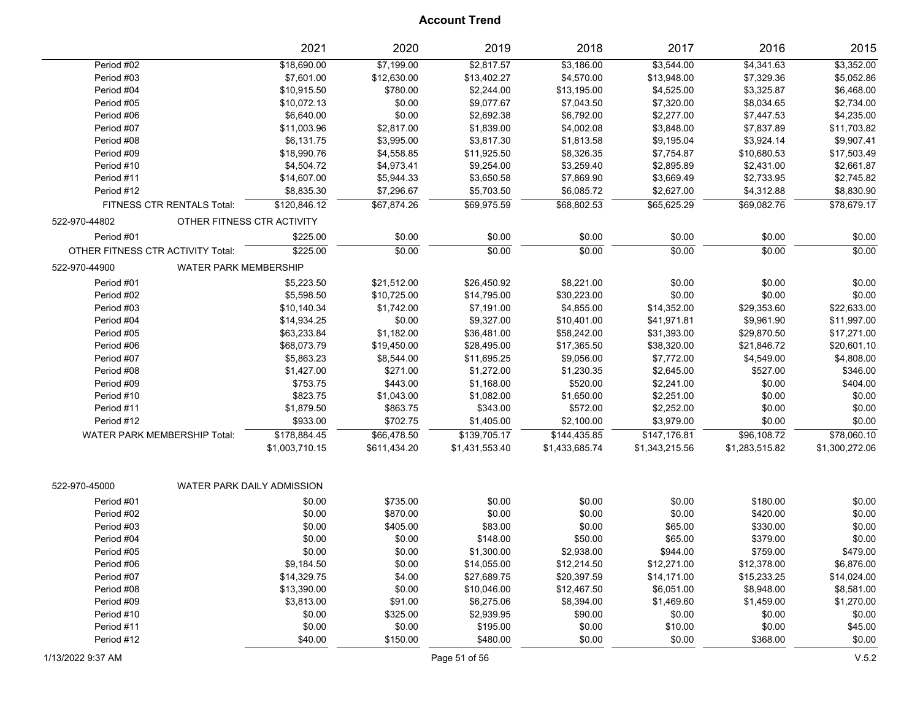|                                               | 2021                       | 2020         | 2019           | 2018           | 2017           | 2016           | 2015           |
|-----------------------------------------------|----------------------------|--------------|----------------|----------------|----------------|----------------|----------------|
| Period #02                                    | \$18,690.00                | \$7,199.00   | \$2,817.57     | \$3,186.00     | \$3,544.00     | \$4,341.63     | \$3,352.00     |
| Period #03                                    | \$7,601.00                 | \$12,630.00  | \$13,402.27    | \$4,570.00     | \$13,948.00    | \$7,329.36     | \$5,052.86     |
| Period #04                                    | \$10,915.50                | \$780.00     | \$2,244.00     | \$13,195.00    | \$4,525.00     | \$3,325.87     | \$6,468.00     |
| Period #05                                    | \$10,072.13                | \$0.00       | \$9,077.67     | \$7,043.50     | \$7,320.00     | \$8,034.65     | \$2,734.00     |
| Period #06                                    | \$6,640.00                 | \$0.00       | \$2,692.38     | \$6,792.00     | \$2,277.00     | \$7,447.53     | \$4,235.00     |
| Period #07                                    | \$11,003.96                | \$2,817.00   | \$1,839.00     | \$4,002.08     | \$3,848.00     | \$7,837.89     | \$11,703.82    |
| Period #08                                    | \$6,131.75                 | \$3,995.00   | \$3,817.30     | \$1,813.58     | \$9,195.04     | \$3,924.14     | \$9,907.41     |
| Period #09                                    | \$18,990.76                | \$4,558.85   | \$11,925.50    | \$8,326.35     | \$7,754.87     | \$10,680.53    | \$17,503.49    |
| Period #10                                    | \$4,504.72                 | \$4,973.41   | \$9,254.00     | \$3,259.40     | \$2,895.89     | \$2,431.00     | \$2,661.87     |
| Period #11                                    | \$14,607.00                | \$5,944.33   | \$3,650.58     | \$7,869.90     | \$3,669.49     | \$2,733.95     | \$2,745.82     |
| Period #12                                    | \$8.835.30                 | \$7,296.67   | \$5,703.50     | \$6,085.72     | \$2,627.00     | \$4,312.88     | \$8,830.90     |
| FITNESS CTR RENTALS Total:                    | \$120.846.12               | \$67,874.26  | \$69,975.59    | \$68.802.53    | \$65,625.29    | \$69.082.76    | \$78.679.17    |
| 522-970-44802                                 | OTHER FITNESS CTR ACTIVITY |              |                |                |                |                |                |
| Period #01                                    | \$225.00                   | \$0.00       | \$0.00         | \$0.00         | \$0.00         | \$0.00         | \$0.00         |
| OTHER FITNESS CTR ACTIVITY Total:             | \$225.00                   | \$0.00       | \$0.00         | \$0.00         | \$0.00         | \$0.00         | \$0.00         |
| <b>WATER PARK MEMBERSHIP</b><br>522-970-44900 |                            |              |                |                |                |                |                |
| Period #01                                    | \$5,223.50                 | \$21,512.00  | \$26,450.92    | \$8,221.00     | \$0.00         | \$0.00         | \$0.00         |
| Period #02                                    | \$5.598.50                 | \$10,725.00  | \$14,795.00    | \$30,223.00    | \$0.00         | \$0.00         | \$0.00         |
| Period #03                                    | \$10,140.34                | \$1,742.00   | \$7,191.00     | \$4,855.00     | \$14,352.00    | \$29,353.60    | \$22,633.00    |
| Period #04                                    | \$14,934.25                | \$0.00       | \$9,327.00     | \$10,401.00    | \$41,971.81    | \$9,961.90     | \$11,997.00    |
| Period #05                                    | \$63,233.84                | \$1,182.00   | \$36,481.00    | \$58,242.00    | \$31,393.00    | \$29,870.50    | \$17,271.00    |
| Period #06                                    | \$68,073.79                | \$19,450.00  | \$28,495.00    | \$17,365.50    | \$38,320.00    | \$21,846.72    | \$20,601.10    |
| Period #07                                    | \$5.863.23                 | \$8,544.00   | \$11,695.25    | \$9,056.00     | \$7,772.00     | \$4,549.00     | \$4,808.00     |
| Period #08                                    | \$1,427.00                 | \$271.00     | \$1,272.00     | \$1,230.35     | \$2,645.00     | \$527.00       | \$346.00       |
| Period #09                                    | \$753.75                   | \$443.00     | \$1,168.00     | \$520.00       | \$2,241.00     | \$0.00         | \$404.00       |
| Period #10                                    | \$823.75                   | \$1,043.00   | \$1,082.00     | \$1,650.00     | \$2,251.00     | \$0.00         | \$0.00         |
| Period #11                                    | \$1,879.50                 | \$863.75     | \$343.00       | \$572.00       | \$2,252.00     | \$0.00         | \$0.00         |
| Period #12                                    | \$933.00                   | \$702.75     | \$1,405.00     | \$2,100.00     | \$3,979.00     | \$0.00         | \$0.00         |
| <b>WATER PARK MEMBERSHIP Total:</b>           | \$178,884.45               | \$66,478.50  | \$139,705.17   | \$144,435.85   | \$147,176.81   | \$96,108.72    | \$78,060.10    |
|                                               | \$1,003,710.15             | \$611,434.20 | \$1,431,553.40 | \$1,433,685.74 | \$1,343,215.56 | \$1,283,515.82 | \$1,300,272.06 |
|                                               |                            |              |                |                |                |                |                |
| 522-970-45000                                 | WATER PARK DAILY ADMISSION |              |                |                |                |                |                |
| Period #01                                    | \$0.00                     | \$735.00     | \$0.00         | \$0.00         | \$0.00         | \$180.00       | \$0.00         |
| Period #02                                    | \$0.00                     | \$870.00     | \$0.00         | \$0.00         | \$0.00         | \$420.00       | \$0.00         |
| Period #03                                    | \$0.00                     | \$405.00     | \$83.00        | \$0.00         | \$65.00        | \$330.00       | \$0.00         |
| Period #04                                    | \$0.00                     | \$0.00       | \$148.00       | \$50.00        | \$65.00        | \$379.00       | \$0.00         |
| Period #05                                    | \$0.00                     | \$0.00       | \$1,300.00     | \$2,938.00     | \$944.00       | \$759.00       | \$479.00       |
| Period #06                                    | \$9,184.50                 | \$0.00       | \$14,055.00    | \$12,214.50    | \$12,271.00    | \$12,378.00    | \$6,876.00     |
| Period #07                                    | \$14,329.75                | \$4.00       | \$27,689.75    | \$20,397.59    | \$14,171.00    | \$15,233.25    | \$14,024.00    |
| Period #08                                    | \$13,390.00                | \$0.00       | \$10,046.00    | \$12,467.50    | \$6,051.00     | \$8,948.00     | \$8,581.00     |
| Period #09                                    | \$3,813.00                 | \$91.00      | \$6,275.06     | \$8,394.00     | \$1,469.60     | \$1,459.00     | \$1,270.00     |
| Period #10                                    | \$0.00                     | \$325.00     | \$2,939.95     | \$90.00        | \$0.00         | \$0.00         | \$0.00         |
| Period #11                                    | \$0.00                     | \$0.00       | \$195.00       | \$0.00         | \$10.00        | \$0.00         | \$45.00        |
| Period #12                                    | \$40.00                    | \$150.00     | \$480.00       | \$0.00         | \$0.00         | \$368.00       | \$0.00         |
|                                               |                            |              |                |                |                |                |                |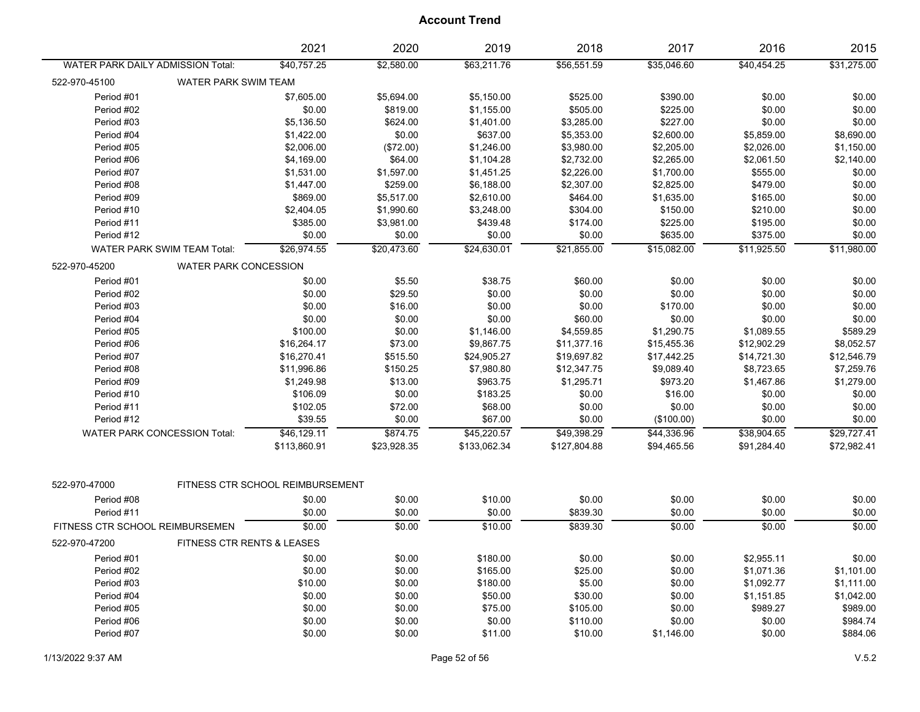| \$56,551.59<br>\$40,454.25<br>\$31,275.00<br>WATER PARK DAILY ADMISSION Total:<br>\$40,757.25<br>\$2,580.00<br>\$63,211.76<br>\$35,046.60<br>522-970-45100<br>WATER PARK SWIM TEAM<br>\$7,605.00<br>Period #01<br>\$5,694.00<br>\$5,150.00<br>\$525.00<br>\$390.00<br>\$0.00<br>\$0.00<br>\$0.00<br>\$0.00<br>Period #02<br>\$819.00<br>\$1,155.00<br>\$505.00<br>\$225.00<br>\$0.00<br>\$227.00<br>\$0.00<br>\$0.00<br>Period #03<br>\$5,136.50<br>\$624.00<br>\$1,401.00<br>\$3,285.00<br>\$1,422.00<br>\$0.00<br>\$637.00<br>\$5,353.00<br>\$2,600.00<br>\$5,859.00<br>\$8,690.00<br>Period #04<br>\$2,006.00<br>(\$72.00)<br>\$2,205.00<br>\$2,026.00<br>\$1,150.00<br>Period #05<br>\$1,246.00<br>\$3,980.00<br>\$4,169.00<br>\$64.00<br>\$2,140.00<br>Period #06<br>\$1,104.28<br>\$2,732.00<br>\$2,265.00<br>\$2,061.50<br>Period #07<br>\$1,531.00<br>\$1,597.00<br>\$1,451.25<br>\$2,226.00<br>\$555.00<br>\$0.00<br>\$1,700.00<br>\$0.00<br>Period #08<br>\$1,447.00<br>\$259.00<br>\$2,307.00<br>\$479.00<br>\$6,188.00<br>\$2,825.00<br>Period #09<br>\$869.00<br>\$5,517.00<br>\$2,610.00<br>\$464.00<br>\$165.00<br>\$0.00<br>\$1,635.00<br>\$0.00<br>Period #10<br>\$2,404.05<br>\$1,990.60<br>\$3,248.00<br>\$304.00<br>\$150.00<br>\$210.00<br>\$385.00<br>\$0.00<br>Period #11<br>\$3,981.00<br>\$439.48<br>\$174.00<br>\$225.00<br>\$195.00<br>Period #12<br>\$0.00<br>\$0.00<br>\$0.00<br>\$635.00<br>\$375.00<br>\$0.00<br>\$0.00<br>\$24,630.01<br>\$21,855.00<br>\$15,082.00<br>\$11,980.00<br><b>WATER PARK SWIM TEAM Total:</b><br>\$26,974.55<br>\$20,473.60<br>\$11,925.50<br>522-970-45200<br><b>WATER PARK CONCESSION</b><br>Period #01<br>\$0.00<br>\$5.50<br>\$38.75<br>\$60.00<br>\$0.00<br>\$0.00<br>\$0.00<br>\$0.00<br>\$0.00<br>\$0.00<br>Period #02<br>\$0.00<br>\$29.50<br>\$0.00<br>\$0.00<br>\$0.00<br>\$16.00<br>\$0.00<br>\$0.00<br>\$170.00<br>\$0.00<br>\$0.00<br>Period #03<br>\$0.00<br>\$0.00<br>\$0.00<br>Period #04<br>\$0.00<br>\$0.00<br>\$0.00<br>\$60.00<br>\$589.29<br>Period #05<br>\$100.00<br>\$0.00<br>\$1,146.00<br>\$4,559.85<br>\$1,290.75<br>\$1,089.55<br>\$8,052.57<br>Period #06<br>\$16,264.17<br>\$73.00<br>\$9,867.75<br>\$11,377.16<br>\$15,455.36<br>\$12,902.29<br>Period #07<br>\$16,270.41<br>\$515.50<br>\$24,905.27<br>\$19,697.82<br>\$17,442.25<br>\$14,721.30<br>\$12,546.79<br>Period #08<br>\$11,996.86<br>\$150.25<br>\$7,980.80<br>\$12,347.75<br>\$9,089.40<br>\$8,723.65<br>\$7,259.76<br>\$963.75<br>\$1,279.00<br>Period #09<br>\$1,249.98<br>\$13.00<br>\$1,295.71<br>\$973.20<br>\$1,467.86<br>Period #10<br>\$106.09<br>\$0.00<br>\$183.25<br>\$0.00<br>\$16.00<br>\$0.00<br>\$0.00<br>\$102.05<br>\$68.00<br>\$0.00<br>\$0.00<br>\$0.00<br>\$0.00<br>Period #11<br>\$72.00<br>Period #12<br>\$39.55<br>\$0.00<br>\$67.00<br>\$0.00<br>\$0.00<br>\$0.00<br>(\$100.00)<br>\$874.75<br>\$45,220.57<br>\$49,398.29<br>\$38,904.65<br>\$29,727.41<br><b>WATER PARK CONCESSION Total:</b><br>\$46,129.11<br>\$44,336.96<br>\$72,982.41<br>\$113,860.91<br>\$23,928.35<br>\$133,062.34<br>\$127,804.88<br>\$94,465.56<br>\$91,284.40<br>522-970-47000<br>FITNESS CTR SCHOOL REIMBURSEMENT<br>\$0.00<br>\$0.00<br>\$0.00<br>\$0.00<br>Period #08<br>\$0.00<br>\$0.00<br>\$10.00<br>\$0.00<br>\$0.00<br>Period #11<br>\$0.00<br>\$0.00<br>\$0.00<br>\$839.30<br>\$0.00<br>\$0.00<br>\$0.00<br>\$10.00<br>\$839.30<br>\$0.00<br>\$0.00<br>\$0.00<br>FITNESS CTR SCHOOL REIMBURSEMEN<br>522-970-47200<br>FITNESS CTR RENTS & LEASES<br>Period #01<br>\$0.00<br>\$180.00<br>\$0.00<br>\$0.00<br>\$2,955.11<br>\$0.00<br>\$0.00<br>\$25.00<br>Period #02<br>\$0.00<br>\$0.00<br>\$165.00<br>\$0.00<br>\$1,071.36<br>\$1,101.00 |            | 2021    | 2020   | 2019     | 2018   | 2017   | 2016       | 2015       |
|-------------------------------------------------------------------------------------------------------------------------------------------------------------------------------------------------------------------------------------------------------------------------------------------------------------------------------------------------------------------------------------------------------------------------------------------------------------------------------------------------------------------------------------------------------------------------------------------------------------------------------------------------------------------------------------------------------------------------------------------------------------------------------------------------------------------------------------------------------------------------------------------------------------------------------------------------------------------------------------------------------------------------------------------------------------------------------------------------------------------------------------------------------------------------------------------------------------------------------------------------------------------------------------------------------------------------------------------------------------------------------------------------------------------------------------------------------------------------------------------------------------------------------------------------------------------------------------------------------------------------------------------------------------------------------------------------------------------------------------------------------------------------------------------------------------------------------------------------------------------------------------------------------------------------------------------------------------------------------------------------------------------------------------------------------------------------------------------------------------------------------------------------------------------------------------------------------------------------------------------------------------------------------------------------------------------------------------------------------------------------------------------------------------------------------------------------------------------------------------------------------------------------------------------------------------------------------------------------------------------------------------------------------------------------------------------------------------------------------------------------------------------------------------------------------------------------------------------------------------------------------------------------------------------------------------------------------------------------------------------------------------------------------------------------------------------------------------------------------------------------------------------------------------------------------------------------------------------------------------------------------------------------------------------------------------------------------------------------------------------------------------------------------------------------------------------------------------------------------------------------------------------------------------------------------------------------------------------------------------------------------------------------------------------------------------------------------------|------------|---------|--------|----------|--------|--------|------------|------------|
|                                                                                                                                                                                                                                                                                                                                                                                                                                                                                                                                                                                                                                                                                                                                                                                                                                                                                                                                                                                                                                                                                                                                                                                                                                                                                                                                                                                                                                                                                                                                                                                                                                                                                                                                                                                                                                                                                                                                                                                                                                                                                                                                                                                                                                                                                                                                                                                                                                                                                                                                                                                                                                                                                                                                                                                                                                                                                                                                                                                                                                                                                                                                                                                                                                                                                                                                                                                                                                                                                                                                                                                                                                                                                                             |            |         |        |          |        |        |            |            |
|                                                                                                                                                                                                                                                                                                                                                                                                                                                                                                                                                                                                                                                                                                                                                                                                                                                                                                                                                                                                                                                                                                                                                                                                                                                                                                                                                                                                                                                                                                                                                                                                                                                                                                                                                                                                                                                                                                                                                                                                                                                                                                                                                                                                                                                                                                                                                                                                                                                                                                                                                                                                                                                                                                                                                                                                                                                                                                                                                                                                                                                                                                                                                                                                                                                                                                                                                                                                                                                                                                                                                                                                                                                                                                             |            |         |        |          |        |        |            |            |
|                                                                                                                                                                                                                                                                                                                                                                                                                                                                                                                                                                                                                                                                                                                                                                                                                                                                                                                                                                                                                                                                                                                                                                                                                                                                                                                                                                                                                                                                                                                                                                                                                                                                                                                                                                                                                                                                                                                                                                                                                                                                                                                                                                                                                                                                                                                                                                                                                                                                                                                                                                                                                                                                                                                                                                                                                                                                                                                                                                                                                                                                                                                                                                                                                                                                                                                                                                                                                                                                                                                                                                                                                                                                                                             |            |         |        |          |        |        |            |            |
|                                                                                                                                                                                                                                                                                                                                                                                                                                                                                                                                                                                                                                                                                                                                                                                                                                                                                                                                                                                                                                                                                                                                                                                                                                                                                                                                                                                                                                                                                                                                                                                                                                                                                                                                                                                                                                                                                                                                                                                                                                                                                                                                                                                                                                                                                                                                                                                                                                                                                                                                                                                                                                                                                                                                                                                                                                                                                                                                                                                                                                                                                                                                                                                                                                                                                                                                                                                                                                                                                                                                                                                                                                                                                                             |            |         |        |          |        |        |            |            |
|                                                                                                                                                                                                                                                                                                                                                                                                                                                                                                                                                                                                                                                                                                                                                                                                                                                                                                                                                                                                                                                                                                                                                                                                                                                                                                                                                                                                                                                                                                                                                                                                                                                                                                                                                                                                                                                                                                                                                                                                                                                                                                                                                                                                                                                                                                                                                                                                                                                                                                                                                                                                                                                                                                                                                                                                                                                                                                                                                                                                                                                                                                                                                                                                                                                                                                                                                                                                                                                                                                                                                                                                                                                                                                             |            |         |        |          |        |        |            |            |
|                                                                                                                                                                                                                                                                                                                                                                                                                                                                                                                                                                                                                                                                                                                                                                                                                                                                                                                                                                                                                                                                                                                                                                                                                                                                                                                                                                                                                                                                                                                                                                                                                                                                                                                                                                                                                                                                                                                                                                                                                                                                                                                                                                                                                                                                                                                                                                                                                                                                                                                                                                                                                                                                                                                                                                                                                                                                                                                                                                                                                                                                                                                                                                                                                                                                                                                                                                                                                                                                                                                                                                                                                                                                                                             |            |         |        |          |        |        |            |            |
|                                                                                                                                                                                                                                                                                                                                                                                                                                                                                                                                                                                                                                                                                                                                                                                                                                                                                                                                                                                                                                                                                                                                                                                                                                                                                                                                                                                                                                                                                                                                                                                                                                                                                                                                                                                                                                                                                                                                                                                                                                                                                                                                                                                                                                                                                                                                                                                                                                                                                                                                                                                                                                                                                                                                                                                                                                                                                                                                                                                                                                                                                                                                                                                                                                                                                                                                                                                                                                                                                                                                                                                                                                                                                                             |            |         |        |          |        |        |            |            |
|                                                                                                                                                                                                                                                                                                                                                                                                                                                                                                                                                                                                                                                                                                                                                                                                                                                                                                                                                                                                                                                                                                                                                                                                                                                                                                                                                                                                                                                                                                                                                                                                                                                                                                                                                                                                                                                                                                                                                                                                                                                                                                                                                                                                                                                                                                                                                                                                                                                                                                                                                                                                                                                                                                                                                                                                                                                                                                                                                                                                                                                                                                                                                                                                                                                                                                                                                                                                                                                                                                                                                                                                                                                                                                             |            |         |        |          |        |        |            |            |
|                                                                                                                                                                                                                                                                                                                                                                                                                                                                                                                                                                                                                                                                                                                                                                                                                                                                                                                                                                                                                                                                                                                                                                                                                                                                                                                                                                                                                                                                                                                                                                                                                                                                                                                                                                                                                                                                                                                                                                                                                                                                                                                                                                                                                                                                                                                                                                                                                                                                                                                                                                                                                                                                                                                                                                                                                                                                                                                                                                                                                                                                                                                                                                                                                                                                                                                                                                                                                                                                                                                                                                                                                                                                                                             |            |         |        |          |        |        |            |            |
|                                                                                                                                                                                                                                                                                                                                                                                                                                                                                                                                                                                                                                                                                                                                                                                                                                                                                                                                                                                                                                                                                                                                                                                                                                                                                                                                                                                                                                                                                                                                                                                                                                                                                                                                                                                                                                                                                                                                                                                                                                                                                                                                                                                                                                                                                                                                                                                                                                                                                                                                                                                                                                                                                                                                                                                                                                                                                                                                                                                                                                                                                                                                                                                                                                                                                                                                                                                                                                                                                                                                                                                                                                                                                                             |            |         |        |          |        |        |            |            |
|                                                                                                                                                                                                                                                                                                                                                                                                                                                                                                                                                                                                                                                                                                                                                                                                                                                                                                                                                                                                                                                                                                                                                                                                                                                                                                                                                                                                                                                                                                                                                                                                                                                                                                                                                                                                                                                                                                                                                                                                                                                                                                                                                                                                                                                                                                                                                                                                                                                                                                                                                                                                                                                                                                                                                                                                                                                                                                                                                                                                                                                                                                                                                                                                                                                                                                                                                                                                                                                                                                                                                                                                                                                                                                             |            |         |        |          |        |        |            |            |
|                                                                                                                                                                                                                                                                                                                                                                                                                                                                                                                                                                                                                                                                                                                                                                                                                                                                                                                                                                                                                                                                                                                                                                                                                                                                                                                                                                                                                                                                                                                                                                                                                                                                                                                                                                                                                                                                                                                                                                                                                                                                                                                                                                                                                                                                                                                                                                                                                                                                                                                                                                                                                                                                                                                                                                                                                                                                                                                                                                                                                                                                                                                                                                                                                                                                                                                                                                                                                                                                                                                                                                                                                                                                                                             |            |         |        |          |        |        |            |            |
|                                                                                                                                                                                                                                                                                                                                                                                                                                                                                                                                                                                                                                                                                                                                                                                                                                                                                                                                                                                                                                                                                                                                                                                                                                                                                                                                                                                                                                                                                                                                                                                                                                                                                                                                                                                                                                                                                                                                                                                                                                                                                                                                                                                                                                                                                                                                                                                                                                                                                                                                                                                                                                                                                                                                                                                                                                                                                                                                                                                                                                                                                                                                                                                                                                                                                                                                                                                                                                                                                                                                                                                                                                                                                                             |            |         |        |          |        |        |            |            |
|                                                                                                                                                                                                                                                                                                                                                                                                                                                                                                                                                                                                                                                                                                                                                                                                                                                                                                                                                                                                                                                                                                                                                                                                                                                                                                                                                                                                                                                                                                                                                                                                                                                                                                                                                                                                                                                                                                                                                                                                                                                                                                                                                                                                                                                                                                                                                                                                                                                                                                                                                                                                                                                                                                                                                                                                                                                                                                                                                                                                                                                                                                                                                                                                                                                                                                                                                                                                                                                                                                                                                                                                                                                                                                             |            |         |        |          |        |        |            |            |
|                                                                                                                                                                                                                                                                                                                                                                                                                                                                                                                                                                                                                                                                                                                                                                                                                                                                                                                                                                                                                                                                                                                                                                                                                                                                                                                                                                                                                                                                                                                                                                                                                                                                                                                                                                                                                                                                                                                                                                                                                                                                                                                                                                                                                                                                                                                                                                                                                                                                                                                                                                                                                                                                                                                                                                                                                                                                                                                                                                                                                                                                                                                                                                                                                                                                                                                                                                                                                                                                                                                                                                                                                                                                                                             |            |         |        |          |        |        |            |            |
|                                                                                                                                                                                                                                                                                                                                                                                                                                                                                                                                                                                                                                                                                                                                                                                                                                                                                                                                                                                                                                                                                                                                                                                                                                                                                                                                                                                                                                                                                                                                                                                                                                                                                                                                                                                                                                                                                                                                                                                                                                                                                                                                                                                                                                                                                                                                                                                                                                                                                                                                                                                                                                                                                                                                                                                                                                                                                                                                                                                                                                                                                                                                                                                                                                                                                                                                                                                                                                                                                                                                                                                                                                                                                                             |            |         |        |          |        |        |            |            |
|                                                                                                                                                                                                                                                                                                                                                                                                                                                                                                                                                                                                                                                                                                                                                                                                                                                                                                                                                                                                                                                                                                                                                                                                                                                                                                                                                                                                                                                                                                                                                                                                                                                                                                                                                                                                                                                                                                                                                                                                                                                                                                                                                                                                                                                                                                                                                                                                                                                                                                                                                                                                                                                                                                                                                                                                                                                                                                                                                                                                                                                                                                                                                                                                                                                                                                                                                                                                                                                                                                                                                                                                                                                                                                             |            |         |        |          |        |        |            |            |
|                                                                                                                                                                                                                                                                                                                                                                                                                                                                                                                                                                                                                                                                                                                                                                                                                                                                                                                                                                                                                                                                                                                                                                                                                                                                                                                                                                                                                                                                                                                                                                                                                                                                                                                                                                                                                                                                                                                                                                                                                                                                                                                                                                                                                                                                                                                                                                                                                                                                                                                                                                                                                                                                                                                                                                                                                                                                                                                                                                                                                                                                                                                                                                                                                                                                                                                                                                                                                                                                                                                                                                                                                                                                                                             |            |         |        |          |        |        |            |            |
|                                                                                                                                                                                                                                                                                                                                                                                                                                                                                                                                                                                                                                                                                                                                                                                                                                                                                                                                                                                                                                                                                                                                                                                                                                                                                                                                                                                                                                                                                                                                                                                                                                                                                                                                                                                                                                                                                                                                                                                                                                                                                                                                                                                                                                                                                                                                                                                                                                                                                                                                                                                                                                                                                                                                                                                                                                                                                                                                                                                                                                                                                                                                                                                                                                                                                                                                                                                                                                                                                                                                                                                                                                                                                                             |            |         |        |          |        |        |            |            |
|                                                                                                                                                                                                                                                                                                                                                                                                                                                                                                                                                                                                                                                                                                                                                                                                                                                                                                                                                                                                                                                                                                                                                                                                                                                                                                                                                                                                                                                                                                                                                                                                                                                                                                                                                                                                                                                                                                                                                                                                                                                                                                                                                                                                                                                                                                                                                                                                                                                                                                                                                                                                                                                                                                                                                                                                                                                                                                                                                                                                                                                                                                                                                                                                                                                                                                                                                                                                                                                                                                                                                                                                                                                                                                             |            |         |        |          |        |        |            |            |
|                                                                                                                                                                                                                                                                                                                                                                                                                                                                                                                                                                                                                                                                                                                                                                                                                                                                                                                                                                                                                                                                                                                                                                                                                                                                                                                                                                                                                                                                                                                                                                                                                                                                                                                                                                                                                                                                                                                                                                                                                                                                                                                                                                                                                                                                                                                                                                                                                                                                                                                                                                                                                                                                                                                                                                                                                                                                                                                                                                                                                                                                                                                                                                                                                                                                                                                                                                                                                                                                                                                                                                                                                                                                                                             |            |         |        |          |        |        |            |            |
|                                                                                                                                                                                                                                                                                                                                                                                                                                                                                                                                                                                                                                                                                                                                                                                                                                                                                                                                                                                                                                                                                                                                                                                                                                                                                                                                                                                                                                                                                                                                                                                                                                                                                                                                                                                                                                                                                                                                                                                                                                                                                                                                                                                                                                                                                                                                                                                                                                                                                                                                                                                                                                                                                                                                                                                                                                                                                                                                                                                                                                                                                                                                                                                                                                                                                                                                                                                                                                                                                                                                                                                                                                                                                                             |            |         |        |          |        |        |            |            |
|                                                                                                                                                                                                                                                                                                                                                                                                                                                                                                                                                                                                                                                                                                                                                                                                                                                                                                                                                                                                                                                                                                                                                                                                                                                                                                                                                                                                                                                                                                                                                                                                                                                                                                                                                                                                                                                                                                                                                                                                                                                                                                                                                                                                                                                                                                                                                                                                                                                                                                                                                                                                                                                                                                                                                                                                                                                                                                                                                                                                                                                                                                                                                                                                                                                                                                                                                                                                                                                                                                                                                                                                                                                                                                             |            |         |        |          |        |        |            |            |
|                                                                                                                                                                                                                                                                                                                                                                                                                                                                                                                                                                                                                                                                                                                                                                                                                                                                                                                                                                                                                                                                                                                                                                                                                                                                                                                                                                                                                                                                                                                                                                                                                                                                                                                                                                                                                                                                                                                                                                                                                                                                                                                                                                                                                                                                                                                                                                                                                                                                                                                                                                                                                                                                                                                                                                                                                                                                                                                                                                                                                                                                                                                                                                                                                                                                                                                                                                                                                                                                                                                                                                                                                                                                                                             |            |         |        |          |        |        |            |            |
|                                                                                                                                                                                                                                                                                                                                                                                                                                                                                                                                                                                                                                                                                                                                                                                                                                                                                                                                                                                                                                                                                                                                                                                                                                                                                                                                                                                                                                                                                                                                                                                                                                                                                                                                                                                                                                                                                                                                                                                                                                                                                                                                                                                                                                                                                                                                                                                                                                                                                                                                                                                                                                                                                                                                                                                                                                                                                                                                                                                                                                                                                                                                                                                                                                                                                                                                                                                                                                                                                                                                                                                                                                                                                                             |            |         |        |          |        |        |            |            |
|                                                                                                                                                                                                                                                                                                                                                                                                                                                                                                                                                                                                                                                                                                                                                                                                                                                                                                                                                                                                                                                                                                                                                                                                                                                                                                                                                                                                                                                                                                                                                                                                                                                                                                                                                                                                                                                                                                                                                                                                                                                                                                                                                                                                                                                                                                                                                                                                                                                                                                                                                                                                                                                                                                                                                                                                                                                                                                                                                                                                                                                                                                                                                                                                                                                                                                                                                                                                                                                                                                                                                                                                                                                                                                             |            |         |        |          |        |        |            |            |
|                                                                                                                                                                                                                                                                                                                                                                                                                                                                                                                                                                                                                                                                                                                                                                                                                                                                                                                                                                                                                                                                                                                                                                                                                                                                                                                                                                                                                                                                                                                                                                                                                                                                                                                                                                                                                                                                                                                                                                                                                                                                                                                                                                                                                                                                                                                                                                                                                                                                                                                                                                                                                                                                                                                                                                                                                                                                                                                                                                                                                                                                                                                                                                                                                                                                                                                                                                                                                                                                                                                                                                                                                                                                                                             |            |         |        |          |        |        |            |            |
|                                                                                                                                                                                                                                                                                                                                                                                                                                                                                                                                                                                                                                                                                                                                                                                                                                                                                                                                                                                                                                                                                                                                                                                                                                                                                                                                                                                                                                                                                                                                                                                                                                                                                                                                                                                                                                                                                                                                                                                                                                                                                                                                                                                                                                                                                                                                                                                                                                                                                                                                                                                                                                                                                                                                                                                                                                                                                                                                                                                                                                                                                                                                                                                                                                                                                                                                                                                                                                                                                                                                                                                                                                                                                                             |            |         |        |          |        |        |            |            |
|                                                                                                                                                                                                                                                                                                                                                                                                                                                                                                                                                                                                                                                                                                                                                                                                                                                                                                                                                                                                                                                                                                                                                                                                                                                                                                                                                                                                                                                                                                                                                                                                                                                                                                                                                                                                                                                                                                                                                                                                                                                                                                                                                                                                                                                                                                                                                                                                                                                                                                                                                                                                                                                                                                                                                                                                                                                                                                                                                                                                                                                                                                                                                                                                                                                                                                                                                                                                                                                                                                                                                                                                                                                                                                             |            |         |        |          |        |        |            |            |
|                                                                                                                                                                                                                                                                                                                                                                                                                                                                                                                                                                                                                                                                                                                                                                                                                                                                                                                                                                                                                                                                                                                                                                                                                                                                                                                                                                                                                                                                                                                                                                                                                                                                                                                                                                                                                                                                                                                                                                                                                                                                                                                                                                                                                                                                                                                                                                                                                                                                                                                                                                                                                                                                                                                                                                                                                                                                                                                                                                                                                                                                                                                                                                                                                                                                                                                                                                                                                                                                                                                                                                                                                                                                                                             |            |         |        |          |        |        |            |            |
|                                                                                                                                                                                                                                                                                                                                                                                                                                                                                                                                                                                                                                                                                                                                                                                                                                                                                                                                                                                                                                                                                                                                                                                                                                                                                                                                                                                                                                                                                                                                                                                                                                                                                                                                                                                                                                                                                                                                                                                                                                                                                                                                                                                                                                                                                                                                                                                                                                                                                                                                                                                                                                                                                                                                                                                                                                                                                                                                                                                                                                                                                                                                                                                                                                                                                                                                                                                                                                                                                                                                                                                                                                                                                                             |            |         |        |          |        |        |            |            |
|                                                                                                                                                                                                                                                                                                                                                                                                                                                                                                                                                                                                                                                                                                                                                                                                                                                                                                                                                                                                                                                                                                                                                                                                                                                                                                                                                                                                                                                                                                                                                                                                                                                                                                                                                                                                                                                                                                                                                                                                                                                                                                                                                                                                                                                                                                                                                                                                                                                                                                                                                                                                                                                                                                                                                                                                                                                                                                                                                                                                                                                                                                                                                                                                                                                                                                                                                                                                                                                                                                                                                                                                                                                                                                             |            |         |        |          |        |        |            |            |
|                                                                                                                                                                                                                                                                                                                                                                                                                                                                                                                                                                                                                                                                                                                                                                                                                                                                                                                                                                                                                                                                                                                                                                                                                                                                                                                                                                                                                                                                                                                                                                                                                                                                                                                                                                                                                                                                                                                                                                                                                                                                                                                                                                                                                                                                                                                                                                                                                                                                                                                                                                                                                                                                                                                                                                                                                                                                                                                                                                                                                                                                                                                                                                                                                                                                                                                                                                                                                                                                                                                                                                                                                                                                                                             |            |         |        |          |        |        |            |            |
|                                                                                                                                                                                                                                                                                                                                                                                                                                                                                                                                                                                                                                                                                                                                                                                                                                                                                                                                                                                                                                                                                                                                                                                                                                                                                                                                                                                                                                                                                                                                                                                                                                                                                                                                                                                                                                                                                                                                                                                                                                                                                                                                                                                                                                                                                                                                                                                                                                                                                                                                                                                                                                                                                                                                                                                                                                                                                                                                                                                                                                                                                                                                                                                                                                                                                                                                                                                                                                                                                                                                                                                                                                                                                                             |            |         |        |          |        |        |            |            |
|                                                                                                                                                                                                                                                                                                                                                                                                                                                                                                                                                                                                                                                                                                                                                                                                                                                                                                                                                                                                                                                                                                                                                                                                                                                                                                                                                                                                                                                                                                                                                                                                                                                                                                                                                                                                                                                                                                                                                                                                                                                                                                                                                                                                                                                                                                                                                                                                                                                                                                                                                                                                                                                                                                                                                                                                                                                                                                                                                                                                                                                                                                                                                                                                                                                                                                                                                                                                                                                                                                                                                                                                                                                                                                             |            |         |        |          |        |        |            |            |
|                                                                                                                                                                                                                                                                                                                                                                                                                                                                                                                                                                                                                                                                                                                                                                                                                                                                                                                                                                                                                                                                                                                                                                                                                                                                                                                                                                                                                                                                                                                                                                                                                                                                                                                                                                                                                                                                                                                                                                                                                                                                                                                                                                                                                                                                                                                                                                                                                                                                                                                                                                                                                                                                                                                                                                                                                                                                                                                                                                                                                                                                                                                                                                                                                                                                                                                                                                                                                                                                                                                                                                                                                                                                                                             |            |         |        |          |        |        |            |            |
|                                                                                                                                                                                                                                                                                                                                                                                                                                                                                                                                                                                                                                                                                                                                                                                                                                                                                                                                                                                                                                                                                                                                                                                                                                                                                                                                                                                                                                                                                                                                                                                                                                                                                                                                                                                                                                                                                                                                                                                                                                                                                                                                                                                                                                                                                                                                                                                                                                                                                                                                                                                                                                                                                                                                                                                                                                                                                                                                                                                                                                                                                                                                                                                                                                                                                                                                                                                                                                                                                                                                                                                                                                                                                                             |            |         |        |          |        |        |            |            |
|                                                                                                                                                                                                                                                                                                                                                                                                                                                                                                                                                                                                                                                                                                                                                                                                                                                                                                                                                                                                                                                                                                                                                                                                                                                                                                                                                                                                                                                                                                                                                                                                                                                                                                                                                                                                                                                                                                                                                                                                                                                                                                                                                                                                                                                                                                                                                                                                                                                                                                                                                                                                                                                                                                                                                                                                                                                                                                                                                                                                                                                                                                                                                                                                                                                                                                                                                                                                                                                                                                                                                                                                                                                                                                             | Period #03 | \$10.00 | \$0.00 | \$180.00 | \$5.00 | \$0.00 | \$1,092.77 | \$1,111.00 |
| \$0.00<br>\$0.00<br>\$30.00<br>\$0.00<br>\$1,042.00<br>Period #04<br>\$50.00<br>\$1,151.85                                                                                                                                                                                                                                                                                                                                                                                                                                                                                                                                                                                                                                                                                                                                                                                                                                                                                                                                                                                                                                                                                                                                                                                                                                                                                                                                                                                                                                                                                                                                                                                                                                                                                                                                                                                                                                                                                                                                                                                                                                                                                                                                                                                                                                                                                                                                                                                                                                                                                                                                                                                                                                                                                                                                                                                                                                                                                                                                                                                                                                                                                                                                                                                                                                                                                                                                                                                                                                                                                                                                                                                                                  |            |         |        |          |        |        |            |            |
| \$0.00<br>\$989.00<br>Period #05<br>\$0.00<br>\$0.00<br>\$75.00<br>\$105.00<br>\$989.27                                                                                                                                                                                                                                                                                                                                                                                                                                                                                                                                                                                                                                                                                                                                                                                                                                                                                                                                                                                                                                                                                                                                                                                                                                                                                                                                                                                                                                                                                                                                                                                                                                                                                                                                                                                                                                                                                                                                                                                                                                                                                                                                                                                                                                                                                                                                                                                                                                                                                                                                                                                                                                                                                                                                                                                                                                                                                                                                                                                                                                                                                                                                                                                                                                                                                                                                                                                                                                                                                                                                                                                                                     |            |         |        |          |        |        |            |            |
| \$0.00<br>\$0.00<br>\$0.00<br>\$110.00<br>\$0.00<br>\$0.00<br>\$984.74<br>Period #06                                                                                                                                                                                                                                                                                                                                                                                                                                                                                                                                                                                                                                                                                                                                                                                                                                                                                                                                                                                                                                                                                                                                                                                                                                                                                                                                                                                                                                                                                                                                                                                                                                                                                                                                                                                                                                                                                                                                                                                                                                                                                                                                                                                                                                                                                                                                                                                                                                                                                                                                                                                                                                                                                                                                                                                                                                                                                                                                                                                                                                                                                                                                                                                                                                                                                                                                                                                                                                                                                                                                                                                                                        |            |         |        |          |        |        |            |            |
| Period #07<br>\$0.00<br>\$0.00<br>\$11.00<br>\$10.00<br>\$1,146.00<br>\$0.00<br>\$884.06                                                                                                                                                                                                                                                                                                                                                                                                                                                                                                                                                                                                                                                                                                                                                                                                                                                                                                                                                                                                                                                                                                                                                                                                                                                                                                                                                                                                                                                                                                                                                                                                                                                                                                                                                                                                                                                                                                                                                                                                                                                                                                                                                                                                                                                                                                                                                                                                                                                                                                                                                                                                                                                                                                                                                                                                                                                                                                                                                                                                                                                                                                                                                                                                                                                                                                                                                                                                                                                                                                                                                                                                                    |            |         |        |          |        |        |            |            |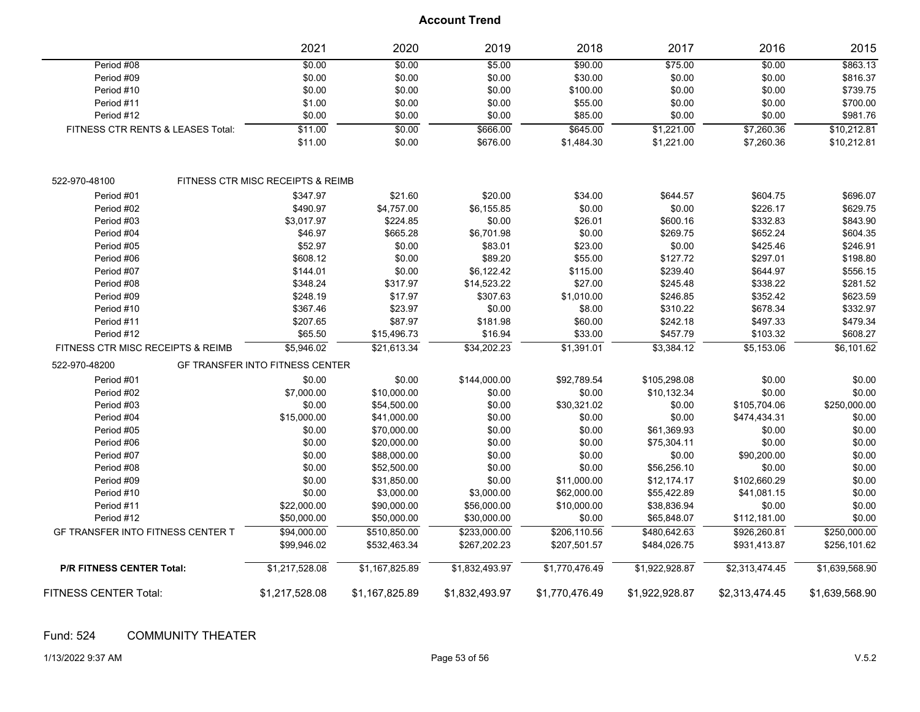|                                          | 2021                                         | 2020           | 2019           | 2018           | 2017           | 2016           | 2015           |
|------------------------------------------|----------------------------------------------|----------------|----------------|----------------|----------------|----------------|----------------|
| Period #08                               | \$0.00                                       | \$0.00         | \$5.00         | \$90.00        | \$75.00        | \$0.00         | \$863.13       |
| Period #09                               | \$0.00                                       | \$0.00         | \$0.00         | \$30.00        | \$0.00         | \$0.00         | \$816.37       |
| Period #10                               | \$0.00                                       | \$0.00         | \$0.00         | \$100.00       | \$0.00         | \$0.00         | \$739.75       |
| Period #11                               | \$1.00                                       | \$0.00         | \$0.00         | \$55.00        | \$0.00         | \$0.00         | \$700.00       |
| Period #12                               | \$0.00                                       | \$0.00         | \$0.00         | \$85.00        | \$0.00         | \$0.00         | \$981.76       |
| FITNESS CTR RENTS & LEASES Total:        | \$11.00                                      | \$0.00         | \$666.00       | \$645.00       | \$1,221.00     | \$7,260.36     | \$10,212.81    |
|                                          | \$11.00                                      | \$0.00         | \$676.00       | \$1,484.30     | \$1,221.00     | \$7,260.36     | \$10,212.81    |
| 522-970-48100                            | <b>FITNESS CTR MISC RECEIPTS &amp; REIMB</b> |                |                |                |                |                |                |
| Period #01                               | \$347.97                                     | \$21.60        | \$20.00        | \$34.00        | \$644.57       | \$604.75       | \$696.07       |
| Period #02                               | \$490.97                                     | \$4,757.00     | \$6,155.85     | \$0.00         | \$0.00         | \$226.17       | \$629.75       |
| Period #03                               | \$3,017.97                                   | \$224.85       | \$0.00         | \$26.01        | \$600.16       | \$332.83       | \$843.90       |
| Period #04                               | \$46.97                                      | \$665.28       | \$6,701.98     | \$0.00         | \$269.75       | \$652.24       | \$604.35       |
| Period #05                               | \$52.97                                      | \$0.00         | \$83.01        | \$23.00        | \$0.00         | \$425.46       | \$246.91       |
| Period #06                               | \$608.12                                     | \$0.00         | \$89.20        | \$55.00        | \$127.72       | \$297.01       | \$198.80       |
| Period #07                               | \$144.01                                     | \$0.00         | \$6,122.42     | \$115.00       | \$239.40       | \$644.97       | \$556.15       |
| Period #08                               | \$348.24                                     | \$317.97       | \$14,523.22    | \$27.00        | \$245.48       | \$338.22       | \$281.52       |
| Period #09                               | \$248.19                                     | \$17.97        | \$307.63       | \$1,010.00     | \$246.85       | \$352.42       | \$623.59       |
| Period #10                               | \$367.46                                     | \$23.97        | \$0.00         | \$8.00         | \$310.22       | \$678.34       | \$332.97       |
| Period #11                               | \$207.65                                     | \$87.97        | \$181.98       | \$60.00        | \$242.18       | \$497.33       | \$479.34       |
| Period #12                               | \$65.50                                      | \$15,496.73    | \$16.94        | \$33.00        | \$457.79       | \$103.32       | \$608.27       |
| FITNESS CTR MISC RECEIPTS & REIMB        | \$5,946.02                                   | \$21,613.34    | \$34,202.23    | \$1,391.01     | \$3,384.12     | \$5,153.06     | \$6,101.62     |
| 522-970-48200                            | <b>GF TRANSFER INTO FITNESS CENTER</b>       |                |                |                |                |                |                |
| Period #01                               | \$0.00                                       | \$0.00         | \$144,000.00   | \$92,789.54    | \$105,298.08   | \$0.00         | \$0.00         |
| Period #02                               | \$7,000.00                                   | \$10,000.00    | \$0.00         | \$0.00         | \$10,132.34    | \$0.00         | \$0.00         |
| Period #03                               | \$0.00                                       | \$54,500.00    | \$0.00         | \$30,321.02    | \$0.00         | \$105,704.06   | \$250,000.00   |
| Period #04                               | \$15,000.00                                  | \$41,000.00    | \$0.00         | \$0.00         | \$0.00         | \$474,434.31   | \$0.00         |
| Period #05                               | \$0.00                                       | \$70,000.00    | \$0.00         | \$0.00         | \$61,369.93    | \$0.00         | \$0.00         |
| Period #06                               | \$0.00                                       | \$20,000.00    | \$0.00         | \$0.00         | \$75,304.11    | \$0.00         | \$0.00         |
| Period #07                               | \$0.00                                       | \$88,000.00    | \$0.00         | \$0.00         | \$0.00         | \$90,200.00    | \$0.00         |
| Period #08                               | \$0.00                                       | \$52,500.00    | \$0.00         | \$0.00         | \$56,256.10    | \$0.00         | \$0.00         |
| Period #09                               | \$0.00                                       | \$31,850.00    | \$0.00         | \$11,000.00    | \$12,174.17    | \$102,660.29   | \$0.00         |
| Period #10                               | \$0.00                                       | \$3,000.00     | \$3,000.00     | \$62,000.00    | \$55,422.89    | \$41,081.15    | \$0.00         |
| Period #11                               | \$22,000.00                                  | \$90,000.00    | \$56,000.00    | \$10,000.00    | \$38,836.94    | \$0.00         | \$0.00         |
| Period #12                               | \$50,000.00                                  | \$50,000.00    | \$30,000.00    | \$0.00         | \$65,848.07    | \$112,181.00   | \$0.00         |
| <b>GF TRANSFER INTO FITNESS CENTER T</b> | \$94,000.00                                  | \$510,850.00   | \$233,000.00   | \$206,110.56   | \$480,642.63   | \$926,260.81   | \$250,000.00   |
|                                          | \$99,946.02                                  | \$532,463.34   | \$267,202.23   | \$207,501.57   | \$484,026.75   | \$931,413.87   | \$256,101.62   |
| <b>P/R FITNESS CENTER Total:</b>         | \$1,217,528.08                               | \$1,167,825.89 | \$1,832,493.97 | \$1,770,476.49 | \$1,922,928.87 | \$2,313,474.45 | \$1,639,568.90 |
| FITNESS CENTER Total:                    | \$1,217,528.08                               | \$1,167,825.89 | \$1,832,493.97 | \$1,770,476.49 | \$1,922,928.87 | \$2,313,474.45 | \$1,639,568.90 |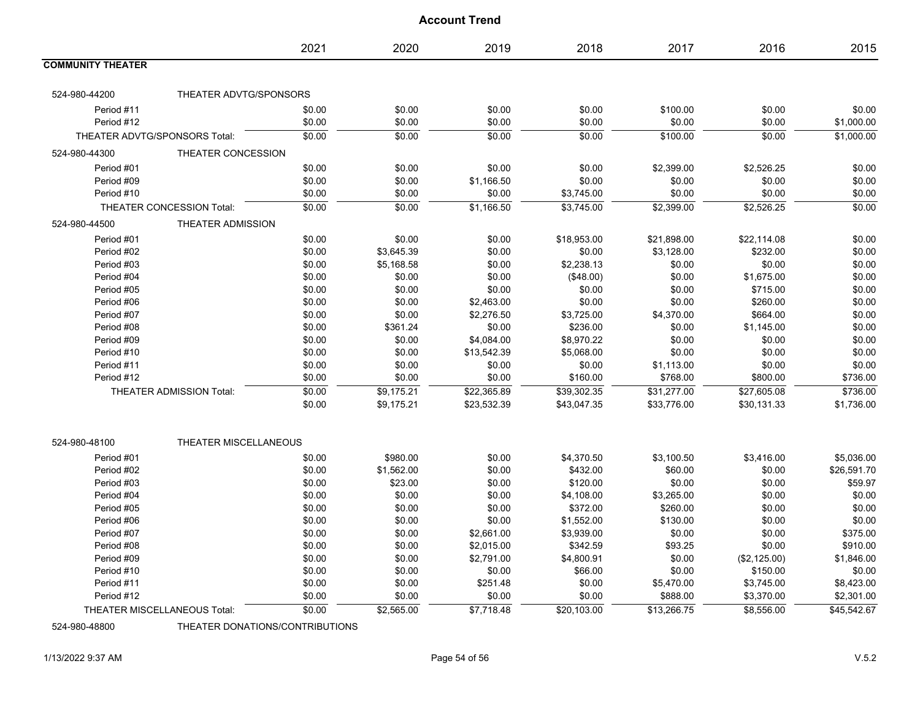|                          |                                 | 2021   | 2020       | 2019        | 2018           | 2017        | 2016           | 2015        |
|--------------------------|---------------------------------|--------|------------|-------------|----------------|-------------|----------------|-------------|
| <b>COMMUNITY THEATER</b> |                                 |        |            |             |                |             |                |             |
| 524-980-44200            | THEATER ADVTG/SPONSORS          |        |            |             |                |             |                |             |
| Period #11               |                                 | \$0.00 | \$0.00     | \$0.00      | \$0.00         | \$100.00    | \$0.00         | \$0.00      |
| Period #12               |                                 | \$0.00 | \$0.00     | \$0.00      | \$0.00         | \$0.00      | \$0.00         | \$1,000.00  |
|                          | THEATER ADVTG/SPONSORS Total:   | \$0.00 | \$0.00     | \$0.00      | $\frac{1}{00}$ | \$100.00    | $\frac{1}{00}$ | \$1,000.00  |
| 524-980-44300            | THEATER CONCESSION              |        |            |             |                |             |                |             |
| Period #01               |                                 | \$0.00 | \$0.00     | \$0.00      | \$0.00         | \$2,399.00  | \$2,526.25     | \$0.00      |
| Period #09               |                                 | \$0.00 | \$0.00     | \$1,166.50  | \$0.00         | \$0.00      | \$0.00         | \$0.00      |
| Period #10               |                                 | \$0.00 | \$0.00     | \$0.00      | \$3,745.00     | \$0.00      | \$0.00         | \$0.00      |
|                          | THEATER CONCESSION Total:       | \$0.00 | \$0.00     | \$1,166.50  | \$3,745.00     | \$2,399.00  | \$2,526.25     | \$0.00      |
| 524-980-44500            | THEATER ADMISSION               |        |            |             |                |             |                |             |
| Period #01               |                                 | \$0.00 | \$0.00     | \$0.00      | \$18,953.00    | \$21,898.00 | \$22,114.08    | \$0.00      |
| Period #02               |                                 | \$0.00 | \$3,645.39 | \$0.00      | \$0.00         | \$3,128.00  | \$232.00       | \$0.00      |
| Period #03               |                                 | \$0.00 | \$5,168.58 | \$0.00      | \$2,238.13     | \$0.00      | \$0.00         | \$0.00      |
| Period #04               |                                 | \$0.00 | \$0.00     | \$0.00      | (\$48.00)      | \$0.00      | \$1,675.00     | \$0.00      |
| Period #05               |                                 | \$0.00 | \$0.00     | \$0.00      | \$0.00         | \$0.00      | \$715.00       | \$0.00      |
| Period #06               |                                 | \$0.00 | \$0.00     | \$2,463.00  | \$0.00         | \$0.00      | \$260.00       | \$0.00      |
| Period #07               |                                 | \$0.00 | \$0.00     | \$2,276.50  | \$3,725.00     | \$4,370.00  | \$664.00       | \$0.00      |
| Period #08               |                                 | \$0.00 | \$361.24   | \$0.00      | \$236.00       | \$0.00      | \$1,145.00     | \$0.00      |
| Period #09               |                                 | \$0.00 | \$0.00     | \$4,084.00  | \$8,970.22     | \$0.00      | \$0.00         | \$0.00      |
| Period #10               |                                 | \$0.00 | \$0.00     | \$13,542.39 | \$5,068.00     | \$0.00      | \$0.00         | \$0.00      |
| Period #11               |                                 | \$0.00 | \$0.00     | \$0.00      | \$0.00         | \$1,113.00  | \$0.00         | \$0.00      |
| Period #12               |                                 | \$0.00 | \$0.00     | \$0.00      | \$160.00       | \$768.00    | \$800.00       | \$736.00    |
|                          | <b>THEATER ADMISSION Total:</b> | \$0.00 | \$9,175.21 | \$22,365.89 | \$39,302.35    | \$31,277.00 | \$27,605.08    | \$736.00    |
|                          |                                 | \$0.00 | \$9,175.21 | \$23,532.39 | \$43,047.35    | \$33,776.00 | \$30,131.33    | \$1,736.00  |
|                          |                                 |        |            |             |                |             |                |             |
| 524-980-48100            | THEATER MISCELLANEOUS           |        |            |             |                |             |                |             |
| Period #01               |                                 | \$0.00 | \$980.00   | \$0.00      | \$4,370.50     | \$3,100.50  | \$3,416.00     | \$5,036.00  |
| Period #02               |                                 | \$0.00 | \$1,562.00 | \$0.00      | \$432.00       | \$60.00     | \$0.00         | \$26,591.70 |
| Period #03               |                                 | \$0.00 | \$23.00    | \$0.00      | \$120.00       | \$0.00      | \$0.00         | \$59.97     |
| Period #04               |                                 | \$0.00 | \$0.00     | \$0.00      | \$4,108.00     | \$3,265.00  | \$0.00         | \$0.00      |
| Period #05               |                                 | \$0.00 | \$0.00     | \$0.00      | \$372.00       | \$260.00    | \$0.00         | \$0.00      |
| Period #06               |                                 | \$0.00 | \$0.00     | \$0.00      | \$1,552.00     | \$130.00    | \$0.00         | \$0.00      |
| Period #07               |                                 | \$0.00 | \$0.00     | \$2,661.00  | \$3,939.00     | \$0.00      | \$0.00         | \$375.00    |
| Period #08               |                                 | \$0.00 | \$0.00     | \$2,015.00  | \$342.59       | \$93.25     | \$0.00         | \$910.00    |
| Period #09               |                                 | \$0.00 | \$0.00     | \$2,791.00  | \$4,800.91     | \$0.00      | (\$2,125.00)   | \$1,846.00  |
| Period #10               |                                 | \$0.00 | \$0.00     | \$0.00      | \$66.00        | \$0.00      | \$150.00       | \$0.00      |
| Period #11               |                                 | \$0.00 | \$0.00     | \$251.48    | \$0.00         | \$5,470.00  | \$3,745.00     | \$8,423.00  |
| Period #12               |                                 | \$0.00 | \$0.00     | \$0.00      | \$0.00         | \$888.00    | \$3,370.00     | \$2,301.00  |
|                          | THEATER MISCELLANEOUS Total:    | \$0.00 | \$2,565.00 | \$7,718.48  | \$20,103.00    | \$13,266.75 | \$8,556.00     | \$45,542.67 |

524-980-48800 THEATER DONATIONS/CONTRIBUTIONS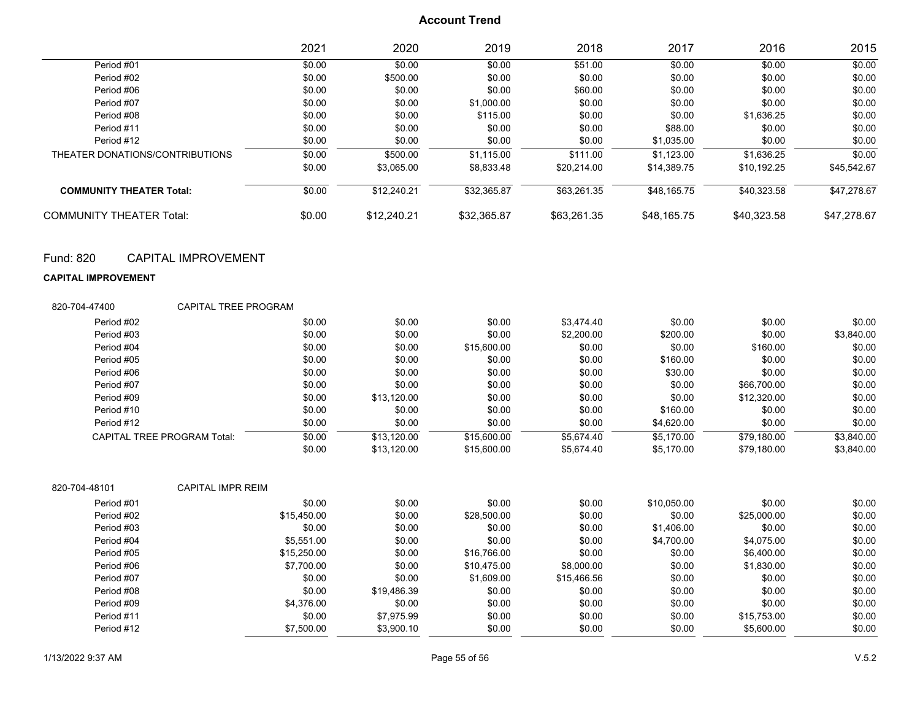|                                 | 2021   | 2020        | 2019        | 2018        | 2017        | 2016        | 2015        |
|---------------------------------|--------|-------------|-------------|-------------|-------------|-------------|-------------|
| Period #01                      | \$0.00 | \$0.00      | \$0.00      | \$51.00     | \$0.00      | \$0.00      | \$0.00      |
| Period #02                      | \$0.00 | \$500.00    | \$0.00      | \$0.00      | \$0.00      | \$0.00      | \$0.00      |
| Period #06                      | \$0.00 | \$0.00      | \$0.00      | \$60.00     | \$0.00      | \$0.00      | \$0.00      |
| Period #07                      | \$0.00 | \$0.00      | \$1,000.00  | \$0.00      | \$0.00      | \$0.00      | \$0.00      |
| Period #08                      | \$0.00 | \$0.00      | \$115.00    | \$0.00      | \$0.00      | \$1.636.25  | \$0.00      |
| Period #11                      | \$0.00 | \$0.00      | \$0.00      | \$0.00      | \$88.00     | \$0.00      | \$0.00      |
| Period #12                      | \$0.00 | \$0.00      | \$0.00      | \$0.00      | \$1,035.00  | \$0.00      | \$0.00      |
| THEATER DONATIONS/CONTRIBUTIONS | \$0.00 | \$500.00    | \$1,115.00  | \$111.00    | \$1.123.00  | \$1.636.25  | \$0.00      |
|                                 | \$0.00 | \$3.065.00  | \$8.833.48  | \$20.214.00 | \$14.389.75 | \$10.192.25 | \$45.542.67 |
| <b>COMMUNITY THEATER Total:</b> | \$0.00 | \$12,240.21 | \$32,365.87 | \$63,261.35 | \$48,165.75 | \$40,323.58 | \$47,278.67 |
| <b>COMMUNITY THEATER Total:</b> | \$0.00 | \$12,240.21 | \$32.365.87 | \$63,261.35 | \$48.165.75 | \$40.323.58 | \$47,278.67 |

### Fund: 820 CAPITAL IMPROVEMENT

#### **CAPITAL IMPROVEMENT**

| 820-704-47400                      | <b>CAPITAL TREE PROGRAM</b> |             |             |             |             |             |             |            |
|------------------------------------|-----------------------------|-------------|-------------|-------------|-------------|-------------|-------------|------------|
| Period #02                         |                             | \$0.00      | \$0.00      | \$0.00      | \$3,474.40  | \$0.00      | \$0.00      | \$0.00     |
| Period #03                         |                             | \$0.00      | \$0.00      | \$0.00      | \$2,200.00  | \$200.00    | \$0.00      | \$3,840.00 |
| Period #04                         |                             | \$0.00      | \$0.00      | \$15,600.00 | \$0.00      | \$0.00      | \$160.00    | \$0.00     |
| Period #05                         |                             | \$0.00      | \$0.00      | \$0.00      | \$0.00      | \$160.00    | \$0.00      | \$0.00     |
| Period #06                         |                             | \$0.00      | \$0.00      | \$0.00      | \$0.00      | \$30.00     | \$0.00      | \$0.00     |
| Period #07                         |                             | \$0.00      | \$0.00      | \$0.00      | \$0.00      | \$0.00      | \$66,700.00 | \$0.00     |
| Period #09                         |                             | \$0.00      | \$13,120.00 | \$0.00      | \$0.00      | \$0.00      | \$12,320.00 | \$0.00     |
| Period #10                         |                             | \$0.00      | \$0.00      | \$0.00      | \$0.00      | \$160.00    | \$0.00      | \$0.00     |
| Period #12                         |                             | \$0.00      | \$0.00      | \$0.00      | \$0.00      | \$4,620.00  | \$0.00      | \$0.00     |
| <b>CAPITAL TREE PROGRAM Total:</b> |                             | \$0.00      | \$13,120.00 | \$15,600.00 | \$5,674.40  | \$5,170.00  | \$79,180.00 | \$3,840.00 |
|                                    |                             | \$0.00      | \$13,120.00 | \$15,600.00 | \$5,674.40  | \$5,170.00  | \$79,180.00 | \$3,840.00 |
| 820-704-48101                      | <b>CAPITAL IMPR REIM</b>    |             |             |             |             |             |             |            |
| Period #01                         |                             | \$0.00      | \$0.00      | \$0.00      | \$0.00      | \$10,050.00 | \$0.00      | \$0.00     |
| Period #02                         |                             | \$15,450.00 | \$0.00      | \$28,500.00 | \$0.00      | \$0.00      | \$25,000.00 | \$0.00     |
| Period #03                         |                             | \$0.00      | \$0.00      | \$0.00      | \$0.00      | \$1,406.00  | \$0.00      | \$0.00     |
| Period #04                         |                             | \$5,551.00  | \$0.00      | \$0.00      | \$0.00      | \$4,700.00  | \$4,075.00  | \$0.00     |
| Period #05                         |                             | \$15,250.00 | \$0.00      | \$16,766.00 | \$0.00      | \$0.00      | \$6,400.00  | \$0.00     |
| Period #06                         |                             | \$7,700.00  | \$0.00      | \$10,475.00 | \$8,000.00  | \$0.00      | \$1,830.00  | \$0.00     |
| Period #07                         |                             | \$0.00      | \$0.00      | \$1,609.00  | \$15,466.56 | \$0.00      | \$0.00      | \$0.00     |
| Period #08                         |                             | \$0.00      | \$19,486.39 | \$0.00      | \$0.00      | \$0.00      | \$0.00      | \$0.00     |
| Period #09                         |                             | \$4,376.00  | \$0.00      | \$0.00      | \$0.00      | \$0.00      | \$0.00      | \$0.00     |
| Period #11                         |                             | \$0.00      | \$7,975.99  | \$0.00      | \$0.00      | \$0.00      | \$15,753.00 | \$0.00     |
| Period #12                         |                             | \$7,500.00  | \$3,900.10  | \$0.00      | \$0.00      | \$0.00      | \$5,600.00  | \$0.00     |